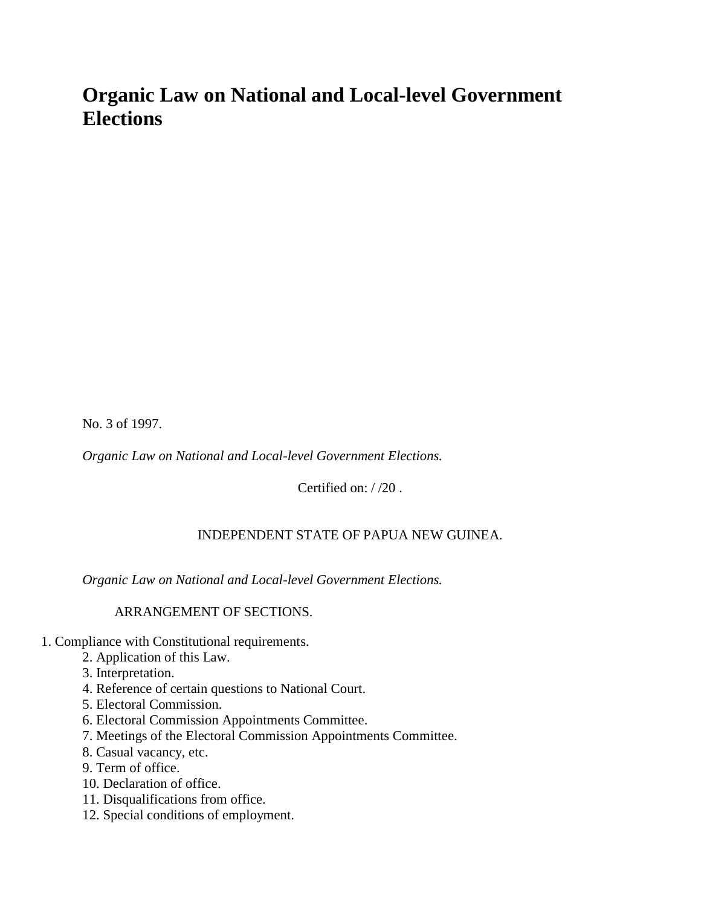# **Organic Law on National and Local-level Government Elections**

No. 3 of 1997.

*Organic Law on National and Local-level Government Elections.*

Certified on: / /20 .

## INDEPENDENT STATE OF PAPUA NEW GUINEA.

*Organic Law on National and Local-level Government Elections.*

ARRANGEMENT OF SECTIONS.

- 1. Compliance with Constitutional requirements.
	- 2. Application of this Law.
	- 3. Interpretation.
	- 4. Reference of certain questions to National Court.
	- 5. Electoral Commission.
	- 6. Electoral Commission Appointments Committee.
	- 7. Meetings of the Electoral Commission Appointments Committee.
	- 8. Casual vacancy, etc.
	- 9. Term of office.
	- 10. Declaration of office.
	- 11. Disqualifications from office.
	- 12. Special conditions of employment.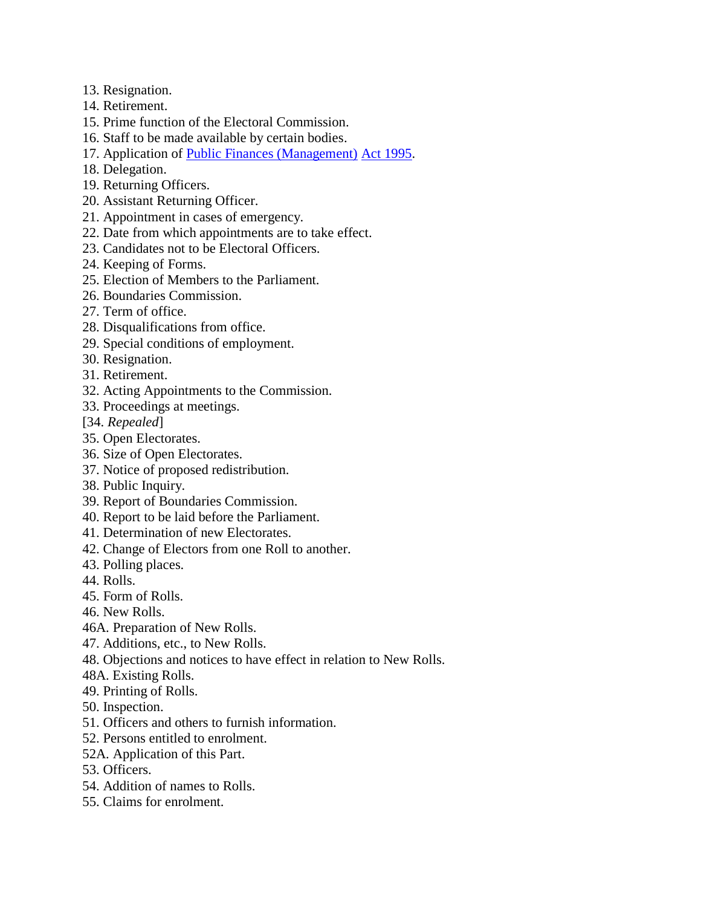- 13. Resignation.
- 14. Retirement.
- 15. Prime function of the Electoral Commission.
- 16. Staff to be made available by certain bodies.
- 17. Application of [Public Finances \(Management\)](http://www.paclii.org/pg/legis/consol_act/pfa1995224/) [Act 1995.](http://www.paclii.org/pg/legis/consol_act/pfa1995224/)
- 18. Delegation.
- 19. Returning Officers.
- 20. Assistant Returning Officer.
- 21. Appointment in cases of emergency.
- 22. Date from which appointments are to take effect.
- 23. Candidates not to be Electoral Officers.
- 24. Keeping of Forms.
- 25. Election of Members to the Parliament.
- 26. Boundaries Commission.
- 27. Term of office.
- 28. Disqualifications from office.
- 29. Special conditions of employment.
- 30. Resignation.
- 31. Retirement.
- 32. Acting Appointments to the Commission.
- 33. Proceedings at meetings.
- [34. *Repealed*]
- 35. Open Electorates.
- 36. Size of Open Electorates.
- 37. Notice of proposed redistribution.
- 38. Public Inquiry.
- 39. Report of Boundaries Commission.
- 40. Report to be laid before the Parliament.
- 41. Determination of new Electorates.
- 42. Change of Electors from one Roll to another.
- 43. Polling places.
- 44. Rolls.
- 45. Form of Rolls.
- 46. New Rolls.
- 46A. Preparation of New Rolls.
- 47. Additions, etc., to New Rolls.
- 48. Objections and notices to have effect in relation to New Rolls.
- 48A. Existing Rolls.
- 49. Printing of Rolls.
- 50. Inspection.
- 51. Officers and others to furnish information.
- 52. Persons entitled to enrolment.
- 52A. Application of this Part.
- 53. Officers.
- 54. Addition of names to Rolls.
- 55. Claims for enrolment.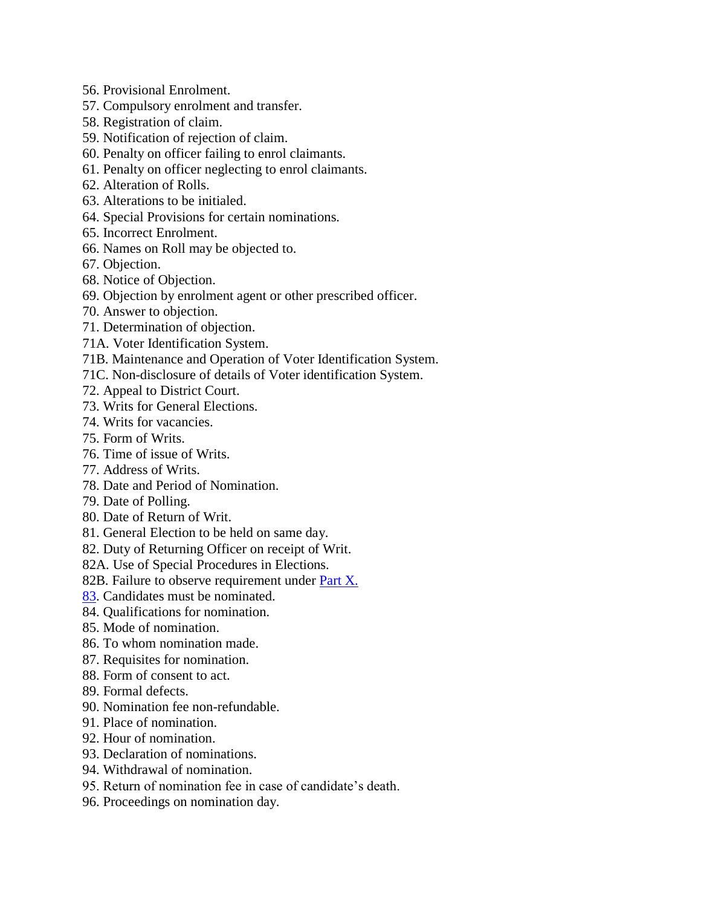- 56. Provisional Enrolment.
- 57. Compulsory enrolment and transfer.
- 58. Registration of claim.
- 59. Notification of rejection of claim.
- 60. Penalty on officer failing to enrol claimants.
- 61. Penalty on officer neglecting to enrol claimants.
- 62. Alteration of Rolls.
- 63. Alterations to be initialed.
- 64. Special Provisions for certain nominations.
- 65. Incorrect Enrolment.
- 66. Names on Roll may be objected to.
- 67. Objection.
- 68. Notice of Objection.
- 69. Objection by enrolment agent or other prescribed officer.
- 70. Answer to objection.
- 71. Determination of objection.
- 71A. Voter Identification System.
- 71B. Maintenance and Operation of Voter Identification System.
- 71C. Non-disclosure of details of Voter identification System.
- 72. Appeal to District Court.
- 73. Writs for General Elections.
- 74. Writs for vacancies.
- 75. Form of Writs.
- 76. Time of issue of Writs.
- 77. Address of Writs.
- 78. Date and Period of Nomination.
- 79. Date of Polling.
- 80. Date of Return of Writ.
- 81. General Election to be held on same day.
- 82. Duty of Returning Officer on receipt of Writ.
- 82A. Use of Special Procedures in Elections.
- 82B. Failure to observe requirement under [Part X.](http://www.paclii.org/pg/legis/consol_act/pfa1995224/index.html#p10)
- [83.](http://www.paclii.org/pg/legis/consol_act/pfa1995224/index.html#p83) Candidates must be nominated.
- 84. Qualifications for nomination.
- 85. Mode of nomination.
- 86. To whom nomination made.
- 87. Requisites for nomination.
- 88. Form of consent to act.
- 89. Formal defects.
- 90. Nomination fee non-refundable.
- 91. Place of nomination.
- 92. Hour of nomination.
- 93. Declaration of nominations.
- 94. Withdrawal of nomination.
- 95. Return of nomination fee in case of candidate"s death.
- 96. Proceedings on nomination day.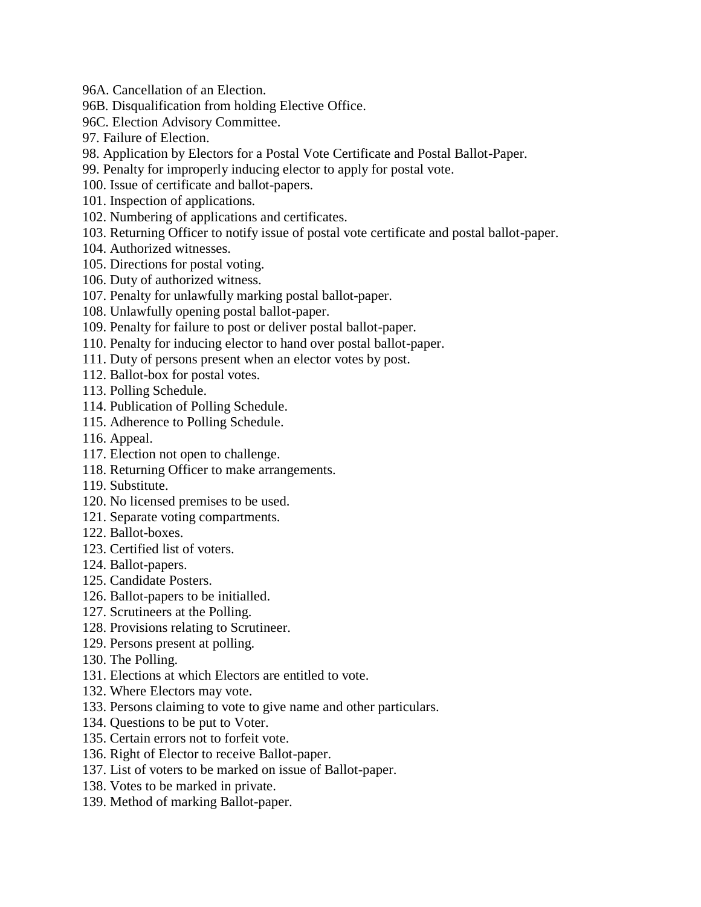- 96A. Cancellation of an Election.
- 96B. Disqualification from holding Elective Office.
- 96C. Election Advisory Committee.
- 97. Failure of Election.
- 98. Application by Electors for a Postal Vote Certificate and Postal Ballot-Paper.
- 99. Penalty for improperly inducing elector to apply for postal vote.
- 100. Issue of certificate and ballot-papers.
- 101. Inspection of applications.
- 102. Numbering of applications and certificates.
- 103. Returning Officer to notify issue of postal vote certificate and postal ballot-paper.
- 104. Authorized witnesses.
- 105. Directions for postal voting.
- 106. Duty of authorized witness.
- 107. Penalty for unlawfully marking postal ballot-paper.
- 108. Unlawfully opening postal ballot-paper.
- 109. Penalty for failure to post or deliver postal ballot-paper.
- 110. Penalty for inducing elector to hand over postal ballot-paper.
- 111. Duty of persons present when an elector votes by post.
- 112. Ballot-box for postal votes.
- 113. Polling Schedule.
- 114. Publication of Polling Schedule.
- 115. Adherence to Polling Schedule.
- 116. Appeal.
- 117. Election not open to challenge.
- 118. Returning Officer to make arrangements.
- 119. Substitute.
- 120. No licensed premises to be used.
- 121. Separate voting compartments.
- 122. Ballot-boxes.
- 123. Certified list of voters.
- 124. Ballot-papers.
- 125. Candidate Posters.
- 126. Ballot-papers to be initialled.
- 127. Scrutineers at the Polling.
- 128. Provisions relating to Scrutineer.
- 129. Persons present at polling.
- 130. The Polling.
- 131. Elections at which Electors are entitled to vote.
- 132. Where Electors may vote.
- 133. Persons claiming to vote to give name and other particulars.
- 134. Questions to be put to Voter.
- 135. Certain errors not to forfeit vote.
- 136. Right of Elector to receive Ballot-paper.
- 137. List of voters to be marked on issue of Ballot-paper.
- 138. Votes to be marked in private.
- 139. Method of marking Ballot-paper.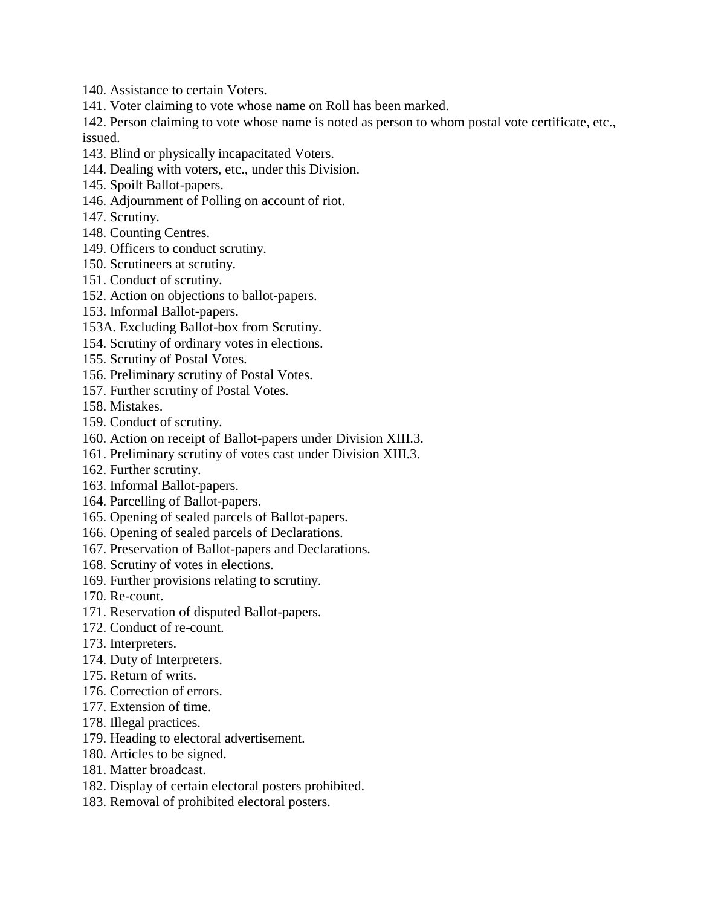140. Assistance to certain Voters.

141. Voter claiming to vote whose name on Roll has been marked.

142. Person claiming to vote whose name is noted as person to whom postal vote certificate, etc., issued.

- 143. Blind or physically incapacitated Voters.
- 144. Dealing with voters, etc., under this Division.
- 145. Spoilt Ballot-papers.
- 146. Adjournment of Polling on account of riot.
- 147. Scrutiny.
- 148. Counting Centres.
- 149. Officers to conduct scrutiny.
- 150. Scrutineers at scrutiny.
- 151. Conduct of scrutiny.
- 152. Action on objections to ballot-papers.
- 153. Informal Ballot-papers.
- 153A. Excluding Ballot-box from Scrutiny.
- 154. Scrutiny of ordinary votes in elections.
- 155. Scrutiny of Postal Votes.
- 156. Preliminary scrutiny of Postal Votes.
- 157. Further scrutiny of Postal Votes.
- 158. Mistakes.
- 159. Conduct of scrutiny.
- 160. Action on receipt of Ballot-papers under Division XIII.3.
- 161. Preliminary scrutiny of votes cast under Division XIII.3.
- 162. Further scrutiny.
- 163. Informal Ballot-papers.
- 164. Parcelling of Ballot-papers.
- 165. Opening of sealed parcels of Ballot-papers.
- 166. Opening of sealed parcels of Declarations.
- 167. Preservation of Ballot-papers and Declarations.
- 168. Scrutiny of votes in elections.
- 169. Further provisions relating to scrutiny.
- 170. Re-count.
- 171. Reservation of disputed Ballot-papers.
- 172. Conduct of re-count.
- 173. Interpreters.
- 174. Duty of Interpreters.
- 175. Return of writs.
- 176. Correction of errors.
- 177. Extension of time.
- 178. Illegal practices.
- 179. Heading to electoral advertisement.
- 180. Articles to be signed.
- 181. Matter broadcast.
- 182. Display of certain electoral posters prohibited.
- 183. Removal of prohibited electoral posters.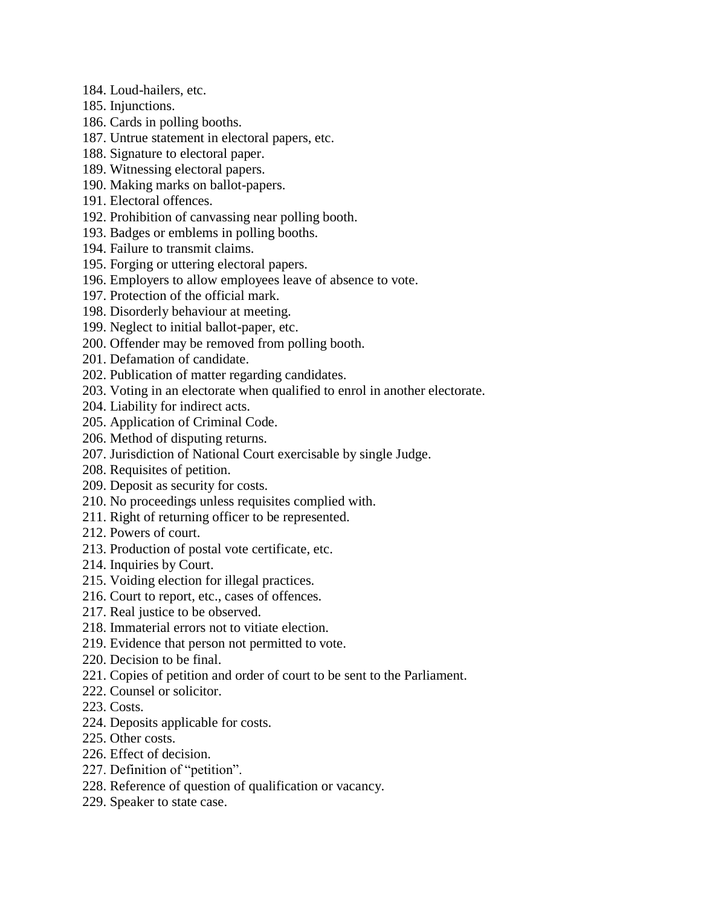- 184. Loud-hailers, etc.
- 185. Injunctions.
- 186. Cards in polling booths.
- 187. Untrue statement in electoral papers, etc.
- 188. Signature to electoral paper.
- 189. Witnessing electoral papers.
- 190. Making marks on ballot-papers.
- 191. Electoral offences.
- 192. Prohibition of canvassing near polling booth.
- 193. Badges or emblems in polling booths.
- 194. Failure to transmit claims.
- 195. Forging or uttering electoral papers.
- 196. Employers to allow employees leave of absence to vote.
- 197. Protection of the official mark.
- 198. Disorderly behaviour at meeting.
- 199. Neglect to initial ballot-paper, etc.
- 200. Offender may be removed from polling booth.
- 201. Defamation of candidate.
- 202. Publication of matter regarding candidates.
- 203. Voting in an electorate when qualified to enrol in another electorate.
- 204. Liability for indirect acts.
- 205. Application of Criminal Code.
- 206. Method of disputing returns.
- 207. Jurisdiction of National Court exercisable by single Judge.
- 208. Requisites of petition.
- 209. Deposit as security for costs.
- 210. No proceedings unless requisites complied with.
- 211. Right of returning officer to be represented.
- 212. Powers of court.
- 213. Production of postal vote certificate, etc.
- 214. Inquiries by Court.
- 215. Voiding election for illegal practices.
- 216. Court to report, etc., cases of offences.
- 217. Real justice to be observed.
- 218. Immaterial errors not to vitiate election.
- 219. Evidence that person not permitted to vote.
- 220. Decision to be final.
- 221. Copies of petition and order of court to be sent to the Parliament.
- 222. Counsel or solicitor.
- 223. Costs.
- 224. Deposits applicable for costs.
- 225. Other costs.
- 226. Effect of decision.
- 227. Definition of "petition".
- 228. Reference of question of qualification or vacancy.
- 229. Speaker to state case.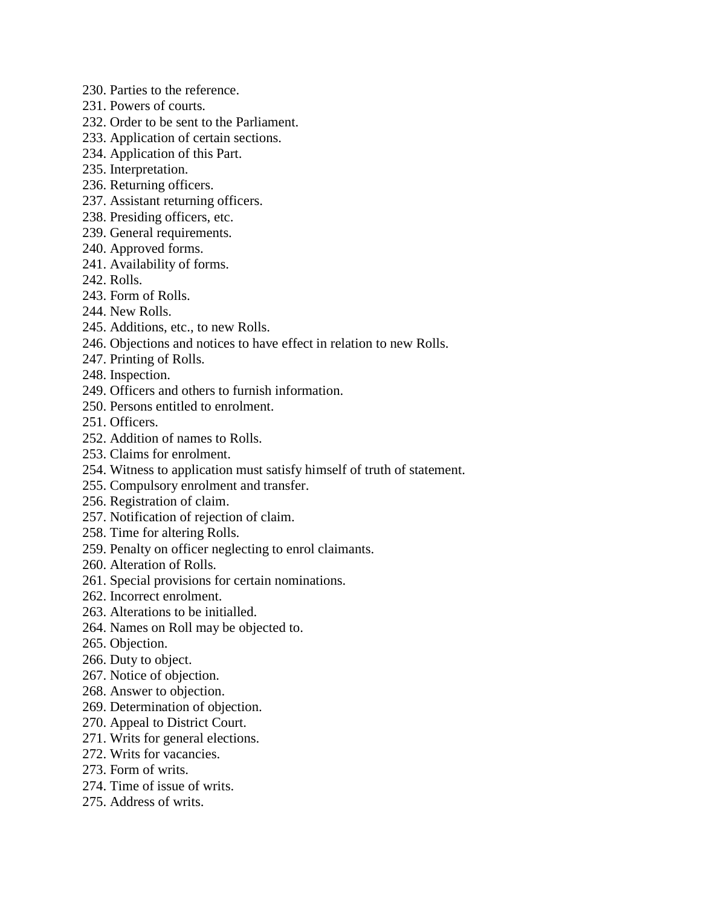- 230. Parties to the reference.
- 231. Powers of courts.
- 232. Order to be sent to the Parliament.
- 233. Application of certain sections.
- 234. Application of this Part.
- 235. Interpretation.
- 236. Returning officers.
- 237. Assistant returning officers.
- 238. Presiding officers, etc.
- 239. General requirements.
- 240. Approved forms.
- 241. Availability of forms.
- 242. Rolls.
- 243. Form of Rolls.
- 244. New Rolls.
- 245. Additions, etc., to new Rolls.
- 246. Objections and notices to have effect in relation to new Rolls.
- 247. Printing of Rolls.
- 248. Inspection.
- 249. Officers and others to furnish information.
- 250. Persons entitled to enrolment.
- 251. Officers.
- 252. Addition of names to Rolls.
- 253. Claims for enrolment.
- 254. Witness to application must satisfy himself of truth of statement.
- 255. Compulsory enrolment and transfer.
- 256. Registration of claim.
- 257. Notification of rejection of claim.
- 258. Time for altering Rolls.
- 259. Penalty on officer neglecting to enrol claimants.
- 260. Alteration of Rolls.
- 261. Special provisions for certain nominations.
- 262. Incorrect enrolment.
- 263. Alterations to be initialled.
- 264. Names on Roll may be objected to.
- 265. Objection.
- 266. Duty to object.
- 267. Notice of objection.
- 268. Answer to objection.
- 269. Determination of objection.
- 270. Appeal to District Court.
- 271. Writs for general elections.
- 272. Writs for vacancies.
- 273. Form of writs.
- 274. Time of issue of writs.
- 275. Address of writs.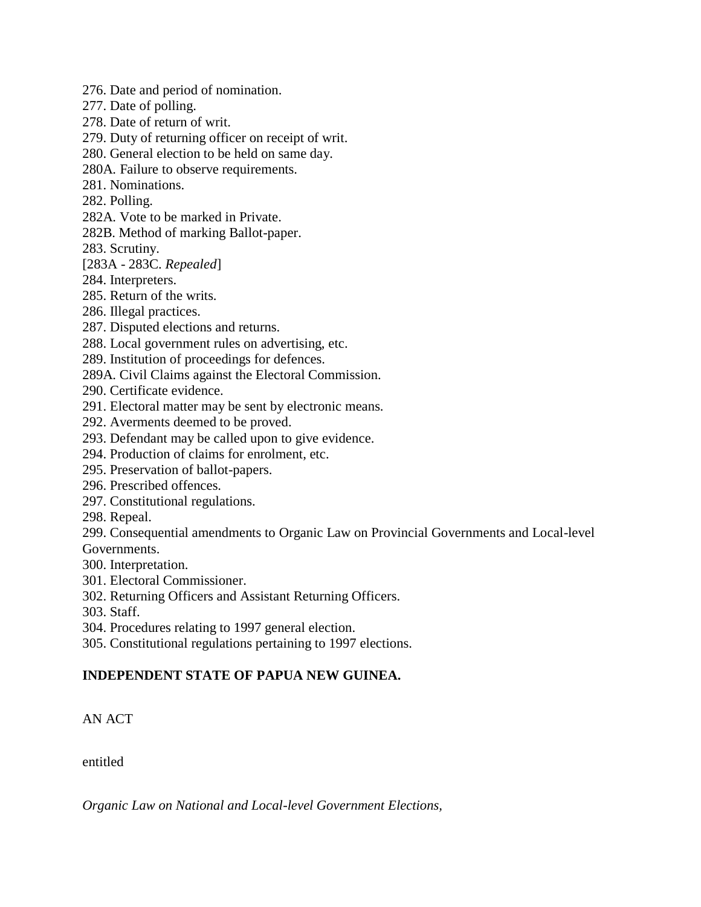- 276. Date and period of nomination.
- 277. Date of polling.
- 278. Date of return of writ.
- 279. Duty of returning officer on receipt of writ.
- 280. General election to be held on same day.
- 280A. Failure to observe requirements.
- 281. Nominations.
- 282. Polling.
- 282A. Vote to be marked in Private.
- 282B. Method of marking Ballot-paper.
- 283. Scrutiny.
- [283A 283C. *Repealed*]
- 284. Interpreters.
- 285. Return of the writs.
- 286. Illegal practices.
- 287. Disputed elections and returns.
- 288. Local government rules on advertising, etc.
- 289. Institution of proceedings for defences.
- 289A. Civil Claims against the Electoral Commission.
- 290. Certificate evidence.
- 291. Electoral matter may be sent by electronic means.
- 292. Averments deemed to be proved.
- 293. Defendant may be called upon to give evidence.
- 294. Production of claims for enrolment, etc.
- 295. Preservation of ballot-papers.
- 296. Prescribed offences.
- 297. Constitutional regulations.
- 298. Repeal.

299. Consequential amendments to Organic Law on Provincial Governments and Local-level Governments.

- 300. Interpretation.
- 301. Electoral Commissioner.
- 302. Returning Officers and Assistant Returning Officers.
- 303. Staff.
- 304. Procedures relating to 1997 general election.
- 305. Constitutional regulations pertaining to 1997 elections.

## **INDEPENDENT STATE OF PAPUA NEW GUINEA.**

AN ACT

entitled

*Organic Law on National and Local-level Government Elections,*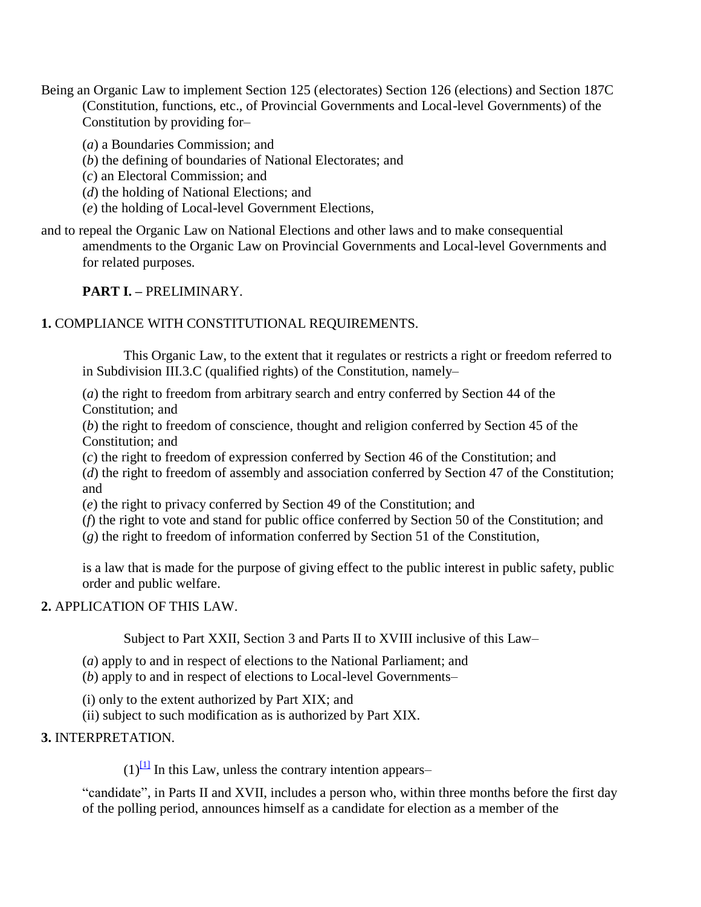Being an Organic Law to implement Section 125 (electorates) Section 126 (elections) and Section 187C (Constitution, functions, etc., of Provincial Governments and Local-level Governments) of the Constitution by providing for–

(*a*) a Boundaries Commission; and

(*b*) the defining of boundaries of National Electorates; and

(*c*) an Electoral Commission; and

(*d*) the holding of National Elections; and

(*e*) the holding of Local-level Government Elections,

and to repeal the Organic Law on National Elections and other laws and to make consequential amendments to the Organic Law on Provincial Governments and Local-level Governments and for related purposes.

#### **PART I. –** PRELIMINARY.

#### **1.** COMPLIANCE WITH CONSTITUTIONAL REQUIREMENTS.

This Organic Law, to the extent that it regulates or restricts a right or freedom referred to in Subdivision III.3.C (qualified rights) of the Constitution, namely–

(*a*) the right to freedom from arbitrary search and entry conferred by Section 44 of the Constitution; and

(*b*) the right to freedom of conscience, thought and religion conferred by Section 45 of the Constitution; and

(*c*) the right to freedom of expression conferred by Section 46 of the Constitution; and

(*d*) the right to freedom of assembly and association conferred by Section 47 of the Constitution; and

(*e*) the right to privacy conferred by Section 49 of the Constitution; and

(*f*) the right to vote and stand for public office conferred by Section 50 of the Constitution; and

(*g*) the right to freedom of information conferred by Section 51 of the Constitution,

is a law that is made for the purpose of giving effect to the public interest in public safety, public order and public welfare.

#### **2.** APPLICATION OF THIS LAW.

Subject to Part XXII, Section 3 and Parts II to XVIII inclusive of this Law–

(*a*) apply to and in respect of elections to the National Parliament; and

(*b*) apply to and in respect of elections to Local-level Governments–

(i) only to the extent authorized by Part XIX; and

(ii) subject to such modification as is authorized by Part XIX.

### **3.** INTERPRETATION.

 $(1)^{11}$  In this Law, unless the contrary intention appears–

"candidate", in Parts II and XVII, includes a person who, within three months before the first day of the polling period, announces himself as a candidate for election as a member of the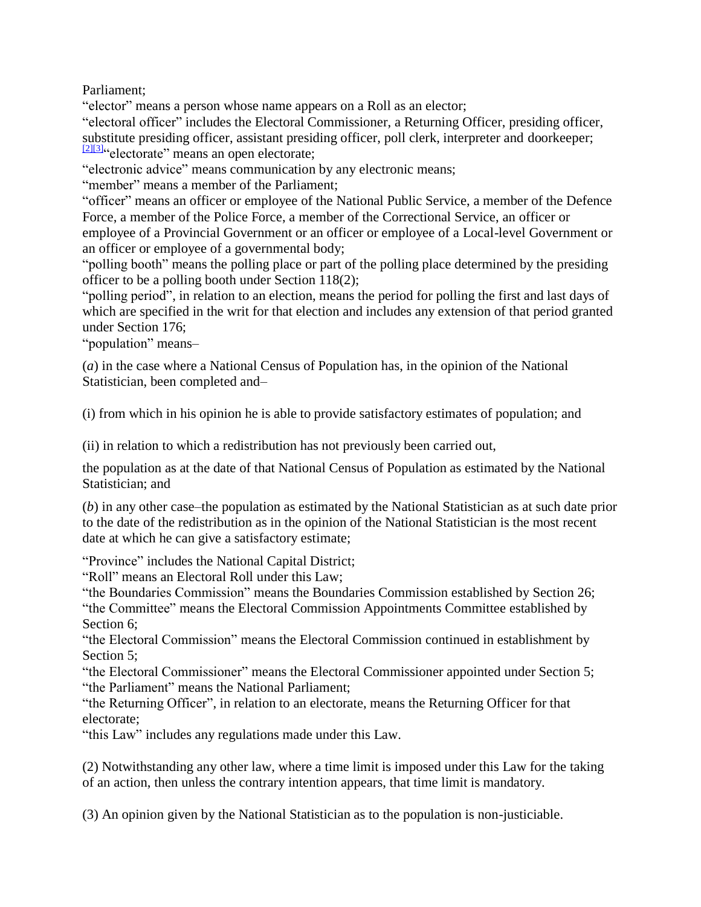Parliament;

"elector" means a person whose name appears on a Roll as an elector;

"electoral officer" includes the Electoral Commissioner, a Returning Officer, presiding officer, substitute presiding officer, assistant presiding officer, poll clerk, interpreter and doorkeeper;  $\frac{[2][3]}{8}$  $\frac{[2][3]}{8}$  $\frac{[2][3]}{8}$ "electorate" means an open electorate;

"electronic advice" means communication by any electronic means;

"member" means a member of the Parliament;

"officer" means an officer or employee of the National Public Service, a member of the Defence Force, a member of the Police Force, a member of the Correctional Service, an officer or employee of a Provincial Government or an officer or employee of a Local-level Government or an officer or employee of a governmental body;

"polling booth" means the polling place or part of the polling place determined by the presiding officer to be a polling booth under Section 118(2);

"polling period", in relation to an election, means the period for polling the first and last days of which are specified in the writ for that election and includes any extension of that period granted under Section 176;

"population" means–

(*a*) in the case where a National Census of Population has, in the opinion of the National Statistician, been completed and–

(i) from which in his opinion he is able to provide satisfactory estimates of population; and

(ii) in relation to which a redistribution has not previously been carried out,

the population as at the date of that National Census of Population as estimated by the National Statistician; and

(*b*) in any other case–the population as estimated by the National Statistician as at such date prior to the date of the redistribution as in the opinion of the National Statistician is the most recent date at which he can give a satisfactory estimate;

"Province" includes the National Capital District;

"Roll" means an Electoral Roll under this Law;

"the Boundaries Commission" means the Boundaries Commission established by Section 26; "the Committee" means the Electoral Commission Appointments Committee established by Section 6;

"the Electoral Commission" means the Electoral Commission continued in establishment by Section 5:

"the Electoral Commissioner" means the Electoral Commissioner appointed under Section 5; "the Parliament" means the National Parliament;

"the Returning Officer", in relation to an electorate, means the Returning Officer for that electorate;

"this Law" includes any regulations made under this Law.

(2) Notwithstanding any other law, where a time limit is imposed under this Law for the taking of an action, then unless the contrary intention appears, that time limit is mandatory.

(3) An opinion given by the National Statistician as to the population is non-justiciable.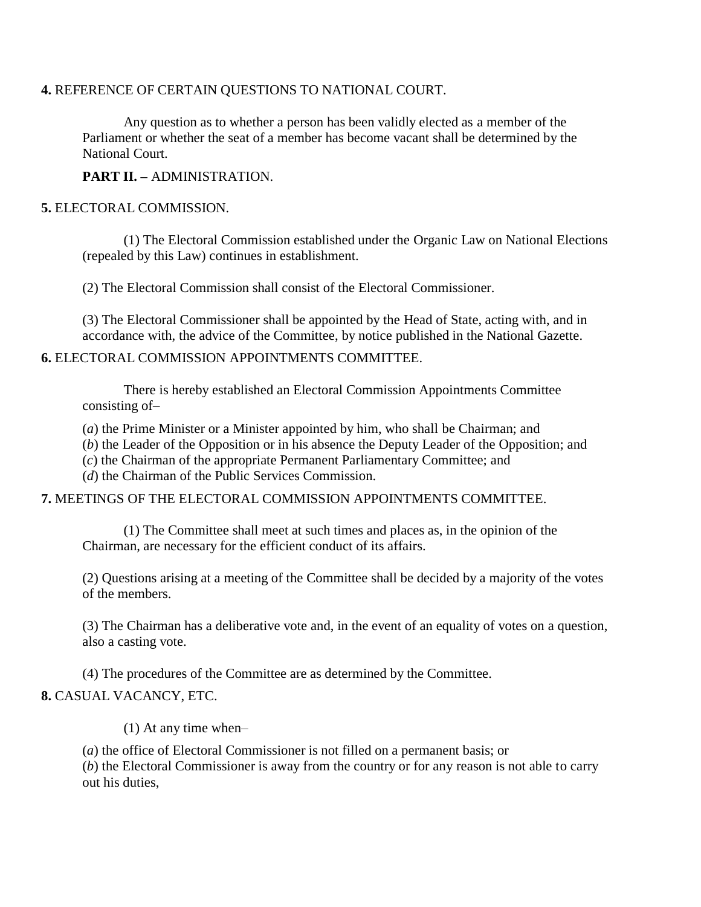#### **4.** REFERENCE OF CERTAIN QUESTIONS TO NATIONAL COURT.

Any question as to whether a person has been validly elected as a member of the Parliament or whether the seat of a member has become vacant shall be determined by the National Court.

**PART II. –** ADMINISTRATION.

### **5.** ELECTORAL COMMISSION.

(1) The Electoral Commission established under the Organic Law on National Elections (repealed by this Law) continues in establishment.

(2) The Electoral Commission shall consist of the Electoral Commissioner.

(3) The Electoral Commissioner shall be appointed by the Head of State, acting with, and in accordance with, the advice of the Committee, by notice published in the National Gazette.

#### **6.** ELECTORAL COMMISSION APPOINTMENTS COMMITTEE.

There is hereby established an Electoral Commission Appointments Committee consisting of–

(*a*) the Prime Minister or a Minister appointed by him, who shall be Chairman; and

(*b*) the Leader of the Opposition or in his absence the Deputy Leader of the Opposition; and

(*c*) the Chairman of the appropriate Permanent Parliamentary Committee; and

(*d*) the Chairman of the Public Services Commission.

#### **7.** MEETINGS OF THE ELECTORAL COMMISSION APPOINTMENTS COMMITTEE.

(1) The Committee shall meet at such times and places as, in the opinion of the Chairman, are necessary for the efficient conduct of its affairs.

(2) Questions arising at a meeting of the Committee shall be decided by a majority of the votes of the members.

(3) The Chairman has a deliberative vote and, in the event of an equality of votes on a question, also a casting vote.

(4) The procedures of the Committee are as determined by the Committee.

#### **8.** CASUAL VACANCY, ETC.

(1) At any time when–

(*a*) the office of Electoral Commissioner is not filled on a permanent basis; or

(*b*) the Electoral Commissioner is away from the country or for any reason is not able to carry out his duties,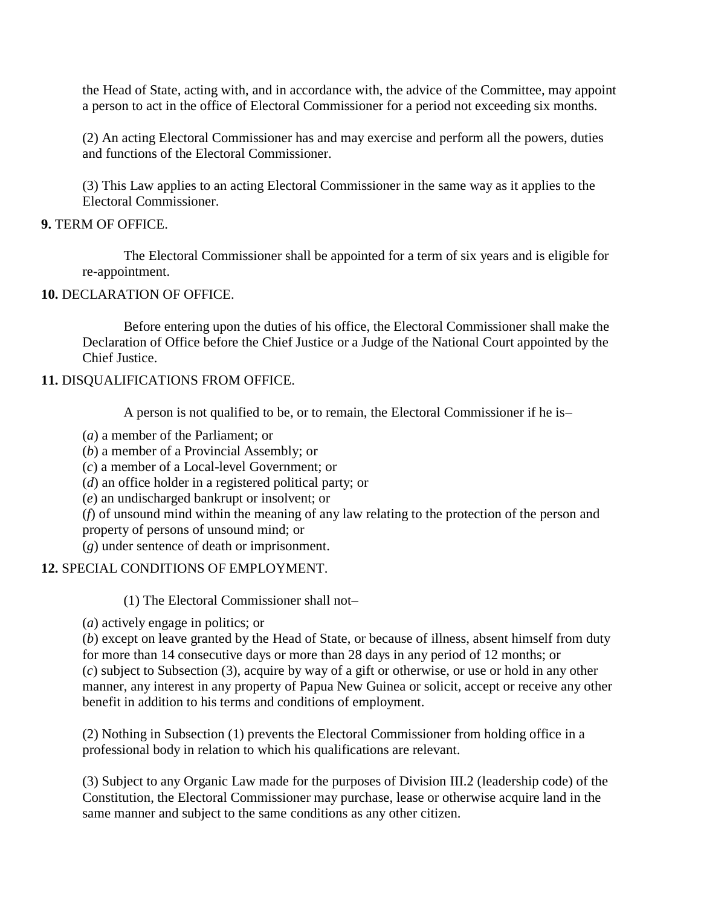the Head of State, acting with, and in accordance with, the advice of the Committee, may appoint a person to act in the office of Electoral Commissioner for a period not exceeding six months.

(2) An acting Electoral Commissioner has and may exercise and perform all the powers, duties and functions of the Electoral Commissioner.

(3) This Law applies to an acting Electoral Commissioner in the same way as it applies to the Electoral Commissioner.

### **9.** TERM OF OFFICE.

The Electoral Commissioner shall be appointed for a term of six years and is eligible for re-appointment.

### **10.** DECLARATION OF OFFICE.

Before entering upon the duties of his office, the Electoral Commissioner shall make the Declaration of Office before the Chief Justice or a Judge of the National Court appointed by the Chief Justice.

### **11.** DISQUALIFICATIONS FROM OFFICE.

A person is not qualified to be, or to remain, the Electoral Commissioner if he is–

- (*a*) a member of the Parliament; or
- (*b*) a member of a Provincial Assembly; or
- (*c*) a member of a Local-level Government; or
- (*d*) an office holder in a registered political party; or
- (*e*) an undischarged bankrupt or insolvent; or
- (*f*) of unsound mind within the meaning of any law relating to the protection of the person and
- property of persons of unsound mind; or
- (*g*) under sentence of death or imprisonment.

## **12.** SPECIAL CONDITIONS OF EMPLOYMENT.

(1) The Electoral Commissioner shall not–

(*a*) actively engage in politics; or

(*b*) except on leave granted by the Head of State, or because of illness, absent himself from duty for more than 14 consecutive days or more than 28 days in any period of 12 months; or (*c*) subject to Subsection (3), acquire by way of a gift or otherwise, or use or hold in any other manner, any interest in any property of Papua New Guinea or solicit, accept or receive any other benefit in addition to his terms and conditions of employment.

(2) Nothing in Subsection (1) prevents the Electoral Commissioner from holding office in a professional body in relation to which his qualifications are relevant.

(3) Subject to any Organic Law made for the purposes of Division III.2 (leadership code) of the Constitution, the Electoral Commissioner may purchase, lease or otherwise acquire land in the same manner and subject to the same conditions as any other citizen.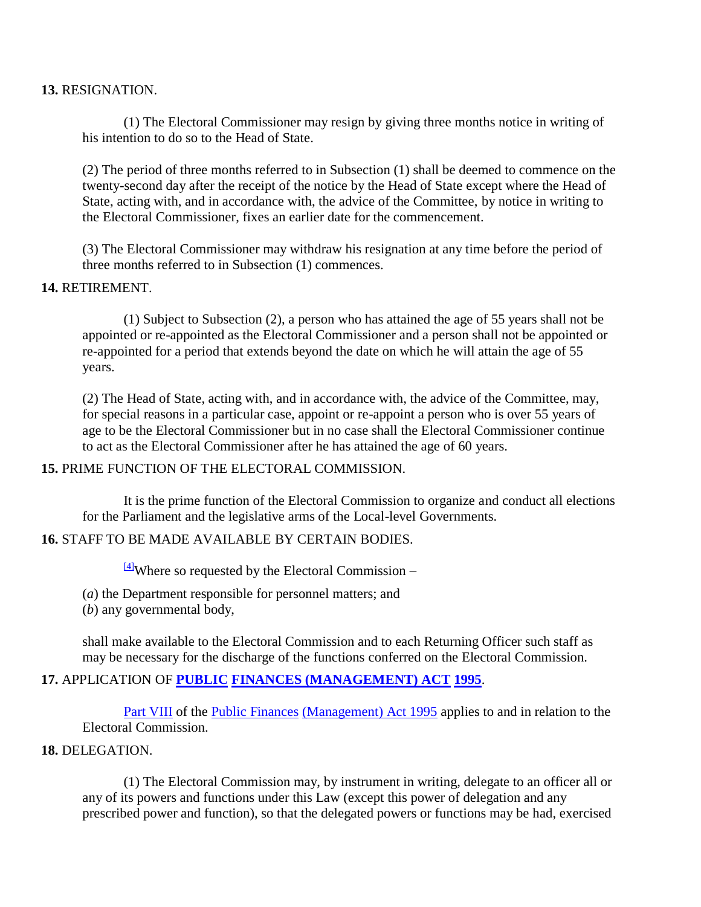#### **13.** RESIGNATION.

(1) The Electoral Commissioner may resign by giving three months notice in writing of his intention to do so to the Head of State.

(2) The period of three months referred to in Subsection (1) shall be deemed to commence on the twenty-second day after the receipt of the notice by the Head of State except where the Head of State, acting with, and in accordance with, the advice of the Committee, by notice in writing to the Electoral Commissioner, fixes an earlier date for the commencement.

(3) The Electoral Commissioner may withdraw his resignation at any time before the period of three months referred to in Subsection (1) commences.

#### **14.** RETIREMENT.

(1) Subject to Subsection (2), a person who has attained the age of 55 years shall not be appointed or re-appointed as the Electoral Commissioner and a person shall not be appointed or re-appointed for a period that extends beyond the date on which he will attain the age of 55 years.

(2) The Head of State, acting with, and in accordance with, the advice of the Committee, may, for special reasons in a particular case, appoint or re-appoint a person who is over 55 years of age to be the Electoral Commissioner but in no case shall the Electoral Commissioner continue to act as the Electoral Commissioner after he has attained the age of 60 years.

#### **15.** PRIME FUNCTION OF THE ELECTORAL COMMISSION.

It is the prime function of the Electoral Commission to organize and conduct all elections for the Parliament and the legislative arms of the Local-level Governments.

## **16.** STAFF TO BE MADE AVAILABLE BY CERTAIN BODIES.

 $\frac{[4]}{[4]}$  $\frac{[4]}{[4]}$  $\frac{[4]}{[4]}$ Where so requested by the Electoral Commission –

(*a*) the Department responsible for personnel matters; and

(*b*) any governmental body,

shall make available to the Electoral Commission and to each Returning Officer such staff as may be necessary for the discharge of the functions conferred on the Electoral Commission.

## **17.** APPLICATION OF **[PUBLIC](http://www.paclii.org/pg/legis/consol_act/pfa1995224/) [FINANCES \(MANAGEMENT\) ACT](http://www.paclii.org/pg/legis/consol_act/pfa1995224/) [1995](http://www.paclii.org/pg/legis/consol_act/pfa1995224/)**.

[Part VIII](http://www.paclii.org/pg/legis/consol_act/pfa1995224/index.html#p8) of the [Public Finances](http://www.paclii.org/pg/legis/consol_act/pfa1995224/) [\(Management\) Act 1995](http://www.paclii.org/pg/legis/consol_act/pfa1995224/) applies to and in relation to the Electoral Commission.

#### **18.** DELEGATION.

(1) The Electoral Commission may, by instrument in writing, delegate to an officer all or any of its powers and functions under this Law (except this power of delegation and any prescribed power and function), so that the delegated powers or functions may be had, exercised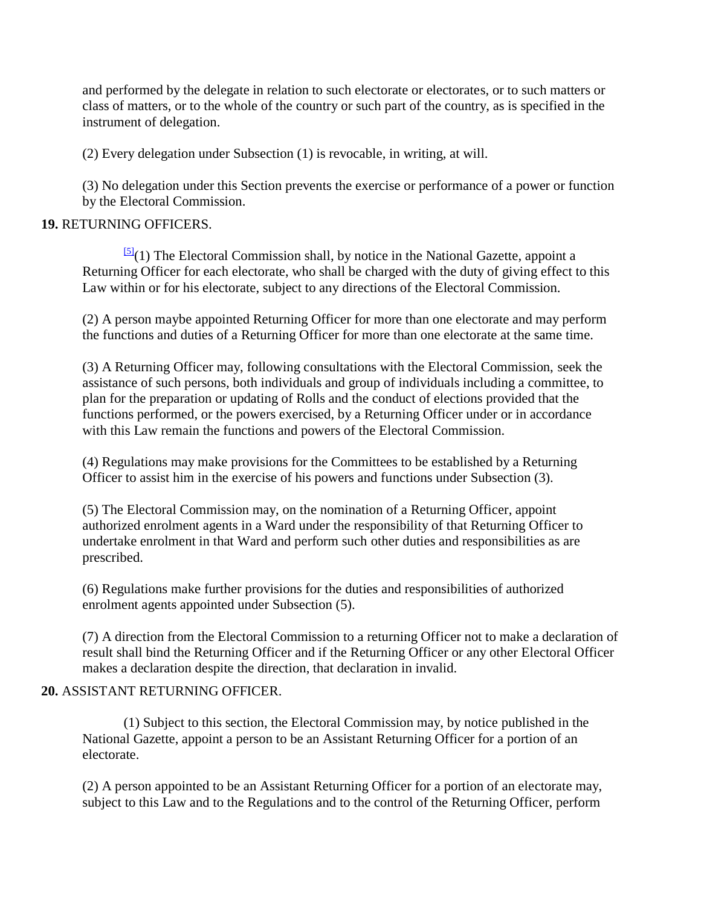and performed by the delegate in relation to such electorate or electorates, or to such matters or class of matters, or to the whole of the country or such part of the country, as is specified in the instrument of delegation.

(2) Every delegation under Subsection (1) is revocable, in writing, at will.

(3) No delegation under this Section prevents the exercise or performance of a power or function by the Electoral Commission.

## **19.** RETURNING OFFICERS.

 $\frac{[5]}{(1)}$  $\frac{[5]}{(1)}$  $\frac{[5]}{(1)}$  The Electoral Commission shall, by notice in the National Gazette, appoint a Returning Officer for each electorate, who shall be charged with the duty of giving effect to this Law within or for his electorate, subject to any directions of the Electoral Commission.

(2) A person maybe appointed Returning Officer for more than one electorate and may perform the functions and duties of a Returning Officer for more than one electorate at the same time.

(3) A Returning Officer may, following consultations with the Electoral Commission, seek the assistance of such persons, both individuals and group of individuals including a committee, to plan for the preparation or updating of Rolls and the conduct of elections provided that the functions performed, or the powers exercised, by a Returning Officer under or in accordance with this Law remain the functions and powers of the Electoral Commission.

(4) Regulations may make provisions for the Committees to be established by a Returning Officer to assist him in the exercise of his powers and functions under Subsection (3).

(5) The Electoral Commission may, on the nomination of a Returning Officer, appoint authorized enrolment agents in a Ward under the responsibility of that Returning Officer to undertake enrolment in that Ward and perform such other duties and responsibilities as are prescribed.

(6) Regulations make further provisions for the duties and responsibilities of authorized enrolment agents appointed under Subsection (5).

(7) A direction from the Electoral Commission to a returning Officer not to make a declaration of result shall bind the Returning Officer and if the Returning Officer or any other Electoral Officer makes a declaration despite the direction, that declaration in invalid.

## **20.** ASSISTANT RETURNING OFFICER.

(1) Subject to this section, the Electoral Commission may, by notice published in the National Gazette, appoint a person to be an Assistant Returning Officer for a portion of an electorate.

(2) A person appointed to be an Assistant Returning Officer for a portion of an electorate may, subject to this Law and to the Regulations and to the control of the Returning Officer, perform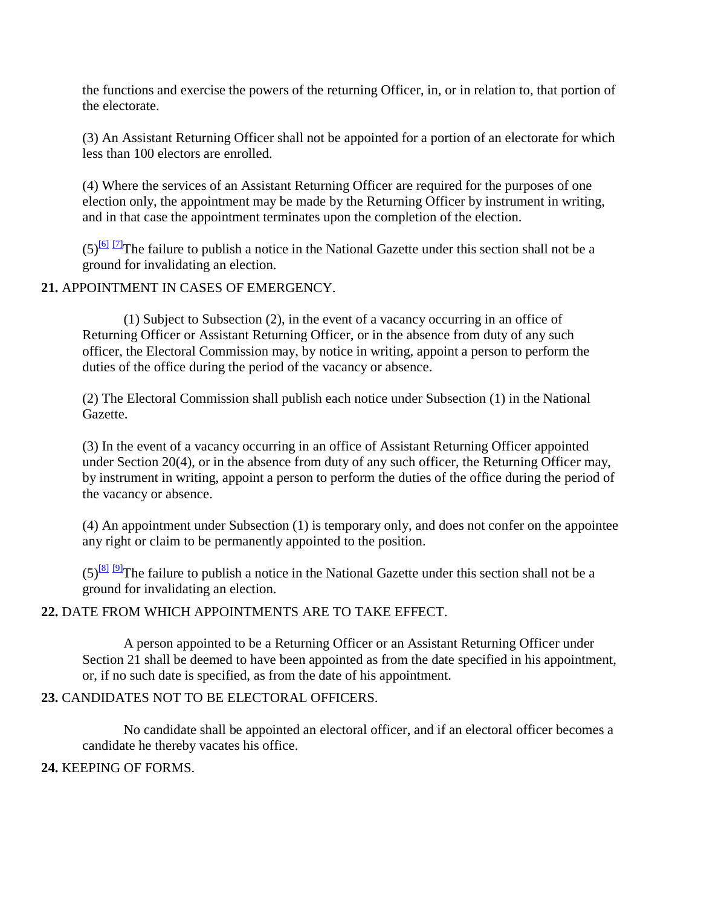the functions and exercise the powers of the returning Officer, in, or in relation to, that portion of the electorate.

(3) An Assistant Returning Officer shall not be appointed for a portion of an electorate for which less than 100 electors are enrolled.

(4) Where the services of an Assistant Returning Officer are required for the purposes of one election only, the appointment may be made by the Returning Officer by instrument in writing, and in that case the appointment terminates upon the completion of the election.

 $(5)^{60}$  [\[7\]](http://www.paclii.org/pg/legis/consol_act/olonalge519/#fn7) The failure to publish a notice in the National Gazette under this section shall not be a ground for invalidating an election.

**21.** APPOINTMENT IN CASES OF EMERGENCY.

(1) Subject to Subsection (2), in the event of a vacancy occurring in an office of Returning Officer or Assistant Returning Officer, or in the absence from duty of any such officer, the Electoral Commission may, by notice in writing, appoint a person to perform the duties of the office during the period of the vacancy or absence.

(2) The Electoral Commission shall publish each notice under Subsection (1) in the National Gazette.

(3) In the event of a vacancy occurring in an office of Assistant Returning Officer appointed under Section 20(4), or in the absence from duty of any such officer, the Returning Officer may, by instrument in writing, appoint a person to perform the duties of the office during the period of the vacancy or absence.

(4) An appointment under Subsection (1) is temporary only, and does not confer on the appointee any right or claim to be permanently appointed to the position.

 $(5)^{81}$  [\[9\]](http://www.paclii.org/pg/legis/consol_act/olonalge519/#fn9) The failure to publish a notice in the National Gazette under this section shall not be a ground for invalidating an election.

#### **22.** DATE FROM WHICH APPOINTMENTS ARE TO TAKE EFFECT.

A person appointed to be a Returning Officer or an Assistant Returning Officer under Section 21 shall be deemed to have been appointed as from the date specified in his appointment, or, if no such date is specified, as from the date of his appointment.

#### **23.** CANDIDATES NOT TO BE ELECTORAL OFFICERS.

No candidate shall be appointed an electoral officer, and if an electoral officer becomes a candidate he thereby vacates his office.

#### **24.** KEEPING OF FORMS.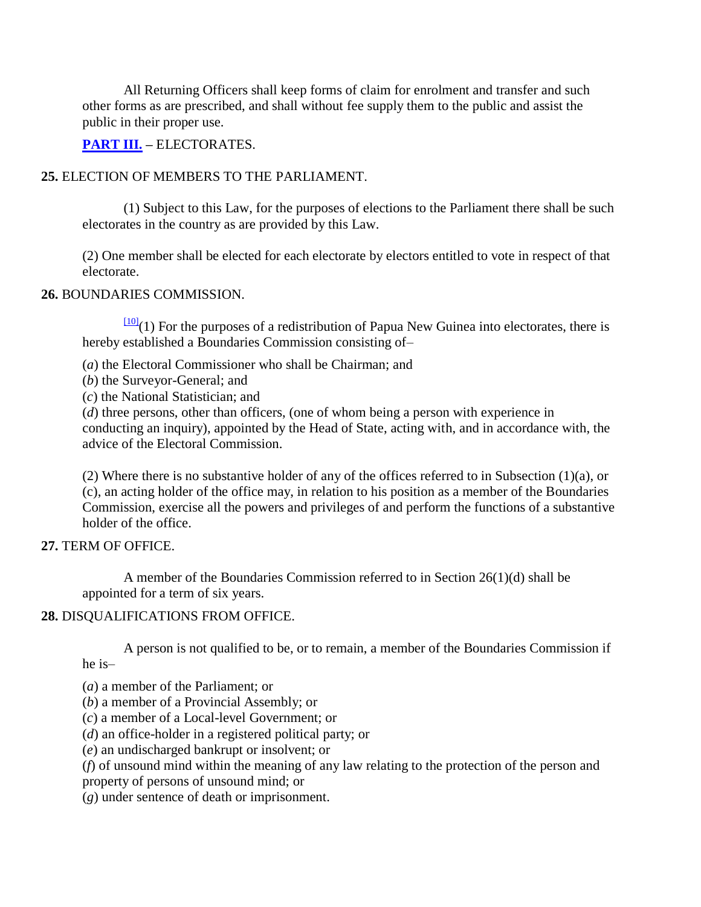All Returning Officers shall keep forms of claim for enrolment and transfer and such other forms as are prescribed, and shall without fee supply them to the public and assist the public in their proper use.

**[PART III.](http://www.paclii.org/pg/legis/consol_act/pfa1995224/index.html#p3) –** ELECTORATES.

## **25.** ELECTION OF MEMBERS TO THE PARLIAMENT.

(1) Subject to this Law, for the purposes of elections to the Parliament there shall be such electorates in the country as are provided by this Law.

(2) One member shall be elected for each electorate by electors entitled to vote in respect of that electorate.

#### **26.** BOUNDARIES COMMISSION.

 $\frac{100}{101}(1)$  For the purposes of a redistribution of Papua New Guinea into electorates, there is hereby established a Boundaries Commission consisting of–

- (*a*) the Electoral Commissioner who shall be Chairman; and
- (*b*) the Surveyor-General; and
- (*c*) the National Statistician; and

(*d*) three persons, other than officers, (one of whom being a person with experience in conducting an inquiry), appointed by the Head of State, acting with, and in accordance with, the advice of the Electoral Commission.

(2) Where there is no substantive holder of any of the offices referred to in Subsection (1)(a), or (c), an acting holder of the office may, in relation to his position as a member of the Boundaries Commission, exercise all the powers and privileges of and perform the functions of a substantive holder of the office.

#### **27.** TERM OF OFFICE.

A member of the Boundaries Commission referred to in Section 26(1)(d) shall be appointed for a term of six years.

## **28.** DISQUALIFICATIONS FROM OFFICE.

A person is not qualified to be, or to remain, a member of the Boundaries Commission if he is–

(*a*) a member of the Parliament; or

(*b*) a member of a Provincial Assembly; or

(*c*) a member of a Local-level Government; or

(*d*) an office-holder in a registered political party; or

(*e*) an undischarged bankrupt or insolvent; or

(*f*) of unsound mind within the meaning of any law relating to the protection of the person and property of persons of unsound mind; or

(*g*) under sentence of death or imprisonment.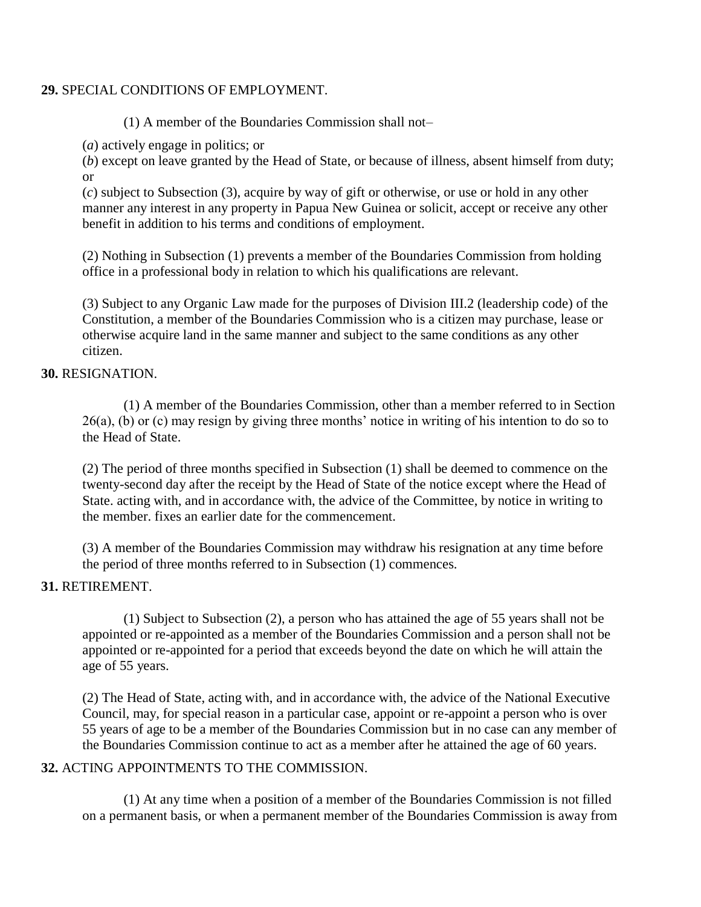#### **29.** SPECIAL CONDITIONS OF EMPLOYMENT.

(1) A member of the Boundaries Commission shall not–

(*a*) actively engage in politics; or

(*b*) except on leave granted by the Head of State, or because of illness, absent himself from duty; or

(*c*) subject to Subsection (3), acquire by way of gift or otherwise, or use or hold in any other manner any interest in any property in Papua New Guinea or solicit, accept or receive any other benefit in addition to his terms and conditions of employment.

(2) Nothing in Subsection (1) prevents a member of the Boundaries Commission from holding office in a professional body in relation to which his qualifications are relevant.

(3) Subject to any Organic Law made for the purposes of Division III.2 (leadership code) of the Constitution, a member of the Boundaries Commission who is a citizen may purchase, lease or otherwise acquire land in the same manner and subject to the same conditions as any other citizen.

### **30.** RESIGNATION.

(1) A member of the Boundaries Commission, other than a member referred to in Section 26(a), (b) or (c) may resign by giving three months" notice in writing of his intention to do so to the Head of State.

(2) The period of three months specified in Subsection (1) shall be deemed to commence on the twenty-second day after the receipt by the Head of State of the notice except where the Head of State. acting with, and in accordance with, the advice of the Committee, by notice in writing to the member. fixes an earlier date for the commencement.

(3) A member of the Boundaries Commission may withdraw his resignation at any time before the period of three months referred to in Subsection (1) commences.

## **31.** RETIREMENT.

(1) Subject to Subsection (2), a person who has attained the age of 55 years shall not be appointed or re-appointed as a member of the Boundaries Commission and a person shall not be appointed or re-appointed for a period that exceeds beyond the date on which he will attain the age of 55 years.

(2) The Head of State, acting with, and in accordance with, the advice of the National Executive Council, may, for special reason in a particular case, appoint or re-appoint a person who is over 55 years of age to be a member of the Boundaries Commission but in no case can any member of the Boundaries Commission continue to act as a member after he attained the age of 60 years.

## **32.** ACTING APPOINTMENTS TO THE COMMISSION.

(1) At any time when a position of a member of the Boundaries Commission is not filled on a permanent basis, or when a permanent member of the Boundaries Commission is away from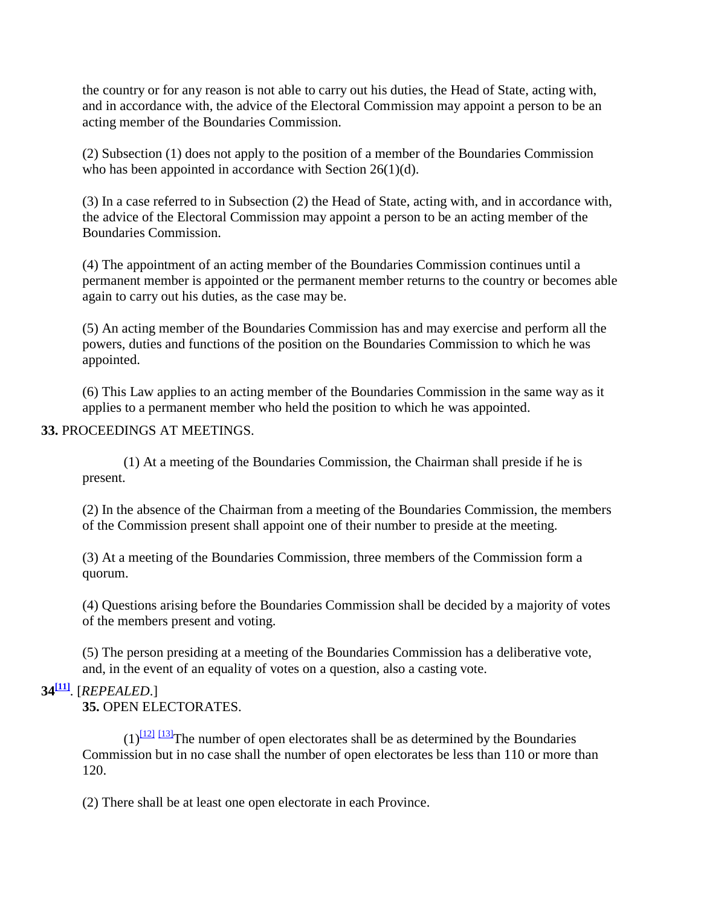the country or for any reason is not able to carry out his duties, the Head of State, acting with, and in accordance with, the advice of the Electoral Commission may appoint a person to be an acting member of the Boundaries Commission.

(2) Subsection (1) does not apply to the position of a member of the Boundaries Commission who has been appointed in accordance with Section 26(1)(d).

(3) In a case referred to in Subsection (2) the Head of State, acting with, and in accordance with, the advice of the Electoral Commission may appoint a person to be an acting member of the Boundaries Commission.

(4) The appointment of an acting member of the Boundaries Commission continues until a permanent member is appointed or the permanent member returns to the country or becomes able again to carry out his duties, as the case may be.

(5) An acting member of the Boundaries Commission has and may exercise and perform all the powers, duties and functions of the position on the Boundaries Commission to which he was appointed.

(6) This Law applies to an acting member of the Boundaries Commission in the same way as it applies to a permanent member who held the position to which he was appointed.

### **33.** PROCEEDINGS AT MEETINGS.

(1) At a meeting of the Boundaries Commission, the Chairman shall preside if he is present.

(2) In the absence of the Chairman from a meeting of the Boundaries Commission, the members of the Commission present shall appoint one of their number to preside at the meeting.

(3) At a meeting of the Boundaries Commission, three members of the Commission form a quorum.

(4) Questions arising before the Boundaries Commission shall be decided by a majority of votes of the members present and voting.

(5) The person presiding at a meeting of the Boundaries Commission has a deliberative vote, and, in the event of an equality of votes on a question, also a casting vote.

## **34[\[11\]](http://www.paclii.org/pg/legis/consol_act/olonalge519/#fn11)**. [*REPEALED*.]

**35.** OPEN ELECTORATES.

 $(1)^{12}$ <sup>[\[13\]](http://www.paclii.org/pg/legis/consol_act/olonalge519/#fn13)</sup>The number of open electorates shall be as determined by the Boundaries Commission but in no case shall the number of open electorates be less than 110 or more than 120.

(2) There shall be at least one open electorate in each Province.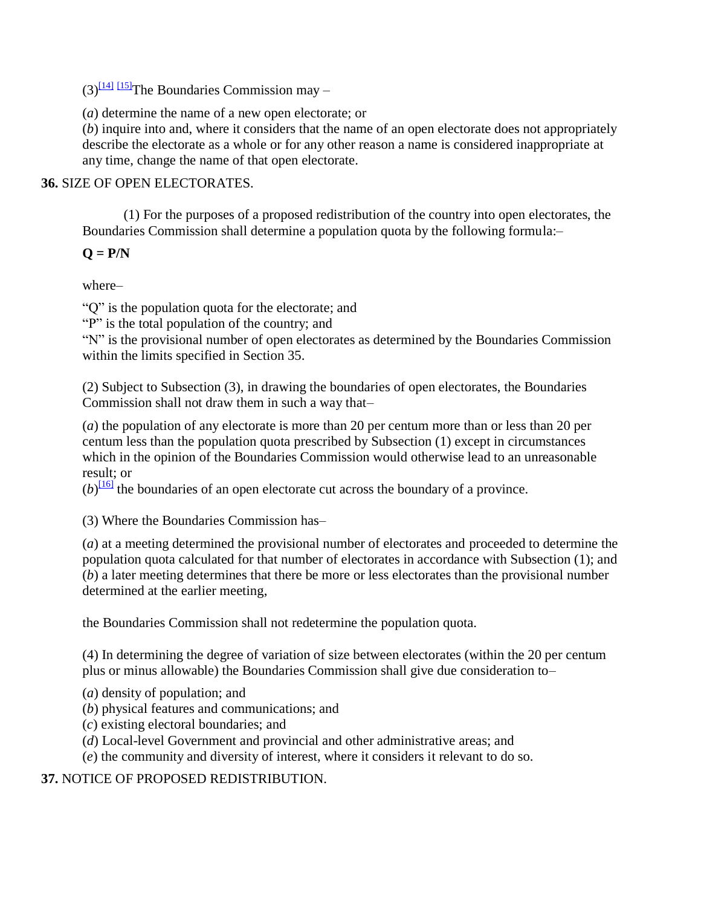$(3)$ <sup>[\[14\]](http://www.paclii.org/pg/legis/consol_act/olonalge519/#fn14) [\[15\]](http://www.paclii.org/pg/legis/consol_act/olonalge519/#fn15)</sup>The Boundaries Commission may –

(*a*) determine the name of a new open electorate; or

(*b*) inquire into and, where it considers that the name of an open electorate does not appropriately describe the electorate as a whole or for any other reason a name is considered inappropriate at any time, change the name of that open electorate.

**36.** SIZE OF OPEN ELECTORATES.

(1) For the purposes of a proposed redistribution of the country into open electorates, the Boundaries Commission shall determine a population quota by the following formula:–

## $Q = P/N$

where–

"Q" is the population quota for the electorate; and

"P" is the total population of the country; and

"N" is the provisional number of open electorates as determined by the Boundaries Commission within the limits specified in Section 35.

(2) Subject to Subsection (3), in drawing the boundaries of open electorates, the Boundaries Commission shall not draw them in such a way that–

(*a*) the population of any electorate is more than 20 per centum more than or less than 20 per centum less than the population quota prescribed by Subsection (1) except in circumstances which in the opinion of the Boundaries Commission would otherwise lead to an unreasonable result; or

 $(b)$ <sup>[\[16\]](http://www.paclii.org/pg/legis/consol_act/olonalge519/#fn16)</sup> the boundaries of an open electorate cut across the boundary of a province.

(3) Where the Boundaries Commission has–

(*a*) at a meeting determined the provisional number of electorates and proceeded to determine the population quota calculated for that number of electorates in accordance with Subsection (1); and (*b*) a later meeting determines that there be more or less electorates than the provisional number determined at the earlier meeting,

the Boundaries Commission shall not redetermine the population quota.

(4) In determining the degree of variation of size between electorates (within the 20 per centum plus or minus allowable) the Boundaries Commission shall give due consideration to–

(*a*) density of population; and

(*b*) physical features and communications; and

- (*c*) existing electoral boundaries; and
- (*d*) Local-level Government and provincial and other administrative areas; and

(*e*) the community and diversity of interest, where it considers it relevant to do so.

**37.** NOTICE OF PROPOSED REDISTRIBUTION.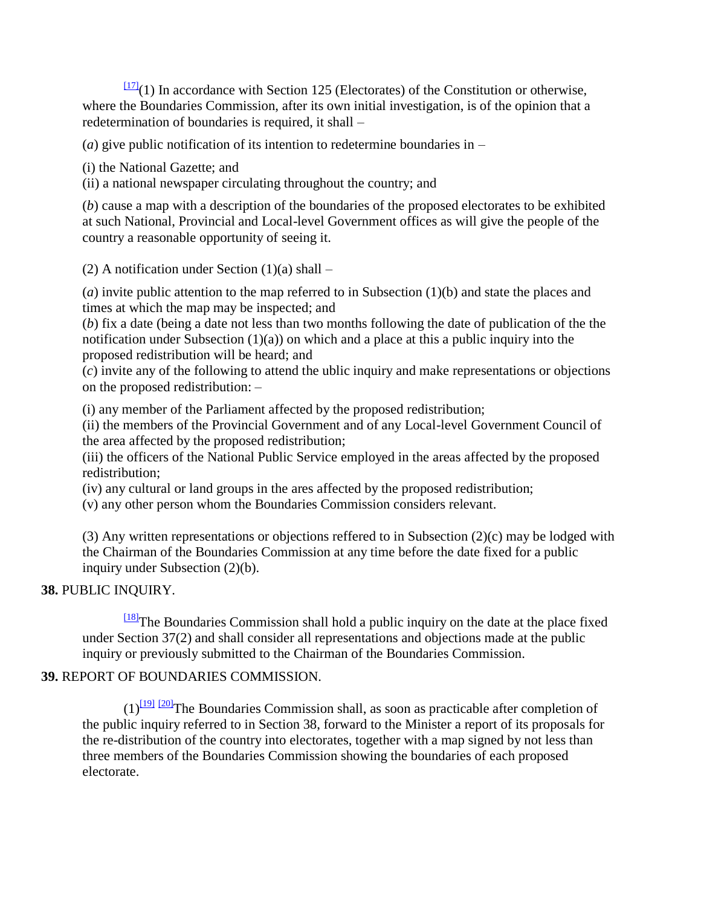$\frac{[17]}{[17]}(1)$  $\frac{[17]}{[17]}(1)$  $\frac{[17]}{[17]}(1)$  In accordance with Section 125 (Electorates) of the Constitution or otherwise, where the Boundaries Commission, after its own initial investigation, is of the opinion that a redetermination of boundaries is required, it shall –

(*a*) give public notification of its intention to redetermine boundaries in –

(i) the National Gazette; and

(ii) a national newspaper circulating throughout the country; and

(*b*) cause a map with a description of the boundaries of the proposed electorates to be exhibited at such National, Provincial and Local-level Government offices as will give the people of the country a reasonable opportunity of seeing it.

(2) A notification under Section  $(1)(a)$  shall –

(*a*) invite public attention to the map referred to in Subsection (1)(b) and state the places and times at which the map may be inspected; and

(*b*) fix a date (being a date not less than two months following the date of publication of the the notification under Subsection  $(1)(a)$  on which and a place at this a public inquiry into the proposed redistribution will be heard; and

(*c*) invite any of the following to attend the ublic inquiry and make representations or objections on the proposed redistribution: –

(i) any member of the Parliament affected by the proposed redistribution;

(ii) the members of the Provincial Government and of any Local-level Government Council of the area affected by the proposed redistribution;

(iii) the officers of the National Public Service employed in the areas affected by the proposed redistribution;

(iv) any cultural or land groups in the ares affected by the proposed redistribution;

(v) any other person whom the Boundaries Commission considers relevant.

(3) Any written representations or objections reffered to in Subsection (2)(c) may be lodged with the Chairman of the Boundaries Commission at any time before the date fixed for a public inquiry under Subsection (2)(b).

## **38.** PUBLIC INQUIRY.

[\[18\]](http://www.paclii.org/pg/legis/consol_act/olonalge519/#fn18)The Boundaries Commission shall hold a public inquiry on the date at the place fixed under Section 37(2) and shall consider all representations and objections made at the public inquiry or previously submitted to the Chairman of the Boundaries Commission.

## **39.** REPORT OF BOUNDARIES COMMISSION.

 $(1)^{191}$   $^{1201}$ The Boundaries Commission shall, as soon as practicable after completion of the public inquiry referred to in Section 38, forward to the Minister a report of its proposals for the re-distribution of the country into electorates, together with a map signed by not less than three members of the Boundaries Commission showing the boundaries of each proposed electorate.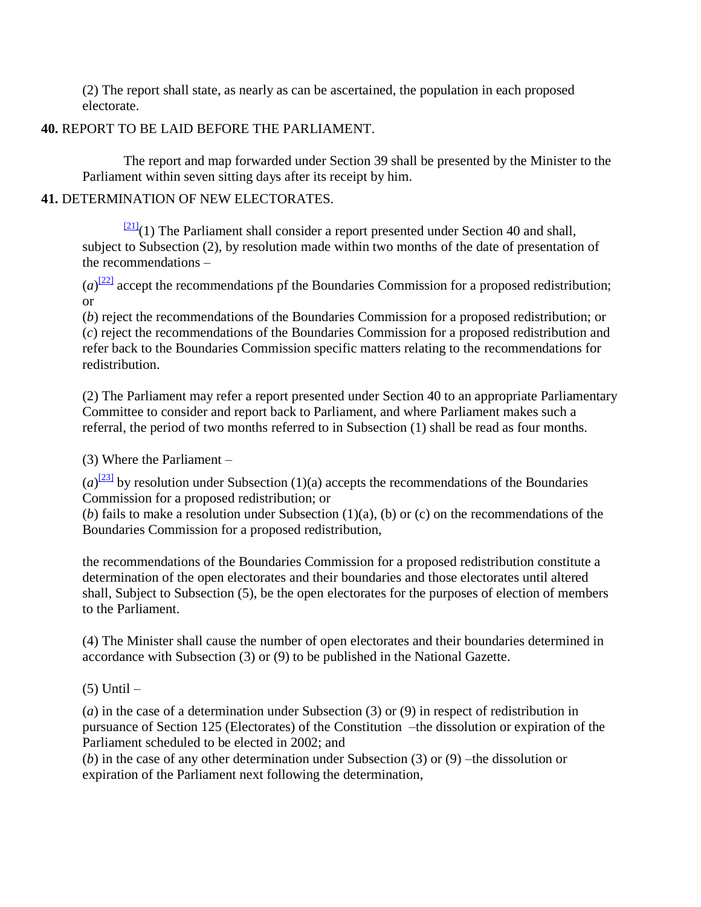(2) The report shall state, as nearly as can be ascertained, the population in each proposed electorate.

## **40.** REPORT TO BE LAID BEFORE THE PARLIAMENT.

The report and map forwarded under Section 39 shall be presented by the Minister to the Parliament within seven sitting days after its receipt by him.

## **41.** DETERMINATION OF NEW ELECTORATES.

 $\frac{[21]}{(1)}$  $\frac{[21]}{(1)}$  $\frac{[21]}{(1)}$  The Parliament shall consider a report presented under Section 40 and shall, subject to Subsection (2), by resolution made within two months of the date of presentation of the recommendations –

 $(a)^{22}$  accept the recommendations pf the Boundaries Commission for a proposed redistribution; or

(*b*) reject the recommendations of the Boundaries Commission for a proposed redistribution; or (*c*) reject the recommendations of the Boundaries Commission for a proposed redistribution and refer back to the Boundaries Commission specific matters relating to the recommendations for redistribution.

(2) The Parliament may refer a report presented under Section 40 to an appropriate Parliamentary Committee to consider and report back to Parliament, and where Parliament makes such a referral, the period of two months referred to in Subsection (1) shall be read as four months.

(3) Where the Parliament –

 $(a)^{[23]}$  $(a)^{[23]}$  $(a)^{[23]}$  by resolution under Subsection (1)(a) accepts the recommendations of the Boundaries Commission for a proposed redistribution; or

(*b*) fails to make a resolution under Subsection (1)(a), (b) or (c) on the recommendations of the Boundaries Commission for a proposed redistribution,

the recommendations of the Boundaries Commission for a proposed redistribution constitute a determination of the open electorates and their boundaries and those electorates until altered shall, Subject to Subsection (5), be the open electorates for the purposes of election of members to the Parliament.

(4) The Minister shall cause the number of open electorates and their boundaries determined in accordance with Subsection (3) or (9) to be published in the National Gazette.

 $(5)$  Until  $-$ 

(*a*) in the case of a determination under Subsection (3) or (9) in respect of redistribution in pursuance of Section 125 (Electorates) of the Constitution –the dissolution or expiration of the Parliament scheduled to be elected in 2002; and

(*b*) in the case of any other determination under Subsection (3) or (9) –the dissolution or expiration of the Parliament next following the determination,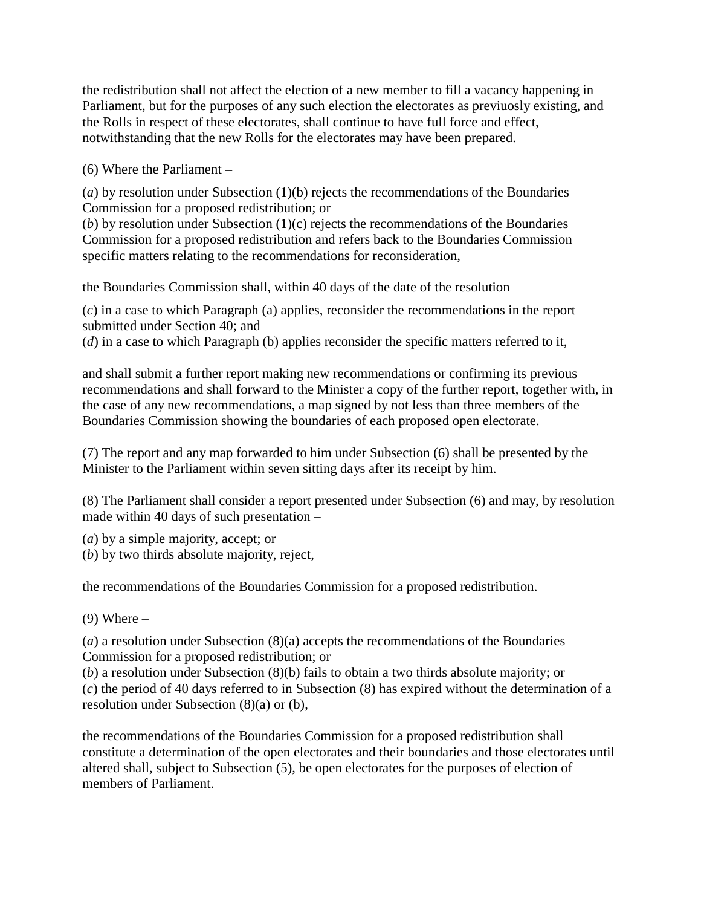the redistribution shall not affect the election of a new member to fill a vacancy happening in Parliament, but for the purposes of any such election the electorates as previuosly existing, and the Rolls in respect of these electorates, shall continue to have full force and effect, notwithstanding that the new Rolls for the electorates may have been prepared.

(6) Where the Parliament –

(*a*) by resolution under Subsection (1)(b) rejects the recommendations of the Boundaries Commission for a proposed redistribution; or

(*b*) by resolution under Subsection  $(1)(c)$  rejects the recommendations of the Boundaries Commission for a proposed redistribution and refers back to the Boundaries Commission specific matters relating to the recommendations for reconsideration,

the Boundaries Commission shall, within 40 days of the date of the resolution –

(*c*) in a case to which Paragraph (a) applies, reconsider the recommendations in the report submitted under Section 40; and

(*d*) in a case to which Paragraph (b) applies reconsider the specific matters referred to it,

and shall submit a further report making new recommendations or confirming its previous recommendations and shall forward to the Minister a copy of the further report, together with, in the case of any new recommendations, a map signed by not less than three members of the Boundaries Commission showing the boundaries of each proposed open electorate.

(7) The report and any map forwarded to him under Subsection (6) shall be presented by the Minister to the Parliament within seven sitting days after its receipt by him.

(8) The Parliament shall consider a report presented under Subsection (6) and may, by resolution made within 40 days of such presentation –

(*a*) by a simple majority, accept; or

(*b*) by two thirds absolute majority, reject,

the recommendations of the Boundaries Commission for a proposed redistribution.

 $(9)$  Where  $-$ 

(*a*) a resolution under Subsection (8)(a) accepts the recommendations of the Boundaries Commission for a proposed redistribution; or

(*b*) a resolution under Subsection (8)(b) fails to obtain a two thirds absolute majority; or (*c*) the period of 40 days referred to in Subsection (8) has expired without the determination of a resolution under Subsection (8)(a) or (b),

the recommendations of the Boundaries Commission for a proposed redistribution shall constitute a determination of the open electorates and their boundaries and those electorates until altered shall, subject to Subsection (5), be open electorates for the purposes of election of members of Parliament.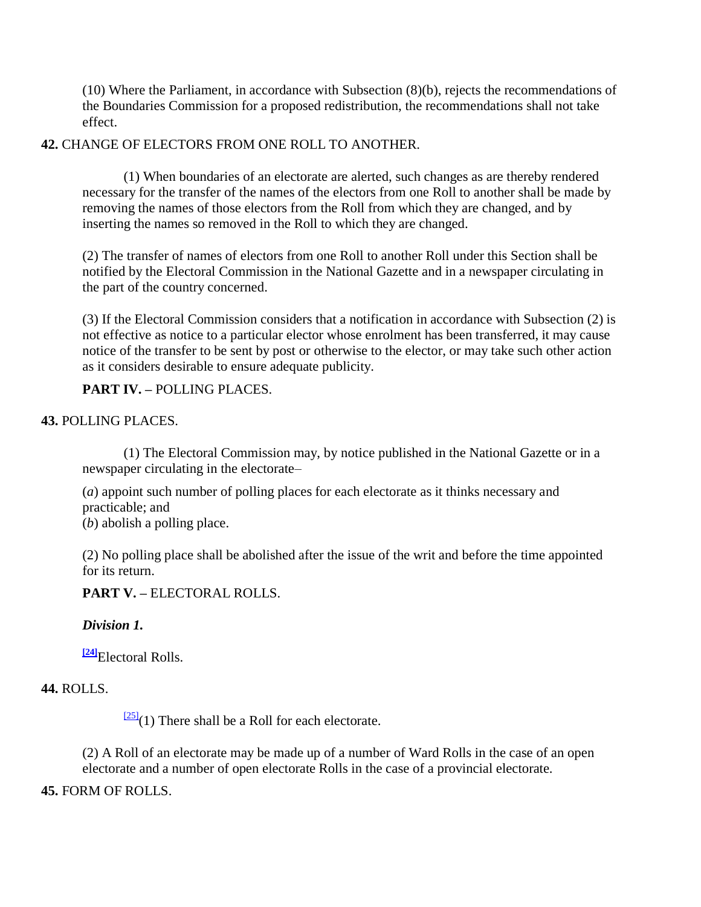(10) Where the Parliament, in accordance with Subsection (8)(b), rejects the recommendations of the Boundaries Commission for a proposed redistribution, the recommendations shall not take effect.

### **42.** CHANGE OF ELECTORS FROM ONE ROLL TO ANOTHER.

(1) When boundaries of an electorate are alerted, such changes as are thereby rendered necessary for the transfer of the names of the electors from one Roll to another shall be made by removing the names of those electors from the Roll from which they are changed, and by inserting the names so removed in the Roll to which they are changed.

(2) The transfer of names of electors from one Roll to another Roll under this Section shall be notified by the Electoral Commission in the National Gazette and in a newspaper circulating in the part of the country concerned.

(3) If the Electoral Commission considers that a notification in accordance with Subsection (2) is not effective as notice to a particular elector whose enrolment has been transferred, it may cause notice of the transfer to be sent by post or otherwise to the elector, or may take such other action as it considers desirable to ensure adequate publicity.

**PART IV. –** POLLING PLACES.

## **43.** POLLING PLACES.

(1) The Electoral Commission may, by notice published in the National Gazette or in a newspaper circulating in the electorate–

(*a*) appoint such number of polling places for each electorate as it thinks necessary and practicable; and (*b*) abolish a polling place.

(2) No polling place shall be abolished after the issue of the writ and before the time appointed for its return.

**PART V. –** ELECTORAL ROLLS.

#### *Division 1.*

**[\[24\]](http://www.paclii.org/pg/legis/consol_act/olonalge519/#fn24)**Electoral Rolls.

## **44.** ROLLS.

 $\frac{[25]}{[25]}(1)$  $\frac{[25]}{[25]}(1)$  $\frac{[25]}{[25]}(1)$  There shall be a Roll for each electorate.

(2) A Roll of an electorate may be made up of a number of Ward Rolls in the case of an open electorate and a number of open electorate Rolls in the case of a provincial electorate.

#### **45.** FORM OF ROLLS.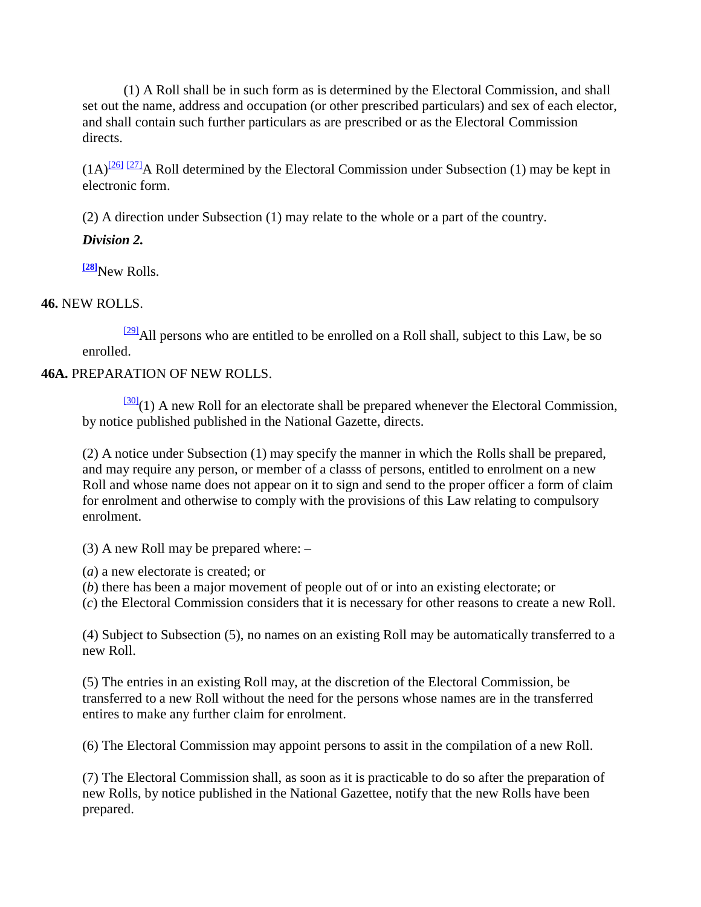(1) A Roll shall be in such form as is determined by the Electoral Commission, and shall set out the name, address and occupation (or other prescribed particulars) and sex of each elector, and shall contain such further particulars as are prescribed or as the Electoral Commission directs.

 $(1A)^{26}$   $\frac{[27]}{27}$  $\frac{[27]}{27}$  $\frac{[27]}{27}$  Roll determined by the Electoral Commission under Subsection (1) may be kept in electronic form.

(2) A direction under Subsection (1) may relate to the whole or a part of the country.

## *Division 2.*

**[\[28\]](http://www.paclii.org/pg/legis/consol_act/olonalge519/#fn28)**New Rolls.

## **46.** NEW ROLLS.

 $\frac{[29]}{[29]}$  $\frac{[29]}{[29]}$  $\frac{[29]}{[29]}$ All persons who are entitled to be enrolled on a Roll shall, subject to this Law, be so enrolled.

## **46A.** PREPARATION OF NEW ROLLS.

 $\frac{300}{201}$ (1) A new Roll for an electorate shall be prepared whenever the Electoral Commission, by notice published published in the National Gazette, directs.

(2) A notice under Subsection (1) may specify the manner in which the Rolls shall be prepared, and may require any person, or member of a classs of persons, entitled to enrolment on a new Roll and whose name does not appear on it to sign and send to the proper officer a form of claim for enrolment and otherwise to comply with the provisions of this Law relating to compulsory enrolment.

(3) A new Roll may be prepared where: –

(*a*) a new electorate is created; or

(*b*) there has been a major movement of people out of or into an existing electorate; or

(*c*) the Electoral Commission considers that it is necessary for other reasons to create a new Roll.

(4) Subject to Subsection (5), no names on an existing Roll may be automatically transferred to a new Roll.

(5) The entries in an existing Roll may, at the discretion of the Electoral Commission, be transferred to a new Roll without the need for the persons whose names are in the transferred entires to make any further claim for enrolment.

(6) The Electoral Commission may appoint persons to assit in the compilation of a new Roll.

(7) The Electoral Commission shall, as soon as it is practicable to do so after the preparation of new Rolls, by notice published in the National Gazettee, notify that the new Rolls have been prepared.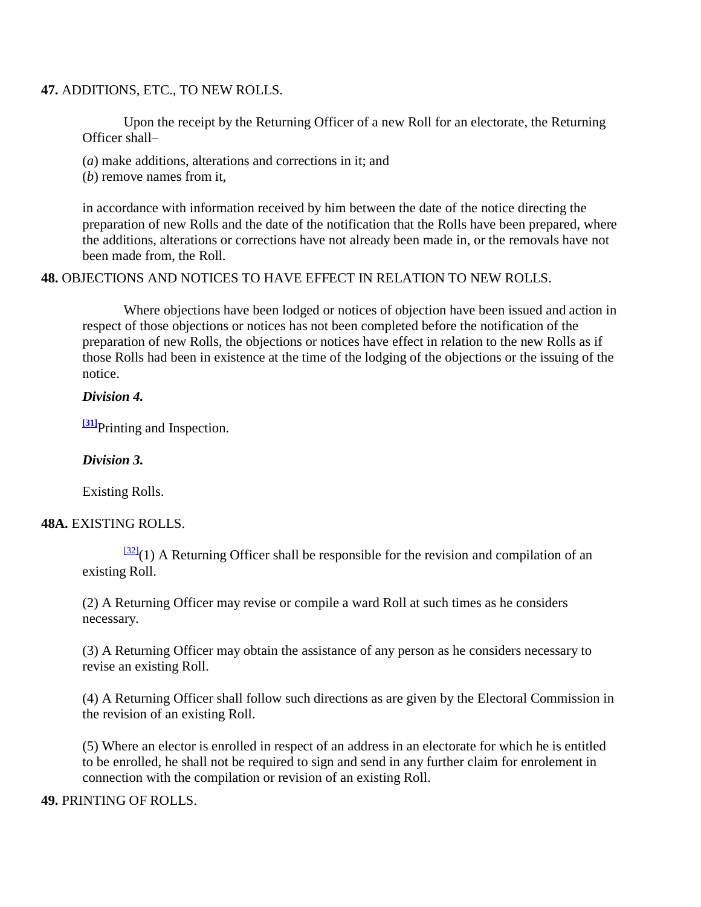#### **47.** ADDITIONS, ETC., TO NEW ROLLS.

Upon the receipt by the Returning Officer of a new Roll for an electorate, the Returning Officer shall–

- (*a*) make additions, alterations and corrections in it; and
- (*b*) remove names from it,

in accordance with information received by him between the date of the notice directing the preparation of new Rolls and the date of the notification that the Rolls have been prepared, where the additions, alterations or corrections have not already been made in, or the removals have not been made from, the Roll.

#### **48.** OBJECTIONS AND NOTICES TO HAVE EFFECT IN RELATION TO NEW ROLLS.

Where objections have been lodged or notices of objection have been issued and action in respect of those objections or notices has not been completed before the notification of the preparation of new Rolls, the objections or notices have effect in relation to the new Rolls as if those Rolls had been in existence at the time of the lodging of the objections or the issuing of the notice.

### *Division 4.*

**<sup>[\[31\]](http://www.paclii.org/pg/legis/consol_act/olonalge519/#fn31)</sup>Printing and Inspection.** 

#### *Division 3.*

Existing Rolls.

#### **48A.** EXISTING ROLLS.

 $\frac{321}{2}$ (1) A Returning Officer shall be responsible for the revision and compilation of an existing Roll.

(2) A Returning Officer may revise or compile a ward Roll at such times as he considers necessary.

(3) A Returning Officer may obtain the assistance of any person as he considers necessary to revise an existing Roll.

(4) A Returning Officer shall follow such directions as are given by the Electoral Commission in the revision of an existing Roll.

(5) Where an elector is enrolled in respect of an address in an electorate for which he is entitled to be enrolled, he shall not be required to sign and send in any further claim for enrolement in connection with the compilation or revision of an existing Roll.

#### **49.** PRINTING OF ROLLS.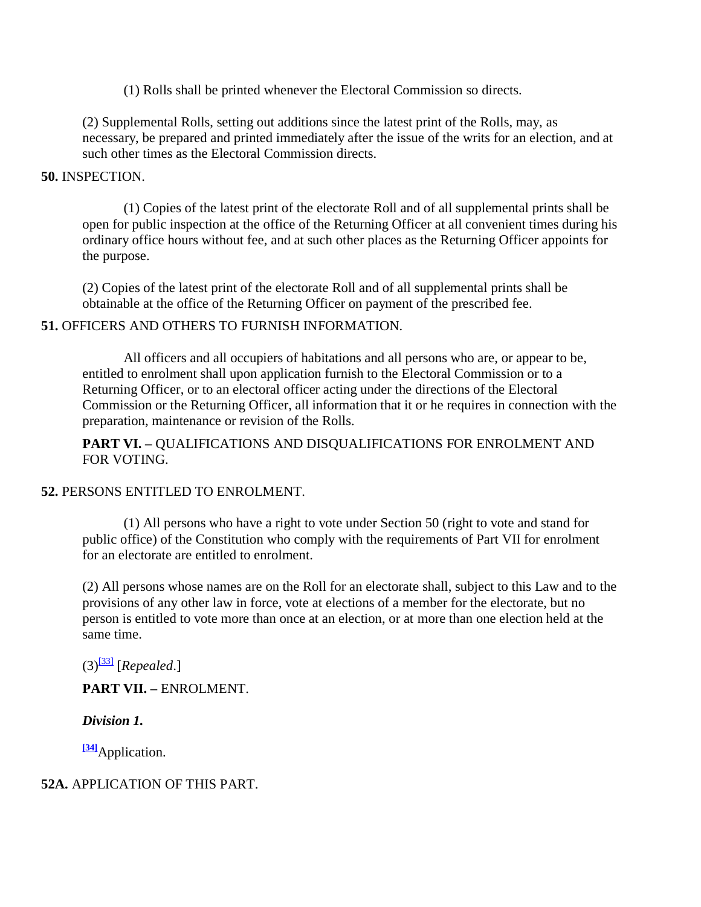(1) Rolls shall be printed whenever the Electoral Commission so directs.

(2) Supplemental Rolls, setting out additions since the latest print of the Rolls, may, as necessary, be prepared and printed immediately after the issue of the writs for an election, and at such other times as the Electoral Commission directs.

#### **50.** INSPECTION.

(1) Copies of the latest print of the electorate Roll and of all supplemental prints shall be open for public inspection at the office of the Returning Officer at all convenient times during his ordinary office hours without fee, and at such other places as the Returning Officer appoints for the purpose.

(2) Copies of the latest print of the electorate Roll and of all supplemental prints shall be obtainable at the office of the Returning Officer on payment of the prescribed fee.

#### **51.** OFFICERS AND OTHERS TO FURNISH INFORMATION.

All officers and all occupiers of habitations and all persons who are, or appear to be, entitled to enrolment shall upon application furnish to the Electoral Commission or to a Returning Officer, or to an electoral officer acting under the directions of the Electoral Commission or the Returning Officer, all information that it or he requires in connection with the preparation, maintenance or revision of the Rolls.

**PART VI. –** QUALIFICATIONS AND DISQUALIFICATIONS FOR ENROLMENT AND FOR VOTING.

#### **52.** PERSONS ENTITLED TO ENROLMENT.

(1) All persons who have a right to vote under Section 50 (right to vote and stand for public office) of the Constitution who comply with the requirements of Part VII for enrolment for an electorate are entitled to enrolment.

(2) All persons whose names are on the Roll for an electorate shall, subject to this Law and to the provisions of any other law in force, vote at elections of a member for the electorate, but no person is entitled to vote more than once at an election, or at more than one election held at the same time.

 $(3)^{331}$  [*Repealed.*]

**PART VII. –** ENROLMENT.

*Division 1.*

**[\[34\]](http://www.paclii.org/pg/legis/consol_act/olonalge519/#fn34)**Application.

## **52A.** APPLICATION OF THIS PART.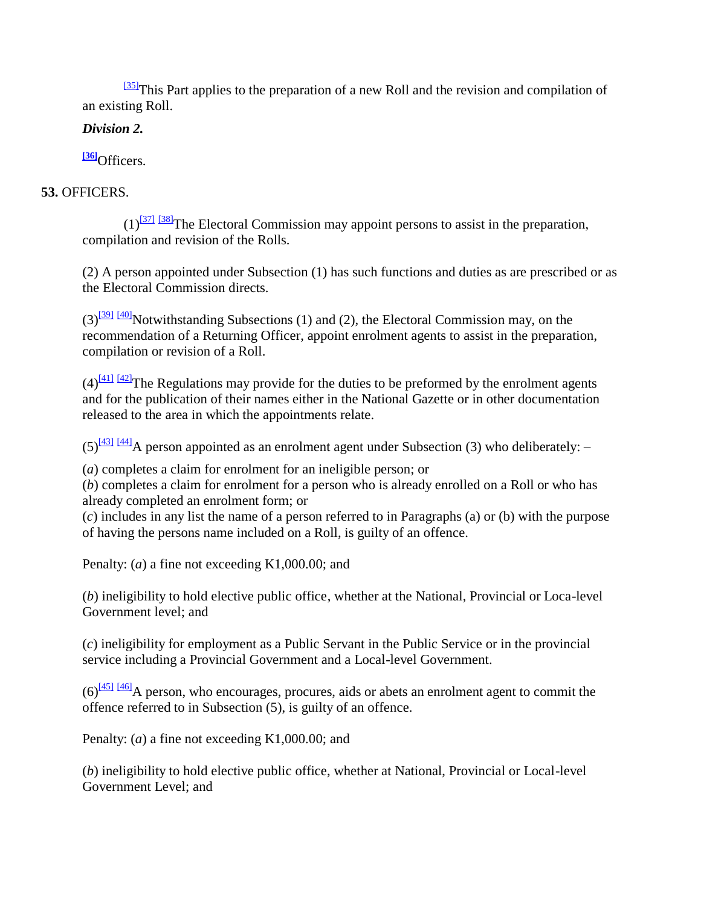$\frac{[35]}{[35]}$  $\frac{[35]}{[35]}$  $\frac{[35]}{[35]}$ This Part applies to the preparation of a new Roll and the revision and compilation of an existing Roll.

## *Division 2.*

**[\[36\]](http://www.paclii.org/pg/legis/consol_act/olonalge519/#fn36)**Officers.

## **53.** OFFICERS.

 $(1)^{371}$   $381$ The Electoral Commission may appoint persons to assist in the preparation, compilation and revision of the Rolls.

(2) A person appointed under Subsection (1) has such functions and duties as are prescribed or as the Electoral Commission directs.

 $(3)$ <sup>[\[39\]](http://www.paclii.org/pg/legis/consol_act/olonalge519/#fn39) [\[40\]](http://www.paclii.org/pg/legis/consol_act/olonalge519/#fn40)</sup>Notwithstanding Subsections (1) and (2), the Electoral Commission may, on the recommendation of a Returning Officer, appoint enrolment agents to assist in the preparation, compilation or revision of a Roll.

 $(4)$ <sup>[\[41\]](http://www.paclii.org/pg/legis/consol_act/olonalge519/#fn41) [\[42\]](http://www.paclii.org/pg/legis/consol_act/olonalge519/#fn42)</sup>The Regulations may provide for the duties to be preformed by the enrolment agents and for the publication of their names either in the National Gazette or in other documentation released to the area in which the appointments relate.

 $(5)^{431}$  [\[44\]](http://www.paclii.org/pg/legis/consol_act/olonalge519/#fn44)</sub>A person appointed as an enrolment agent under Subsection (3) who deliberately: –

(*a*) completes a claim for enrolment for an ineligible person; or

(*b*) completes a claim for enrolment for a person who is already enrolled on a Roll or who has already completed an enrolment form; or

(*c*) includes in any list the name of a person referred to in Paragraphs (a) or (b) with the purpose of having the persons name included on a Roll, is guilty of an offence.

Penalty: (*a*) a fine not exceeding K1,000.00; and

(*b*) ineligibility to hold elective public office, whether at the National, Provincial or Loca-level Government level; and

(*c*) ineligibility for employment as a Public Servant in the Public Service or in the provincial service including a Provincial Government and a Local-level Government.

 $(6)$ <sup>[\[45\]](http://www.paclii.org/pg/legis/consol_act/olonalge519/#fn45) [\[46\]](http://www.paclii.org/pg/legis/consol_act/olonalge519/#fn46)</sup>A person, who encourages, procures, aids or abets an enrolment agent to commit the offence referred to in Subsection (5), is guilty of an offence.

Penalty: (*a*) a fine not exceeding K1,000.00; and

(*b*) ineligibility to hold elective public office, whether at National, Provincial or Local-level Government Level; and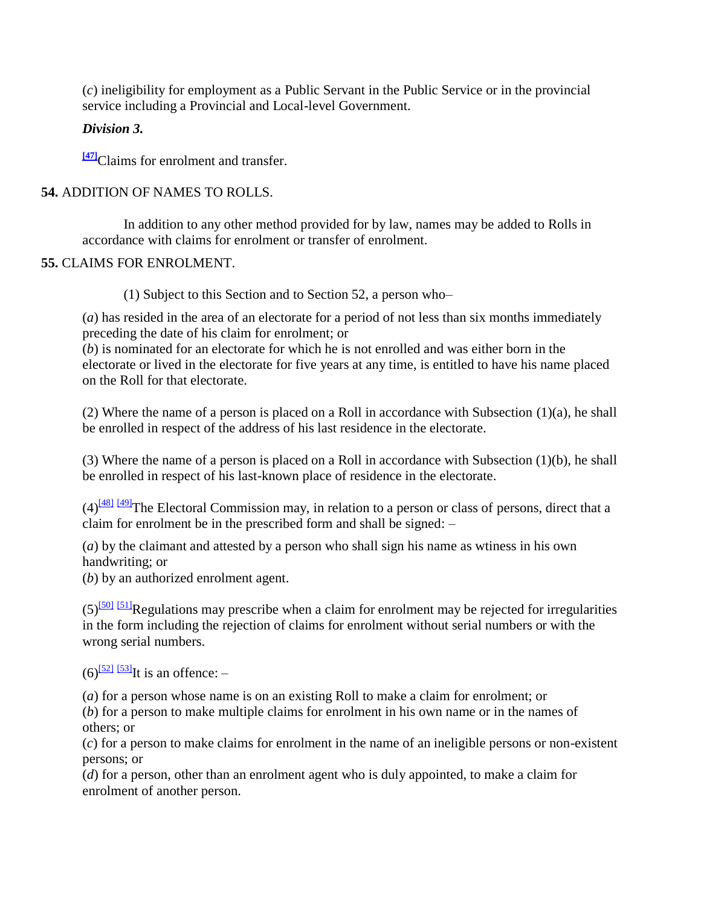(*c*) ineligibility for employment as a Public Servant in the Public Service or in the provincial service including a Provincial and Local-level Government.

## *Division 3.*

**[\[47\]](http://www.paclii.org/pg/legis/consol_act/olonalge519/#fn47)**Claims for enrolment and transfer.

## **54.** ADDITION OF NAMES TO ROLLS.

In addition to any other method provided for by law, names may be added to Rolls in accordance with claims for enrolment or transfer of enrolment.

## **55.** CLAIMS FOR ENROLMENT.

(1) Subject to this Section and to Section 52, a person who–

(*a*) has resided in the area of an electorate for a period of not less than six months immediately preceding the date of his claim for enrolment; or

(*b*) is nominated for an electorate for which he is not enrolled and was either born in the electorate or lived in the electorate for five years at any time, is entitled to have his name placed on the Roll for that electorate.

(2) Where the name of a person is placed on a Roll in accordance with Subsection (1)(a), he shall be enrolled in respect of the address of his last residence in the electorate.

(3) Where the name of a person is placed on a Roll in accordance with Subsection (1)(b), he shall be enrolled in respect of his last-known place of residence in the electorate.

 $(4)$ <sup>[\[48\]](http://www.paclii.org/pg/legis/consol_act/olonalge519/#fn48) [\[49\]](http://www.paclii.org/pg/legis/consol_act/olonalge519/#fn49)</sup>The Electoral Commission may, in relation to a person or class of persons, direct that a claim for enrolment be in the prescribed form and shall be signed: –

(*a*) by the claimant and attested by a person who shall sign his name as wtiness in his own handwriting; or

(*b*) by an authorized enrolment agent.

 $(5)$ <sup>[\[50\]](http://www.paclii.org/pg/legis/consol_act/olonalge519/#fn50) [\[51\]](http://www.paclii.org/pg/legis/consol_act/olonalge519/#fn51)</sup>Regulations may prescribe when a claim for enrolment may be rejected for irregularities in the form including the rejection of claims for enrolment without serial numbers or with the wrong serial numbers.

 $(6)$ <sup>[\[52\]](http://www.paclii.org/pg/legis/consol_act/olonalge519/#fn52)</sup>It is an offence: –

(*a*) for a person whose name is on an existing Roll to make a claim for enrolment; or

(*b*) for a person to make multiple claims for enrolment in his own name or in the names of others; or

(*c*) for a person to make claims for enrolment in the name of an ineligible persons or non-existent persons; or

(*d*) for a person, other than an enrolment agent who is duly appointed, to make a claim for enrolment of another person.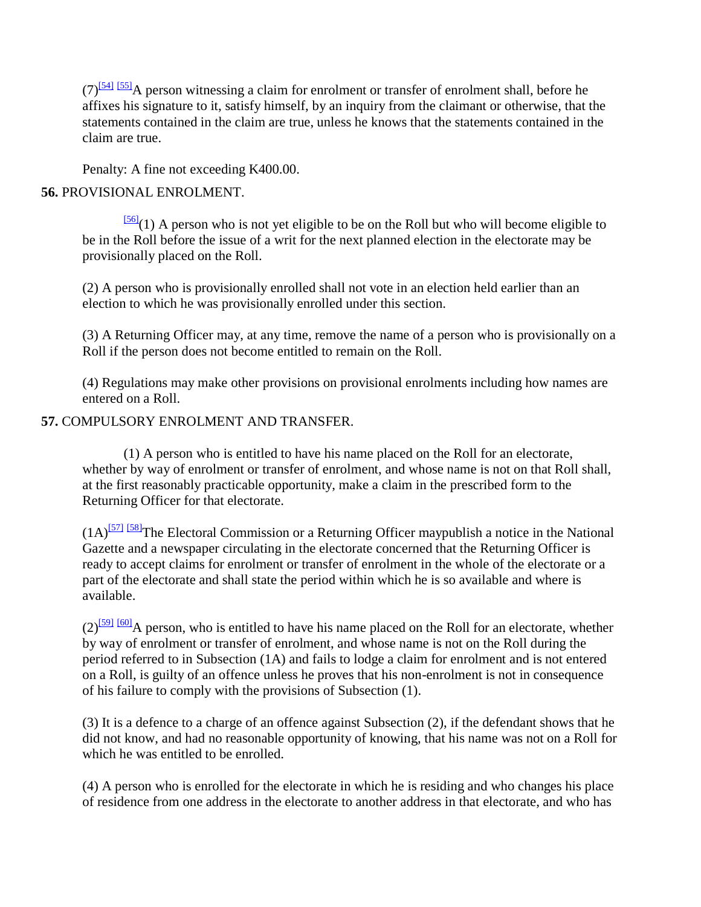$(7)$ <sup>[\[54\]](http://www.paclii.org/pg/legis/consol_act/olonalge519/#fn54) [\[55\]](http://www.paclii.org/pg/legis/consol_act/olonalge519/#fn55)</sup>A person witnessing a claim for enrolment or transfer of enrolment shall, before he affixes his signature to it, satisfy himself, by an inquiry from the claimant or otherwise, that the statements contained in the claim are true, unless he knows that the statements contained in the claim are true.

Penalty: A fine not exceeding K400.00.

## **56.** PROVISIONAL ENROLMENT.

 $\frac{56}{(1)}$  A person who is not yet eligible to be on the Roll but who will become eligible to be in the Roll before the issue of a writ for the next planned election in the electorate may be provisionally placed on the Roll.

(2) A person who is provisionally enrolled shall not vote in an election held earlier than an election to which he was provisionally enrolled under this section.

(3) A Returning Officer may, at any time, remove the name of a person who is provisionally on a Roll if the person does not become entitled to remain on the Roll.

(4) Regulations may make other provisions on provisional enrolments including how names are entered on a Roll.

## **57.** COMPULSORY ENROLMENT AND TRANSFER.

(1) A person who is entitled to have his name placed on the Roll for an electorate, whether by way of enrolment or transfer of enrolment, and whose name is not on that Roll shall, at the first reasonably practicable opportunity, make a claim in the prescribed form to the Returning Officer for that electorate.

 $(1A)^{57}$ <sup>[\[58\]](http://www.paclii.org/pg/legis/consol_act/olonalge519/#fn58)</sup>The Electoral Commission or a Returning Officer maypublish a notice in the National Gazette and a newspaper circulating in the electorate concerned that the Returning Officer is ready to accept claims for enrolment or transfer of enrolment in the whole of the electorate or a part of the electorate and shall state the period within which he is so available and where is available.

 $(2)$ <sup>[\[59\]](http://www.paclii.org/pg/legis/consol_act/olonalge519/#fn59)</sup> [\[60\]](http://www.paclii.org/pg/legis/consol_act/olonalge519/#fn60)</sub>A person, who is entitled to have his name placed on the Roll for an electorate, whether by way of enrolment or transfer of enrolment, and whose name is not on the Roll during the period referred to in Subsection (1A) and fails to lodge a claim for enrolment and is not entered on a Roll, is guilty of an offence unless he proves that his non-enrolment is not in consequence of his failure to comply with the provisions of Subsection (1).

(3) It is a defence to a charge of an offence against Subsection (2), if the defendant shows that he did not know, and had no reasonable opportunity of knowing, that his name was not on a Roll for which he was entitled to be enrolled.

(4) A person who is enrolled for the electorate in which he is residing and who changes his place of residence from one address in the electorate to another address in that electorate, and who has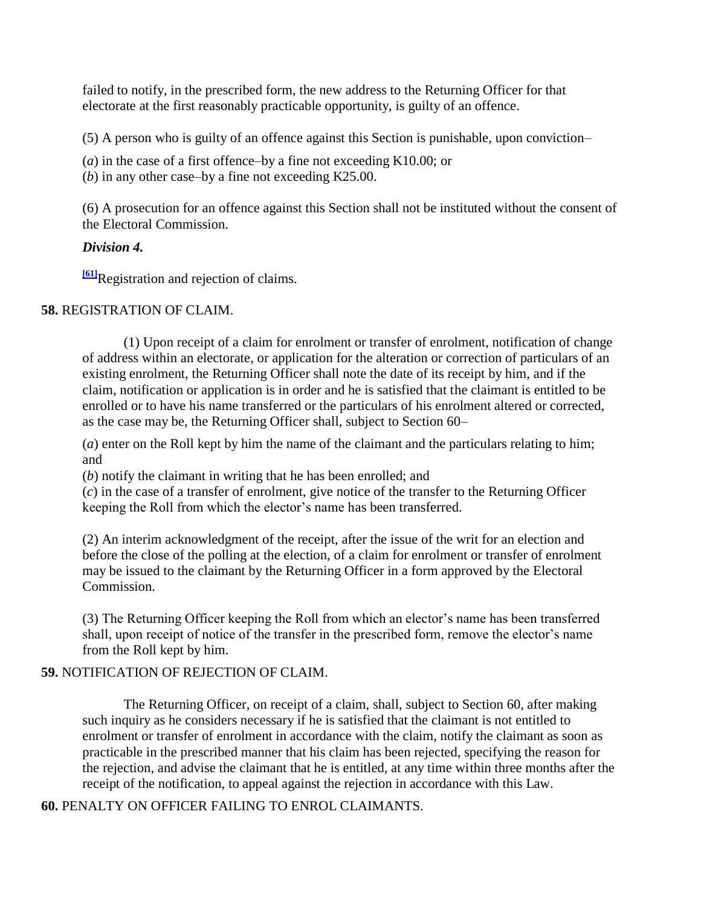failed to notify, in the prescribed form, the new address to the Returning Officer for that electorate at the first reasonably practicable opportunity, is guilty of an offence.

(5) A person who is guilty of an offence against this Section is punishable, upon conviction–

(*a*) in the case of a first offence–by a fine not exceeding K10.00; or

(*b*) in any other case–by a fine not exceeding K25.00.

(6) A prosecution for an offence against this Section shall not be instituted without the consent of the Electoral Commission.

### *Division 4.*

**[\[61\]](http://www.paclii.org/pg/legis/consol_act/olonalge519/#fn61)**Registration and rejection of claims.

### **58.** REGISTRATION OF CLAIM.

(1) Upon receipt of a claim for enrolment or transfer of enrolment, notification of change of address within an electorate, or application for the alteration or correction of particulars of an existing enrolment, the Returning Officer shall note the date of its receipt by him, and if the claim, notification or application is in order and he is satisfied that the claimant is entitled to be enrolled or to have his name transferred or the particulars of his enrolment altered or corrected, as the case may be, the Returning Officer shall, subject to Section 60–

(*a*) enter on the Roll kept by him the name of the claimant and the particulars relating to him; and

(*b*) notify the claimant in writing that he has been enrolled; and

(*c*) in the case of a transfer of enrolment, give notice of the transfer to the Returning Officer keeping the Roll from which the elector"s name has been transferred.

(2) An interim acknowledgment of the receipt, after the issue of the writ for an election and before the close of the polling at the election, of a claim for enrolment or transfer of enrolment may be issued to the claimant by the Returning Officer in a form approved by the Electoral Commission.

(3) The Returning Officer keeping the Roll from which an elector"s name has been transferred shall, upon receipt of notice of the transfer in the prescribed form, remove the elector's name from the Roll kept by him.

## **59.** NOTIFICATION OF REJECTION OF CLAIM.

The Returning Officer, on receipt of a claim, shall, subject to Section 60, after making such inquiry as he considers necessary if he is satisfied that the claimant is not entitled to enrolment or transfer of enrolment in accordance with the claim, notify the claimant as soon as practicable in the prescribed manner that his claim has been rejected, specifying the reason for the rejection, and advise the claimant that he is entitled, at any time within three months after the receipt of the notification, to appeal against the rejection in accordance with this Law.

**60.** PENALTY ON OFFICER FAILING TO ENROL CLAIMANTS.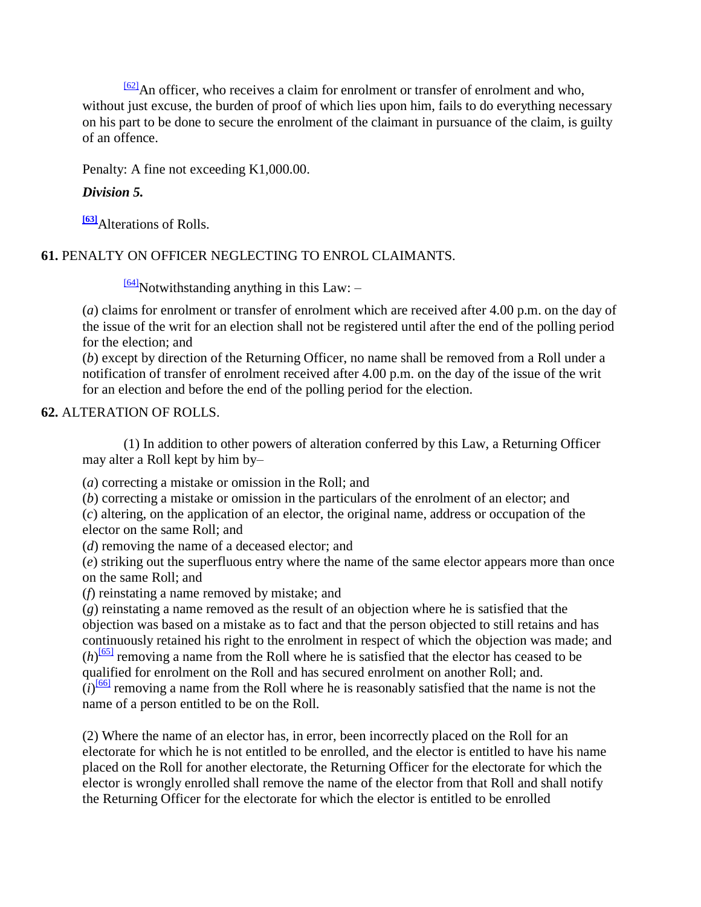$\frac{621}{2}$ An officer, who receives a claim for enrolment or transfer of enrolment and who, without just excuse, the burden of proof of which lies upon him, fails to do everything necessary on his part to be done to secure the enrolment of the claimant in pursuance of the claim, is guilty of an offence.

Penalty: A fine not exceeding K1,000.00.

## *Division 5.*

**[\[63\]](http://www.paclii.org/pg/legis/consol_act/olonalge519/#fn63)**Alterations of Rolls.

**61.** PENALTY ON OFFICER NEGLECTING TO ENROL CLAIMANTS.

 $\frac{64}{104}$ Notwithstanding anything in this Law: -

(*a*) claims for enrolment or transfer of enrolment which are received after 4.00 p.m. on the day of the issue of the writ for an election shall not be registered until after the end of the polling period for the election; and

(*b*) except by direction of the Returning Officer, no name shall be removed from a Roll under a notification of transfer of enrolment received after 4.00 p.m. on the day of the issue of the writ for an election and before the end of the polling period for the election.

## **62.** ALTERATION OF ROLLS.

(1) In addition to other powers of alteration conferred by this Law, a Returning Officer may alter a Roll kept by him by–

(*a*) correcting a mistake or omission in the Roll; and

(*b*) correcting a mistake or omission in the particulars of the enrolment of an elector; and

(*c*) altering, on the application of an elector, the original name, address or occupation of the elector on the same Roll; and

(*d*) removing the name of a deceased elector; and

(*e*) striking out the superfluous entry where the name of the same elector appears more than once on the same Roll; and

(*f*) reinstating a name removed by mistake; and

(*g*) reinstating a name removed as the result of an objection where he is satisfied that the objection was based on a mistake as to fact and that the person objected to still retains and has continuously retained his right to the enrolment in respect of which the objection was made; and  $(h)$ <sup>[\[65\]](http://www.paclii.org/pg/legis/consol_act/olonalge519/#fn65)</sup> removing a name from the Roll where he is satisfied that the elector has ceased to be qualified for enrolment on the Roll and has secured enrolment on another Roll; and.

 $(i)$ <sup>[\[66\]](http://www.paclii.org/pg/legis/consol_act/olonalge519/#fn66)</sup> removing a name from the Roll where he is reasonably satisfied that the name is not the name of a person entitled to be on the Roll.

(2) Where the name of an elector has, in error, been incorrectly placed on the Roll for an electorate for which he is not entitled to be enrolled, and the elector is entitled to have his name placed on the Roll for another electorate, the Returning Officer for the electorate for which the elector is wrongly enrolled shall remove the name of the elector from that Roll and shall notify the Returning Officer for the electorate for which the elector is entitled to be enrolled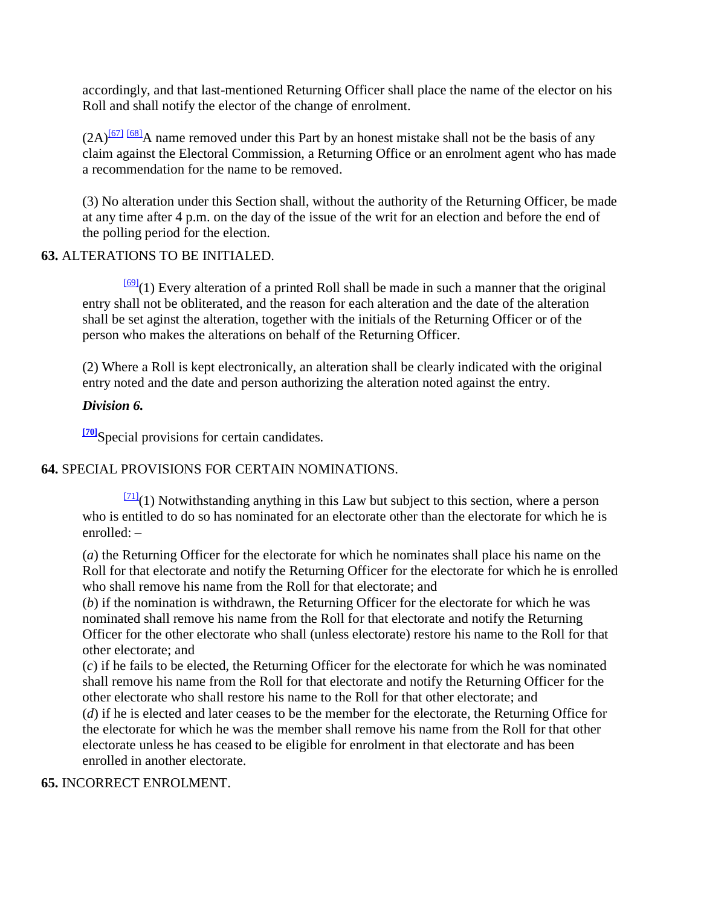accordingly, and that last-mentioned Returning Officer shall place the name of the elector on his Roll and shall notify the elector of the change of enrolment.

 $(2A)^{67}$  [\[68\]](http://www.paclii.org/pg/legis/consol_act/olonalge519/#fn68)</sub>A name removed under this Part by an honest mistake shall not be the basis of any claim against the Electoral Commission, a Returning Office or an enrolment agent who has made a recommendation for the name to be removed.

(3) No alteration under this Section shall, without the authority of the Returning Officer, be made at any time after 4 p.m. on the day of the issue of the writ for an election and before the end of the polling period for the election.

### **63.** ALTERATIONS TO BE INITIALED.

 $\frac{[69]}{[69]}(1)$  $\frac{[69]}{[69]}(1)$  $\frac{[69]}{[69]}(1)$  Every alteration of a printed Roll shall be made in such a manner that the original entry shall not be obliterated, and the reason for each alteration and the date of the alteration shall be set aginst the alteration, together with the initials of the Returning Officer or of the person who makes the alterations on behalf of the Returning Officer.

(2) Where a Roll is kept electronically, an alteration shall be clearly indicated with the original entry noted and the date and person authorizing the alteration noted against the entry.

### *Division 6.*

**[\[70\]](http://www.paclii.org/pg/legis/consol_act/olonalge519/#fn70)**Special provisions for certain candidates.

## **64.** SPECIAL PROVISIONS FOR CERTAIN NOMINATIONS.

 $\frac{[71]}{[71]}(1)$  $\frac{[71]}{[71]}(1)$  $\frac{[71]}{[71]}(1)$  Notwithstanding anything in this Law but subject to this section, where a person who is entitled to do so has nominated for an electorate other than the electorate for which he is enrolled: –

(*a*) the Returning Officer for the electorate for which he nominates shall place his name on the Roll for that electorate and notify the Returning Officer for the electorate for which he is enrolled who shall remove his name from the Roll for that electorate; and

(*b*) if the nomination is withdrawn, the Returning Officer for the electorate for which he was nominated shall remove his name from the Roll for that electorate and notify the Returning Officer for the other electorate who shall (unless electorate) restore his name to the Roll for that other electorate; and

(*c*) if he fails to be elected, the Returning Officer for the electorate for which he was nominated shall remove his name from the Roll for that electorate and notify the Returning Officer for the other electorate who shall restore his name to the Roll for that other electorate; and

(*d*) if he is elected and later ceases to be the member for the electorate, the Returning Office for the electorate for which he was the member shall remove his name from the Roll for that other electorate unless he has ceased to be eligible for enrolment in that electorate and has been enrolled in another electorate.

### **65.** INCORRECT ENROLMENT.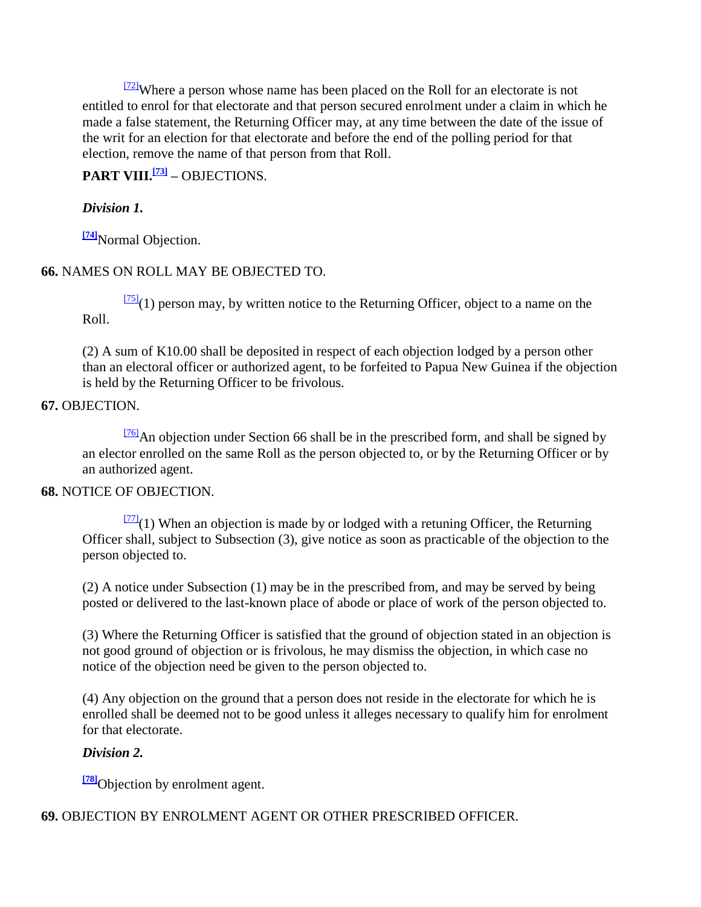$\frac{[72]}{[72]}$  $\frac{[72]}{[72]}$  $\frac{[72]}{[72]}$ Where a person whose name has been placed on the Roll for an electorate is not entitled to enrol for that electorate and that person secured enrolment under a claim in which he made a false statement, the Returning Officer may, at any time between the date of the issue of the writ for an election for that electorate and before the end of the polling period for that election, remove the name of that person from that Roll.

## **PART VIII.[\[73\]](http://www.paclii.org/pg/legis/consol_act/olonalge519/#fn73) –** OBJECTIONS.

## *Division 1.*

**[\[74\]](http://www.paclii.org/pg/legis/consol_act/olonalge519/#fn74)**Normal Objection.

## **66.** NAMES ON ROLL MAY BE OBJECTED TO.

 $\frac{[75]}{[75]}(1)$  $\frac{[75]}{[75]}(1)$  $\frac{[75]}{[75]}(1)$  person may, by written notice to the Returning Officer, object to a name on the Roll.

(2) A sum of K10.00 shall be deposited in respect of each objection lodged by a person other than an electoral officer or authorized agent, to be forfeited to Papua New Guinea if the objection is held by the Returning Officer to be frivolous.

## **67.** OBJECTION.

 $\frac{76}{6}$ An objection under Section 66 shall be in the prescribed form, and shall be signed by an elector enrolled on the same Roll as the person objected to, or by the Returning Officer or by an authorized agent.

## **68.** NOTICE OF OBJECTION.

 $\frac{[77]}{[77]}(1)$  $\frac{[77]}{[77]}(1)$  $\frac{[77]}{[77]}(1)$  When an objection is made by or lodged with a retuning Officer, the Returning Officer shall, subject to Subsection (3), give notice as soon as practicable of the objection to the person objected to.

(2) A notice under Subsection (1) may be in the prescribed from, and may be served by being posted or delivered to the last-known place of abode or place of work of the person objected to.

(3) Where the Returning Officer is satisfied that the ground of objection stated in an objection is not good ground of objection or is frivolous, he may dismiss the objection, in which case no notice of the objection need be given to the person objected to.

(4) Any objection on the ground that a person does not reside in the electorate for which he is enrolled shall be deemed not to be good unless it alleges necessary to qualify him for enrolment for that electorate.

## *Division 2.*

**<sup>[\[78\]](http://www.paclii.org/pg/legis/consol_act/olonalge519/#fn78)</sup>Objection by enrolment agent.** 

**69.** OBJECTION BY ENROLMENT AGENT OR OTHER PRESCRIBED OFFICER.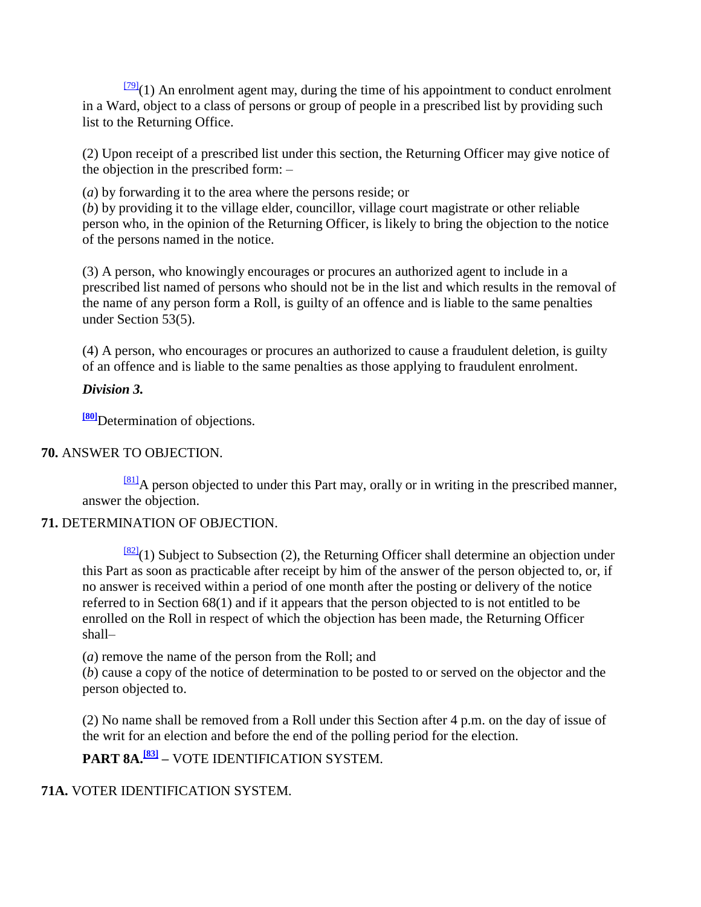$\frac{[79]}{(1)}$  $\frac{[79]}{(1)}$  $\frac{[79]}{(1)}$  An enrolment agent may, during the time of his appointment to conduct enrolment in a Ward, object to a class of persons or group of people in a prescribed list by providing such list to the Returning Office.

(2) Upon receipt of a prescribed list under this section, the Returning Officer may give notice of the objection in the prescribed form: –

(*a*) by forwarding it to the area where the persons reside; or

(*b*) by providing it to the village elder, councillor, village court magistrate or other reliable person who, in the opinion of the Returning Officer, is likely to bring the objection to the notice of the persons named in the notice.

(3) A person, who knowingly encourages or procures an authorized agent to include in a prescribed list named of persons who should not be in the list and which results in the removal of the name of any person form a Roll, is guilty of an offence and is liable to the same penalties under Section 53(5).

(4) A person, who encourages or procures an authorized to cause a fraudulent deletion, is guilty of an offence and is liable to the same penalties as those applying to fraudulent enrolment.

## *Division 3.*

**[\[80\]](http://www.paclii.org/pg/legis/consol_act/olonalge519/#fn80)**Determination of objections.

## **70.** ANSWER TO OBJECTION.

 $^{[81]}$  $^{[81]}$  $^{[81]}$ A person objected to under this Part may, orally or in writing in the prescribed manner, answer the objection.

## **71.** DETERMINATION OF OBJECTION.

 $\frac{[82]}{(1)}$  $\frac{[82]}{(1)}$  $\frac{[82]}{(1)}$  Subject to Subsection (2), the Returning Officer shall determine an objection under this Part as soon as practicable after receipt by him of the answer of the person objected to, or, if no answer is received within a period of one month after the posting or delivery of the notice referred to in Section 68(1) and if it appears that the person objected to is not entitled to be enrolled on the Roll in respect of which the objection has been made, the Returning Officer shall–

(*a*) remove the name of the person from the Roll; and

(*b*) cause a copy of the notice of determination to be posted to or served on the objector and the person objected to.

(2) No name shall be removed from a Roll under this Section after 4 p.m. on the day of issue of the writ for an election and before the end of the polling period for the election.

**PART 8A.[\[83\]](http://www.paclii.org/pg/legis/consol_act/olonalge519/#fn83) –** VOTE IDENTIFICATION SYSTEM.

## **71A.** VOTER IDENTIFICATION SYSTEM.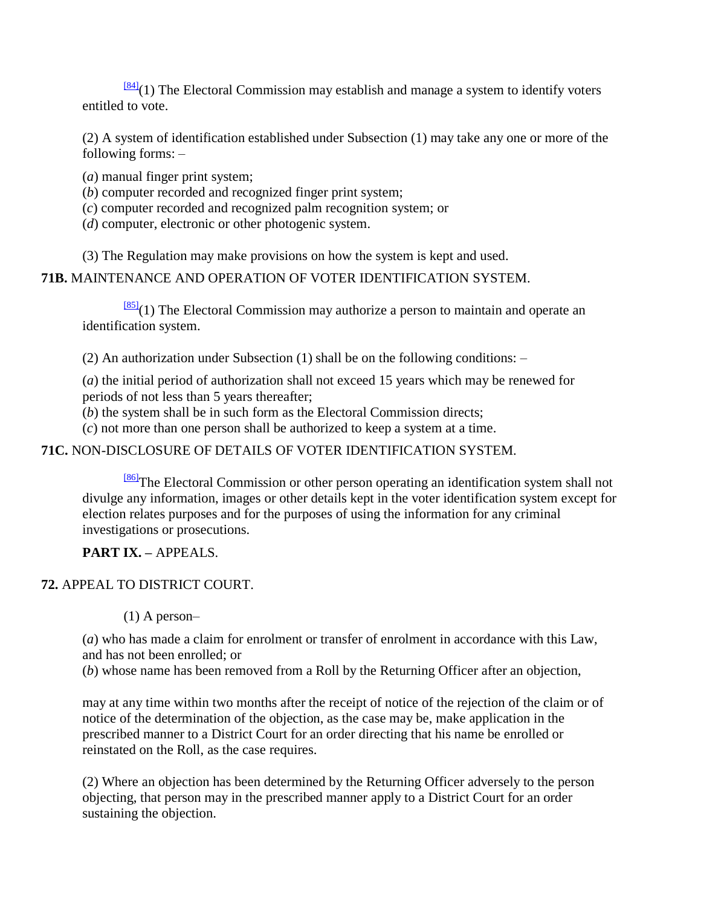$\frac{[84]}{[84]}(1)$  $\frac{[84]}{[84]}(1)$  $\frac{[84]}{[84]}(1)$  The Electoral Commission may establish and manage a system to identify voters entitled to vote.

(2) A system of identification established under Subsection (1) may take any one or more of the following forms: –

- (*a*) manual finger print system;
- (*b*) computer recorded and recognized finger print system;
- (*c*) computer recorded and recognized palm recognition system; or
- (*d*) computer, electronic or other photogenic system.
- (3) The Regulation may make provisions on how the system is kept and used.

## **71B.** MAINTENANCE AND OPERATION OF VOTER IDENTIFICATION SYSTEM.

 $\frac{[85]}{(1)}$  $\frac{[85]}{(1)}$  $\frac{[85]}{(1)}$  The Electoral Commission may authorize a person to maintain and operate an identification system.

(2) An authorization under Subsection (1) shall be on the following conditions: –

(*a*) the initial period of authorization shall not exceed 15 years which may be renewed for periods of not less than 5 years thereafter;

(*b*) the system shall be in such form as the Electoral Commission directs;

(*c*) not more than one person shall be authorized to keep a system at a time.

## **71C.** NON-DISCLOSURE OF DETAILS OF VOTER IDENTIFICATION SYSTEM.

[\[86\]](http://www.paclii.org/pg/legis/consol_act/olonalge519/#fn86)The Electoral Commission or other person operating an identification system shall not divulge any information, images or other details kept in the voter identification system except for election relates purposes and for the purposes of using the information for any criminal investigations or prosecutions.

## **PART IX. –** APPEALS.

## **72.** APPEAL TO DISTRICT COURT.

(1) A person–

(*a*) who has made a claim for enrolment or transfer of enrolment in accordance with this Law, and has not been enrolled; or

(*b*) whose name has been removed from a Roll by the Returning Officer after an objection,

may at any time within two months after the receipt of notice of the rejection of the claim or of notice of the determination of the objection, as the case may be, make application in the prescribed manner to a District Court for an order directing that his name be enrolled or reinstated on the Roll, as the case requires.

(2) Where an objection has been determined by the Returning Officer adversely to the person objecting, that person may in the prescribed manner apply to a District Court for an order sustaining the objection.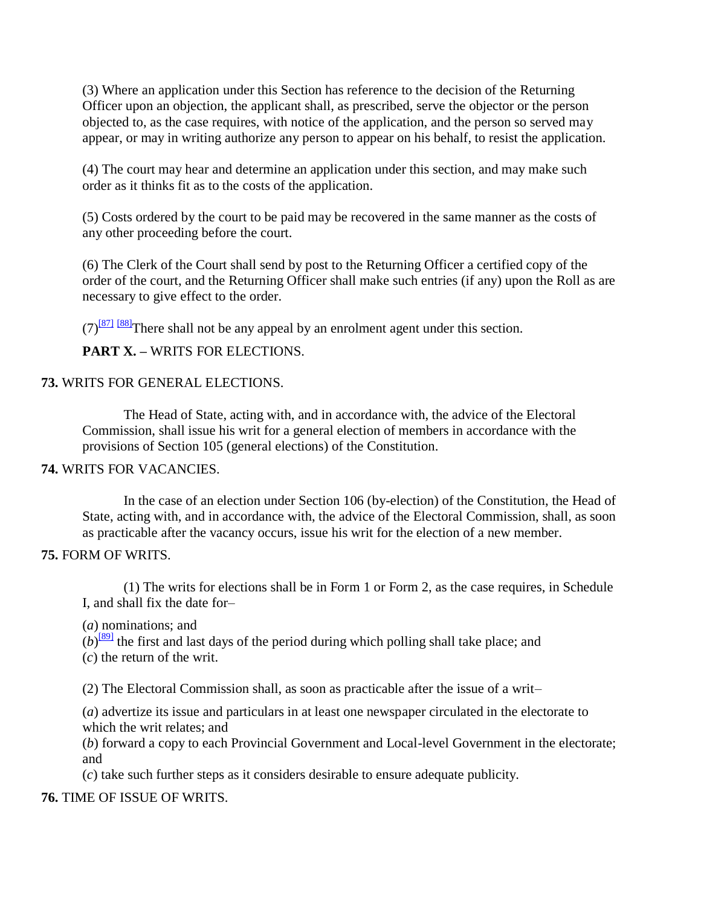(3) Where an application under this Section has reference to the decision of the Returning Officer upon an objection, the applicant shall, as prescribed, serve the objector or the person objected to, as the case requires, with notice of the application, and the person so served may appear, or may in writing authorize any person to appear on his behalf, to resist the application.

(4) The court may hear and determine an application under this section, and may make such order as it thinks fit as to the costs of the application.

(5) Costs ordered by the court to be paid may be recovered in the same manner as the costs of any other proceeding before the court.

(6) The Clerk of the Court shall send by post to the Returning Officer a certified copy of the order of the court, and the Returning Officer shall make such entries (if any) upon the Roll as are necessary to give effect to the order.

 $(7)^{871}$  [\[88\]](http://www.paclii.org/pg/legis/consol_act/olonalge519/#fn88)<sup>There shall not be any appeal by an enrolment agent under this section.</sup>

**PART X. –** WRITS FOR ELECTIONS.

#### **73.** WRITS FOR GENERAL ELECTIONS.

The Head of State, acting with, and in accordance with, the advice of the Electoral Commission, shall issue his writ for a general election of members in accordance with the provisions of Section 105 (general elections) of the Constitution.

#### **74.** WRITS FOR VACANCIES.

In the case of an election under Section 106 (by-election) of the Constitution, the Head of State, acting with, and in accordance with, the advice of the Electoral Commission, shall, as soon as practicable after the vacancy occurs, issue his writ for the election of a new member.

#### **75.** FORM OF WRITS.

(1) The writs for elections shall be in Form 1 or Form 2, as the case requires, in Schedule I, and shall fix the date for–

(*a*) nominations; and

 $(b)$ <sup>[\[89\]](http://www.paclii.org/pg/legis/consol_act/olonalge519/#fn89)</sup> the first and last days of the period during which polling shall take place; and

(*c*) the return of the writ.

(2) The Electoral Commission shall, as soon as practicable after the issue of a writ–

(*a*) advertize its issue and particulars in at least one newspaper circulated in the electorate to which the writ relates; and

(*b*) forward a copy to each Provincial Government and Local-level Government in the electorate; and

(*c*) take such further steps as it considers desirable to ensure adequate publicity.

#### **76.** TIME OF ISSUE OF WRITS.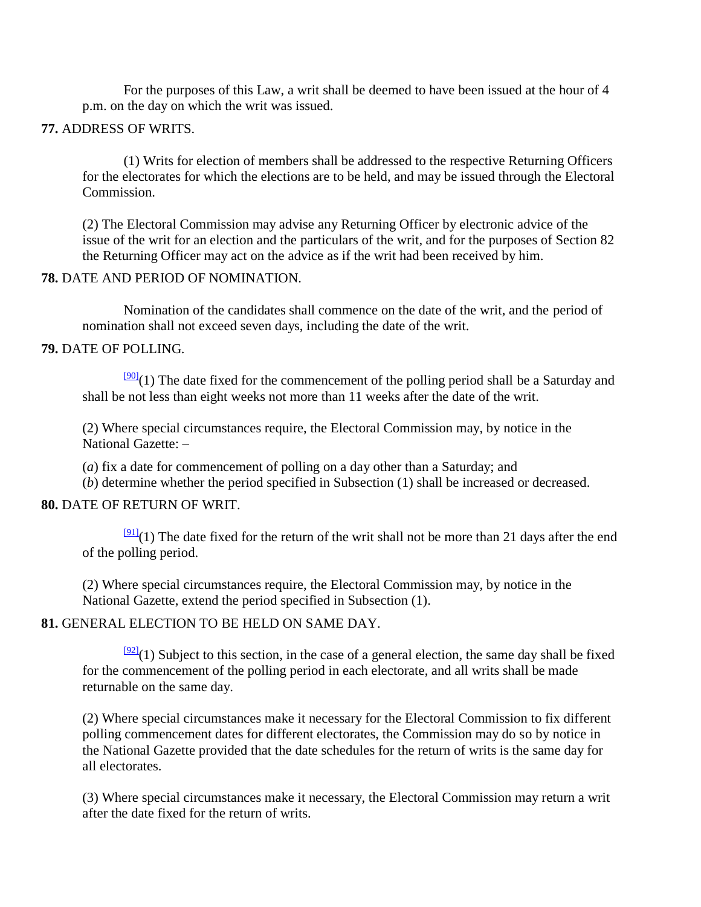For the purposes of this Law, a writ shall be deemed to have been issued at the hour of 4 p.m. on the day on which the writ was issued.

### **77.** ADDRESS OF WRITS.

(1) Writs for election of members shall be addressed to the respective Returning Officers for the electorates for which the elections are to be held, and may be issued through the Electoral Commission.

(2) The Electoral Commission may advise any Returning Officer by electronic advice of the issue of the writ for an election and the particulars of the writ, and for the purposes of Section 82 the Returning Officer may act on the advice as if the writ had been received by him.

## **78.** DATE AND PERIOD OF NOMINATION.

Nomination of the candidates shall commence on the date of the writ, and the period of nomination shall not exceed seven days, including the date of the writ.

#### **79.** DATE OF POLLING.

 $\frac{[90]}{[90]}(1)$  $\frac{[90]}{[90]}(1)$  $\frac{[90]}{[90]}(1)$  The date fixed for the commencement of the polling period shall be a Saturday and shall be not less than eight weeks not more than 11 weeks after the date of the writ.

(2) Where special circumstances require, the Electoral Commission may, by notice in the National Gazette: –

(*a*) fix a date for commencement of polling on a day other than a Saturday; and

(*b*) determine whether the period specified in Subsection (1) shall be increased or decreased.

#### **80.** DATE OF RETURN OF WRIT.

 $\frac{91}{2}$ (1) The date fixed for the return of the writ shall not be more than 21 days after the end of the polling period.

(2) Where special circumstances require, the Electoral Commission may, by notice in the National Gazette, extend the period specified in Subsection (1).

#### **81.** GENERAL ELECTION TO BE HELD ON SAME DAY.

 $\frac{[92]}{[92]}(1)$  $\frac{[92]}{[92]}(1)$  $\frac{[92]}{[92]}(1)$  Subject to this section, in the case of a general election, the same day shall be fixed for the commencement of the polling period in each electorate, and all writs shall be made returnable on the same day.

(2) Where special circumstances make it necessary for the Electoral Commission to fix different polling commencement dates for different electorates, the Commission may do so by notice in the National Gazette provided that the date schedules for the return of writs is the same day for all electorates.

(3) Where special circumstances make it necessary, the Electoral Commission may return a writ after the date fixed for the return of writs.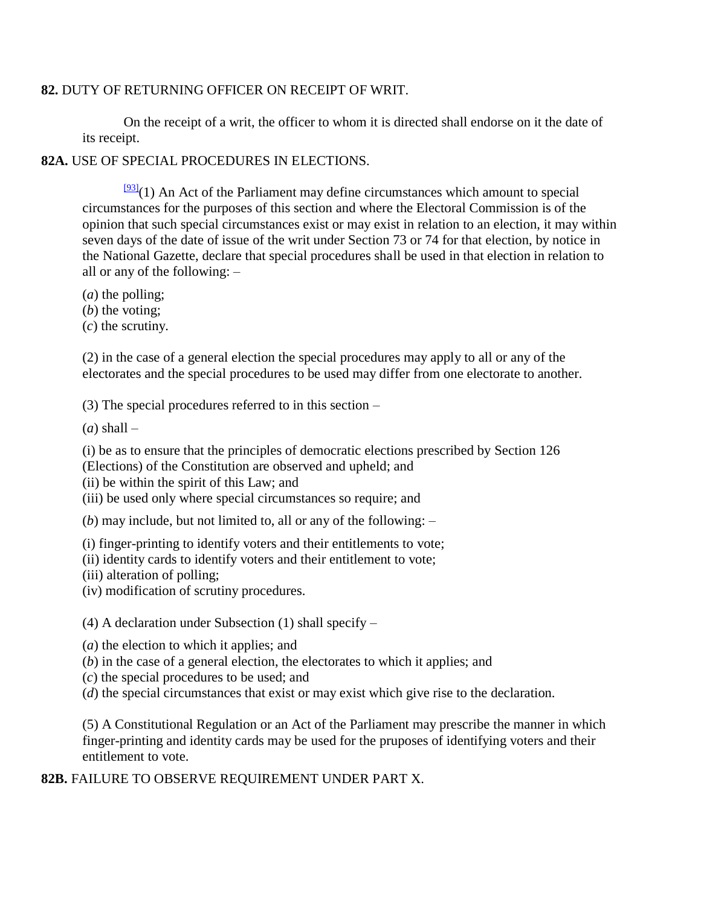#### **82.** DUTY OF RETURNING OFFICER ON RECEIPT OF WRIT.

On the receipt of a writ, the officer to whom it is directed shall endorse on it the date of its receipt.

**82A.** USE OF SPECIAL PROCEDURES IN ELECTIONS.

 $\frac{[93]}{(1)}$  $\frac{[93]}{(1)}$  $\frac{[93]}{(1)}$  An Act of the Parliament may define circumstances which amount to special circumstances for the purposes of this section and where the Electoral Commission is of the opinion that such special circumstances exist or may exist in relation to an election, it may within seven days of the date of issue of the writ under Section 73 or 74 for that election, by notice in the National Gazette, declare that special procedures shall be used in that election in relation to all or any of the following: –

- (*a*) the polling;
- (*b*) the voting;
- (*c*) the scrutiny.

(2) in the case of a general election the special procedures may apply to all or any of the electorates and the special procedures to be used may differ from one electorate to another.

(3) The special procedures referred to in this section –

 $(a)$  shall –

(i) be as to ensure that the principles of democratic elections prescribed by Section 126

- (Elections) of the Constitution are observed and upheld; and
- (ii) be within the spirit of this Law; and
- (iii) be used only where special circumstances so require; and

(*b*) may include, but not limited to, all or any of the following: –

(i) finger-printing to identify voters and their entitlements to vote;

(ii) identity cards to identify voters and their entitlement to vote;

(iii) alteration of polling;

(iv) modification of scrutiny procedures.

(4) A declaration under Subsection (1) shall specify –

(*a*) the election to which it applies; and

- (*b*) in the case of a general election, the electorates to which it applies; and
- (*c*) the special procedures to be used; and
- (*d*) the special circumstances that exist or may exist which give rise to the declaration.

(5) A Constitutional Regulation or an Act of the Parliament may prescribe the manner in which finger-printing and identity cards may be used for the pruposes of identifying voters and their entitlement to vote.

**82B.** FAILURE TO OBSERVE REQUIREMENT UNDER PART X.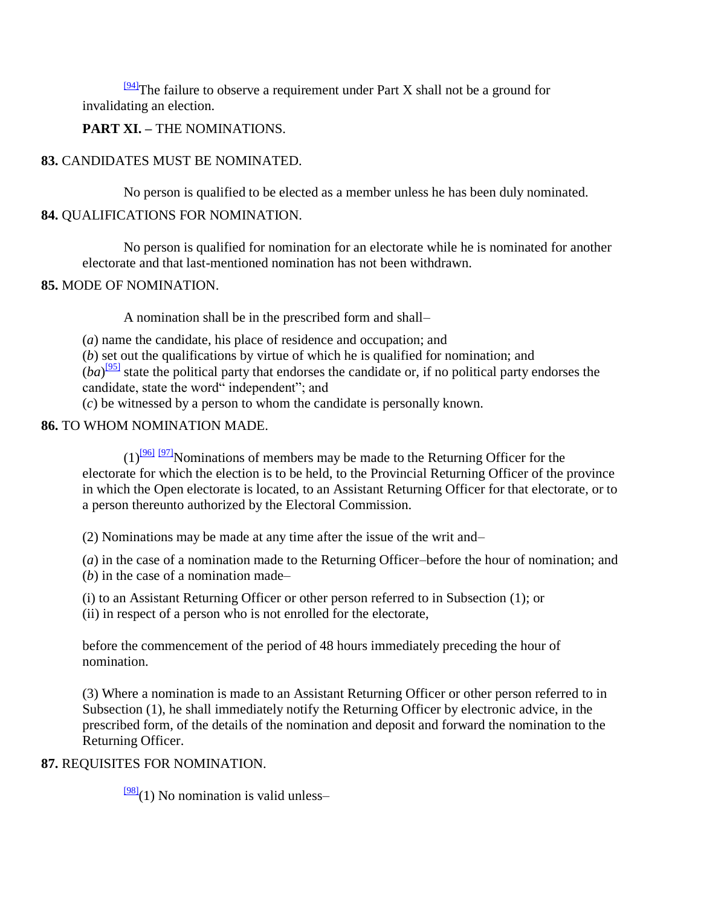$\frac{94}{2}$ The failure to observe a requirement under Part X shall not be a ground for invalidating an election.

**PART XI. –** THE NOMINATIONS.

## **83.** CANDIDATES MUST BE NOMINATED.

No person is qualified to be elected as a member unless he has been duly nominated.

## **84.** QUALIFICATIONS FOR NOMINATION.

No person is qualified for nomination for an electorate while he is nominated for another electorate and that last-mentioned nomination has not been withdrawn.

### **85.** MODE OF NOMINATION.

A nomination shall be in the prescribed form and shall–

(*a*) name the candidate, his place of residence and occupation; and

(*b*) set out the qualifications by virtue of which he is qualified for nomination; and  $(ba)$ <sup>[\[95\]](http://www.paclii.org/pg/legis/consol_act/olonalge519/#fn95)</sup> state the political party that endorses the candidate or, if no political party endorses the candidate, state the word" independent"; and

(*c*) be witnessed by a person to whom the candidate is personally known.

## **86.** TO WHOM NOMINATION MADE.

 $(1)^{961}$  [\[97\]](http://www.paclii.org/pg/legis/consol_act/olonalge519/#fn97)</sub>Nominations of members may be made to the Returning Officer for the electorate for which the election is to be held, to the Provincial Returning Officer of the province in which the Open electorate is located, to an Assistant Returning Officer for that electorate, or to a person thereunto authorized by the Electoral Commission.

(2) Nominations may be made at any time after the issue of the writ and–

(*a*) in the case of a nomination made to the Returning Officer–before the hour of nomination; and (*b*) in the case of a nomination made–

(i) to an Assistant Returning Officer or other person referred to in Subsection (1); or (ii) in respect of a person who is not enrolled for the electorate,

before the commencement of the period of 48 hours immediately preceding the hour of nomination.

(3) Where a nomination is made to an Assistant Returning Officer or other person referred to in Subsection (1), he shall immediately notify the Returning Officer by electronic advice, in the prescribed form, of the details of the nomination and deposit and forward the nomination to the Returning Officer.

## **87.** REQUISITES FOR NOMINATION.

 $\frac{981}{2}$ (1) No nomination is valid unless–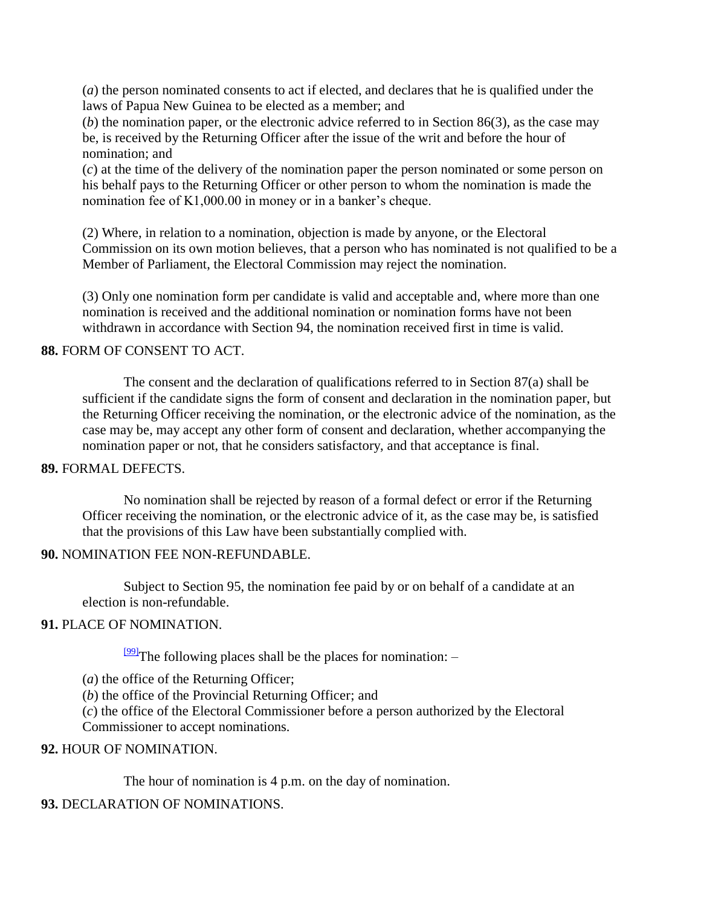(*a*) the person nominated consents to act if elected, and declares that he is qualified under the laws of Papua New Guinea to be elected as a member; and

(*b*) the nomination paper, or the electronic advice referred to in Section 86(3), as the case may be, is received by the Returning Officer after the issue of the writ and before the hour of nomination; and

(*c*) at the time of the delivery of the nomination paper the person nominated or some person on his behalf pays to the Returning Officer or other person to whom the nomination is made the nomination fee of K1,000.00 in money or in a banker's cheque.

(2) Where, in relation to a nomination, objection is made by anyone, or the Electoral Commission on its own motion believes, that a person who has nominated is not qualified to be a Member of Parliament, the Electoral Commission may reject the nomination.

(3) Only one nomination form per candidate is valid and acceptable and, where more than one nomination is received and the additional nomination or nomination forms have not been withdrawn in accordance with Section 94, the nomination received first in time is valid.

#### **88.** FORM OF CONSENT TO ACT.

The consent and the declaration of qualifications referred to in Section 87(a) shall be sufficient if the candidate signs the form of consent and declaration in the nomination paper, but the Returning Officer receiving the nomination, or the electronic advice of the nomination, as the case may be, may accept any other form of consent and declaration, whether accompanying the nomination paper or not, that he considers satisfactory, and that acceptance is final.

## **89.** FORMAL DEFECTS.

No nomination shall be rejected by reason of a formal defect or error if the Returning Officer receiving the nomination, or the electronic advice of it, as the case may be, is satisfied that the provisions of this Law have been substantially complied with.

## **90.** NOMINATION FEE NON-REFUNDABLE.

Subject to Section 95, the nomination fee paid by or on behalf of a candidate at an election is non-refundable.

## **91.** PLACE OF NOMINATION.

 $\frac{[99]}{]}$  $\frac{[99]}{]}$  $\frac{[99]}{]}$ The following places shall be the places for nomination:  $-$ 

(*a*) the office of the Returning Officer;

(*b*) the office of the Provincial Returning Officer; and

(*c*) the office of the Electoral Commissioner before a person authorized by the Electoral Commissioner to accept nominations.

#### **92.** HOUR OF NOMINATION.

The hour of nomination is 4 p.m. on the day of nomination.

## **93.** DECLARATION OF NOMINATIONS.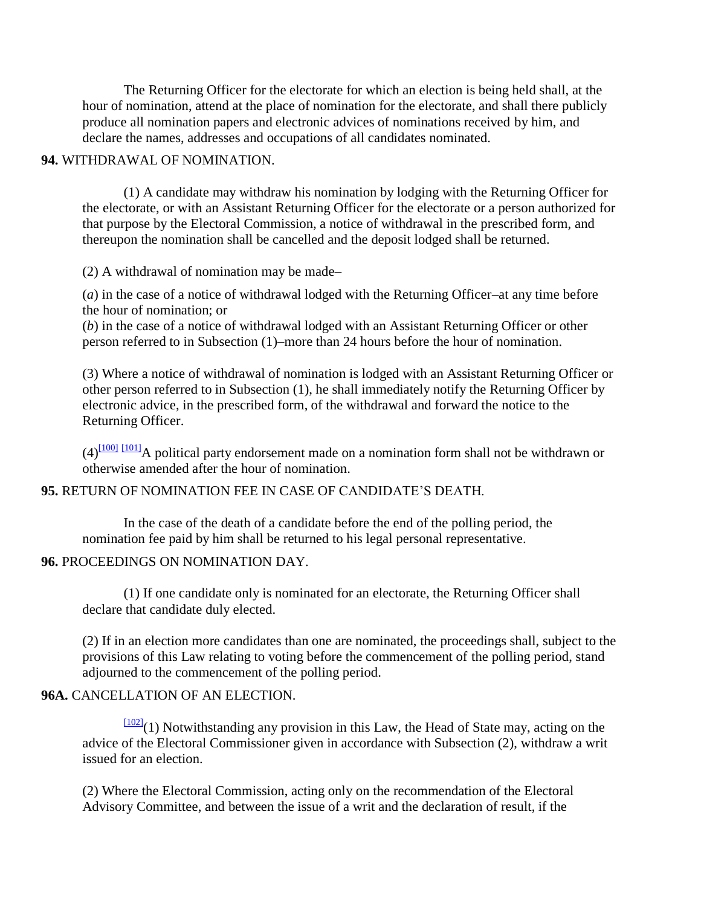The Returning Officer for the electorate for which an election is being held shall, at the hour of nomination, attend at the place of nomination for the electorate, and shall there publicly produce all nomination papers and electronic advices of nominations received by him, and declare the names, addresses and occupations of all candidates nominated.

#### **94.** WITHDRAWAL OF NOMINATION.

(1) A candidate may withdraw his nomination by lodging with the Returning Officer for the electorate, or with an Assistant Returning Officer for the electorate or a person authorized for that purpose by the Electoral Commission, a notice of withdrawal in the prescribed form, and thereupon the nomination shall be cancelled and the deposit lodged shall be returned.

(2) A withdrawal of nomination may be made–

(*a*) in the case of a notice of withdrawal lodged with the Returning Officer–at any time before the hour of nomination; or

(*b*) in the case of a notice of withdrawal lodged with an Assistant Returning Officer or other person referred to in Subsection (1)–more than 24 hours before the hour of nomination.

(3) Where a notice of withdrawal of nomination is lodged with an Assistant Returning Officer or other person referred to in Subsection (1), he shall immediately notify the Returning Officer by electronic advice, in the prescribed form, of the withdrawal and forward the notice to the Returning Officer.

 $(4)$ <sup>[\[100\]](http://www.paclii.org/pg/legis/consol_act/olonalge519/#fn100)</sup> [\[101\]](http://www.paclii.org/pg/legis/consol_act/olonalge519/#fn101) A political party endorsement made on a nomination form shall not be withdrawn or otherwise amended after the hour of nomination.

#### **95.** RETURN OF NOMINATION FEE IN CASE OF CANDIDATE"S DEATH.

In the case of the death of a candidate before the end of the polling period, the nomination fee paid by him shall be returned to his legal personal representative.

#### **96.** PROCEEDINGS ON NOMINATION DAY.

(1) If one candidate only is nominated for an electorate, the Returning Officer shall declare that candidate duly elected.

(2) If in an election more candidates than one are nominated, the proceedings shall, subject to the provisions of this Law relating to voting before the commencement of the polling period, stand adjourned to the commencement of the polling period.

### **96A.** CANCELLATION OF AN ELECTION.

 $\frac{[102]}{[102]}(1)$  $\frac{[102]}{[102]}(1)$  $\frac{[102]}{[102]}(1)$  Notwithstanding any provision in this Law, the Head of State may, acting on the advice of the Electoral Commissioner given in accordance with Subsection (2), withdraw a writ issued for an election.

(2) Where the Electoral Commission, acting only on the recommendation of the Electoral Advisory Committee, and between the issue of a writ and the declaration of result, if the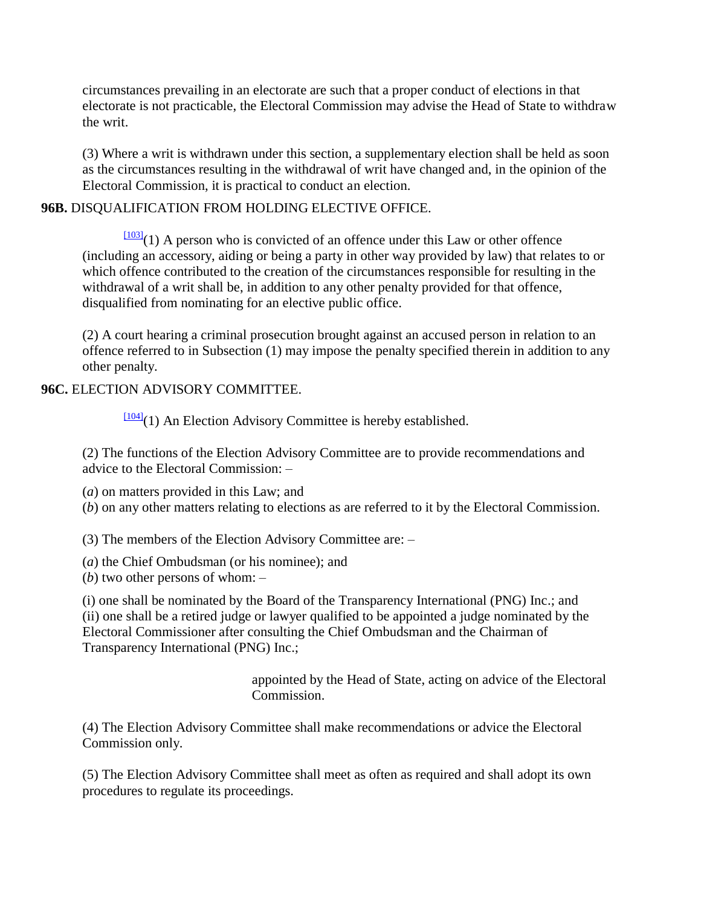circumstances prevailing in an electorate are such that a proper conduct of elections in that electorate is not practicable, the Electoral Commission may advise the Head of State to withdraw the writ.

(3) Where a writ is withdrawn under this section, a supplementary election shall be held as soon as the circumstances resulting in the withdrawal of writ have changed and, in the opinion of the Electoral Commission, it is practical to conduct an election.

## **96B.** DISQUALIFICATION FROM HOLDING ELECTIVE OFFICE.

 $\frac{[103]}{[103]}(1)$  $\frac{[103]}{[103]}(1)$  $\frac{[103]}{[103]}(1)$  A person who is convicted of an offence under this Law or other offence (including an accessory, aiding or being a party in other way provided by law) that relates to or which offence contributed to the creation of the circumstances responsible for resulting in the withdrawal of a writ shall be, in addition to any other penalty provided for that offence, disqualified from nominating for an elective public office.

(2) A court hearing a criminal prosecution brought against an accused person in relation to an offence referred to in Subsection (1) may impose the penalty specified therein in addition to any other penalty.

## **96C.** ELECTION ADVISORY COMMITTEE.

 $\frac{[104]}{[104]}$  $\frac{[104]}{[104]}$  $\frac{[104]}{[104]}$ (1) An Election Advisory Committee is hereby established.

(2) The functions of the Election Advisory Committee are to provide recommendations and advice to the Electoral Commission: –

(*a*) on matters provided in this Law; and

(*b*) on any other matters relating to elections as are referred to it by the Electoral Commission.

(3) The members of the Election Advisory Committee are: –

(*a*) the Chief Ombudsman (or his nominee); and

(*b*) two other persons of whom: –

(i) one shall be nominated by the Board of the Transparency International (PNG) Inc.; and (ii) one shall be a retired judge or lawyer qualified to be appointed a judge nominated by the Electoral Commissioner after consulting the Chief Ombudsman and the Chairman of Transparency International (PNG) Inc.;

> appointed by the Head of State, acting on advice of the Electoral Commission.

(4) The Election Advisory Committee shall make recommendations or advice the Electoral Commission only.

(5) The Election Advisory Committee shall meet as often as required and shall adopt its own procedures to regulate its proceedings.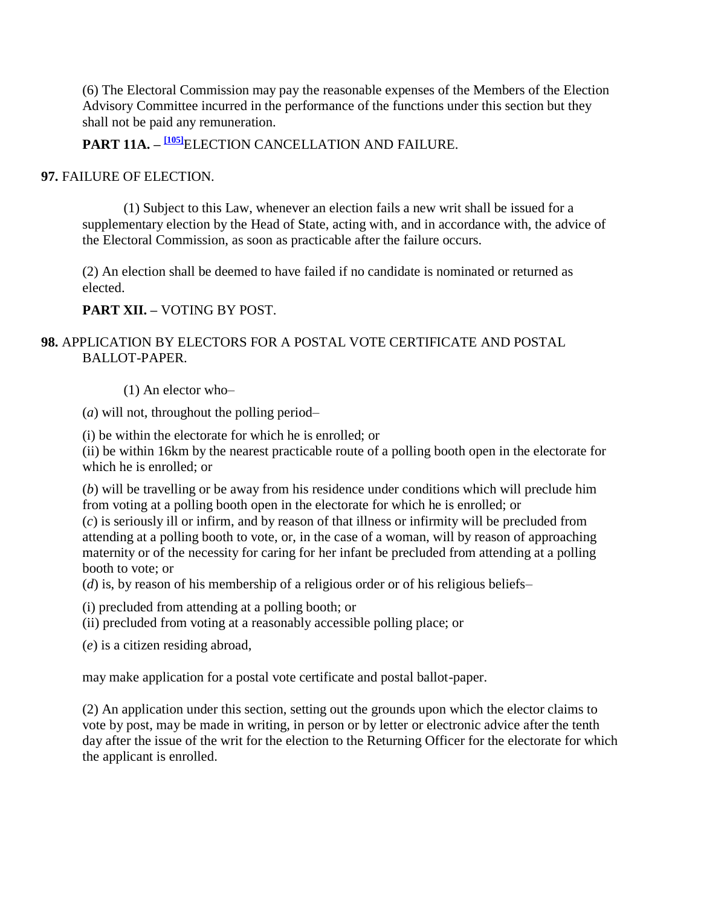(6) The Electoral Commission may pay the reasonable expenses of the Members of the Election Advisory Committee incurred in the performance of the functions under this section but they shall not be paid any remuneration.

**PART 11A. – [\[105\]](http://www.paclii.org/pg/legis/consol_act/olonalge519/#fn105)**ELECTION CANCELLATION AND FAILURE.

### **97.** FAILURE OF ELECTION.

(1) Subject to this Law, whenever an election fails a new writ shall be issued for a supplementary election by the Head of State, acting with, and in accordance with, the advice of the Electoral Commission, as soon as practicable after the failure occurs.

(2) An election shall be deemed to have failed if no candidate is nominated or returned as elected.

**PART XII. –** VOTING BY POST.

## **98.** APPLICATION BY ELECTORS FOR A POSTAL VOTE CERTIFICATE AND POSTAL BALLOT-PAPER.

(1) An elector who–

(*a*) will not, throughout the polling period–

(i) be within the electorate for which he is enrolled; or

(ii) be within 16km by the nearest practicable route of a polling booth open in the electorate for which he is enrolled; or

(*b*) will be travelling or be away from his residence under conditions which will preclude him from voting at a polling booth open in the electorate for which he is enrolled; or

(*c*) is seriously ill or infirm, and by reason of that illness or infirmity will be precluded from attending at a polling booth to vote, or, in the case of a woman, will by reason of approaching maternity or of the necessity for caring for her infant be precluded from attending at a polling booth to vote; or

(*d*) is, by reason of his membership of a religious order or of his religious beliefs–

(i) precluded from attending at a polling booth; or

(ii) precluded from voting at a reasonably accessible polling place; or

(*e*) is a citizen residing abroad,

may make application for a postal vote certificate and postal ballot-paper.

(2) An application under this section, setting out the grounds upon which the elector claims to vote by post, may be made in writing, in person or by letter or electronic advice after the tenth day after the issue of the writ for the election to the Returning Officer for the electorate for which the applicant is enrolled.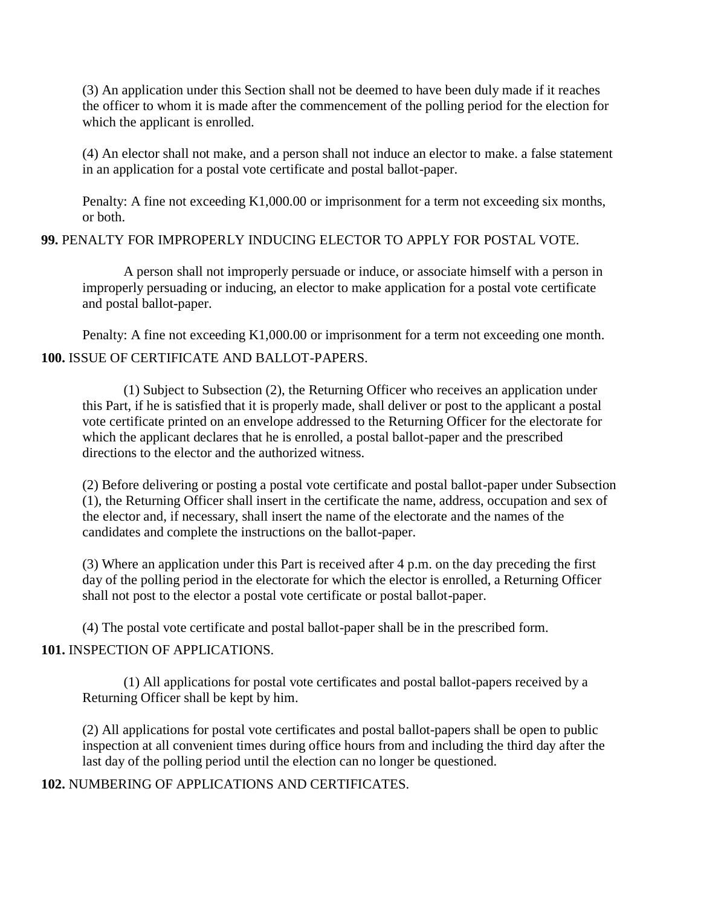(3) An application under this Section shall not be deemed to have been duly made if it reaches the officer to whom it is made after the commencement of the polling period for the election for which the applicant is enrolled.

(4) An elector shall not make, and a person shall not induce an elector to make. a false statement in an application for a postal vote certificate and postal ballot-paper.

Penalty: A fine not exceeding K1,000.00 or imprisonment for a term not exceeding six months, or both.

**99.** PENALTY FOR IMPROPERLY INDUCING ELECTOR TO APPLY FOR POSTAL VOTE.

A person shall not improperly persuade or induce, or associate himself with a person in improperly persuading or inducing, an elector to make application for a postal vote certificate and postal ballot-paper.

Penalty: A fine not exceeding K1,000.00 or imprisonment for a term not exceeding one month. **100.** ISSUE OF CERTIFICATE AND BALLOT-PAPERS.

(1) Subject to Subsection (2), the Returning Officer who receives an application under this Part, if he is satisfied that it is properly made, shall deliver or post to the applicant a postal vote certificate printed on an envelope addressed to the Returning Officer for the electorate for which the applicant declares that he is enrolled, a postal ballot-paper and the prescribed directions to the elector and the authorized witness.

(2) Before delivering or posting a postal vote certificate and postal ballot-paper under Subsection (1), the Returning Officer shall insert in the certificate the name, address, occupation and sex of the elector and, if necessary, shall insert the name of the electorate and the names of the candidates and complete the instructions on the ballot-paper.

(3) Where an application under this Part is received after 4 p.m. on the day preceding the first day of the polling period in the electorate for which the elector is enrolled, a Returning Officer shall not post to the elector a postal vote certificate or postal ballot-paper.

(4) The postal vote certificate and postal ballot-paper shall be in the prescribed form.

## **101.** INSPECTION OF APPLICATIONS.

(1) All applications for postal vote certificates and postal ballot-papers received by a Returning Officer shall be kept by him.

(2) All applications for postal vote certificates and postal ballot-papers shall be open to public inspection at all convenient times during office hours from and including the third day after the last day of the polling period until the election can no longer be questioned.

**102.** NUMBERING OF APPLICATIONS AND CERTIFICATES.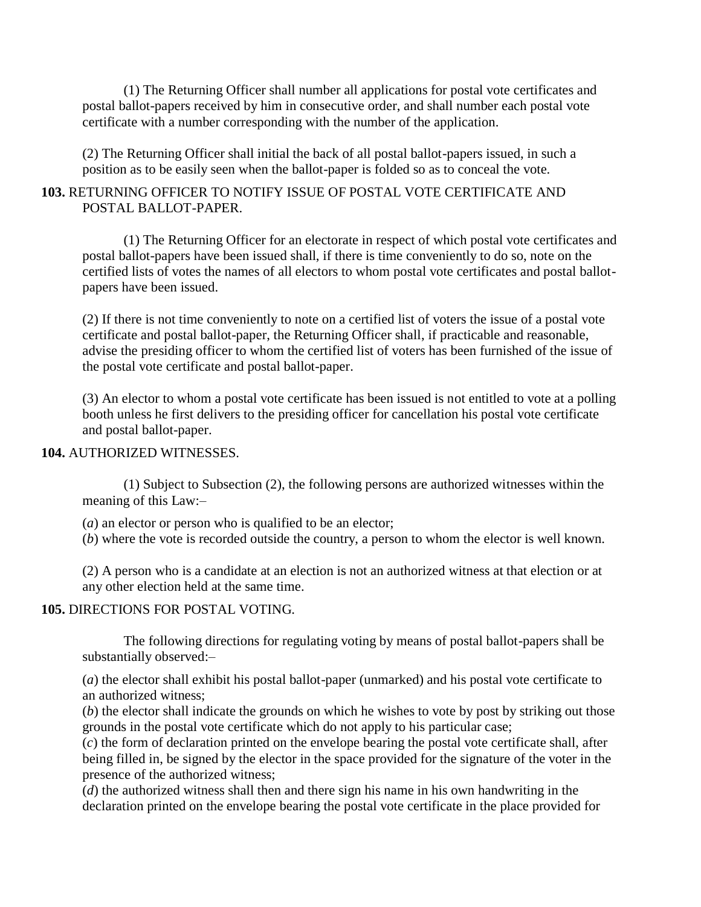(1) The Returning Officer shall number all applications for postal vote certificates and postal ballot-papers received by him in consecutive order, and shall number each postal vote certificate with a number corresponding with the number of the application.

(2) The Returning Officer shall initial the back of all postal ballot-papers issued, in such a position as to be easily seen when the ballot-paper is folded so as to conceal the vote.

## **103.** RETURNING OFFICER TO NOTIFY ISSUE OF POSTAL VOTE CERTIFICATE AND POSTAL BALLOT-PAPER.

(1) The Returning Officer for an electorate in respect of which postal vote certificates and postal ballot-papers have been issued shall, if there is time conveniently to do so, note on the certified lists of votes the names of all electors to whom postal vote certificates and postal ballotpapers have been issued.

(2) If there is not time conveniently to note on a certified list of voters the issue of a postal vote certificate and postal ballot-paper, the Returning Officer shall, if practicable and reasonable, advise the presiding officer to whom the certified list of voters has been furnished of the issue of the postal vote certificate and postal ballot-paper.

(3) An elector to whom a postal vote certificate has been issued is not entitled to vote at a polling booth unless he first delivers to the presiding officer for cancellation his postal vote certificate and postal ballot-paper.

#### **104.** AUTHORIZED WITNESSES.

(1) Subject to Subsection (2), the following persons are authorized witnesses within the meaning of this Law:–

(*a*) an elector or person who is qualified to be an elector;

(*b*) where the vote is recorded outside the country, a person to whom the elector is well known.

(2) A person who is a candidate at an election is not an authorized witness at that election or at any other election held at the same time.

## **105.** DIRECTIONS FOR POSTAL VOTING.

The following directions for regulating voting by means of postal ballot-papers shall be substantially observed:–

(*a*) the elector shall exhibit his postal ballot-paper (unmarked) and his postal vote certificate to an authorized witness;

(*b*) the elector shall indicate the grounds on which he wishes to vote by post by striking out those grounds in the postal vote certificate which do not apply to his particular case;

(*c*) the form of declaration printed on the envelope bearing the postal vote certificate shall, after being filled in, be signed by the elector in the space provided for the signature of the voter in the presence of the authorized witness;

(*d*) the authorized witness shall then and there sign his name in his own handwriting in the declaration printed on the envelope bearing the postal vote certificate in the place provided for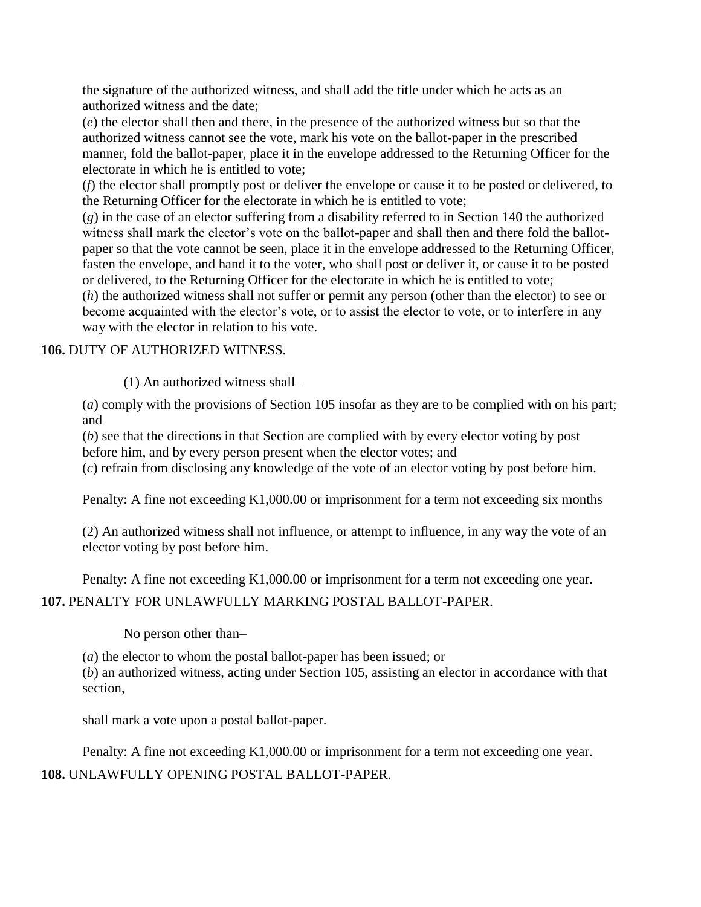the signature of the authorized witness, and shall add the title under which he acts as an authorized witness and the date;

(*e*) the elector shall then and there, in the presence of the authorized witness but so that the authorized witness cannot see the vote, mark his vote on the ballot-paper in the prescribed manner, fold the ballot-paper, place it in the envelope addressed to the Returning Officer for the electorate in which he is entitled to vote;

(*f*) the elector shall promptly post or deliver the envelope or cause it to be posted or delivered, to the Returning Officer for the electorate in which he is entitled to vote;

(*g*) in the case of an elector suffering from a disability referred to in Section 140 the authorized witness shall mark the elector's vote on the ballot-paper and shall then and there fold the ballotpaper so that the vote cannot be seen, place it in the envelope addressed to the Returning Officer, fasten the envelope, and hand it to the voter, who shall post or deliver it, or cause it to be posted or delivered, to the Returning Officer for the electorate in which he is entitled to vote;

(*h*) the authorized witness shall not suffer or permit any person (other than the elector) to see or become acquainted with the elector's vote, or to assist the elector to vote, or to interfere in any way with the elector in relation to his vote.

## **106.** DUTY OF AUTHORIZED WITNESS.

(1) An authorized witness shall–

(*a*) comply with the provisions of Section 105 insofar as they are to be complied with on his part; and

(*b*) see that the directions in that Section are complied with by every elector voting by post before him, and by every person present when the elector votes; and

(*c*) refrain from disclosing any knowledge of the vote of an elector voting by post before him.

Penalty: A fine not exceeding K1,000.00 or imprisonment for a term not exceeding six months

(2) An authorized witness shall not influence, or attempt to influence, in any way the vote of an elector voting by post before him.

Penalty: A fine not exceeding K1,000.00 or imprisonment for a term not exceeding one year.

## **107.** PENALTY FOR UNLAWFULLY MARKING POSTAL BALLOT-PAPER.

No person other than–

(*a*) the elector to whom the postal ballot-paper has been issued; or

(*b*) an authorized witness, acting under Section 105, assisting an elector in accordance with that section,

shall mark a vote upon a postal ballot-paper.

Penalty: A fine not exceeding K1,000.00 or imprisonment for a term not exceeding one year.

**108.** UNLAWFULLY OPENING POSTAL BALLOT-PAPER.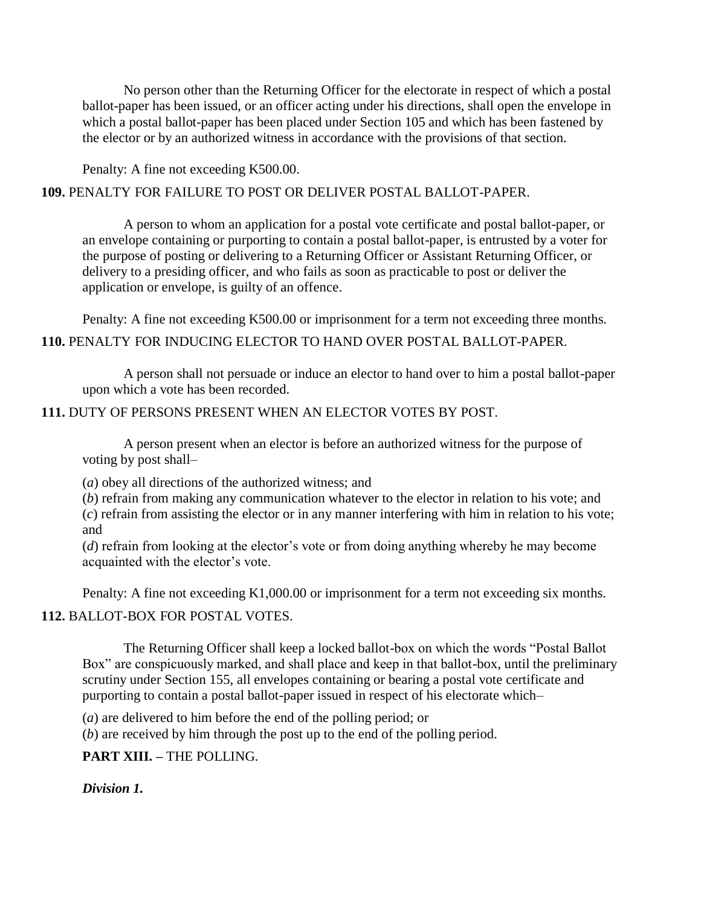No person other than the Returning Officer for the electorate in respect of which a postal ballot-paper has been issued, or an officer acting under his directions, shall open the envelope in which a postal ballot-paper has been placed under Section 105 and which has been fastened by the elector or by an authorized witness in accordance with the provisions of that section.

Penalty: A fine not exceeding K500.00.

## **109.** PENALTY FOR FAILURE TO POST OR DELIVER POSTAL BALLOT-PAPER.

A person to whom an application for a postal vote certificate and postal ballot-paper, or an envelope containing or purporting to contain a postal ballot-paper, is entrusted by a voter for the purpose of posting or delivering to a Returning Officer or Assistant Returning Officer, or delivery to a presiding officer, and who fails as soon as practicable to post or deliver the application or envelope, is guilty of an offence.

Penalty: A fine not exceeding K500.00 or imprisonment for a term not exceeding three months. **110.** PENALTY FOR INDUCING ELECTOR TO HAND OVER POSTAL BALLOT-PAPER.

A person shall not persuade or induce an elector to hand over to him a postal ballot-paper upon which a vote has been recorded.

## **111.** DUTY OF PERSONS PRESENT WHEN AN ELECTOR VOTES BY POST.

A person present when an elector is before an authorized witness for the purpose of voting by post shall–

(*a*) obey all directions of the authorized witness; and

(*b*) refrain from making any communication whatever to the elector in relation to his vote; and

(*c*) refrain from assisting the elector or in any manner interfering with him in relation to his vote; and

(*d*) refrain from looking at the elector's vote or from doing anything whereby he may become acquainted with the elector"s vote.

Penalty: A fine not exceeding K1,000.00 or imprisonment for a term not exceeding six months.

## **112.** BALLOT-BOX FOR POSTAL VOTES.

The Returning Officer shall keep a locked ballot-box on which the words "Postal Ballot Box" are conspicuously marked, and shall place and keep in that ballot-box, until the preliminary scrutiny under Section 155, all envelopes containing or bearing a postal vote certificate and purporting to contain a postal ballot-paper issued in respect of his electorate which–

(*a*) are delivered to him before the end of the polling period; or

(*b*) are received by him through the post up to the end of the polling period.

**PART XIII. –** THE POLLING.

*Division 1.*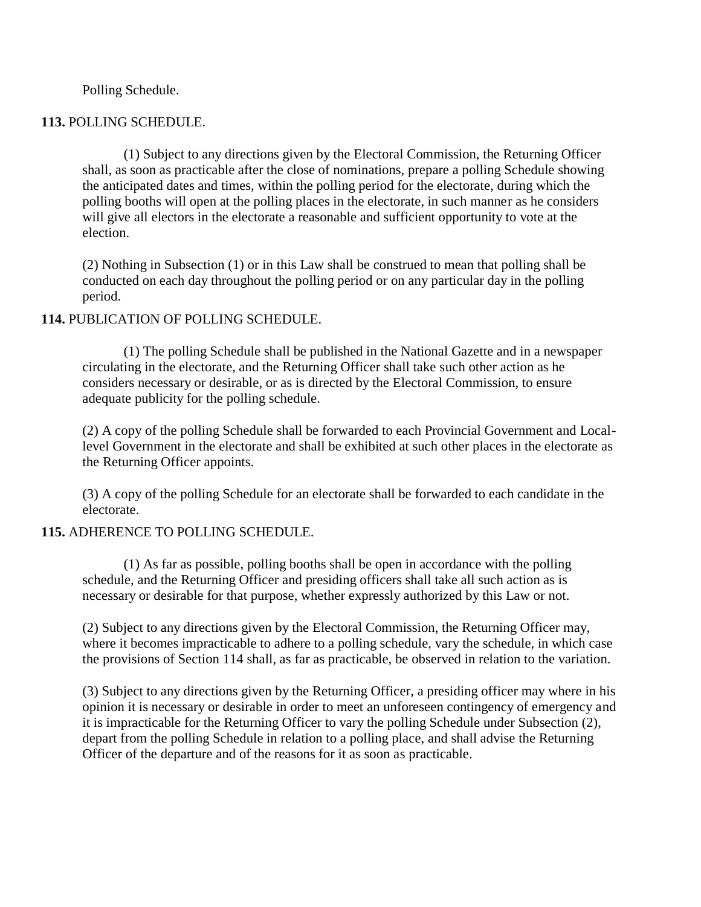#### Polling Schedule.

#### **113.** POLLING SCHEDULE.

(1) Subject to any directions given by the Electoral Commission, the Returning Officer shall, as soon as practicable after the close of nominations, prepare a polling Schedule showing the anticipated dates and times, within the polling period for the electorate, during which the polling booths will open at the polling places in the electorate, in such manner as he considers will give all electors in the electorate a reasonable and sufficient opportunity to vote at the election.

(2) Nothing in Subsection (1) or in this Law shall be construed to mean that polling shall be conducted on each day throughout the polling period or on any particular day in the polling period.

#### **114.** PUBLICATION OF POLLING SCHEDULE.

(1) The polling Schedule shall be published in the National Gazette and in a newspaper circulating in the electorate, and the Returning Officer shall take such other action as he considers necessary or desirable, or as is directed by the Electoral Commission, to ensure adequate publicity for the polling schedule.

(2) A copy of the polling Schedule shall be forwarded to each Provincial Government and Locallevel Government in the electorate and shall be exhibited at such other places in the electorate as the Returning Officer appoints.

(3) A copy of the polling Schedule for an electorate shall be forwarded to each candidate in the electorate.

#### **115.** ADHERENCE TO POLLING SCHEDULE.

(1) As far as possible, polling booths shall be open in accordance with the polling schedule, and the Returning Officer and presiding officers shall take all such action as is necessary or desirable for that purpose, whether expressly authorized by this Law or not.

(2) Subject to any directions given by the Electoral Commission, the Returning Officer may, where it becomes impracticable to adhere to a polling schedule, vary the schedule, in which case the provisions of Section 114 shall, as far as practicable, be observed in relation to the variation.

(3) Subject to any directions given by the Returning Officer, a presiding officer may where in his opinion it is necessary or desirable in order to meet an unforeseen contingency of emergency and it is impracticable for the Returning Officer to vary the polling Schedule under Subsection (2), depart from the polling Schedule in relation to a polling place, and shall advise the Returning Officer of the departure and of the reasons for it as soon as practicable.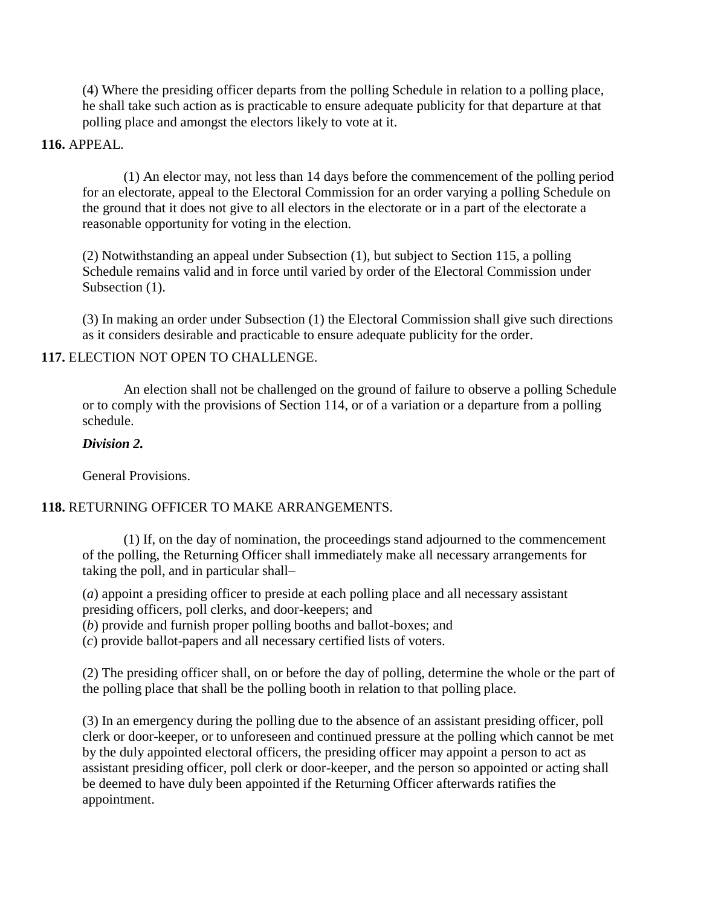(4) Where the presiding officer departs from the polling Schedule in relation to a polling place, he shall take such action as is practicable to ensure adequate publicity for that departure at that polling place and amongst the electors likely to vote at it.

### **116.** APPEAL.

(1) An elector may, not less than 14 days before the commencement of the polling period for an electorate, appeal to the Electoral Commission for an order varying a polling Schedule on the ground that it does not give to all electors in the electorate or in a part of the electorate a reasonable opportunity for voting in the election.

(2) Notwithstanding an appeal under Subsection (1), but subject to Section 115, a polling Schedule remains valid and in force until varied by order of the Electoral Commission under Subsection  $(1)$ .

(3) In making an order under Subsection (1) the Electoral Commission shall give such directions as it considers desirable and practicable to ensure adequate publicity for the order.

#### **117.** ELECTION NOT OPEN TO CHALLENGE.

An election shall not be challenged on the ground of failure to observe a polling Schedule or to comply with the provisions of Section 114, or of a variation or a departure from a polling schedule.

### *Division 2.*

General Provisions.

## **118.** RETURNING OFFICER TO MAKE ARRANGEMENTS.

(1) If, on the day of nomination, the proceedings stand adjourned to the commencement of the polling, the Returning Officer shall immediately make all necessary arrangements for taking the poll, and in particular shall–

(*a*) appoint a presiding officer to preside at each polling place and all necessary assistant presiding officers, poll clerks, and door-keepers; and

(*b*) provide and furnish proper polling booths and ballot-boxes; and

(*c*) provide ballot-papers and all necessary certified lists of voters.

(2) The presiding officer shall, on or before the day of polling, determine the whole or the part of the polling place that shall be the polling booth in relation to that polling place.

(3) In an emergency during the polling due to the absence of an assistant presiding officer, poll clerk or door-keeper, or to unforeseen and continued pressure at the polling which cannot be met by the duly appointed electoral officers, the presiding officer may appoint a person to act as assistant presiding officer, poll clerk or door-keeper, and the person so appointed or acting shall be deemed to have duly been appointed if the Returning Officer afterwards ratifies the appointment.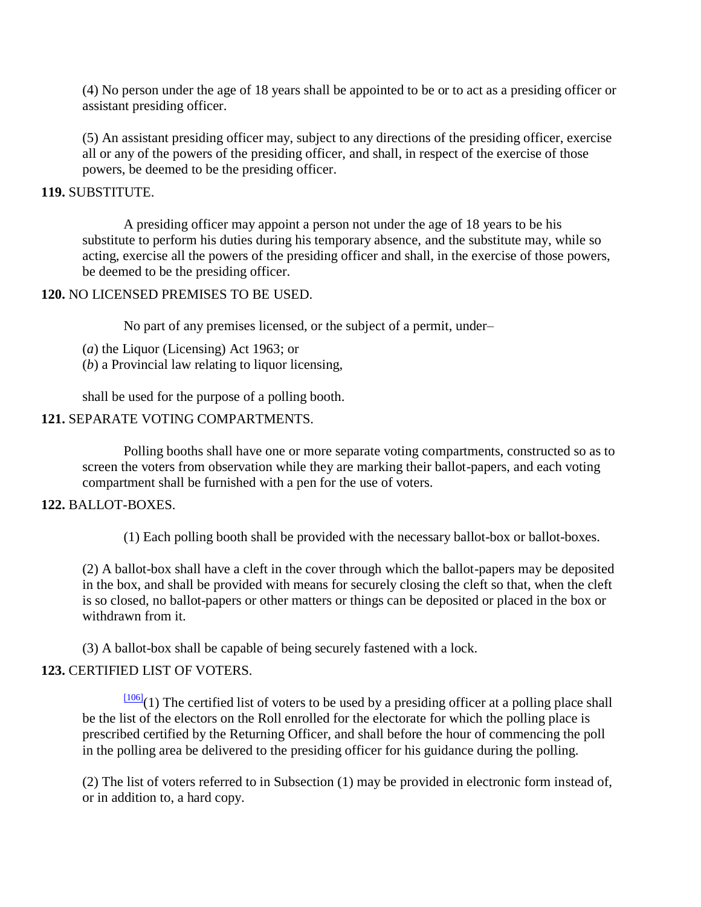(4) No person under the age of 18 years shall be appointed to be or to act as a presiding officer or assistant presiding officer.

(5) An assistant presiding officer may, subject to any directions of the presiding officer, exercise all or any of the powers of the presiding officer, and shall, in respect of the exercise of those powers, be deemed to be the presiding officer.

### **119.** SUBSTITUTE.

A presiding officer may appoint a person not under the age of 18 years to be his substitute to perform his duties during his temporary absence, and the substitute may, while so acting, exercise all the powers of the presiding officer and shall, in the exercise of those powers, be deemed to be the presiding officer.

### **120.** NO LICENSED PREMISES TO BE USED.

No part of any premises licensed, or the subject of a permit, under–

(*a*) the Liquor (Licensing) Act 1963; or

(*b*) a Provincial law relating to liquor licensing,

shall be used for the purpose of a polling booth.

### **121.** SEPARATE VOTING COMPARTMENTS.

Polling booths shall have one or more separate voting compartments, constructed so as to screen the voters from observation while they are marking their ballot-papers, and each voting compartment shall be furnished with a pen for the use of voters.

#### **122.** BALLOT-BOXES.

(1) Each polling booth shall be provided with the necessary ballot-box or ballot-boxes.

(2) A ballot-box shall have a cleft in the cover through which the ballot-papers may be deposited in the box, and shall be provided with means for securely closing the cleft so that, when the cleft is so closed, no ballot-papers or other matters or things can be deposited or placed in the box or withdrawn from it.

(3) A ballot-box shall be capable of being securely fastened with a lock.

## **123.** CERTIFIED LIST OF VOTERS.

 $\frac{[106]}{[106]}$  $\frac{[106]}{[106]}$  $\frac{[106]}{[106]}$ (1) The certified list of voters to be used by a presiding officer at a polling place shall be the list of the electors on the Roll enrolled for the electorate for which the polling place is prescribed certified by the Returning Officer, and shall before the hour of commencing the poll in the polling area be delivered to the presiding officer for his guidance during the polling.

(2) The list of voters referred to in Subsection (1) may be provided in electronic form instead of, or in addition to, a hard copy.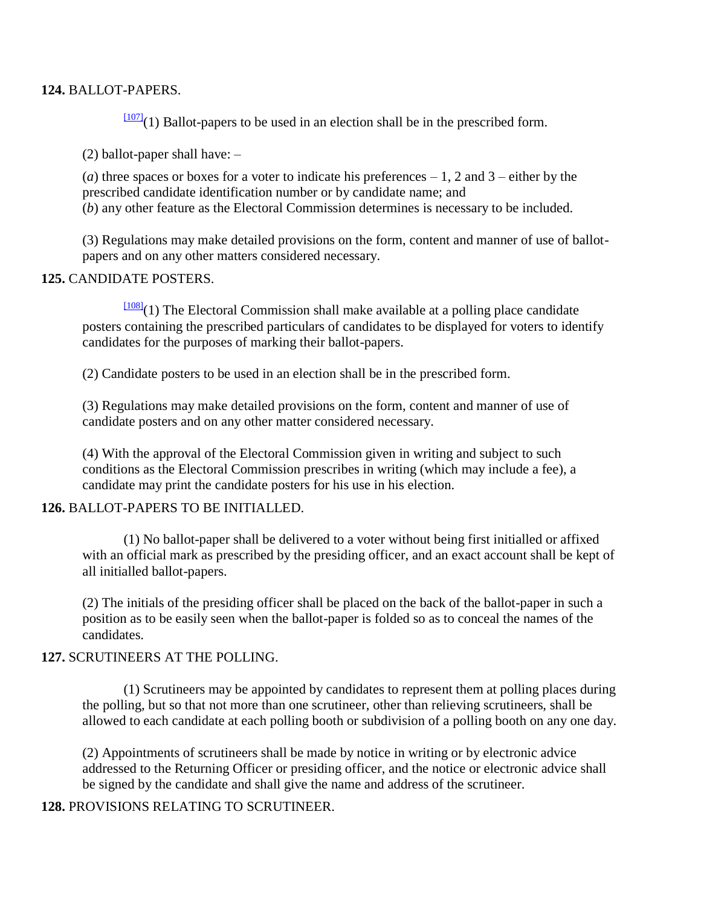#### **124.** BALLOT-PAPERS.

 $\frac{[107]}{[107]}(1)$  $\frac{[107]}{[107]}(1)$  $\frac{[107]}{[107]}(1)$  Ballot-papers to be used in an election shall be in the prescribed form.

(2) ballot-paper shall have: –

(*a*) three spaces or boxes for a voter to indicate his preferences  $-1$ , 2 and 3 – either by the prescribed candidate identification number or by candidate name; and (*b*) any other feature as the Electoral Commission determines is necessary to be included.

(3) Regulations may make detailed provisions on the form, content and manner of use of ballotpapers and on any other matters considered necessary.

#### **125.** CANDIDATE POSTERS.

 $\frac{[108]}{(1)}$  $\frac{[108]}{(1)}$  $\frac{[108]}{(1)}$  The Electoral Commission shall make available at a polling place candidate posters containing the prescribed particulars of candidates to be displayed for voters to identify candidates for the purposes of marking their ballot-papers.

(2) Candidate posters to be used in an election shall be in the prescribed form.

(3) Regulations may make detailed provisions on the form, content and manner of use of candidate posters and on any other matter considered necessary.

(4) With the approval of the Electoral Commission given in writing and subject to such conditions as the Electoral Commission prescribes in writing (which may include a fee), a candidate may print the candidate posters for his use in his election.

#### **126.** BALLOT-PAPERS TO BE INITIALLED.

(1) No ballot-paper shall be delivered to a voter without being first initialled or affixed with an official mark as prescribed by the presiding officer, and an exact account shall be kept of all initialled ballot-papers.

(2) The initials of the presiding officer shall be placed on the back of the ballot-paper in such a position as to be easily seen when the ballot-paper is folded so as to conceal the names of the candidates.

#### **127.** SCRUTINEERS AT THE POLLING.

(1) Scrutineers may be appointed by candidates to represent them at polling places during the polling, but so that not more than one scrutineer, other than relieving scrutineers, shall be allowed to each candidate at each polling booth or subdivision of a polling booth on any one day.

(2) Appointments of scrutineers shall be made by notice in writing or by electronic advice addressed to the Returning Officer or presiding officer, and the notice or electronic advice shall be signed by the candidate and shall give the name and address of the scrutineer.

## **128.** PROVISIONS RELATING TO SCRUTINEER.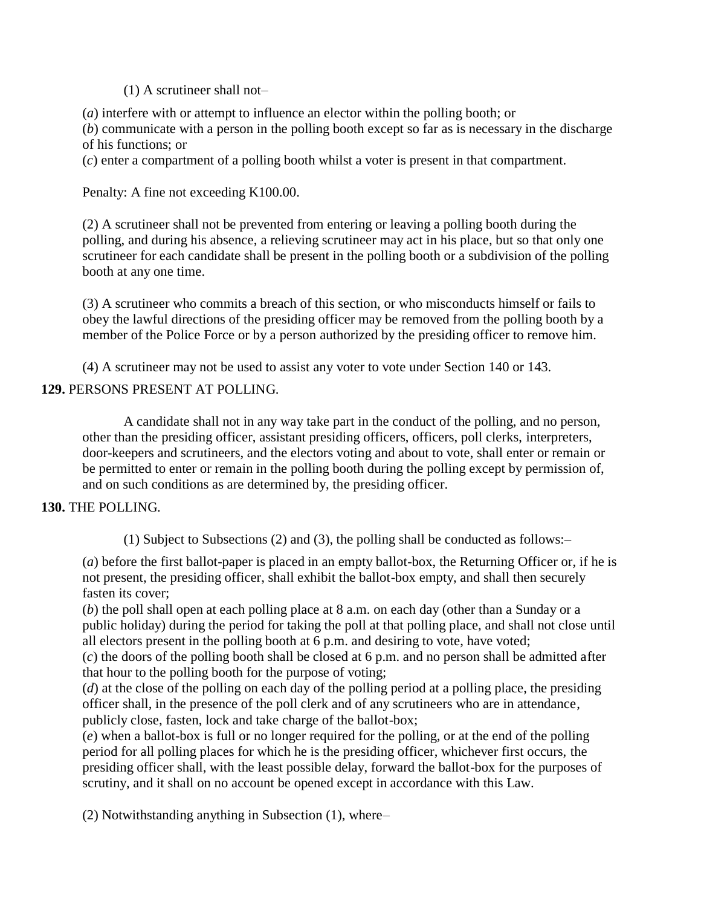(1) A scrutineer shall not–

(*a*) interfere with or attempt to influence an elector within the polling booth; or

(*b*) communicate with a person in the polling booth except so far as is necessary in the discharge of his functions; or

(*c*) enter a compartment of a polling booth whilst a voter is present in that compartment.

Penalty: A fine not exceeding K100.00.

(2) A scrutineer shall not be prevented from entering or leaving a polling booth during the polling, and during his absence, a relieving scrutineer may act in his place, but so that only one scrutineer for each candidate shall be present in the polling booth or a subdivision of the polling booth at any one time.

(3) A scrutineer who commits a breach of this section, or who misconducts himself or fails to obey the lawful directions of the presiding officer may be removed from the polling booth by a member of the Police Force or by a person authorized by the presiding officer to remove him.

(4) A scrutineer may not be used to assist any voter to vote under Section 140 or 143.

## **129.** PERSONS PRESENT AT POLLING.

A candidate shall not in any way take part in the conduct of the polling, and no person, other than the presiding officer, assistant presiding officers, officers, poll clerks, interpreters, door-keepers and scrutineers, and the electors voting and about to vote, shall enter or remain or be permitted to enter or remain in the polling booth during the polling except by permission of, and on such conditions as are determined by, the presiding officer.

## **130.** THE POLLING.

(1) Subject to Subsections (2) and (3), the polling shall be conducted as follows:–

(*a*) before the first ballot-paper is placed in an empty ballot-box, the Returning Officer or, if he is not present, the presiding officer, shall exhibit the ballot-box empty, and shall then securely fasten its cover;

(*b*) the poll shall open at each polling place at 8 a.m. on each day (other than a Sunday or a public holiday) during the period for taking the poll at that polling place, and shall not close until all electors present in the polling booth at 6 p.m. and desiring to vote, have voted;

(*c*) the doors of the polling booth shall be closed at 6 p.m. and no person shall be admitted after that hour to the polling booth for the purpose of voting;

(*d*) at the close of the polling on each day of the polling period at a polling place, the presiding officer shall, in the presence of the poll clerk and of any scrutineers who are in attendance, publicly close, fasten, lock and take charge of the ballot-box;

(*e*) when a ballot-box is full or no longer required for the polling, or at the end of the polling period for all polling places for which he is the presiding officer, whichever first occurs, the presiding officer shall, with the least possible delay, forward the ballot-box for the purposes of scrutiny, and it shall on no account be opened except in accordance with this Law.

(2) Notwithstanding anything in Subsection (1), where–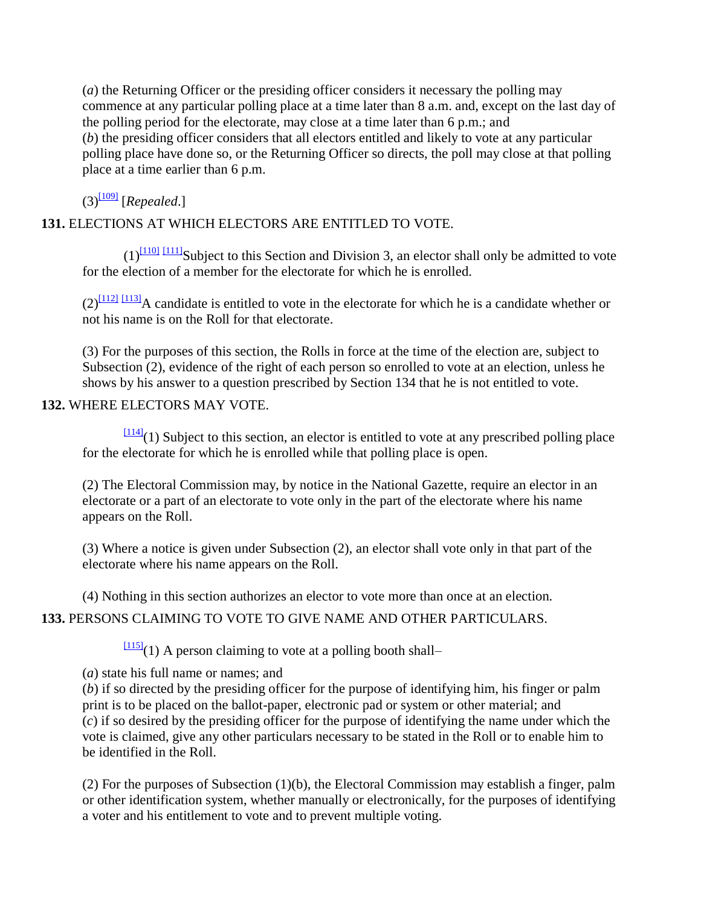(*a*) the Returning Officer or the presiding officer considers it necessary the polling may commence at any particular polling place at a time later than 8 a.m. and, except on the last day of the polling period for the electorate, may close at a time later than 6 p.m.; and (*b*) the presiding officer considers that all electors entitled and likely to vote at any particular polling place have done so, or the Returning Officer so directs, the poll may close at that polling place at a time earlier than 6 p.m.

 $(3)^{1091}$  [*Repealed.*]

## **131.** ELECTIONS AT WHICH ELECTORS ARE ENTITLED TO VOTE.

 $(1)$ <sup>[\[110\]](http://www.paclii.org/pg/legis/consol_act/olonalge519/#fn110)</sup> [\[111\]](http://www.paclii.org/pg/legis/consol_act/olonalge519/#fn111) Subject to this Section and Division 3, an elector shall only be admitted to vote for the election of a member for the electorate for which he is enrolled.

 $(2)^{\boxed{112}}$   $\boxed{113}$  A candidate is entitled to vote in the electorate for which he is a candidate whether or not his name is on the Roll for that electorate.

(3) For the purposes of this section, the Rolls in force at the time of the election are, subject to Subsection (2), evidence of the right of each person so enrolled to vote at an election, unless he shows by his answer to a question prescribed by Section 134 that he is not entitled to vote.

## **132.** WHERE ELECTORS MAY VOTE.

 $\frac{[114]}{(1)}$  $\frac{[114]}{(1)}$  $\frac{[114]}{(1)}$  Subject to this section, an elector is entitled to vote at any prescribed polling place for the electorate for which he is enrolled while that polling place is open.

(2) The Electoral Commission may, by notice in the National Gazette, require an elector in an electorate or a part of an electorate to vote only in the part of the electorate where his name appears on the Roll.

(3) Where a notice is given under Subsection (2), an elector shall vote only in that part of the electorate where his name appears on the Roll.

(4) Nothing in this section authorizes an elector to vote more than once at an election.

# **133.** PERSONS CLAIMING TO VOTE TO GIVE NAME AND OTHER PARTICULARS.

 $\frac{[115]}{[115]}$  $\frac{[115]}{[115]}$  $\frac{[115]}{[115]}$ (1) A person claiming to vote at a polling booth shall–

(*a*) state his full name or names; and

(*b*) if so directed by the presiding officer for the purpose of identifying him, his finger or palm print is to be placed on the ballot-paper, electronic pad or system or other material; and (*c*) if so desired by the presiding officer for the purpose of identifying the name under which the vote is claimed, give any other particulars necessary to be stated in the Roll or to enable him to be identified in the Roll.

(2) For the purposes of Subsection (1)(b), the Electoral Commission may establish a finger, palm or other identification system, whether manually or electronically, for the purposes of identifying a voter and his entitlement to vote and to prevent multiple voting.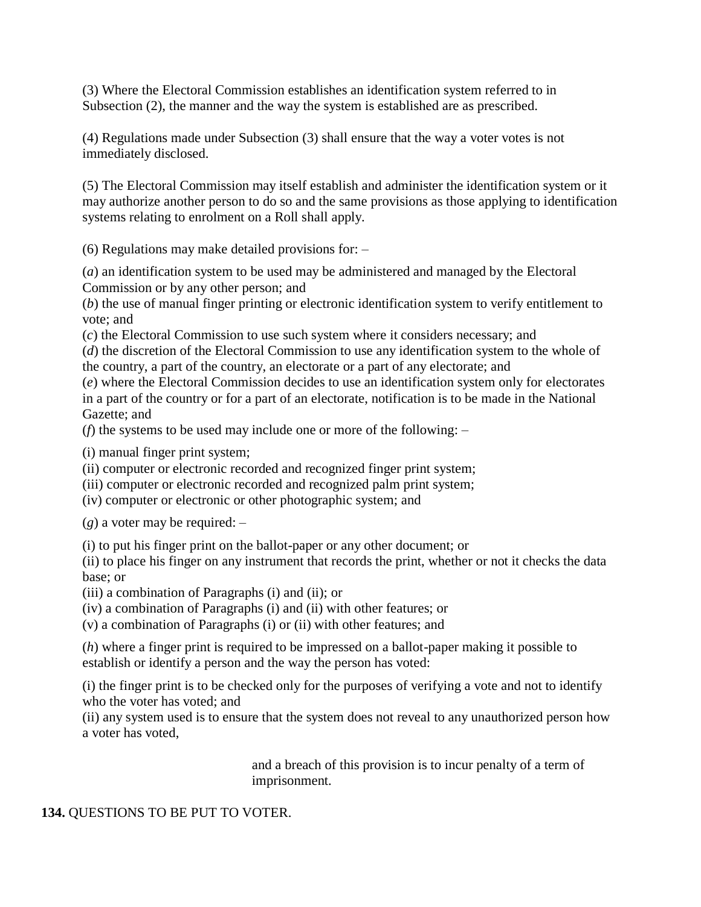(3) Where the Electoral Commission establishes an identification system referred to in Subsection (2), the manner and the way the system is established are as prescribed.

(4) Regulations made under Subsection (3) shall ensure that the way a voter votes is not immediately disclosed.

(5) The Electoral Commission may itself establish and administer the identification system or it may authorize another person to do so and the same provisions as those applying to identification systems relating to enrolment on a Roll shall apply.

(6) Regulations may make detailed provisions for: –

(*a*) an identification system to be used may be administered and managed by the Electoral Commission or by any other person; and

(*b*) the use of manual finger printing or electronic identification system to verify entitlement to vote; and

(*c*) the Electoral Commission to use such system where it considers necessary; and

(*d*) the discretion of the Electoral Commission to use any identification system to the whole of the country, a part of the country, an electorate or a part of any electorate; and

(*e*) where the Electoral Commission decides to use an identification system only for electorates in a part of the country or for a part of an electorate, notification is to be made in the National Gazette; and

(*f*) the systems to be used may include one or more of the following: –

(i) manual finger print system;

(ii) computer or electronic recorded and recognized finger print system;

(iii) computer or electronic recorded and recognized palm print system;

(iv) computer or electronic or other photographic system; and

(*g*) a voter may be required: –

(i) to put his finger print on the ballot-paper or any other document; or

(ii) to place his finger on any instrument that records the print, whether or not it checks the data base; or

(iii) a combination of Paragraphs (i) and (ii); or

(iv) a combination of Paragraphs (i) and (ii) with other features; or

(v) a combination of Paragraphs (i) or (ii) with other features; and

(*h*) where a finger print is required to be impressed on a ballot-paper making it possible to establish or identify a person and the way the person has voted:

(i) the finger print is to be checked only for the purposes of verifying a vote and not to identify who the voter has voted; and

(ii) any system used is to ensure that the system does not reveal to any unauthorized person how a voter has voted,

> and a breach of this provision is to incur penalty of a term of imprisonment.

## **134.** QUESTIONS TO BE PUT TO VOTER.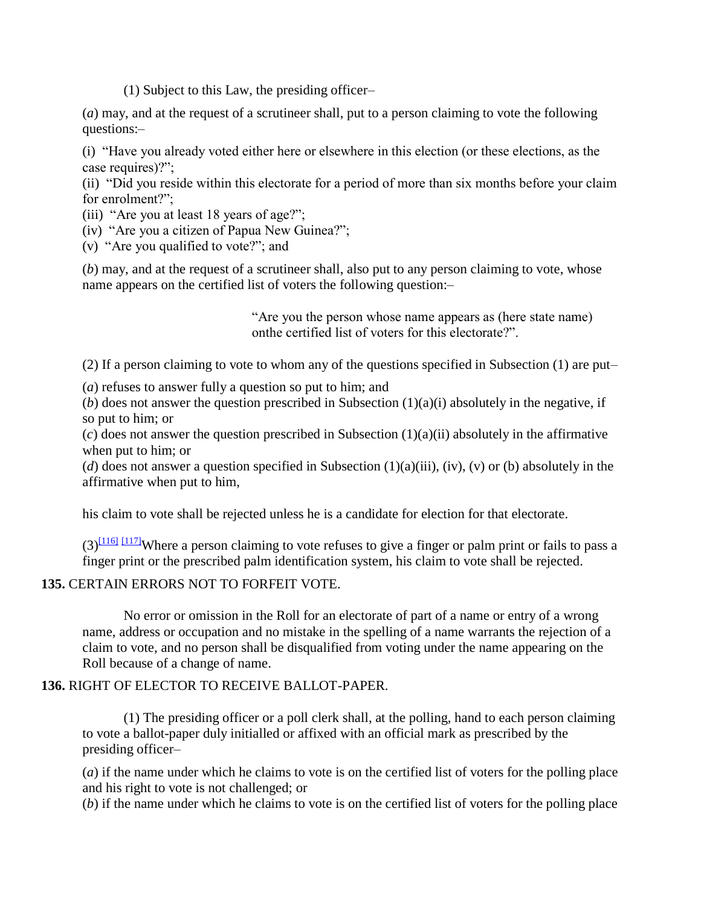(1) Subject to this Law, the presiding officer–

(*a*) may, and at the request of a scrutineer shall, put to a person claiming to vote the following questions:–

(i) "Have you already voted either here or elsewhere in this election (or these elections, as the case requires)?";

(ii) "Did you reside within this electorate for a period of more than six months before your claim for enrolment?";

- (iii) "Are you at least 18 years of age?";
- (iv) "Are you a citizen of Papua New Guinea?";
- (v) "Are you qualified to vote?"; and

(*b*) may, and at the request of a scrutineer shall, also put to any person claiming to vote, whose name appears on the certified list of voters the following question:–

> "Are you the person whose name appears as (here state name) onthe certified list of voters for this electorate?".

(2) If a person claiming to vote to whom any of the questions specified in Subsection (1) are put–

(*a*) refuses to answer fully a question so put to him; and

(*b*) does not answer the question prescribed in Subsection  $(1)(a)(i)$  absolutely in the negative, if so put to him; or

(*c*) does not answer the question prescribed in Subsection (1)(a)(ii) absolutely in the affirmative when put to him; or

(*d*) does not answer a question specified in Subsection  $(1)(a)(iii)$ ,  $(iv)$ ,  $(v)$  or  $(b)$  absolutely in the affirmative when put to him,

his claim to vote shall be rejected unless he is a candidate for election for that electorate.

 $(3)$ <sup>[\[116\]](http://www.paclii.org/pg/legis/consol_act/olonalge519/#fn116)</sup> [\[117\]](http://www.paclii.org/pg/legis/consol_act/olonalge519/#fn117) Where a person claiming to vote refuses to give a finger or palm print or fails to pass a finger print or the prescribed palm identification system, his claim to vote shall be rejected.

#### **135.** CERTAIN ERRORS NOT TO FORFEIT VOTE.

No error or omission in the Roll for an electorate of part of a name or entry of a wrong name, address or occupation and no mistake in the spelling of a name warrants the rejection of a claim to vote, and no person shall be disqualified from voting under the name appearing on the Roll because of a change of name.

## **136.** RIGHT OF ELECTOR TO RECEIVE BALLOT-PAPER.

(1) The presiding officer or a poll clerk shall, at the polling, hand to each person claiming to vote a ballot-paper duly initialled or affixed with an official mark as prescribed by the presiding officer–

(*a*) if the name under which he claims to vote is on the certified list of voters for the polling place and his right to vote is not challenged; or

(*b*) if the name under which he claims to vote is on the certified list of voters for the polling place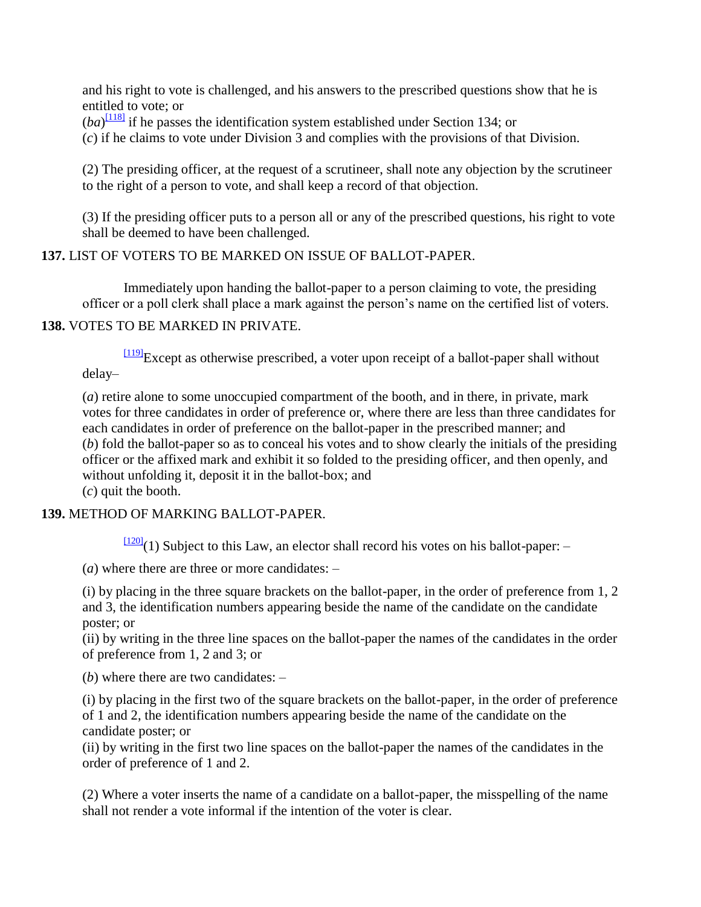and his right to vote is challenged, and his answers to the prescribed questions show that he is entitled to vote; or

 $(ba)^{[118]}$  $(ba)^{[118]}$  $(ba)^{[118]}$  if he passes the identification system established under Section 134; or

(*c*) if he claims to vote under Division 3 and complies with the provisions of that Division.

(2) The presiding officer, at the request of a scrutineer, shall note any objection by the scrutineer to the right of a person to vote, and shall keep a record of that objection.

(3) If the presiding officer puts to a person all or any of the prescribed questions, his right to vote shall be deemed to have been challenged.

### **137.** LIST OF VOTERS TO BE MARKED ON ISSUE OF BALLOT-PAPER.

Immediately upon handing the ballot-paper to a person claiming to vote, the presiding officer or a poll clerk shall place a mark against the person"s name on the certified list of voters.

#### **138.** VOTES TO BE MARKED IN PRIVATE.

 $\frac{[119]}{[119]}$  $\frac{[119]}{[119]}$  $\frac{[119]}{[119]}$ Except as otherwise prescribed, a voter upon receipt of a ballot-paper shall without delay–

(*a*) retire alone to some unoccupied compartment of the booth, and in there, in private, mark votes for three candidates in order of preference or, where there are less than three candidates for each candidates in order of preference on the ballot-paper in the prescribed manner; and (*b*) fold the ballot-paper so as to conceal his votes and to show clearly the initials of the presiding officer or the affixed mark and exhibit it so folded to the presiding officer, and then openly, and without unfolding it, deposit it in the ballot-box; and (*c*) quit the booth.

#### **139.** METHOD OF MARKING BALLOT-PAPER.

 $\frac{[120]}{[120]}(1)$  $\frac{[120]}{[120]}(1)$  $\frac{[120]}{[120]}(1)$  Subject to this Law, an elector shall record his votes on his ballot-paper: -

(*a*) where there are three or more candidates: –

(i) by placing in the three square brackets on the ballot-paper, in the order of preference from 1, 2 and 3, the identification numbers appearing beside the name of the candidate on the candidate poster; or

(ii) by writing in the three line spaces on the ballot-paper the names of the candidates in the order of preference from 1, 2 and 3; or

(*b*) where there are two candidates: –

(i) by placing in the first two of the square brackets on the ballot-paper, in the order of preference of 1 and 2, the identification numbers appearing beside the name of the candidate on the candidate poster; or

(ii) by writing in the first two line spaces on the ballot-paper the names of the candidates in the order of preference of 1 and 2.

(2) Where a voter inserts the name of a candidate on a ballot-paper, the misspelling of the name shall not render a vote informal if the intention of the voter is clear.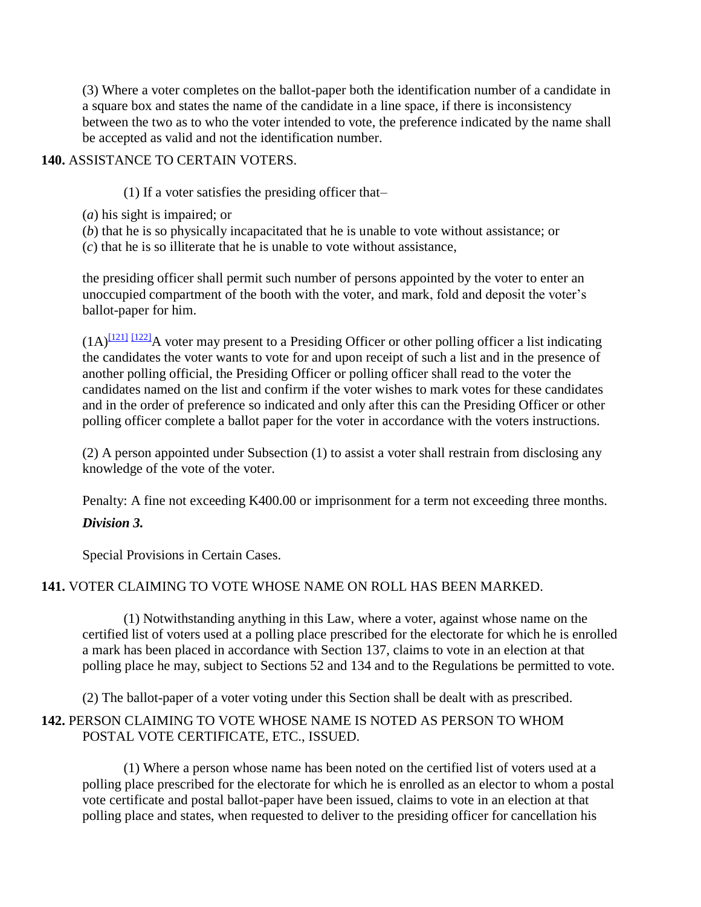(3) Where a voter completes on the ballot-paper both the identification number of a candidate in a square box and states the name of the candidate in a line space, if there is inconsistency between the two as to who the voter intended to vote, the preference indicated by the name shall be accepted as valid and not the identification number.

### **140.** ASSISTANCE TO CERTAIN VOTERS.

(1) If a voter satisfies the presiding officer that–

- (*a*) his sight is impaired; or
- (*b*) that he is so physically incapacitated that he is unable to vote without assistance; or
- (*c*) that he is so illiterate that he is unable to vote without assistance,

the presiding officer shall permit such number of persons appointed by the voter to enter an unoccupied compartment of the booth with the voter, and mark, fold and deposit the voter"s ballot-paper for him.

 $(1A)^{[121]}$  $(1A)^{[121]}$  $(1A)^{[121]}$   $[122]$ A voter may present to a Presiding Officer or other polling officer a list indicating the candidates the voter wants to vote for and upon receipt of such a list and in the presence of another polling official, the Presiding Officer or polling officer shall read to the voter the candidates named on the list and confirm if the voter wishes to mark votes for these candidates and in the order of preference so indicated and only after this can the Presiding Officer or other polling officer complete a ballot paper for the voter in accordance with the voters instructions.

(2) A person appointed under Subsection (1) to assist a voter shall restrain from disclosing any knowledge of the vote of the voter.

Penalty: A fine not exceeding K400.00 or imprisonment for a term not exceeding three months.

## *Division 3.*

Special Provisions in Certain Cases.

## **141.** VOTER CLAIMING TO VOTE WHOSE NAME ON ROLL HAS BEEN MARKED.

(1) Notwithstanding anything in this Law, where a voter, against whose name on the certified list of voters used at a polling place prescribed for the electorate for which he is enrolled a mark has been placed in accordance with Section 137, claims to vote in an election at that polling place he may, subject to Sections 52 and 134 and to the Regulations be permitted to vote.

(2) The ballot-paper of a voter voting under this Section shall be dealt with as prescribed.

## **142.** PERSON CLAIMING TO VOTE WHOSE NAME IS NOTED AS PERSON TO WHOM POSTAL VOTE CERTIFICATE, ETC., ISSUED.

(1) Where a person whose name has been noted on the certified list of voters used at a polling place prescribed for the electorate for which he is enrolled as an elector to whom a postal vote certificate and postal ballot-paper have been issued, claims to vote in an election at that polling place and states, when requested to deliver to the presiding officer for cancellation his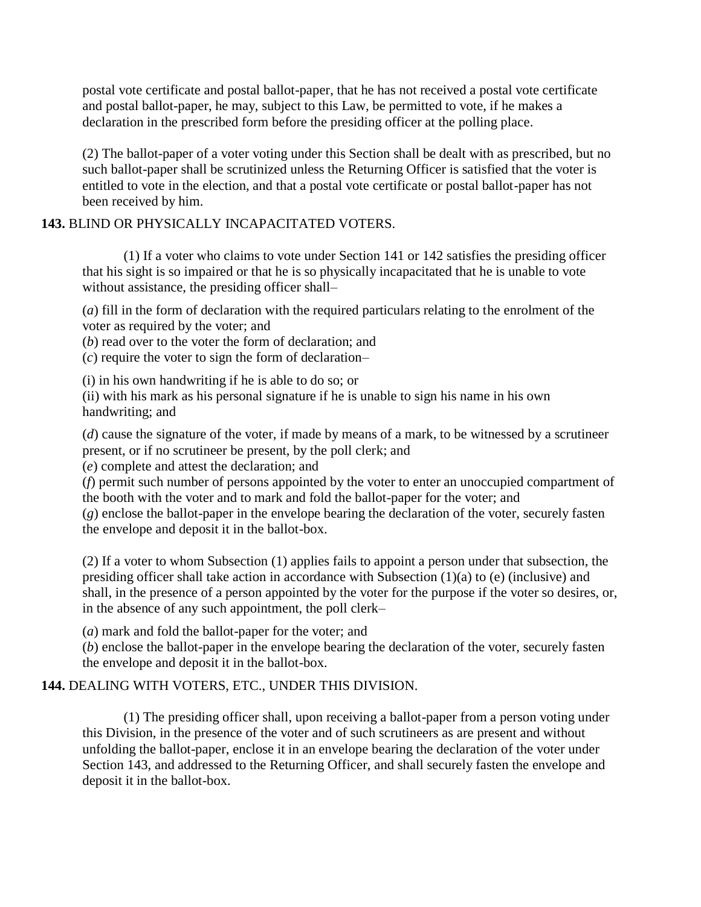postal vote certificate and postal ballot-paper, that he has not received a postal vote certificate and postal ballot-paper, he may, subject to this Law, be permitted to vote, if he makes a declaration in the prescribed form before the presiding officer at the polling place.

(2) The ballot-paper of a voter voting under this Section shall be dealt with as prescribed, but no such ballot-paper shall be scrutinized unless the Returning Officer is satisfied that the voter is entitled to vote in the election, and that a postal vote certificate or postal ballot-paper has not been received by him.

## **143.** BLIND OR PHYSICALLY INCAPACITATED VOTERS.

(1) If a voter who claims to vote under Section 141 or 142 satisfies the presiding officer that his sight is so impaired or that he is so physically incapacitated that he is unable to vote without assistance, the presiding officer shall–

(*a*) fill in the form of declaration with the required particulars relating to the enrolment of the voter as required by the voter; and

(*b*) read over to the voter the form of declaration; and

(*c*) require the voter to sign the form of declaration–

(i) in his own handwriting if he is able to do so; or

(ii) with his mark as his personal signature if he is unable to sign his name in his own handwriting; and

(*d*) cause the signature of the voter, if made by means of a mark, to be witnessed by a scrutineer present, or if no scrutineer be present, by the poll clerk; and

(*e*) complete and attest the declaration; and

(*f*) permit such number of persons appointed by the voter to enter an unoccupied compartment of the booth with the voter and to mark and fold the ballot-paper for the voter; and (*g*) enclose the ballot-paper in the envelope bearing the declaration of the voter, securely fasten the envelope and deposit it in the ballot-box.

(2) If a voter to whom Subsection (1) applies fails to appoint a person under that subsection, the presiding officer shall take action in accordance with Subsection (1)(a) to (e) (inclusive) and shall, in the presence of a person appointed by the voter for the purpose if the voter so desires, or, in the absence of any such appointment, the poll clerk–

(*a*) mark and fold the ballot-paper for the voter; and

(*b*) enclose the ballot-paper in the envelope bearing the declaration of the voter, securely fasten the envelope and deposit it in the ballot-box.

## **144.** DEALING WITH VOTERS, ETC., UNDER THIS DIVISION.

(1) The presiding officer shall, upon receiving a ballot-paper from a person voting under this Division, in the presence of the voter and of such scrutineers as are present and without unfolding the ballot-paper, enclose it in an envelope bearing the declaration of the voter under Section 143, and addressed to the Returning Officer, and shall securely fasten the envelope and deposit it in the ballot-box.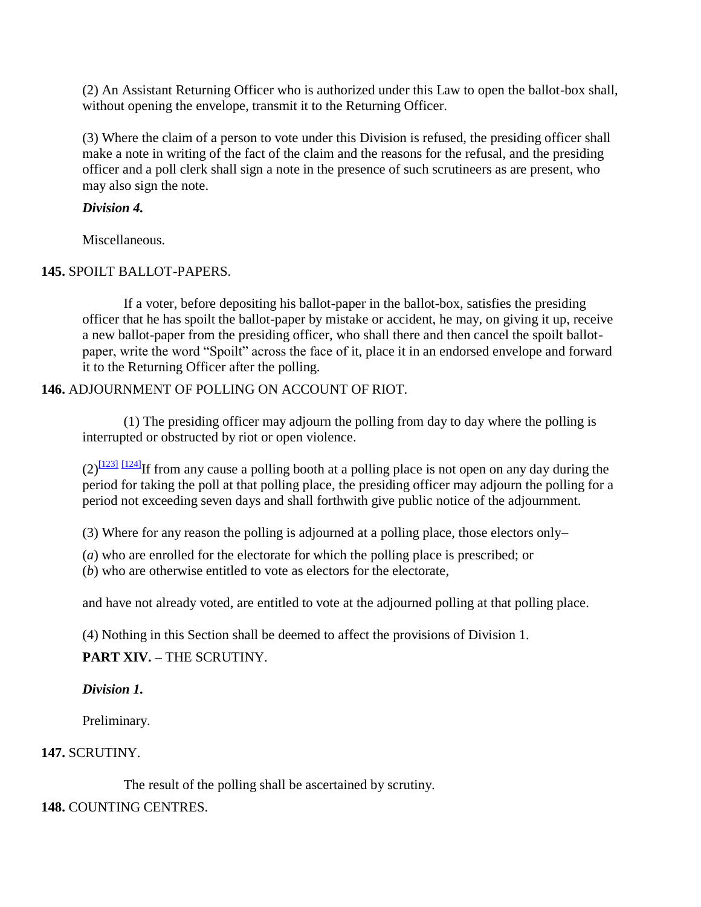(2) An Assistant Returning Officer who is authorized under this Law to open the ballot-box shall, without opening the envelope, transmit it to the Returning Officer.

(3) Where the claim of a person to vote under this Division is refused, the presiding officer shall make a note in writing of the fact of the claim and the reasons for the refusal, and the presiding officer and a poll clerk shall sign a note in the presence of such scrutineers as are present, who may also sign the note.

## *Division 4.*

Miscellaneous.

## **145.** SPOILT BALLOT-PAPERS.

If a voter, before depositing his ballot-paper in the ballot-box, satisfies the presiding officer that he has spoilt the ballot-paper by mistake or accident, he may, on giving it up, receive a new ballot-paper from the presiding officer, who shall there and then cancel the spoilt ballotpaper, write the word "Spoilt" across the face of it, place it in an endorsed envelope and forward it to the Returning Officer after the polling.

## **146.** ADJOURNMENT OF POLLING ON ACCOUNT OF RIOT.

(1) The presiding officer may adjourn the polling from day to day where the polling is interrupted or obstructed by riot or open violence.

 $(2)^{\frac{[123]}{[124]}}$  $(2)^{\frac{[123]}{[124]}}$  $(2)^{\frac{[123]}{[124]}}$  $(2)^{\frac{[123]}{[124]}}$  $(2)^{\frac{[123]}{[124]}}$ If from any cause a polling booth at a polling place is not open on any day during the period for taking the poll at that polling place, the presiding officer may adjourn the polling for a period not exceeding seven days and shall forthwith give public notice of the adjournment.

(3) Where for any reason the polling is adjourned at a polling place, those electors only–

(*a*) who are enrolled for the electorate for which the polling place is prescribed; or

(*b*) who are otherwise entitled to vote as electors for the electorate,

and have not already voted, are entitled to vote at the adjourned polling at that polling place.

(4) Nothing in this Section shall be deemed to affect the provisions of Division 1.

**PART XIV. –** THE SCRUTINY.

*Division 1.*

Preliminary.

## **147.** SCRUTINY.

The result of the polling shall be ascertained by scrutiny.

## **148.** COUNTING CENTRES.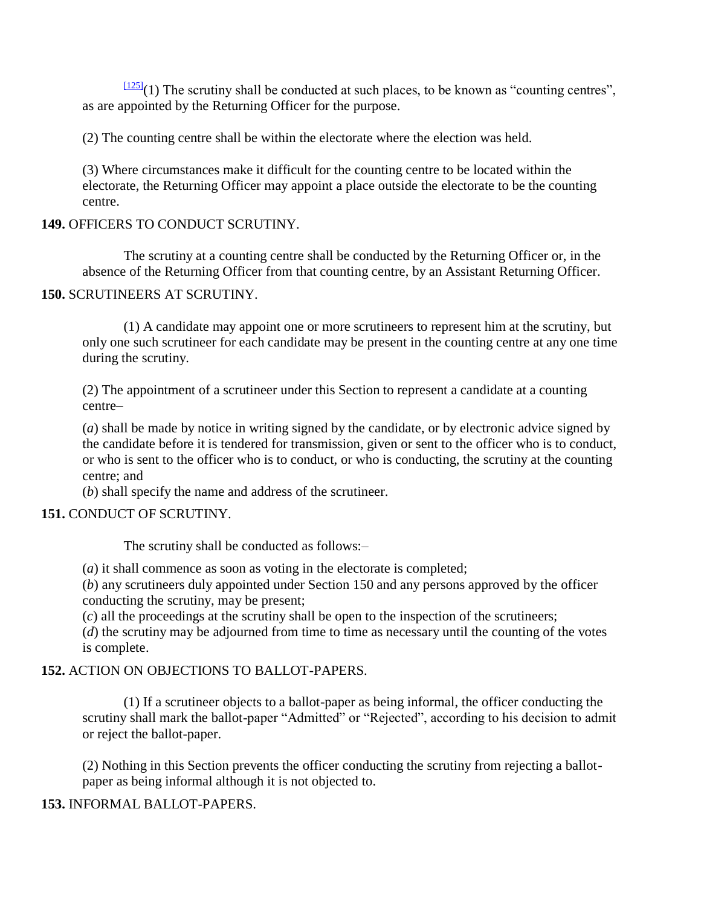$\frac{[125]}{[125]}$  $\frac{[125]}{[125]}$  $\frac{[125]}{[125]}$ (1) The scrutiny shall be conducted at such places, to be known as "counting centres", as are appointed by the Returning Officer for the purpose.

(2) The counting centre shall be within the electorate where the election was held.

(3) Where circumstances make it difficult for the counting centre to be located within the electorate, the Returning Officer may appoint a place outside the electorate to be the counting centre.

### **149.** OFFICERS TO CONDUCT SCRUTINY.

The scrutiny at a counting centre shall be conducted by the Returning Officer or, in the absence of the Returning Officer from that counting centre, by an Assistant Returning Officer.

### **150.** SCRUTINEERS AT SCRUTINY.

(1) A candidate may appoint one or more scrutineers to represent him at the scrutiny, but only one such scrutineer for each candidate may be present in the counting centre at any one time during the scrutiny.

(2) The appointment of a scrutineer under this Section to represent a candidate at a counting centre–

(*a*) shall be made by notice in writing signed by the candidate, or by electronic advice signed by the candidate before it is tendered for transmission, given or sent to the officer who is to conduct, or who is sent to the officer who is to conduct, or who is conducting, the scrutiny at the counting centre; and

(*b*) shall specify the name and address of the scrutineer.

#### **151.** CONDUCT OF SCRUTINY.

The scrutiny shall be conducted as follows:–

(*a*) it shall commence as soon as voting in the electorate is completed;

(*b*) any scrutineers duly appointed under Section 150 and any persons approved by the officer conducting the scrutiny, may be present;

(*c*) all the proceedings at the scrutiny shall be open to the inspection of the scrutineers;

(*d*) the scrutiny may be adjourned from time to time as necessary until the counting of the votes is complete.

## **152.** ACTION ON OBJECTIONS TO BALLOT-PAPERS.

(1) If a scrutineer objects to a ballot-paper as being informal, the officer conducting the scrutiny shall mark the ballot-paper "Admitted" or "Rejected", according to his decision to admit or reject the ballot-paper.

(2) Nothing in this Section prevents the officer conducting the scrutiny from rejecting a ballotpaper as being informal although it is not objected to.

## **153.** INFORMAL BALLOT-PAPERS.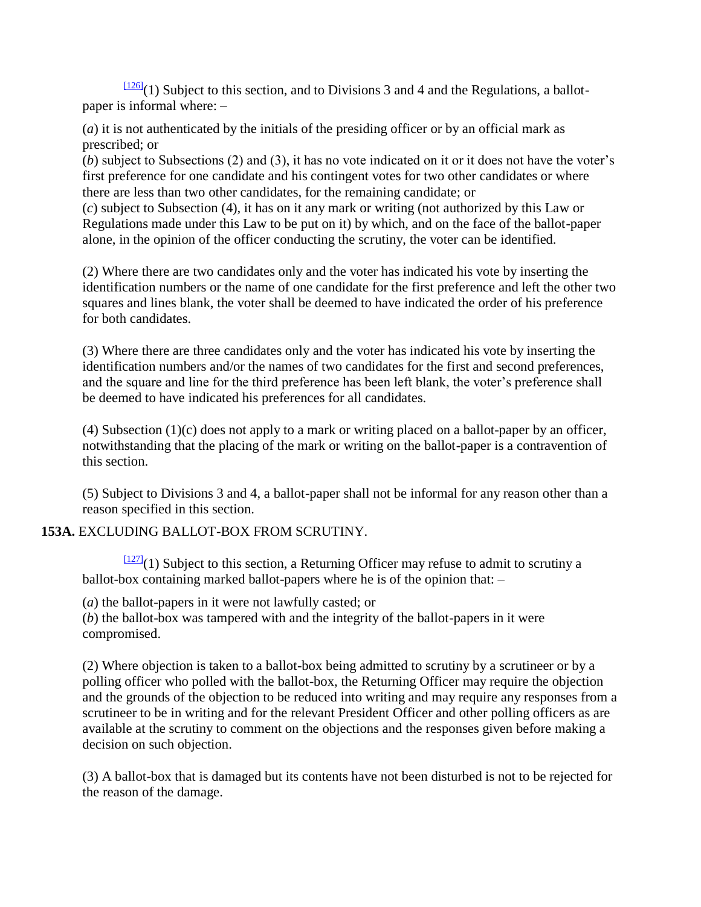$\frac{[126]}{(1)}$  $\frac{[126]}{(1)}$  $\frac{[126]}{(1)}$  Subject to this section, and to Divisions 3 and 4 and the Regulations, a ballotpaper is informal where: –

(*a*) it is not authenticated by the initials of the presiding officer or by an official mark as prescribed; or

(*b*) subject to Subsections (2) and (3), it has no vote indicated on it or it does not have the voter"s first preference for one candidate and his contingent votes for two other candidates or where there are less than two other candidates, for the remaining candidate; or

(*c*) subject to Subsection (4), it has on it any mark or writing (not authorized by this Law or Regulations made under this Law to be put on it) by which, and on the face of the ballot-paper alone, in the opinion of the officer conducting the scrutiny, the voter can be identified.

(2) Where there are two candidates only and the voter has indicated his vote by inserting the identification numbers or the name of one candidate for the first preference and left the other two squares and lines blank, the voter shall be deemed to have indicated the order of his preference for both candidates.

(3) Where there are three candidates only and the voter has indicated his vote by inserting the identification numbers and/or the names of two candidates for the first and second preferences, and the square and line for the third preference has been left blank, the voter's preference shall be deemed to have indicated his preferences for all candidates.

(4) Subsection (1)(c) does not apply to a mark or writing placed on a ballot-paper by an officer, notwithstanding that the placing of the mark or writing on the ballot-paper is a contravention of this section.

(5) Subject to Divisions 3 and 4, a ballot-paper shall not be informal for any reason other than a reason specified in this section.

## **153A.** EXCLUDING BALLOT-BOX FROM SCRUTINY.

 $\frac{[127]}{[127]}(1)$  $\frac{[127]}{[127]}(1)$  $\frac{[127]}{[127]}(1)$  Subject to this section, a Returning Officer may refuse to admit to scrutiny a ballot-box containing marked ballot-papers where he is of the opinion that: –

(*a*) the ballot-papers in it were not lawfully casted; or

(*b*) the ballot-box was tampered with and the integrity of the ballot-papers in it were compromised.

(2) Where objection is taken to a ballot-box being admitted to scrutiny by a scrutineer or by a polling officer who polled with the ballot-box, the Returning Officer may require the objection and the grounds of the objection to be reduced into writing and may require any responses from a scrutineer to be in writing and for the relevant President Officer and other polling officers as are available at the scrutiny to comment on the objections and the responses given before making a decision on such objection.

(3) A ballot-box that is damaged but its contents have not been disturbed is not to be rejected for the reason of the damage.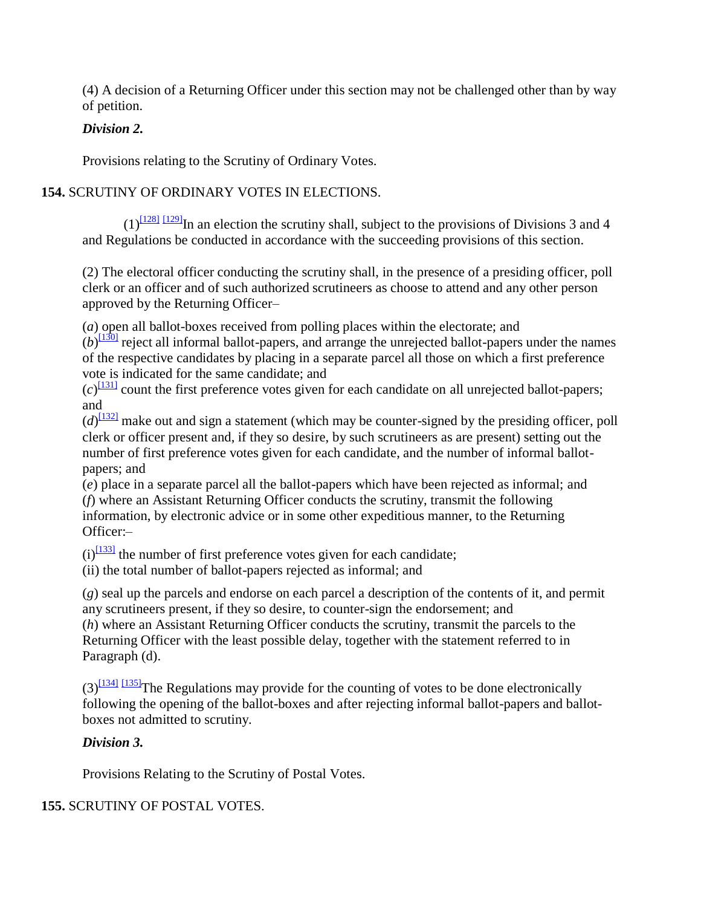(4) A decision of a Returning Officer under this section may not be challenged other than by way of petition.

### *Division 2.*

Provisions relating to the Scrutiny of Ordinary Votes.

## **154.** SCRUTINY OF ORDINARY VOTES IN ELECTIONS.

 $(1)^{1281}$  [\[129\]](http://www.paclii.org/pg/legis/consol_act/olonalge519/#fn129) In an election the scrutiny shall, subject to the provisions of Divisions 3 and 4 and Regulations be conducted in accordance with the succeeding provisions of this section.

(2) The electoral officer conducting the scrutiny shall, in the presence of a presiding officer, poll clerk or an officer and of such authorized scrutineers as choose to attend and any other person approved by the Returning Officer–

(*a*) open all ballot-boxes received from polling places within the electorate; and

 $(b)$ <sup>[\[130\]](http://www.paclii.org/pg/legis/consol_act/olonalge519/#fn130)</sup> reject all informal ballot-papers, and arrange the unrejected ballot-papers under the names of the respective candidates by placing in a separate parcel all those on which a first preference vote is indicated for the same candidate; and

 $(c)$ <sup>[\[131\]](http://www.paclii.org/pg/legis/consol_act/olonalge519/#fn131)</sup> count the first preference votes given for each candidate on all unrejected ballot-papers; and

 $(d)^{\frac{[132]}{[132]}}$  $(d)^{\frac{[132]}{[132]}}$  $(d)^{\frac{[132]}{[132]}}$  make out and sign a statement (which may be counter-signed by the presiding officer, poll clerk or officer present and, if they so desire, by such scrutineers as are present) setting out the number of first preference votes given for each candidate, and the number of informal ballotpapers; and

(*e*) place in a separate parcel all the ballot-papers which have been rejected as informal; and (*f*) where an Assistant Returning Officer conducts the scrutiny, transmit the following information, by electronic advice or in some other expeditious manner, to the Returning Officer:–

 $(i)^{[133]}$  $(i)^{[133]}$  $(i)^{[133]}$  the number of first preference votes given for each candidate;

(ii) the total number of ballot-papers rejected as informal; and

(*g*) seal up the parcels and endorse on each parcel a description of the contents of it, and permit any scrutineers present, if they so desire, to counter-sign the endorsement; and (*h*) where an Assistant Returning Officer conducts the scrutiny, transmit the parcels to the Returning Officer with the least possible delay, together with the statement referred to in Paragraph (d).

 $(3)^{\frac{[134]}{[135]}}$  $(3)^{\frac{[134]}{[135]}}$  $(3)^{\frac{[134]}{[135]}}$  $(3)^{\frac{[134]}{[135]}}$  $(3)^{\frac{[134]}{[135]}}$ The Regulations may provide for the counting of votes to be done electronically following the opening of the ballot-boxes and after rejecting informal ballot-papers and ballotboxes not admitted to scrutiny.

## *Division 3.*

Provisions Relating to the Scrutiny of Postal Votes.

## **155.** SCRUTINY OF POSTAL VOTES.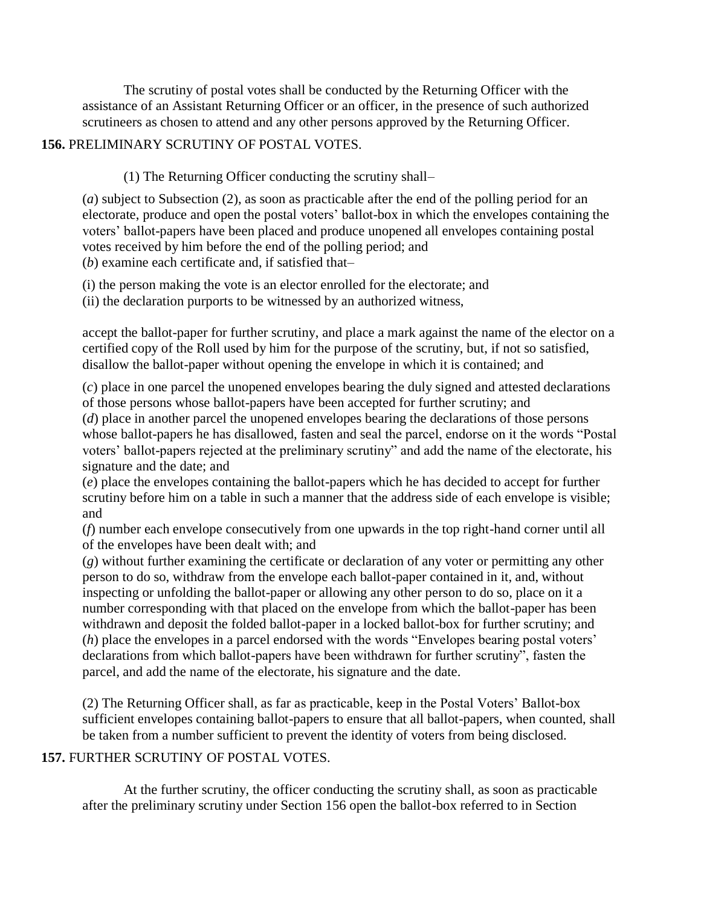The scrutiny of postal votes shall be conducted by the Returning Officer with the assistance of an Assistant Returning Officer or an officer, in the presence of such authorized scrutineers as chosen to attend and any other persons approved by the Returning Officer.

## **156.** PRELIMINARY SCRUTINY OF POSTAL VOTES.

## (1) The Returning Officer conducting the scrutiny shall–

(*a*) subject to Subsection (2), as soon as practicable after the end of the polling period for an electorate, produce and open the postal voters" ballot-box in which the envelopes containing the voters" ballot-papers have been placed and produce unopened all envelopes containing postal votes received by him before the end of the polling period; and (*b*) examine each certificate and, if satisfied that–

(i) the person making the vote is an elector enrolled for the electorate; and

(ii) the declaration purports to be witnessed by an authorized witness,

accept the ballot-paper for further scrutiny, and place a mark against the name of the elector on a certified copy of the Roll used by him for the purpose of the scrutiny, but, if not so satisfied, disallow the ballot-paper without opening the envelope in which it is contained; and

(*c*) place in one parcel the unopened envelopes bearing the duly signed and attested declarations of those persons whose ballot-papers have been accepted for further scrutiny; and (*d*) place in another parcel the unopened envelopes bearing the declarations of those persons whose ballot-papers he has disallowed, fasten and seal the parcel, endorse on it the words "Postal voters" ballot-papers rejected at the preliminary scrutiny" and add the name of the electorate, his signature and the date; and

(*e*) place the envelopes containing the ballot-papers which he has decided to accept for further scrutiny before him on a table in such a manner that the address side of each envelope is visible; and

(*f*) number each envelope consecutively from one upwards in the top right-hand corner until all of the envelopes have been dealt with; and

(*g*) without further examining the certificate or declaration of any voter or permitting any other person to do so, withdraw from the envelope each ballot-paper contained in it, and, without inspecting or unfolding the ballot-paper or allowing any other person to do so, place on it a number corresponding with that placed on the envelope from which the ballot-paper has been withdrawn and deposit the folded ballot-paper in a locked ballot-box for further scrutiny; and (*h*) place the envelopes in a parcel endorsed with the words "Envelopes bearing postal voters" declarations from which ballot-papers have been withdrawn for further scrutiny", fasten the parcel, and add the name of the electorate, his signature and the date.

(2) The Returning Officer shall, as far as practicable, keep in the Postal Voters" Ballot-box sufficient envelopes containing ballot-papers to ensure that all ballot-papers, when counted, shall be taken from a number sufficient to prevent the identity of voters from being disclosed.

## **157.** FURTHER SCRUTINY OF POSTAL VOTES.

At the further scrutiny, the officer conducting the scrutiny shall, as soon as practicable after the preliminary scrutiny under Section 156 open the ballot-box referred to in Section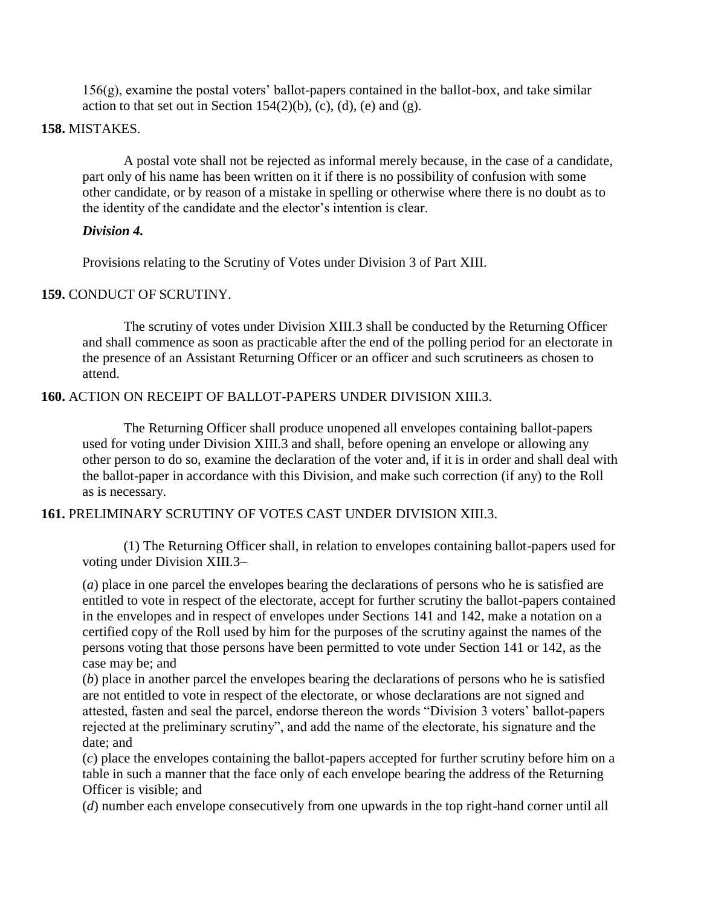$156(g)$ , examine the postal voters' ballot-papers contained in the ballot-box, and take similar action to that set out in Section 154(2)(b), (c), (d), (e) and (g).

#### **158.** MISTAKES.

A postal vote shall not be rejected as informal merely because, in the case of a candidate, part only of his name has been written on it if there is no possibility of confusion with some other candidate, or by reason of a mistake in spelling or otherwise where there is no doubt as to the identity of the candidate and the elector's intention is clear.

#### *Division 4.*

Provisions relating to the Scrutiny of Votes under Division 3 of Part XIII.

### **159.** CONDUCT OF SCRUTINY.

The scrutiny of votes under Division XIII.3 shall be conducted by the Returning Officer and shall commence as soon as practicable after the end of the polling period for an electorate in the presence of an Assistant Returning Officer or an officer and such scrutineers as chosen to attend.

### **160.** ACTION ON RECEIPT OF BALLOT-PAPERS UNDER DIVISION XIII.3.

The Returning Officer shall produce unopened all envelopes containing ballot-papers used for voting under Division XIII.3 and shall, before opening an envelope or allowing any other person to do so, examine the declaration of the voter and, if it is in order and shall deal with the ballot-paper in accordance with this Division, and make such correction (if any) to the Roll as is necessary.

#### **161.** PRELIMINARY SCRUTINY OF VOTES CAST UNDER DIVISION XIII.3.

(1) The Returning Officer shall, in relation to envelopes containing ballot-papers used for voting under Division XIII.3–

(*a*) place in one parcel the envelopes bearing the declarations of persons who he is satisfied are entitled to vote in respect of the electorate, accept for further scrutiny the ballot-papers contained in the envelopes and in respect of envelopes under Sections 141 and 142, make a notation on a certified copy of the Roll used by him for the purposes of the scrutiny against the names of the persons voting that those persons have been permitted to vote under Section 141 or 142, as the case may be; and

(*b*) place in another parcel the envelopes bearing the declarations of persons who he is satisfied are not entitled to vote in respect of the electorate, or whose declarations are not signed and attested, fasten and seal the parcel, endorse thereon the words "Division 3 voters" ballot-papers rejected at the preliminary scrutiny", and add the name of the electorate, his signature and the date; and

(*c*) place the envelopes containing the ballot-papers accepted for further scrutiny before him on a table in such a manner that the face only of each envelope bearing the address of the Returning Officer is visible; and

(*d*) number each envelope consecutively from one upwards in the top right-hand corner until all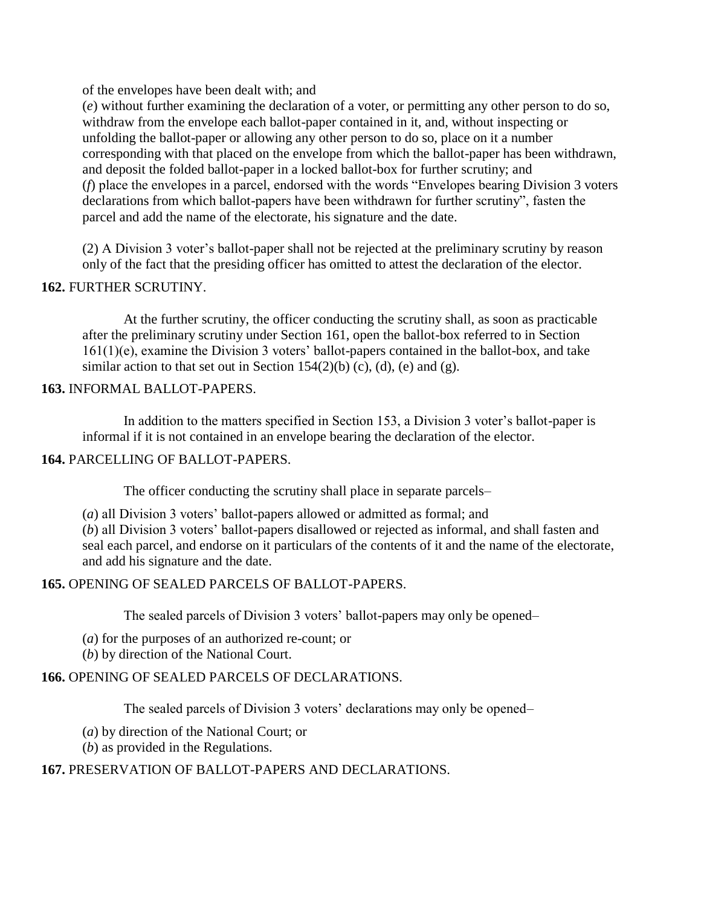of the envelopes have been dealt with; and

(*e*) without further examining the declaration of a voter, or permitting any other person to do so, withdraw from the envelope each ballot-paper contained in it, and, without inspecting or unfolding the ballot-paper or allowing any other person to do so, place on it a number corresponding with that placed on the envelope from which the ballot-paper has been withdrawn, and deposit the folded ballot-paper in a locked ballot-box for further scrutiny; and (*f*) place the envelopes in a parcel, endorsed with the words "Envelopes bearing Division 3 voters declarations from which ballot-papers have been withdrawn for further scrutiny", fasten the parcel and add the name of the electorate, his signature and the date.

(2) A Division 3 voter"s ballot-paper shall not be rejected at the preliminary scrutiny by reason only of the fact that the presiding officer has omitted to attest the declaration of the elector.

#### **162.** FURTHER SCRUTINY.

At the further scrutiny, the officer conducting the scrutiny shall, as soon as practicable after the preliminary scrutiny under Section 161, open the ballot-box referred to in Section 161(1)(e), examine the Division 3 voters" ballot-papers contained in the ballot-box, and take similar action to that set out in Section 154(2)(b) (c), (d), (e) and (g).

#### **163.** INFORMAL BALLOT-PAPERS.

In addition to the matters specified in Section 153, a Division 3 voter"s ballot-paper is informal if it is not contained in an envelope bearing the declaration of the elector.

### **164.** PARCELLING OF BALLOT-PAPERS.

The officer conducting the scrutiny shall place in separate parcels–

(*a*) all Division 3 voters" ballot-papers allowed or admitted as formal; and

(*b*) all Division 3 voters" ballot-papers disallowed or rejected as informal, and shall fasten and seal each parcel, and endorse on it particulars of the contents of it and the name of the electorate, and add his signature and the date.

## **165.** OPENING OF SEALED PARCELS OF BALLOT-PAPERS.

The sealed parcels of Division 3 voters" ballot-papers may only be opened–

(*a*) for the purposes of an authorized re-count; or

(*b*) by direction of the National Court.

# **166.** OPENING OF SEALED PARCELS OF DECLARATIONS.

The sealed parcels of Division 3 voters' declarations may only be opened–

(*a*) by direction of the National Court; or

(*b*) as provided in the Regulations.

# **167.** PRESERVATION OF BALLOT-PAPERS AND DECLARATIONS.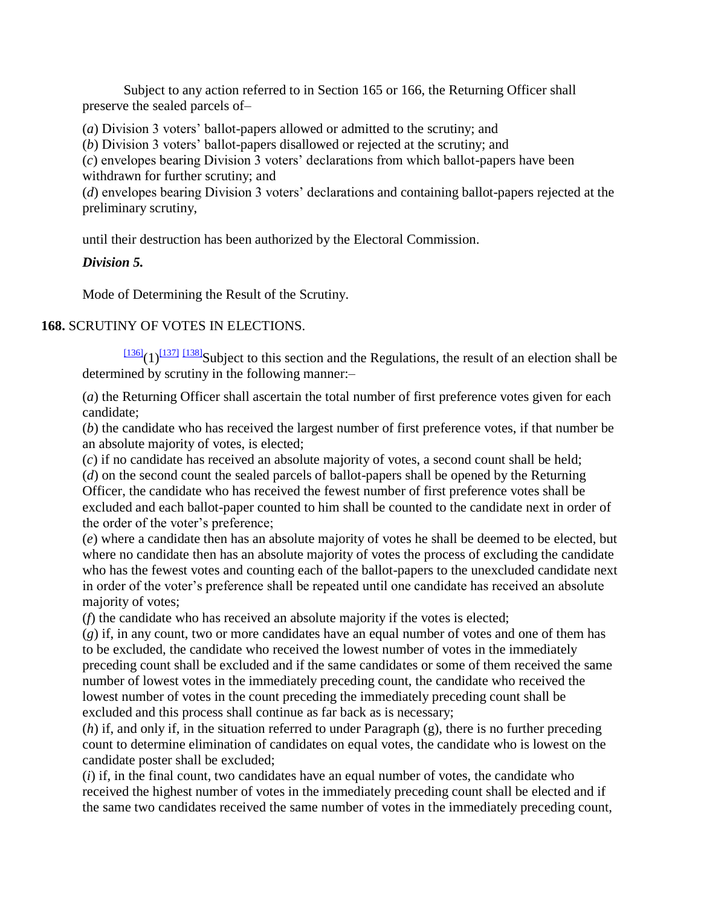Subject to any action referred to in Section 165 or 166, the Returning Officer shall preserve the sealed parcels of–

(*a*) Division 3 voters" ballot-papers allowed or admitted to the scrutiny; and

(*b*) Division 3 voters" ballot-papers disallowed or rejected at the scrutiny; and

(*c*) envelopes bearing Division 3 voters" declarations from which ballot-papers have been withdrawn for further scrutiny; and

(*d*) envelopes bearing Division 3 voters' declarations and containing ballot-papers rejected at the preliminary scrutiny,

until their destruction has been authorized by the Electoral Commission.

## *Division 5.*

Mode of Determining the Result of the Scrutiny.

### **168.** SCRUTINY OF VOTES IN ELECTIONS.

 $\frac{[136]}{(1)^{[137]}}$  $\frac{[136]}{(1)^{[137]}}$  $\frac{[136]}{(1)^{[137]}}$  $\frac{[136]}{(1)^{[137]}}$  $\frac{[136]}{(1)^{[137]}}$   $\frac{[138]}{3}$  $\frac{[138]}{3}$  $\frac{[138]}{3}$ Subject to this section and the Regulations, the result of an election shall be determined by scrutiny in the following manner:–

(*a*) the Returning Officer shall ascertain the total number of first preference votes given for each candidate;

(*b*) the candidate who has received the largest number of first preference votes, if that number be an absolute majority of votes, is elected;

(*c*) if no candidate has received an absolute majority of votes, a second count shall be held;

(*d*) on the second count the sealed parcels of ballot-papers shall be opened by the Returning Officer, the candidate who has received the fewest number of first preference votes shall be excluded and each ballot-paper counted to him shall be counted to the candidate next in order of the order of the voter's preference;

(*e*) where a candidate then has an absolute majority of votes he shall be deemed to be elected, but where no candidate then has an absolute majority of votes the process of excluding the candidate who has the fewest votes and counting each of the ballot-papers to the unexcluded candidate next in order of the voter"s preference shall be repeated until one candidate has received an absolute majority of votes;

(*f*) the candidate who has received an absolute majority if the votes is elected;

(*g*) if, in any count, two or more candidates have an equal number of votes and one of them has to be excluded, the candidate who received the lowest number of votes in the immediately preceding count shall be excluded and if the same candidates or some of them received the same number of lowest votes in the immediately preceding count, the candidate who received the lowest number of votes in the count preceding the immediately preceding count shall be excluded and this process shall continue as far back as is necessary;

(*h*) if, and only if, in the situation referred to under Paragraph (g), there is no further preceding count to determine elimination of candidates on equal votes, the candidate who is lowest on the candidate poster shall be excluded;

(*i*) if, in the final count, two candidates have an equal number of votes, the candidate who received the highest number of votes in the immediately preceding count shall be elected and if the same two candidates received the same number of votes in the immediately preceding count,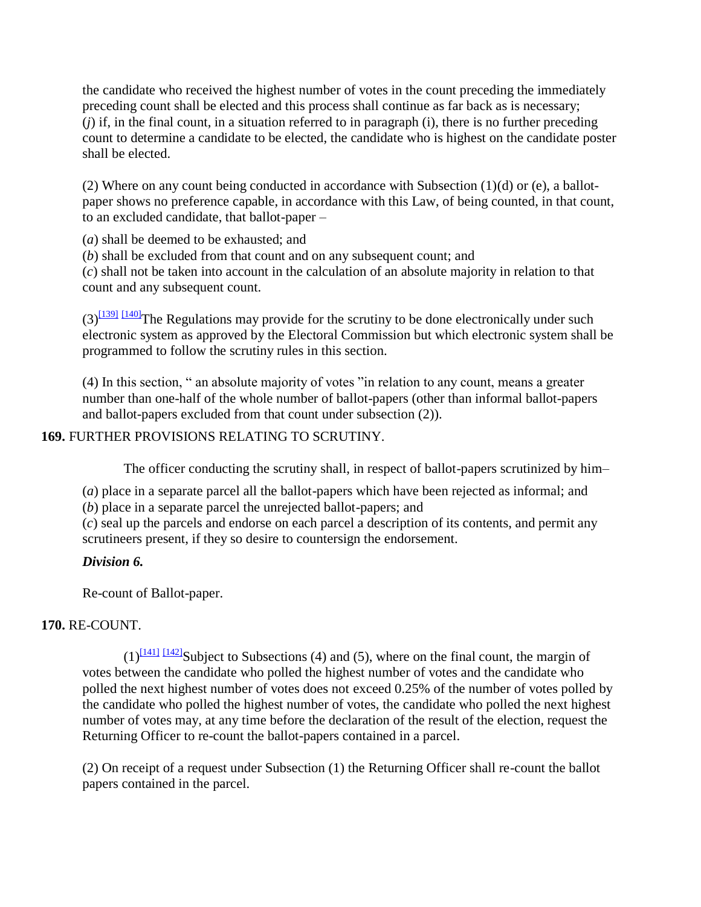the candidate who received the highest number of votes in the count preceding the immediately preceding count shall be elected and this process shall continue as far back as is necessary; (*j*) if, in the final count, in a situation referred to in paragraph (i), there is no further preceding count to determine a candidate to be elected, the candidate who is highest on the candidate poster shall be elected.

(2) Where on any count being conducted in accordance with Subsection  $(1)(d)$  or (e), a ballotpaper shows no preference capable, in accordance with this Law, of being counted, in that count, to an excluded candidate, that ballot-paper –

(*a*) shall be deemed to be exhausted; and

(*b*) shall be excluded from that count and on any subsequent count; and

(*c*) shall not be taken into account in the calculation of an absolute majority in relation to that count and any subsequent count.

 $(3)^{1391}$  [\[140\]](http://www.paclii.org/pg/legis/consol_act/olonalge519/#fn140) The Regulations may provide for the scrutiny to be done electronically under such electronic system as approved by the Electoral Commission but which electronic system shall be programmed to follow the scrutiny rules in this section.

(4) In this section, " an absolute majority of votes "in relation to any count, means a greater number than one-half of the whole number of ballot-papers (other than informal ballot-papers and ballot-papers excluded from that count under subsection (2)).

## **169.** FURTHER PROVISIONS RELATING TO SCRUTINY.

The officer conducting the scrutiny shall, in respect of ballot-papers scrutinized by him–

(*a*) place in a separate parcel all the ballot-papers which have been rejected as informal; and (*b*) place in a separate parcel the unrejected ballot-papers; and

(*c*) seal up the parcels and endorse on each parcel a description of its contents, and permit any scrutineers present, if they so desire to countersign the endorsement.

## *Division 6.*

Re-count of Ballot-paper.

## **170.** RE-COUNT.

 $(1)^{[141]}$  $(1)^{[141]}$  $(1)^{[141]}$   $[142]}$  $[142]}$ Subject to Subsections (4) and (5), where on the final count, the margin of votes between the candidate who polled the highest number of votes and the candidate who polled the next highest number of votes does not exceed 0.25% of the number of votes polled by the candidate who polled the highest number of votes, the candidate who polled the next highest number of votes may, at any time before the declaration of the result of the election, request the Returning Officer to re-count the ballot-papers contained in a parcel.

(2) On receipt of a request under Subsection (1) the Returning Officer shall re-count the ballot papers contained in the parcel.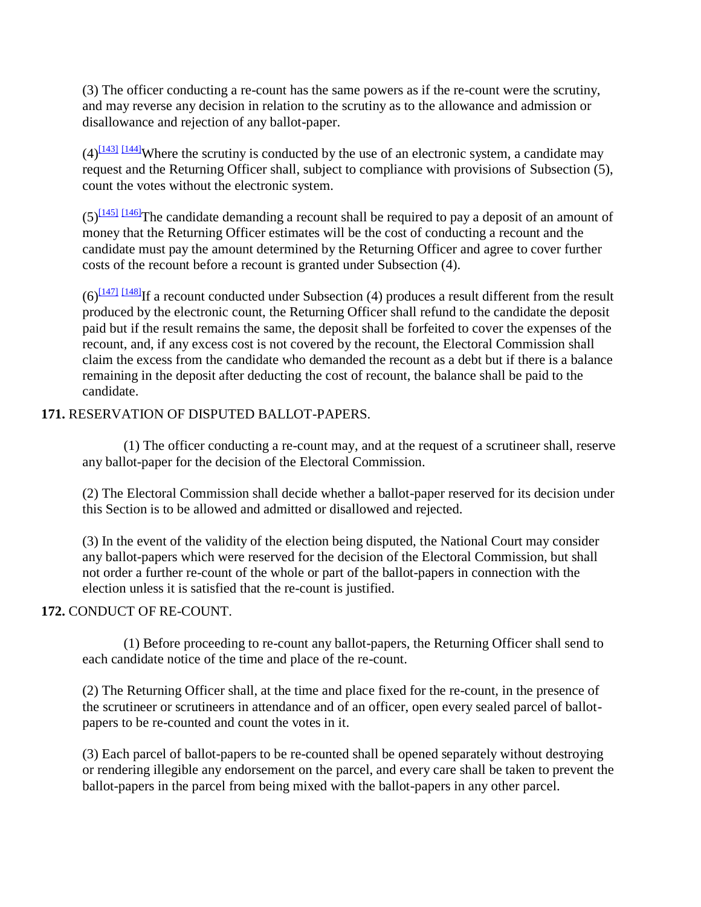(3) The officer conducting a re-count has the same powers as if the re-count were the scrutiny, and may reverse any decision in relation to the scrutiny as to the allowance and admission or disallowance and rejection of any ballot-paper.

 $(4)$ <sup>[\[143\]](http://www.paclii.org/pg/legis/consol_act/olonalge519/#fn143)</sup> [\[144\]](http://www.paclii.org/pg/legis/consol_act/olonalge519/#fn144)Where the scrutiny is conducted by the use of an electronic system, a candidate may request and the Returning Officer shall, subject to compliance with provisions of Subsection (5), count the votes without the electronic system.

 $(5)$ <sup>[\[145\]](http://www.paclii.org/pg/legis/consol_act/olonalge519/#fn145)</sup> [\[146\]](http://www.paclii.org/pg/legis/consol_act/olonalge519/#fn146)<sup>The candidate demanding a recount shall be required to pay a deposit of an amount of</sup> money that the Returning Officer estimates will be the cost of conducting a recount and the candidate must pay the amount determined by the Returning Officer and agree to cover further costs of the recount before a recount is granted under Subsection (4).

 $(6)$ <sup>[\[147\]](http://www.paclii.org/pg/legis/consol_act/olonalge519/#fn147)</sup> [\[148\]](http://www.paclii.org/pg/legis/consol_act/olonalge519/#fn148)<sub>If</sub> a recount conducted under Subsection (4) produces a result different from the result produced by the electronic count, the Returning Officer shall refund to the candidate the deposit paid but if the result remains the same, the deposit shall be forfeited to cover the expenses of the recount, and, if any excess cost is not covered by the recount, the Electoral Commission shall claim the excess from the candidate who demanded the recount as a debt but if there is a balance remaining in the deposit after deducting the cost of recount, the balance shall be paid to the candidate.

### **171.** RESERVATION OF DISPUTED BALLOT-PAPERS.

(1) The officer conducting a re-count may, and at the request of a scrutineer shall, reserve any ballot-paper for the decision of the Electoral Commission.

(2) The Electoral Commission shall decide whether a ballot-paper reserved for its decision under this Section is to be allowed and admitted or disallowed and rejected.

(3) In the event of the validity of the election being disputed, the National Court may consider any ballot-papers which were reserved for the decision of the Electoral Commission, but shall not order a further re-count of the whole or part of the ballot-papers in connection with the election unless it is satisfied that the re-count is justified.

## **172.** CONDUCT OF RE-COUNT.

(1) Before proceeding to re-count any ballot-papers, the Returning Officer shall send to each candidate notice of the time and place of the re-count.

(2) The Returning Officer shall, at the time and place fixed for the re-count, in the presence of the scrutineer or scrutineers in attendance and of an officer, open every sealed parcel of ballotpapers to be re-counted and count the votes in it.

(3) Each parcel of ballot-papers to be re-counted shall be opened separately without destroying or rendering illegible any endorsement on the parcel, and every care shall be taken to prevent the ballot-papers in the parcel from being mixed with the ballot-papers in any other parcel.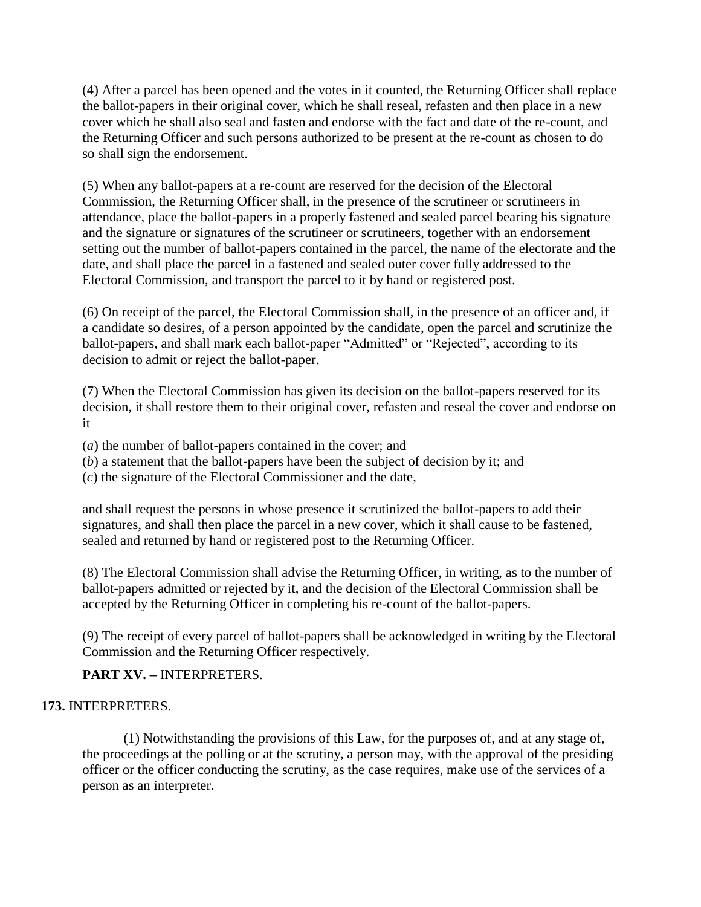(4) After a parcel has been opened and the votes in it counted, the Returning Officer shall replace the ballot-papers in their original cover, which he shall reseal, refasten and then place in a new cover which he shall also seal and fasten and endorse with the fact and date of the re-count, and the Returning Officer and such persons authorized to be present at the re-count as chosen to do so shall sign the endorsement.

(5) When any ballot-papers at a re-count are reserved for the decision of the Electoral Commission, the Returning Officer shall, in the presence of the scrutineer or scrutineers in attendance, place the ballot-papers in a properly fastened and sealed parcel bearing his signature and the signature or signatures of the scrutineer or scrutineers, together with an endorsement setting out the number of ballot-papers contained in the parcel, the name of the electorate and the date, and shall place the parcel in a fastened and sealed outer cover fully addressed to the Electoral Commission, and transport the parcel to it by hand or registered post.

(6) On receipt of the parcel, the Electoral Commission shall, in the presence of an officer and, if a candidate so desires, of a person appointed by the candidate, open the parcel and scrutinize the ballot-papers, and shall mark each ballot-paper "Admitted" or "Rejected", according to its decision to admit or reject the ballot-paper.

(7) When the Electoral Commission has given its decision on the ballot-papers reserved for its decision, it shall restore them to their original cover, refasten and reseal the cover and endorse on it–

(*a*) the number of ballot-papers contained in the cover; and

(*b*) a statement that the ballot-papers have been the subject of decision by it; and

(*c*) the signature of the Electoral Commissioner and the date,

and shall request the persons in whose presence it scrutinized the ballot-papers to add their signatures, and shall then place the parcel in a new cover, which it shall cause to be fastened, sealed and returned by hand or registered post to the Returning Officer.

(8) The Electoral Commission shall advise the Returning Officer, in writing, as to the number of ballot-papers admitted or rejected by it, and the decision of the Electoral Commission shall be accepted by the Returning Officer in completing his re-count of the ballot-papers.

(9) The receipt of every parcel of ballot-papers shall be acknowledged in writing by the Electoral Commission and the Returning Officer respectively.

**PART XV. –** INTERPRETERS.

## **173.** INTERPRETERS.

(1) Notwithstanding the provisions of this Law, for the purposes of, and at any stage of, the proceedings at the polling or at the scrutiny, a person may, with the approval of the presiding officer or the officer conducting the scrutiny, as the case requires, make use of the services of a person as an interpreter.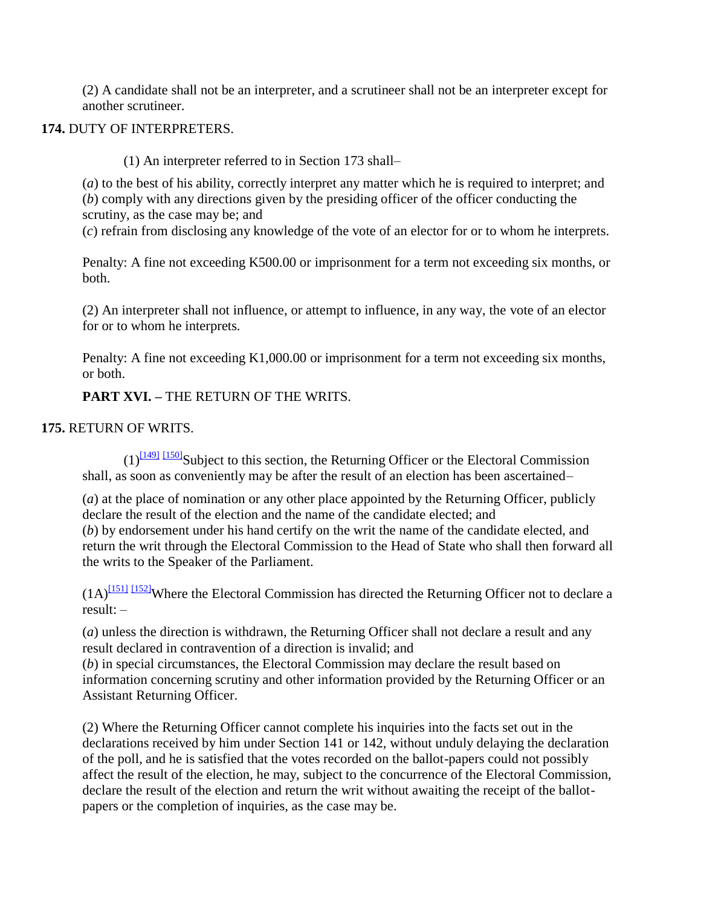(2) A candidate shall not be an interpreter, and a scrutineer shall not be an interpreter except for another scrutineer.

## **174.** DUTY OF INTERPRETERS.

(1) An interpreter referred to in Section 173 shall–

(*a*) to the best of his ability, correctly interpret any matter which he is required to interpret; and (*b*) comply with any directions given by the presiding officer of the officer conducting the scrutiny, as the case may be; and

(*c*) refrain from disclosing any knowledge of the vote of an elector for or to whom he interprets.

Penalty: A fine not exceeding K500.00 or imprisonment for a term not exceeding six months, or both.

(2) An interpreter shall not influence, or attempt to influence, in any way, the vote of an elector for or to whom he interprets.

Penalty: A fine not exceeding K1,000.00 or imprisonment for a term not exceeding six months, or both.

**PART XVI. –** THE RETURN OF THE WRITS.

## **175.** RETURN OF WRITS.

 $(1)^{11491}$   $11501$ Subject to this section, the Returning Officer or the Electoral Commission shall, as soon as conveniently may be after the result of an election has been ascertained–

(*a*) at the place of nomination or any other place appointed by the Returning Officer, publicly declare the result of the election and the name of the candidate elected; and (*b*) by endorsement under his hand certify on the writ the name of the candidate elected, and return the writ through the Electoral Commission to the Head of State who shall then forward all the writs to the Speaker of the Parliament.

 $(1A)^{[151]}$  $(1A)^{[151]}$  $(1A)^{[151]}$   $[152]}$  $[152]}$ Where the Electoral Commission has directed the Returning Officer not to declare a result: –

(*a*) unless the direction is withdrawn, the Returning Officer shall not declare a result and any result declared in contravention of a direction is invalid; and

(*b*) in special circumstances, the Electoral Commission may declare the result based on information concerning scrutiny and other information provided by the Returning Officer or an Assistant Returning Officer.

(2) Where the Returning Officer cannot complete his inquiries into the facts set out in the declarations received by him under Section 141 or 142, without unduly delaying the declaration of the poll, and he is satisfied that the votes recorded on the ballot-papers could not possibly affect the result of the election, he may, subject to the concurrence of the Electoral Commission, declare the result of the election and return the writ without awaiting the receipt of the ballotpapers or the completion of inquiries, as the case may be.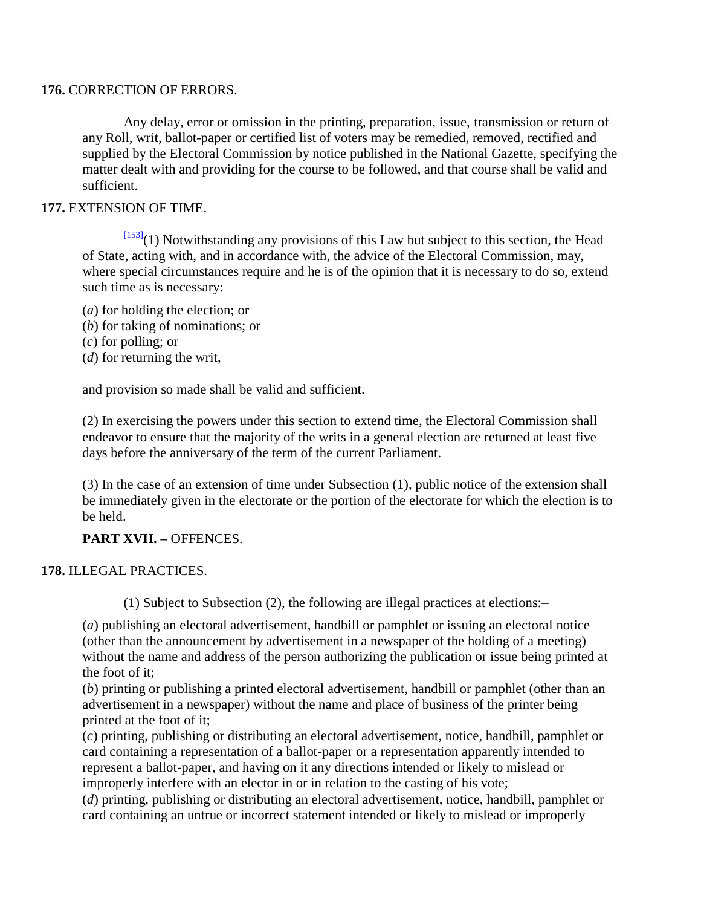#### **176.** CORRECTION OF ERRORS.

Any delay, error or omission in the printing, preparation, issue, transmission or return of any Roll, writ, ballot-paper or certified list of voters may be remedied, removed, rectified and supplied by the Electoral Commission by notice published in the National Gazette, specifying the matter dealt with and providing for the course to be followed, and that course shall be valid and sufficient.

#### **177.** EXTENSION OF TIME.

 $\frac{[153]}{(1)}$  $\frac{[153]}{(1)}$  $\frac{[153]}{(1)}$  Notwithstanding any provisions of this Law but subject to this section, the Head of State, acting with, and in accordance with, the advice of the Electoral Commission, may, where special circumstances require and he is of the opinion that it is necessary to do so, extend such time as is necessary: –

- (*a*) for holding the election; or
- (*b*) for taking of nominations; or
- (*c*) for polling; or
- (*d*) for returning the writ,

and provision so made shall be valid and sufficient.

(2) In exercising the powers under this section to extend time, the Electoral Commission shall endeavor to ensure that the majority of the writs in a general election are returned at least five days before the anniversary of the term of the current Parliament.

(3) In the case of an extension of time under Subsection (1), public notice of the extension shall be immediately given in the electorate or the portion of the electorate for which the election is to be held.

## **PART XVII. –** OFFENCES.

#### **178.** ILLEGAL PRACTICES.

(1) Subject to Subsection (2), the following are illegal practices at elections:–

(*a*) publishing an electoral advertisement, handbill or pamphlet or issuing an electoral notice (other than the announcement by advertisement in a newspaper of the holding of a meeting) without the name and address of the person authorizing the publication or issue being printed at the foot of it;

(*b*) printing or publishing a printed electoral advertisement, handbill or pamphlet (other than an advertisement in a newspaper) without the name and place of business of the printer being printed at the foot of it;

(*c*) printing, publishing or distributing an electoral advertisement, notice, handbill, pamphlet or card containing a representation of a ballot-paper or a representation apparently intended to represent a ballot-paper, and having on it any directions intended or likely to mislead or improperly interfere with an elector in or in relation to the casting of his vote;

(*d*) printing, publishing or distributing an electoral advertisement, notice, handbill, pamphlet or card containing an untrue or incorrect statement intended or likely to mislead or improperly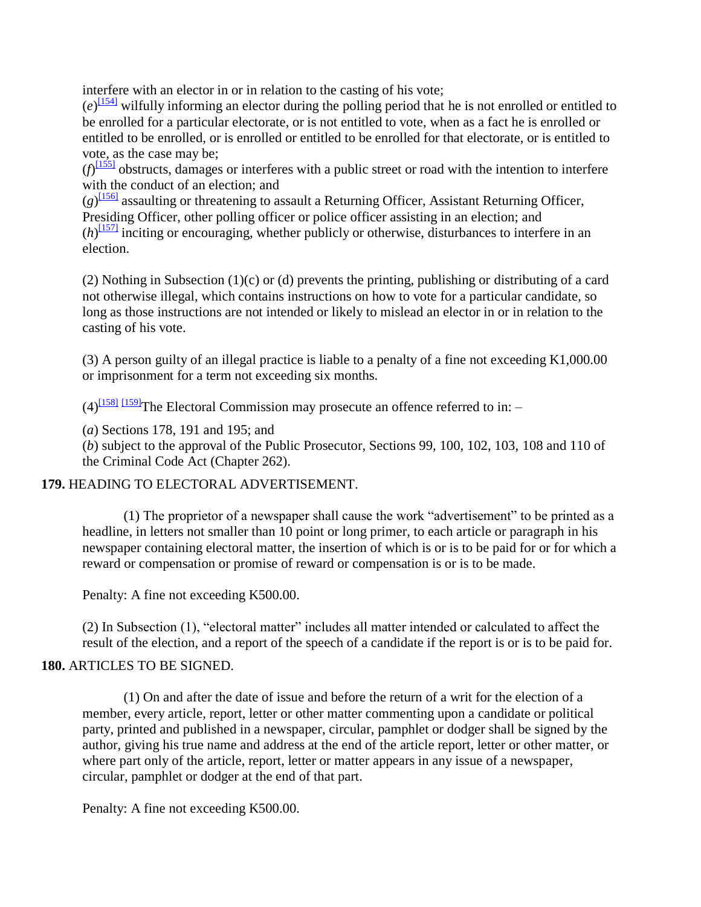interfere with an elector in or in relation to the casting of his vote;

 $(e)^{\frac{[154]}{154}}$  $(e)^{\frac{[154]}{154}}$  $(e)^{\frac{[154]}{154}}$  wilfully informing an elector during the polling period that he is not enrolled or entitled to be enrolled for a particular electorate, or is not entitled to vote, when as a fact he is enrolled or entitled to be enrolled, or is enrolled or entitled to be enrolled for that electorate, or is entitled to vote, as the case may be;

 $(f)$ <sup>[\[155\]](http://www.paclii.org/pg/legis/consol_act/olonalge519/#fn155)</sup> obstructs, damages or interferes with a public street or road with the intention to interfere with the conduct of an election; and

 $(g)$ <sup>[\[156\]](http://www.paclii.org/pg/legis/consol_act/olonalge519/#fn156)</sup> assaulting or threatening to assault a Returning Officer, Assistant Returning Officer, Presiding Officer, other polling officer or police officer assisting in an election; and  $(h)$ <sup>[\[157\]](http://www.paclii.org/pg/legis/consol_act/olonalge519/#fn157)</sup> inciting or encouraging, whether publicly or otherwise, disturbances to interfere in an election.

(2) Nothing in Subsection (1)(c) or (d) prevents the printing, publishing or distributing of a card not otherwise illegal, which contains instructions on how to vote for a particular candidate, so long as those instructions are not intended or likely to mislead an elector in or in relation to the casting of his vote.

(3) A person guilty of an illegal practice is liable to a penalty of a fine not exceeding K1,000.00 or imprisonment for a term not exceeding six months.

 $(4)$ <sup>[\[158\]](http://www.paclii.org/pg/legis/consol_act/olonalge519/#fn158)</sup> [\[159\]](http://www.paclii.org/pg/legis/consol_act/olonalge519/#fn159) The Electoral Commission may prosecute an offence referred to in: –

(*a*) Sections 178, 191 and 195; and

(*b*) subject to the approval of the Public Prosecutor, Sections 99, 100, 102, 103, 108 and 110 of the Criminal Code Act (Chapter 262).

## **179.** HEADING TO ELECTORAL ADVERTISEMENT.

(1) The proprietor of a newspaper shall cause the work "advertisement" to be printed as a headline, in letters not smaller than 10 point or long primer, to each article or paragraph in his newspaper containing electoral matter, the insertion of which is or is to be paid for or for which a reward or compensation or promise of reward or compensation is or is to be made.

Penalty: A fine not exceeding K500.00.

(2) In Subsection (1), "electoral matter" includes all matter intended or calculated to affect the result of the election, and a report of the speech of a candidate if the report is or is to be paid for.

## **180. ARTICLES TO BE SIGNED.**

(1) On and after the date of issue and before the return of a writ for the election of a member, every article, report, letter or other matter commenting upon a candidate or political party, printed and published in a newspaper, circular, pamphlet or dodger shall be signed by the author, giving his true name and address at the end of the article report, letter or other matter, or where part only of the article, report, letter or matter appears in any issue of a newspaper, circular, pamphlet or dodger at the end of that part.

Penalty: A fine not exceeding K500.00.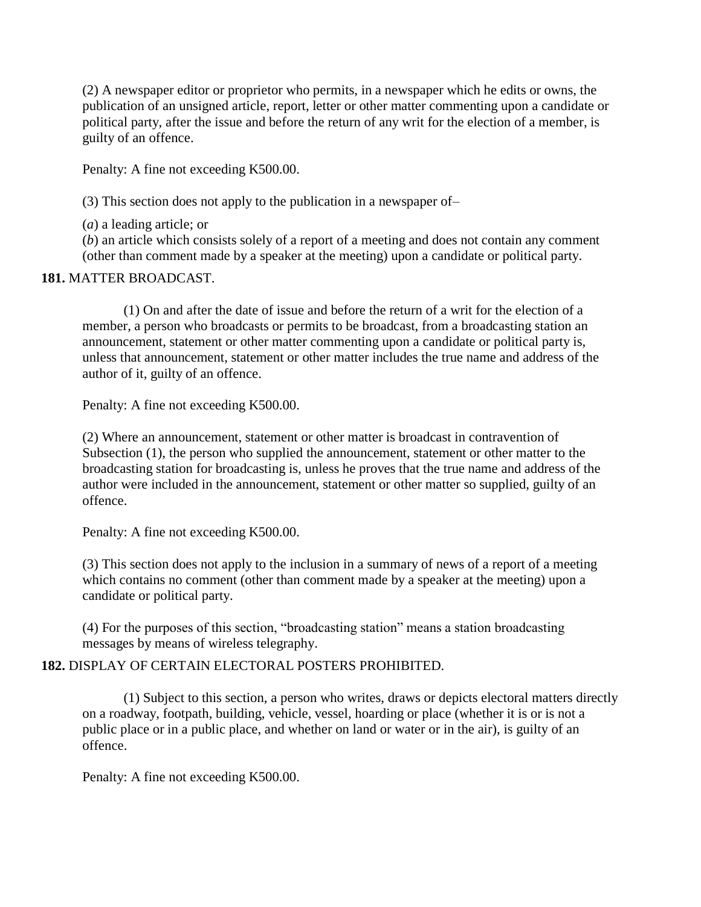(2) A newspaper editor or proprietor who permits, in a newspaper which he edits or owns, the publication of an unsigned article, report, letter or other matter commenting upon a candidate or political party, after the issue and before the return of any writ for the election of a member, is guilty of an offence.

Penalty: A fine not exceeding K500.00.

(3) This section does not apply to the publication in a newspaper of–

(*a*) a leading article; or

(*b*) an article which consists solely of a report of a meeting and does not contain any comment (other than comment made by a speaker at the meeting) upon a candidate or political party.

### **181.** MATTER BROADCAST.

(1) On and after the date of issue and before the return of a writ for the election of a member, a person who broadcasts or permits to be broadcast, from a broadcasting station an announcement, statement or other matter commenting upon a candidate or political party is, unless that announcement, statement or other matter includes the true name and address of the author of it, guilty of an offence.

Penalty: A fine not exceeding K500.00.

(2) Where an announcement, statement or other matter is broadcast in contravention of Subsection (1), the person who supplied the announcement, statement or other matter to the broadcasting station for broadcasting is, unless he proves that the true name and address of the author were included in the announcement, statement or other matter so supplied, guilty of an offence.

Penalty: A fine not exceeding K500.00.

(3) This section does not apply to the inclusion in a summary of news of a report of a meeting which contains no comment (other than comment made by a speaker at the meeting) upon a candidate or political party.

(4) For the purposes of this section, "broadcasting station" means a station broadcasting messages by means of wireless telegraphy.

### **182.** DISPLAY OF CERTAIN ELECTORAL POSTERS PROHIBITED.

(1) Subject to this section, a person who writes, draws or depicts electoral matters directly on a roadway, footpath, building, vehicle, vessel, hoarding or place (whether it is or is not a public place or in a public place, and whether on land or water or in the air), is guilty of an offence.

Penalty: A fine not exceeding K500.00.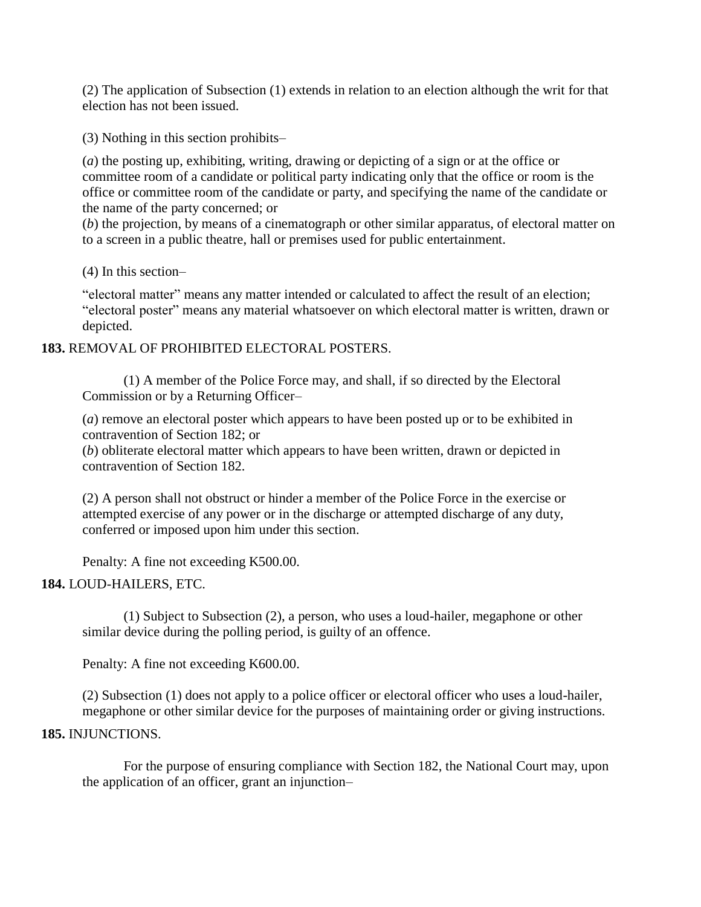(2) The application of Subsection (1) extends in relation to an election although the writ for that election has not been issued.

(3) Nothing in this section prohibits–

(*a*) the posting up, exhibiting, writing, drawing or depicting of a sign or at the office or committee room of a candidate or political party indicating only that the office or room is the office or committee room of the candidate or party, and specifying the name of the candidate or the name of the party concerned; or

(*b*) the projection, by means of a cinematograph or other similar apparatus, of electoral matter on to a screen in a public theatre, hall or premises used for public entertainment.

(4) In this section–

"electoral matter" means any matter intended or calculated to affect the result of an election; "electoral poster" means any material whatsoever on which electoral matter is written, drawn or depicted.

### **183.** REMOVAL OF PROHIBITED ELECTORAL POSTERS.

(1) A member of the Police Force may, and shall, if so directed by the Electoral Commission or by a Returning Officer–

(*a*) remove an electoral poster which appears to have been posted up or to be exhibited in contravention of Section 182; or

(*b*) obliterate electoral matter which appears to have been written, drawn or depicted in contravention of Section 182.

(2) A person shall not obstruct or hinder a member of the Police Force in the exercise or attempted exercise of any power or in the discharge or attempted discharge of any duty, conferred or imposed upon him under this section.

Penalty: A fine not exceeding K500.00.

# **184.** LOUD-HAILERS, ETC.

(1) Subject to Subsection (2), a person, who uses a loud-hailer, megaphone or other similar device during the polling period, is guilty of an offence.

Penalty: A fine not exceeding K600.00.

(2) Subsection (1) does not apply to a police officer or electoral officer who uses a loud-hailer, megaphone or other similar device for the purposes of maintaining order or giving instructions.

### **185.** INJUNCTIONS.

For the purpose of ensuring compliance with Section 182, the National Court may, upon the application of an officer, grant an injunction–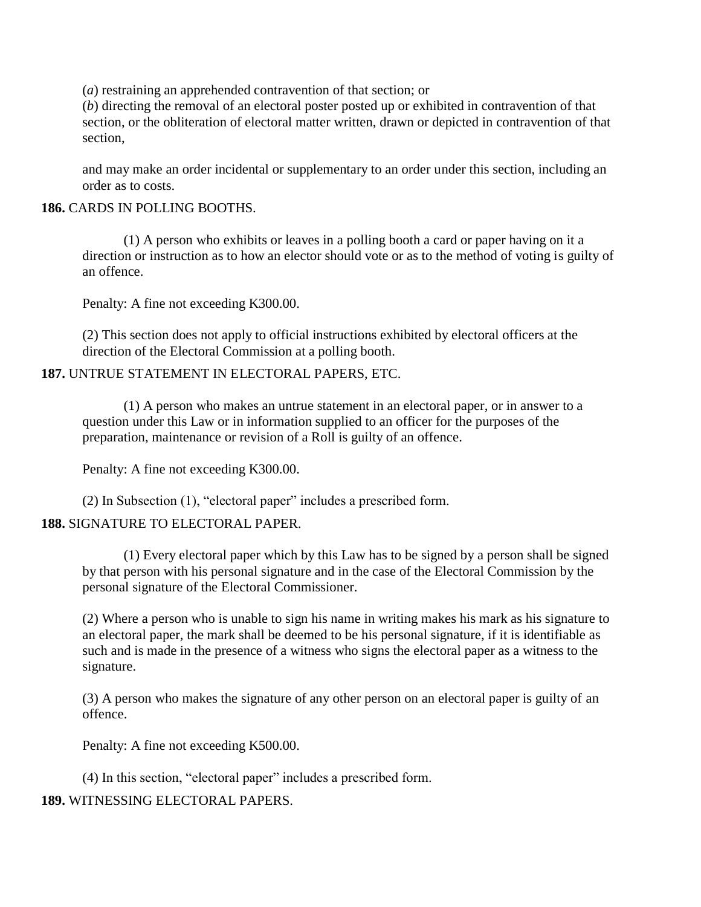(*a*) restraining an apprehended contravention of that section; or

(*b*) directing the removal of an electoral poster posted up or exhibited in contravention of that section, or the obliteration of electoral matter written, drawn or depicted in contravention of that section,

and may make an order incidental or supplementary to an order under this section, including an order as to costs.

#### **186.** CARDS IN POLLING BOOTHS.

(1) A person who exhibits or leaves in a polling booth a card or paper having on it a direction or instruction as to how an elector should vote or as to the method of voting is guilty of an offence.

Penalty: A fine not exceeding K300.00.

(2) This section does not apply to official instructions exhibited by electoral officers at the direction of the Electoral Commission at a polling booth.

### **187.** UNTRUE STATEMENT IN ELECTORAL PAPERS, ETC.

(1) A person who makes an untrue statement in an electoral paper, or in answer to a question under this Law or in information supplied to an officer for the purposes of the preparation, maintenance or revision of a Roll is guilty of an offence.

Penalty: A fine not exceeding K300.00.

(2) In Subsection (1), "electoral paper" includes a prescribed form.

### **188.** SIGNATURE TO ELECTORAL PAPER.

(1) Every electoral paper which by this Law has to be signed by a person shall be signed by that person with his personal signature and in the case of the Electoral Commission by the personal signature of the Electoral Commissioner.

(2) Where a person who is unable to sign his name in writing makes his mark as his signature to an electoral paper, the mark shall be deemed to be his personal signature, if it is identifiable as such and is made in the presence of a witness who signs the electoral paper as a witness to the signature.

(3) A person who makes the signature of any other person on an electoral paper is guilty of an offence.

Penalty: A fine not exceeding K500.00.

(4) In this section, "electoral paper" includes a prescribed form.

### **189.** WITNESSING ELECTORAL PAPERS.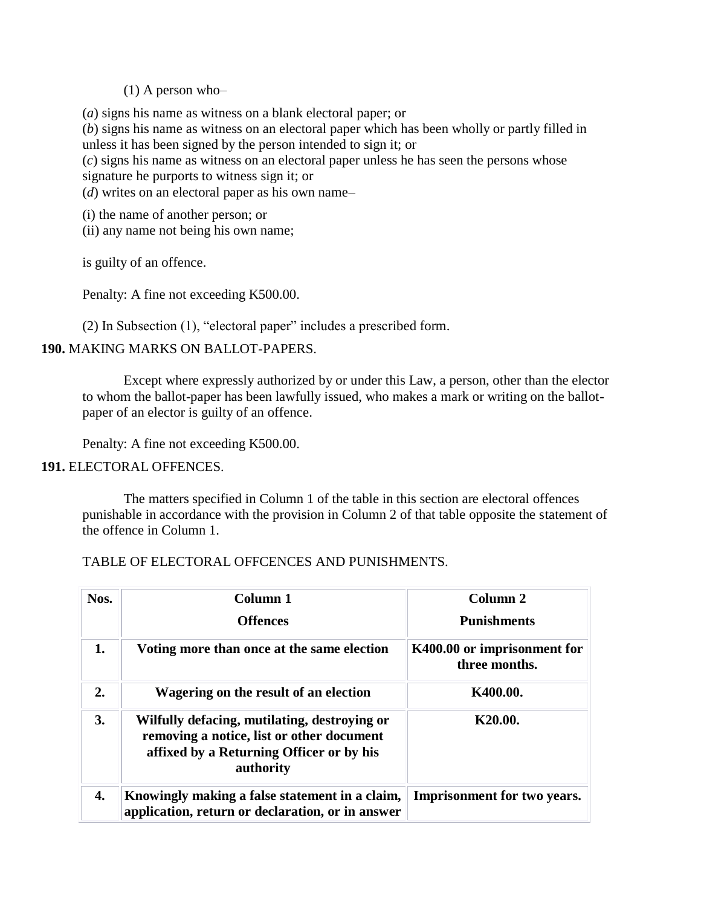#### (1) A person who–

(*a*) signs his name as witness on a blank electoral paper; or

(*b*) signs his name as witness on an electoral paper which has been wholly or partly filled in unless it has been signed by the person intended to sign it; or

(*c*) signs his name as witness on an electoral paper unless he has seen the persons whose signature he purports to witness sign it; or

(*d*) writes on an electoral paper as his own name–

(i) the name of another person; or

(ii) any name not being his own name;

is guilty of an offence.

Penalty: A fine not exceeding K500.00.

(2) In Subsection (1), "electoral paper" includes a prescribed form.

### **190.** MAKING MARKS ON BALLOT-PAPERS.

Except where expressly authorized by or under this Law, a person, other than the elector to whom the ballot-paper has been lawfully issued, who makes a mark or writing on the ballotpaper of an elector is guilty of an offence.

Penalty: A fine not exceeding K500.00.

### **191.** ELECTORAL OFFENCES.

The matters specified in Column 1 of the table in this section are electoral offences punishable in accordance with the provision in Column 2 of that table opposite the statement of the offence in Column 1.

### TABLE OF ELECTORAL OFFCENCES AND PUNISHMENTS.

| Nos. | Column 1                                                                                                                                           | Column 2                                     |
|------|----------------------------------------------------------------------------------------------------------------------------------------------------|----------------------------------------------|
|      | <b>Offences</b>                                                                                                                                    | <b>Punishments</b>                           |
| 1.   | Voting more than once at the same election                                                                                                         | K400.00 or imprisonment for<br>three months. |
| 2.   | Wagering on the result of an election                                                                                                              | K400.00.                                     |
| 3.   | Wilfully defacing, mutilating, destroying or<br>removing a notice, list or other document<br>affixed by a Returning Officer or by his<br>authority | K <sub>20.00</sub> .                         |
| 4.   | Knowingly making a false statement in a claim,<br>application, return or declaration, or in answer                                                 | <b>Imprisonment for two years.</b>           |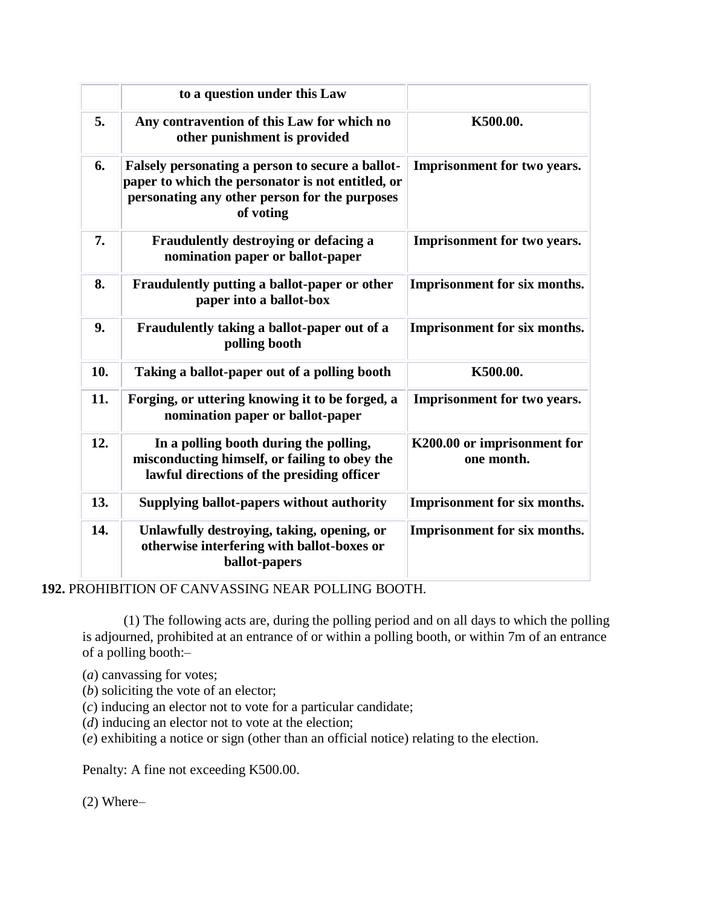|     | to a question under this Law                                                                                                                                        |                                           |
|-----|---------------------------------------------------------------------------------------------------------------------------------------------------------------------|-------------------------------------------|
| 5.  | Any contravention of this Law for which no<br>other punishment is provided                                                                                          | K500.00.                                  |
| 6.  | Falsely personating a person to secure a ballot-<br>paper to which the personator is not entitled, or<br>personating any other person for the purposes<br>of voting | <b>Imprisonment for two years.</b>        |
| 7.  | Fraudulently destroying or defacing a<br>nomination paper or ballot-paper                                                                                           | <b>Imprisonment for two years.</b>        |
| 8.  | Fraudulently putting a ballot-paper or other<br>paper into a ballot-box                                                                                             | <b>Imprisonment for six months.</b>       |
| 9.  | Fraudulently taking a ballot-paper out of a<br>polling booth                                                                                                        | <b>Imprisonment for six months.</b>       |
| 10. | Taking a ballot-paper out of a polling booth                                                                                                                        | K500.00.                                  |
| 11. | Forging, or uttering knowing it to be forged, a<br>nomination paper or ballot-paper                                                                                 | <b>Imprisonment for two years.</b>        |
| 12. | In a polling booth during the polling,<br>misconducting himself, or failing to obey the<br>lawful directions of the presiding officer                               | K200.00 or imprisonment for<br>one month. |
| 13. | Supplying ballot-papers without authority                                                                                                                           | <b>Imprisonment for six months.</b>       |
| 14. | Unlawfully destroying, taking, opening, or<br>otherwise interfering with ballot-boxes or<br>ballot-papers                                                           | <b>Imprisonment for six months.</b>       |

**192.** PROHIBITION OF CANVASSING NEAR POLLING BOOTH.

(1) The following acts are, during the polling period and on all days to which the polling is adjourned, prohibited at an entrance of or within a polling booth, or within 7m of an entrance of a polling booth:–

(*a*) canvassing for votes;

(*b*) soliciting the vote of an elector;

(*c*) inducing an elector not to vote for a particular candidate;

(*d*) inducing an elector not to vote at the election;

(*e*) exhibiting a notice or sign (other than an official notice) relating to the election.

Penalty: A fine not exceeding K500.00.

(2) Where–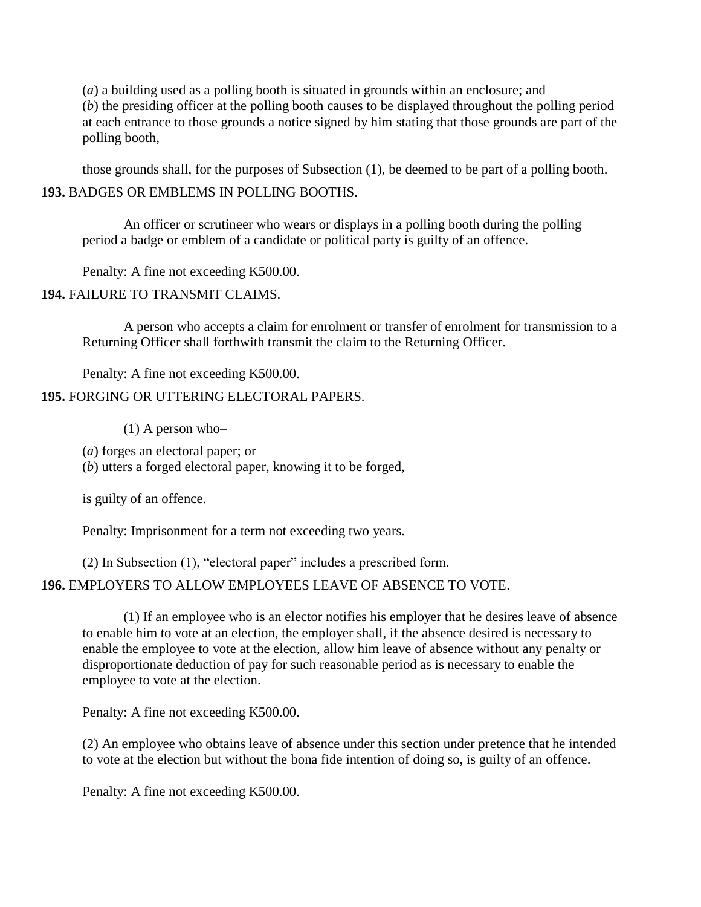(*a*) a building used as a polling booth is situated in grounds within an enclosure; and (*b*) the presiding officer at the polling booth causes to be displayed throughout the polling period at each entrance to those grounds a notice signed by him stating that those grounds are part of the polling booth,

those grounds shall, for the purposes of Subsection (1), be deemed to be part of a polling booth. **193.** BADGES OR EMBLEMS IN POLLING BOOTHS.

An officer or scrutineer who wears or displays in a polling booth during the polling period a badge or emblem of a candidate or political party is guilty of an offence.

Penalty: A fine not exceeding K500.00.

**194.** FAILURE TO TRANSMIT CLAIMS.

A person who accepts a claim for enrolment or transfer of enrolment for transmission to a Returning Officer shall forthwith transmit the claim to the Returning Officer.

Penalty: A fine not exceeding K500.00. **195.** FORGING OR UTTERING ELECTORAL PAPERS.

 $(1)$  A person who-

(*a*) forges an electoral paper; or

(*b*) utters a forged electoral paper, knowing it to be forged,

is guilty of an offence.

Penalty: Imprisonment for a term not exceeding two years.

(2) In Subsection (1), "electoral paper" includes a prescribed form.

# **196.** EMPLOYERS TO ALLOW EMPLOYEES LEAVE OF ABSENCE TO VOTE.

(1) If an employee who is an elector notifies his employer that he desires leave of absence to enable him to vote at an election, the employer shall, if the absence desired is necessary to enable the employee to vote at the election, allow him leave of absence without any penalty or disproportionate deduction of pay for such reasonable period as is necessary to enable the employee to vote at the election.

Penalty: A fine not exceeding K500.00.

(2) An employee who obtains leave of absence under this section under pretence that he intended to vote at the election but without the bona fide intention of doing so, is guilty of an offence.

Penalty: A fine not exceeding K500.00.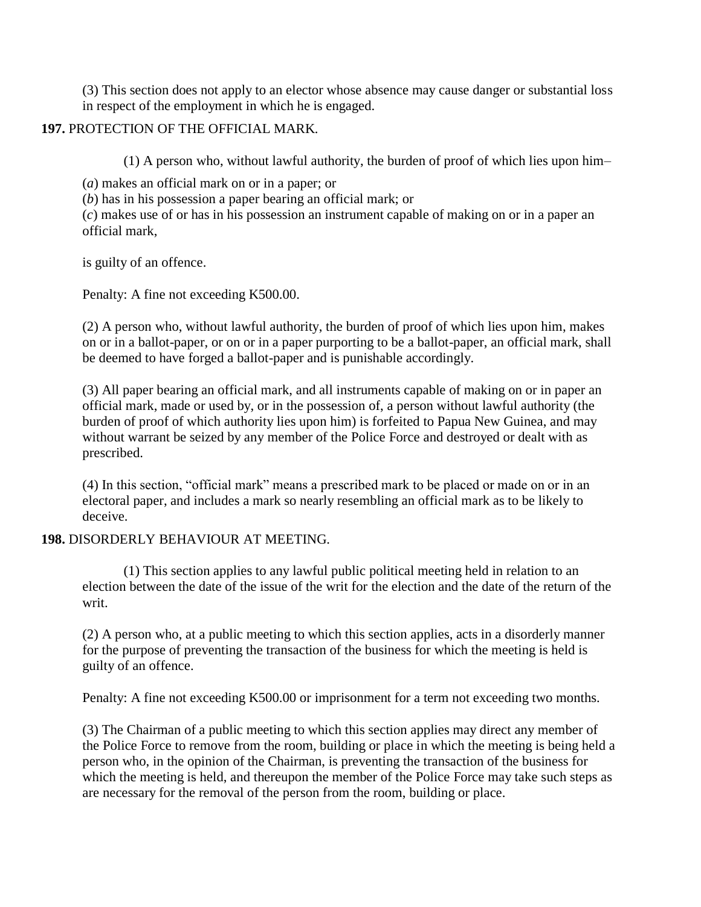(3) This section does not apply to an elector whose absence may cause danger or substantial loss in respect of the employment in which he is engaged.

# **197.** PROTECTION OF THE OFFICIAL MARK.

(1) A person who, without lawful authority, the burden of proof of which lies upon him–

(*a*) makes an official mark on or in a paper; or

(*b*) has in his possession a paper bearing an official mark; or

(*c*) makes use of or has in his possession an instrument capable of making on or in a paper an official mark,

is guilty of an offence.

Penalty: A fine not exceeding K500.00.

(2) A person who, without lawful authority, the burden of proof of which lies upon him, makes on or in a ballot-paper, or on or in a paper purporting to be a ballot-paper, an official mark, shall be deemed to have forged a ballot-paper and is punishable accordingly.

(3) All paper bearing an official mark, and all instruments capable of making on or in paper an official mark, made or used by, or in the possession of, a person without lawful authority (the burden of proof of which authority lies upon him) is forfeited to Papua New Guinea, and may without warrant be seized by any member of the Police Force and destroyed or dealt with as prescribed.

(4) In this section, "official mark" means a prescribed mark to be placed or made on or in an electoral paper, and includes a mark so nearly resembling an official mark as to be likely to deceive.

# **198.** DISORDERLY BEHAVIOUR AT MEETING.

(1) This section applies to any lawful public political meeting held in relation to an election between the date of the issue of the writ for the election and the date of the return of the writ.

(2) A person who, at a public meeting to which this section applies, acts in a disorderly manner for the purpose of preventing the transaction of the business for which the meeting is held is guilty of an offence.

Penalty: A fine not exceeding K500.00 or imprisonment for a term not exceeding two months.

(3) The Chairman of a public meeting to which this section applies may direct any member of the Police Force to remove from the room, building or place in which the meeting is being held a person who, in the opinion of the Chairman, is preventing the transaction of the business for which the meeting is held, and thereupon the member of the Police Force may take such steps as are necessary for the removal of the person from the room, building or place.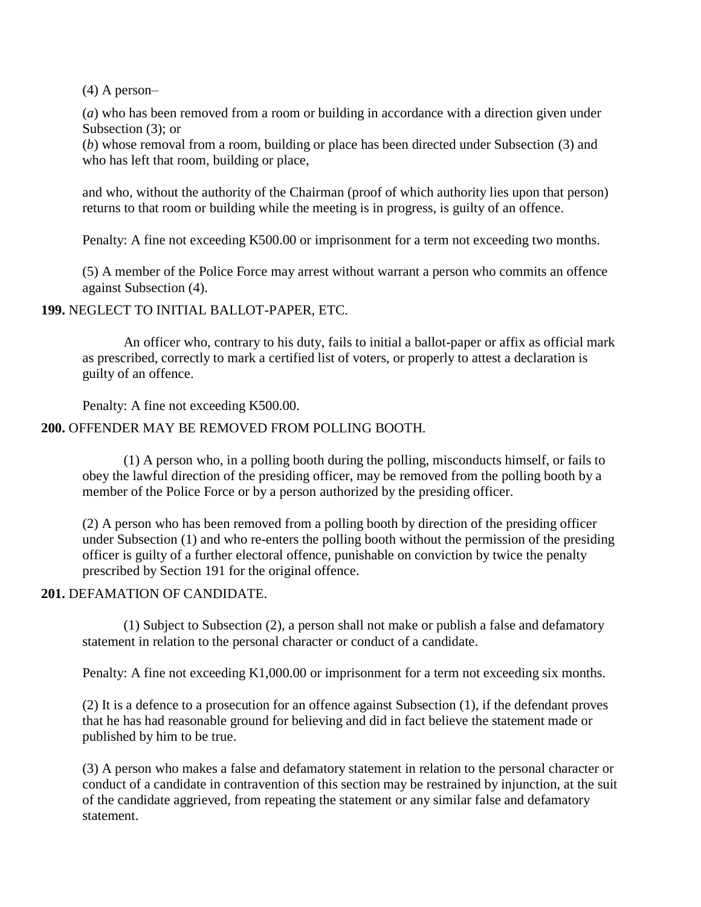(4) A person–

(*a*) who has been removed from a room or building in accordance with a direction given under Subsection (3); or

(*b*) whose removal from a room, building or place has been directed under Subsection (3) and who has left that room, building or place,

and who, without the authority of the Chairman (proof of which authority lies upon that person) returns to that room or building while the meeting is in progress, is guilty of an offence.

Penalty: A fine not exceeding K500.00 or imprisonment for a term not exceeding two months.

(5) A member of the Police Force may arrest without warrant a person who commits an offence against Subsection (4).

### **199.** NEGLECT TO INITIAL BALLOT-PAPER, ETC.

An officer who, contrary to his duty, fails to initial a ballot-paper or affix as official mark as prescribed, correctly to mark a certified list of voters, or properly to attest a declaration is guilty of an offence.

Penalty: A fine not exceeding K500.00.

### **200.** OFFENDER MAY BE REMOVED FROM POLLING BOOTH.

(1) A person who, in a polling booth during the polling, misconducts himself, or fails to obey the lawful direction of the presiding officer, may be removed from the polling booth by a member of the Police Force or by a person authorized by the presiding officer.

(2) A person who has been removed from a polling booth by direction of the presiding officer under Subsection (1) and who re-enters the polling booth without the permission of the presiding officer is guilty of a further electoral offence, punishable on conviction by twice the penalty prescribed by Section 191 for the original offence.

### **201.** DEFAMATION OF CANDIDATE.

(1) Subject to Subsection (2), a person shall not make or publish a false and defamatory statement in relation to the personal character or conduct of a candidate.

Penalty: A fine not exceeding K1,000.00 or imprisonment for a term not exceeding six months.

(2) It is a defence to a prosecution for an offence against Subsection (1), if the defendant proves that he has had reasonable ground for believing and did in fact believe the statement made or published by him to be true.

(3) A person who makes a false and defamatory statement in relation to the personal character or conduct of a candidate in contravention of this section may be restrained by injunction, at the suit of the candidate aggrieved, from repeating the statement or any similar false and defamatory statement.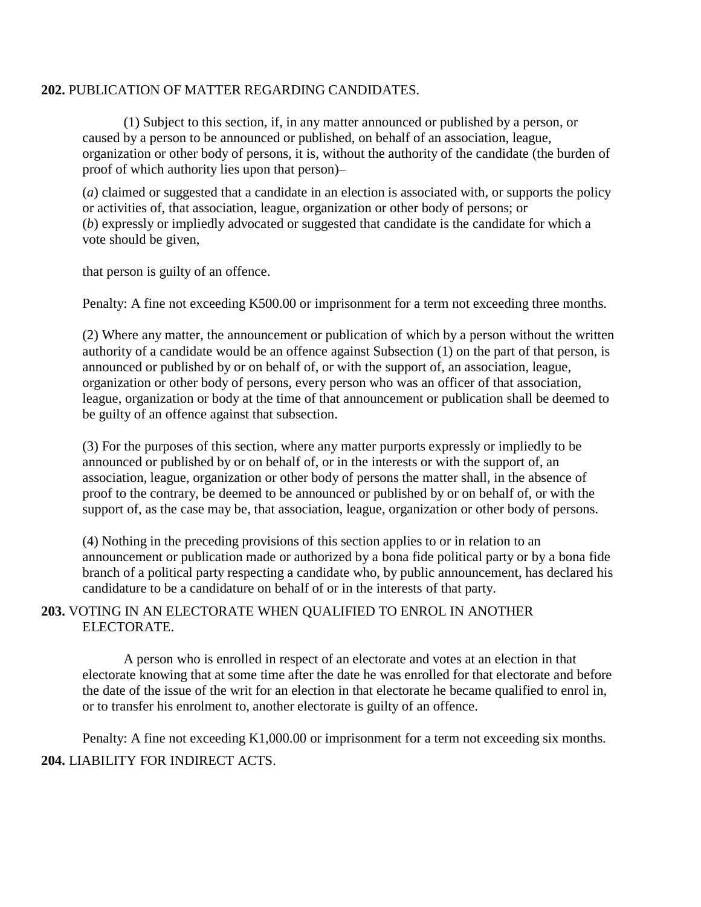### **202.** PUBLICATION OF MATTER REGARDING CANDIDATES.

(1) Subject to this section, if, in any matter announced or published by a person, or caused by a person to be announced or published, on behalf of an association, league, organization or other body of persons, it is, without the authority of the candidate (the burden of proof of which authority lies upon that person)–

(*a*) claimed or suggested that a candidate in an election is associated with, or supports the policy or activities of, that association, league, organization or other body of persons; or (*b*) expressly or impliedly advocated or suggested that candidate is the candidate for which a vote should be given,

that person is guilty of an offence.

Penalty: A fine not exceeding K500.00 or imprisonment for a term not exceeding three months.

(2) Where any matter, the announcement or publication of which by a person without the written authority of a candidate would be an offence against Subsection (1) on the part of that person, is announced or published by or on behalf of, or with the support of, an association, league, organization or other body of persons, every person who was an officer of that association, league, organization or body at the time of that announcement or publication shall be deemed to be guilty of an offence against that subsection.

(3) For the purposes of this section, where any matter purports expressly or impliedly to be announced or published by or on behalf of, or in the interests or with the support of, an association, league, organization or other body of persons the matter shall, in the absence of proof to the contrary, be deemed to be announced or published by or on behalf of, or with the support of, as the case may be, that association, league, organization or other body of persons.

(4) Nothing in the preceding provisions of this section applies to or in relation to an announcement or publication made or authorized by a bona fide political party or by a bona fide branch of a political party respecting a candidate who, by public announcement, has declared his candidature to be a candidature on behalf of or in the interests of that party.

### **203.** VOTING IN AN ELECTORATE WHEN QUALIFIED TO ENROL IN ANOTHER ELECTORATE.

A person who is enrolled in respect of an electorate and votes at an election in that electorate knowing that at some time after the date he was enrolled for that electorate and before the date of the issue of the writ for an election in that electorate he became qualified to enrol in, or to transfer his enrolment to, another electorate is guilty of an offence.

Penalty: A fine not exceeding K1,000.00 or imprisonment for a term not exceeding six months. **204.** LIABILITY FOR INDIRECT ACTS.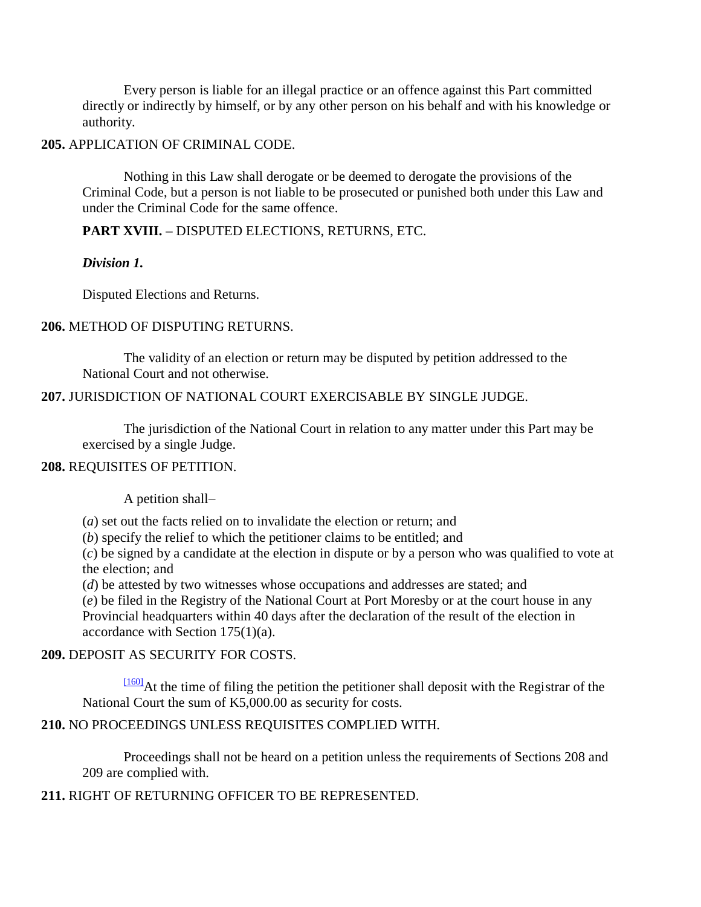Every person is liable for an illegal practice or an offence against this Part committed directly or indirectly by himself, or by any other person on his behalf and with his knowledge or authority.

### **205.** APPLICATION OF CRIMINAL CODE.

Nothing in this Law shall derogate or be deemed to derogate the provisions of the Criminal Code, but a person is not liable to be prosecuted or punished both under this Law and under the Criminal Code for the same offence.

# **PART XVIII. –** DISPUTED ELECTIONS, RETURNS, ETC.

### *Division 1.*

Disputed Elections and Returns.

### **206.** METHOD OF DISPUTING RETURNS.

The validity of an election or return may be disputed by petition addressed to the National Court and not otherwise.

### **207.** JURISDICTION OF NATIONAL COURT EXERCISABLE BY SINGLE JUDGE.

The jurisdiction of the National Court in relation to any matter under this Part may be exercised by a single Judge.

### **208.** REQUISITES OF PETITION.

A petition shall–

(*a*) set out the facts relied on to invalidate the election or return; and

(*b*) specify the relief to which the petitioner claims to be entitled; and

(*c*) be signed by a candidate at the election in dispute or by a person who was qualified to vote at the election; and

(*d*) be attested by two witnesses whose occupations and addresses are stated; and

(*e*) be filed in the Registry of the National Court at Port Moresby or at the court house in any Provincial headquarters within 40 days after the declaration of the result of the election in accordance with Section 175(1)(a).

# **209.** DEPOSIT AS SECURITY FOR COSTS.

[\[160\]](http://www.paclii.org/pg/legis/consol_act/olonalge519/#fn160)At the time of filing the petition the petitioner shall deposit with the Registrar of the National Court the sum of K5,000.00 as security for costs.

# **210.** NO PROCEEDINGS UNLESS REQUISITES COMPLIED WITH.

Proceedings shall not be heard on a petition unless the requirements of Sections 208 and 209 are complied with.

# **211.** RIGHT OF RETURNING OFFICER TO BE REPRESENTED.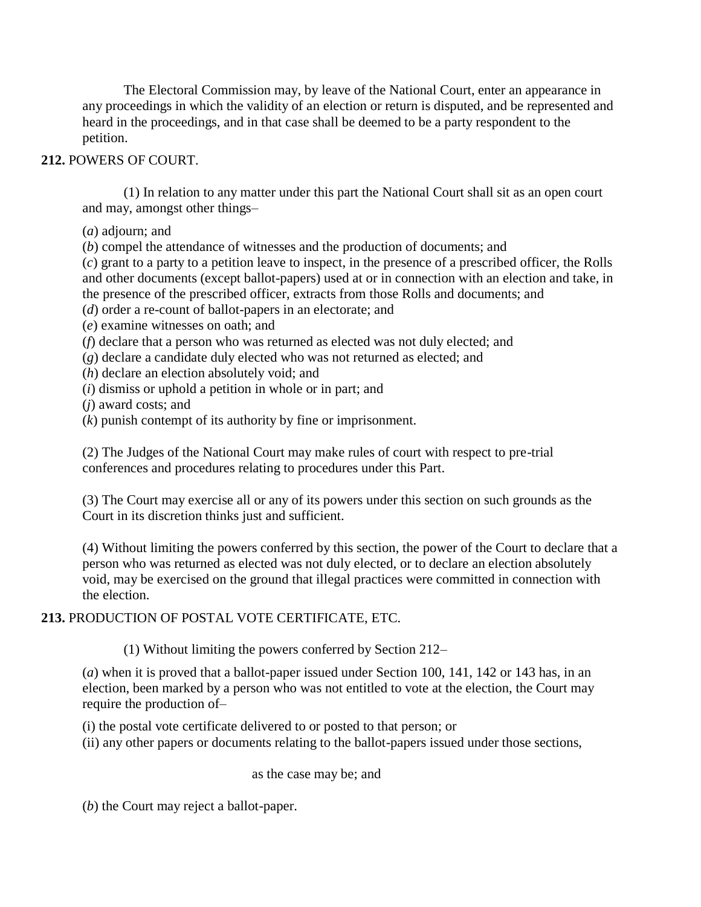The Electoral Commission may, by leave of the National Court, enter an appearance in any proceedings in which the validity of an election or return is disputed, and be represented and heard in the proceedings, and in that case shall be deemed to be a party respondent to the petition.

# **212.** POWERS OF COURT.

(1) In relation to any matter under this part the National Court shall sit as an open court and may, amongst other things–

(*a*) adjourn; and

(*b*) compel the attendance of witnesses and the production of documents; and

(*c*) grant to a party to a petition leave to inspect, in the presence of a prescribed officer, the Rolls and other documents (except ballot-papers) used at or in connection with an election and take, in the presence of the prescribed officer, extracts from those Rolls and documents; and

(*d*) order a re-count of ballot-papers in an electorate; and

(*e*) examine witnesses on oath; and

(*f*) declare that a person who was returned as elected was not duly elected; and

(*g*) declare a candidate duly elected who was not returned as elected; and

(*h*) declare an election absolutely void; and

(*i*) dismiss or uphold a petition in whole or in part; and

(*j*) award costs; and

(*k*) punish contempt of its authority by fine or imprisonment.

(2) The Judges of the National Court may make rules of court with respect to pre-trial conferences and procedures relating to procedures under this Part.

(3) The Court may exercise all or any of its powers under this section on such grounds as the Court in its discretion thinks just and sufficient.

(4) Without limiting the powers conferred by this section, the power of the Court to declare that a person who was returned as elected was not duly elected, or to declare an election absolutely void, may be exercised on the ground that illegal practices were committed in connection with the election.

**213.** PRODUCTION OF POSTAL VOTE CERTIFICATE, ETC.

(1) Without limiting the powers conferred by Section 212–

(*a*) when it is proved that a ballot-paper issued under Section 100, 141, 142 or 143 has, in an election, been marked by a person who was not entitled to vote at the election, the Court may require the production of–

(i) the postal vote certificate delivered to or posted to that person; or

(ii) any other papers or documents relating to the ballot-papers issued under those sections,

as the case may be; and

(*b*) the Court may reject a ballot-paper.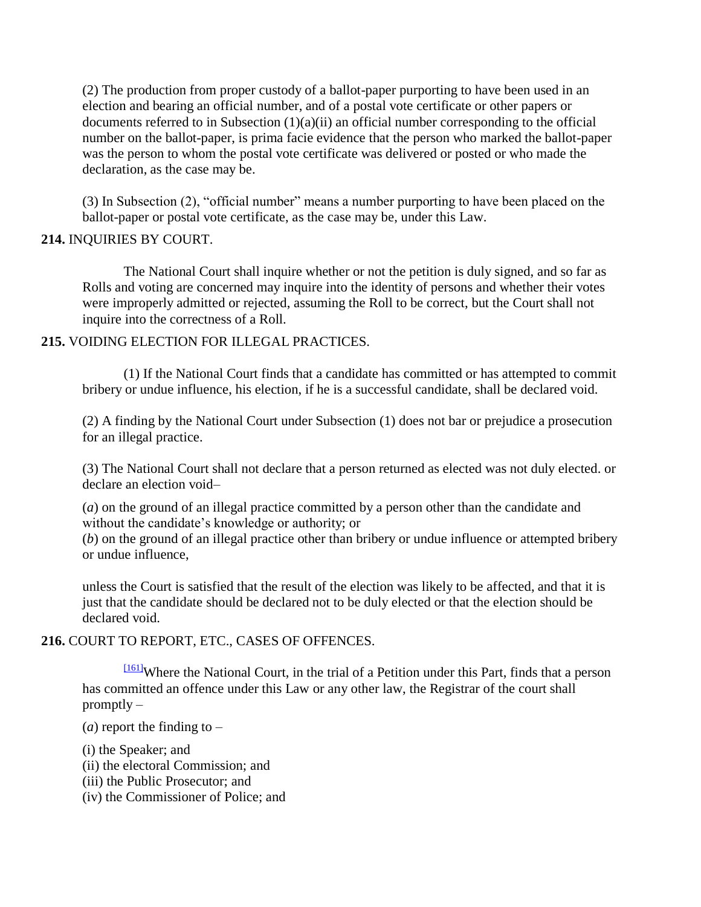(2) The production from proper custody of a ballot-paper purporting to have been used in an election and bearing an official number, and of a postal vote certificate or other papers or documents referred to in Subsection  $(1)(a)(ii)$  an official number corresponding to the official number on the ballot-paper, is prima facie evidence that the person who marked the ballot-paper was the person to whom the postal vote certificate was delivered or posted or who made the declaration, as the case may be.

(3) In Subsection (2), "official number" means a number purporting to have been placed on the ballot-paper or postal vote certificate, as the case may be, under this Law.

### **214.** INQUIRIES BY COURT.

The National Court shall inquire whether or not the petition is duly signed, and so far as Rolls and voting are concerned may inquire into the identity of persons and whether their votes were improperly admitted or rejected, assuming the Roll to be correct, but the Court shall not inquire into the correctness of a Roll.

### **215.** VOIDING ELECTION FOR ILLEGAL PRACTICES.

(1) If the National Court finds that a candidate has committed or has attempted to commit bribery or undue influence, his election, if he is a successful candidate, shall be declared void.

(2) A finding by the National Court under Subsection (1) does not bar or prejudice a prosecution for an illegal practice.

(3) The National Court shall not declare that a person returned as elected was not duly elected. or declare an election void–

(*a*) on the ground of an illegal practice committed by a person other than the candidate and without the candidate"s knowledge or authority; or

(*b*) on the ground of an illegal practice other than bribery or undue influence or attempted bribery or undue influence,

unless the Court is satisfied that the result of the election was likely to be affected, and that it is just that the candidate should be declared not to be duly elected or that the election should be declared void.

### **216.** COURT TO REPORT, ETC., CASES OF OFFENCES.

[\[161\]](http://www.paclii.org/pg/legis/consol_act/olonalge519/#fn161)Where the National Court, in the trial of a Petition under this Part, finds that a person has committed an offence under this Law or any other law, the Registrar of the court shall promptly –

(*a*) report the finding to  $-$ 

- (i) the Speaker; and
- (ii) the electoral Commission; and
- (iii) the Public Prosecutor; and
- (iv) the Commissioner of Police; and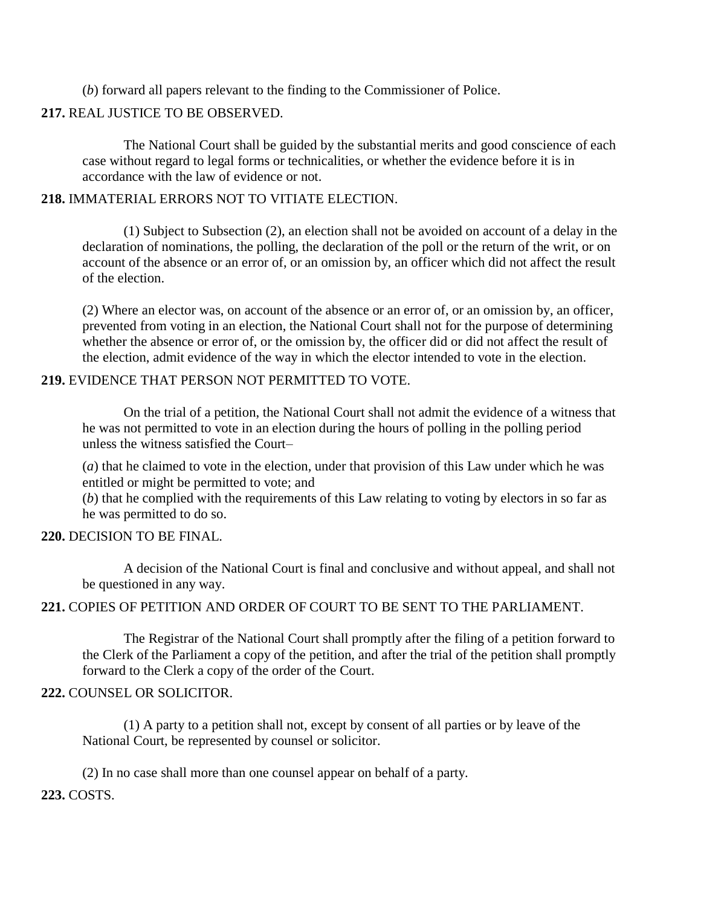(*b*) forward all papers relevant to the finding to the Commissioner of Police.

### **217.** REAL JUSTICE TO BE OBSERVED.

The National Court shall be guided by the substantial merits and good conscience of each case without regard to legal forms or technicalities, or whether the evidence before it is in accordance with the law of evidence or not.

### **218.** IMMATERIAL ERRORS NOT TO VITIATE ELECTION.

(1) Subject to Subsection (2), an election shall not be avoided on account of a delay in the declaration of nominations, the polling, the declaration of the poll or the return of the writ, or on account of the absence or an error of, or an omission by, an officer which did not affect the result of the election.

(2) Where an elector was, on account of the absence or an error of, or an omission by, an officer, prevented from voting in an election, the National Court shall not for the purpose of determining whether the absence or error of, or the omission by, the officer did or did not affect the result of the election, admit evidence of the way in which the elector intended to vote in the election.

# **219.** EVIDENCE THAT PERSON NOT PERMITTED TO VOTE.

On the trial of a petition, the National Court shall not admit the evidence of a witness that he was not permitted to vote in an election during the hours of polling in the polling period unless the witness satisfied the Court–

(*a*) that he claimed to vote in the election, under that provision of this Law under which he was entitled or might be permitted to vote; and

(*b*) that he complied with the requirements of this Law relating to voting by electors in so far as he was permitted to do so.

### **220.** DECISION TO BE FINAL.

A decision of the National Court is final and conclusive and without appeal, and shall not be questioned in any way.

### **221.** COPIES OF PETITION AND ORDER OF COURT TO BE SENT TO THE PARLIAMENT.

The Registrar of the National Court shall promptly after the filing of a petition forward to the Clerk of the Parliament a copy of the petition, and after the trial of the petition shall promptly forward to the Clerk a copy of the order of the Court.

### **222.** COUNSEL OR SOLICITOR.

(1) A party to a petition shall not, except by consent of all parties or by leave of the National Court, be represented by counsel or solicitor.

(2) In no case shall more than one counsel appear on behalf of a party.

**223.** COSTS.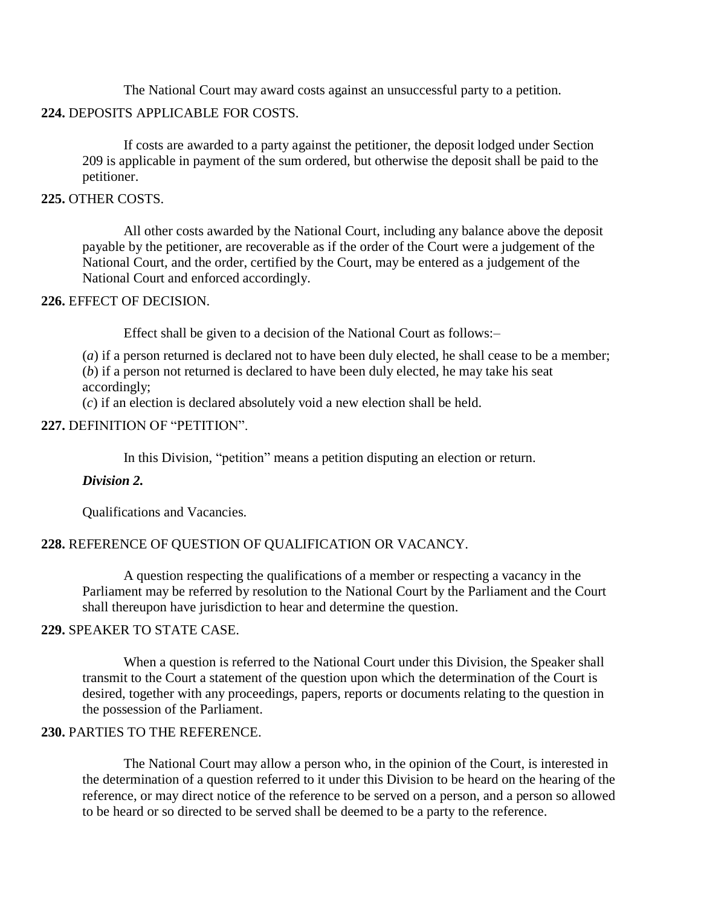The National Court may award costs against an unsuccessful party to a petition.

### **224.** DEPOSITS APPLICABLE FOR COSTS.

If costs are awarded to a party against the petitioner, the deposit lodged under Section 209 is applicable in payment of the sum ordered, but otherwise the deposit shall be paid to the petitioner.

#### **225.** OTHER COSTS.

All other costs awarded by the National Court, including any balance above the deposit payable by the petitioner, are recoverable as if the order of the Court were a judgement of the National Court, and the order, certified by the Court, may be entered as a judgement of the National Court and enforced accordingly.

#### **226.** EFFECT OF DECISION.

Effect shall be given to a decision of the National Court as follows:–

(*a*) if a person returned is declared not to have been duly elected, he shall cease to be a member; (*b*) if a person not returned is declared to have been duly elected, he may take his seat accordingly;

(*c*) if an election is declared absolutely void a new election shall be held.

### **227.** DEFINITION OF "PETITION".

In this Division, "petition" means a petition disputing an election or return.

#### *Division 2.*

Qualifications and Vacancies.

### **228.** REFERENCE OF QUESTION OF QUALIFICATION OR VACANCY.

A question respecting the qualifications of a member or respecting a vacancy in the Parliament may be referred by resolution to the National Court by the Parliament and the Court shall thereupon have jurisdiction to hear and determine the question.

### **229.** SPEAKER TO STATE CASE.

When a question is referred to the National Court under this Division, the Speaker shall transmit to the Court a statement of the question upon which the determination of the Court is desired, together with any proceedings, papers, reports or documents relating to the question in the possession of the Parliament.

### **230.** PARTIES TO THE REFERENCE.

The National Court may allow a person who, in the opinion of the Court, is interested in the determination of a question referred to it under this Division to be heard on the hearing of the reference, or may direct notice of the reference to be served on a person, and a person so allowed to be heard or so directed to be served shall be deemed to be a party to the reference.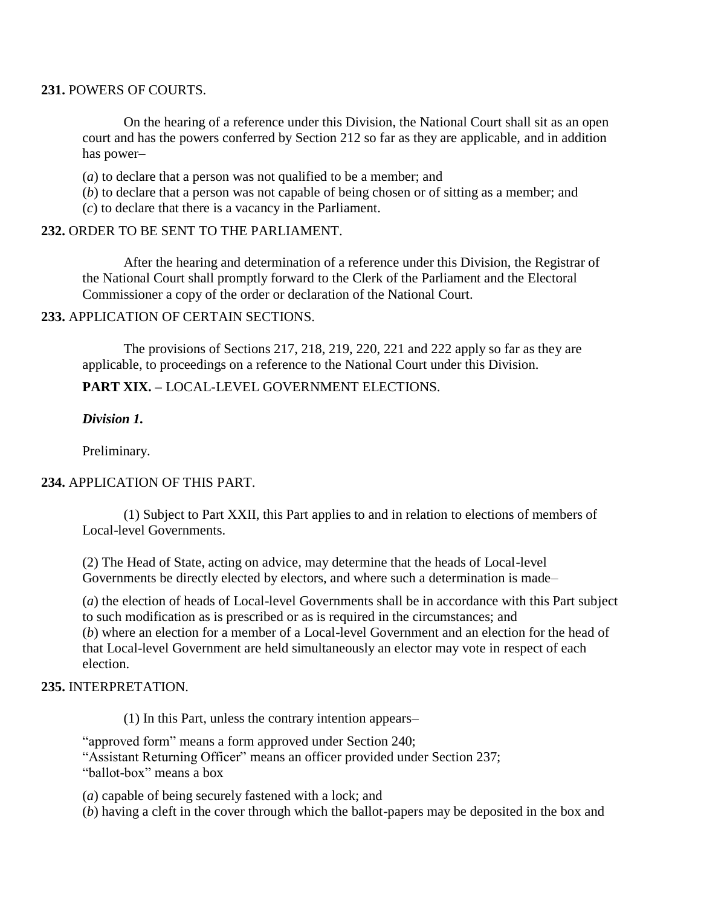#### **231.** POWERS OF COURTS.

On the hearing of a reference under this Division, the National Court shall sit as an open court and has the powers conferred by Section 212 so far as they are applicable, and in addition has power–

(*a*) to declare that a person was not qualified to be a member; and

(*b*) to declare that a person was not capable of being chosen or of sitting as a member; and (*c*) to declare that there is a vacancy in the Parliament.

### **232.** ORDER TO BE SENT TO THE PARLIAMENT.

After the hearing and determination of a reference under this Division, the Registrar of the National Court shall promptly forward to the Clerk of the Parliament and the Electoral Commissioner a copy of the order or declaration of the National Court.

### **233.** APPLICATION OF CERTAIN SECTIONS.

The provisions of Sections 217, 218, 219, 220, 221 and 222 apply so far as they are applicable, to proceedings on a reference to the National Court under this Division.

### **PART XIX. –** LOCAL-LEVEL GOVERNMENT ELECTIONS.

### *Division 1.*

Preliminary.

### **234.** APPLICATION OF THIS PART.

(1) Subject to Part XXII, this Part applies to and in relation to elections of members of Local-level Governments.

(2) The Head of State, acting on advice, may determine that the heads of Local-level Governments be directly elected by electors, and where such a determination is made–

(*a*) the election of heads of Local-level Governments shall be in accordance with this Part subject to such modification as is prescribed or as is required in the circumstances; and

(*b*) where an election for a member of a Local-level Government and an election for the head of that Local-level Government are held simultaneously an elector may vote in respect of each election.

### **235.** INTERPRETATION.

(1) In this Part, unless the contrary intention appears–

"approved form" means a form approved under Section 240; "Assistant Returning Officer" means an officer provided under Section 237; "ballot-box" means a box

(*a*) capable of being securely fastened with a lock; and

(*b*) having a cleft in the cover through which the ballot-papers may be deposited in the box and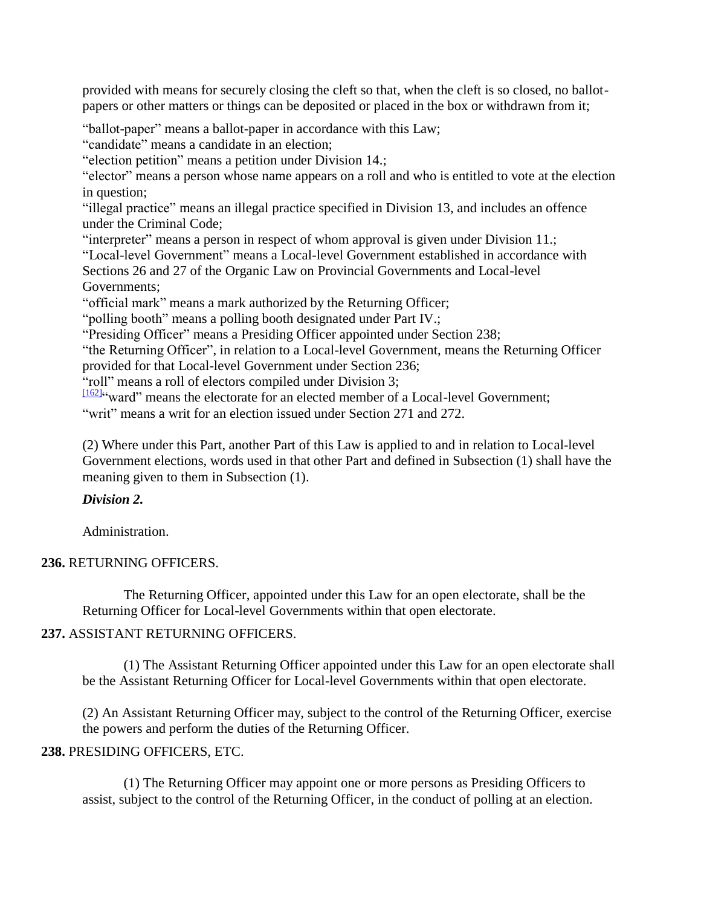provided with means for securely closing the cleft so that, when the cleft is so closed, no ballotpapers or other matters or things can be deposited or placed in the box or withdrawn from it;

"ballot-paper" means a ballot-paper in accordance with this Law;

"candidate" means a candidate in an election;

"election petition" means a petition under Division 14.;

"elector" means a person whose name appears on a roll and who is entitled to vote at the election in question;

"illegal practice" means an illegal practice specified in Division 13, and includes an offence under the Criminal Code;

"interpreter" means a person in respect of whom approval is given under Division 11.; "Local-level Government" means a Local-level Government established in accordance with Sections 26 and 27 of the Organic Law on Provincial Governments and Local-level Governments;

"official mark" means a mark authorized by the Returning Officer;

"polling booth" means a polling booth designated under Part IV.;

"Presiding Officer" means a Presiding Officer appointed under Section 238;

"the Returning Officer", in relation to a Local-level Government, means the Returning Officer provided for that Local-level Government under Section 236;

"roll" means a roll of electors compiled under Division 3;

 $\frac{1162}{162}$  ward" means the electorate for an elected member of a Local-level Government; "writ" means a writ for an election issued under Section 271 and 272.

(2) Where under this Part, another Part of this Law is applied to and in relation to Local-level Government elections, words used in that other Part and defined in Subsection (1) shall have the meaning given to them in Subsection (1).

# *Division 2.*

Administration.

# **236.** RETURNING OFFICERS.

The Returning Officer, appointed under this Law for an open electorate, shall be the Returning Officer for Local-level Governments within that open electorate.

# **237.** ASSISTANT RETURNING OFFICERS.

(1) The Assistant Returning Officer appointed under this Law for an open electorate shall be the Assistant Returning Officer for Local-level Governments within that open electorate.

(2) An Assistant Returning Officer may, subject to the control of the Returning Officer, exercise the powers and perform the duties of the Returning Officer.

# **238.** PRESIDING OFFICERS, ETC.

(1) The Returning Officer may appoint one or more persons as Presiding Officers to assist, subject to the control of the Returning Officer, in the conduct of polling at an election.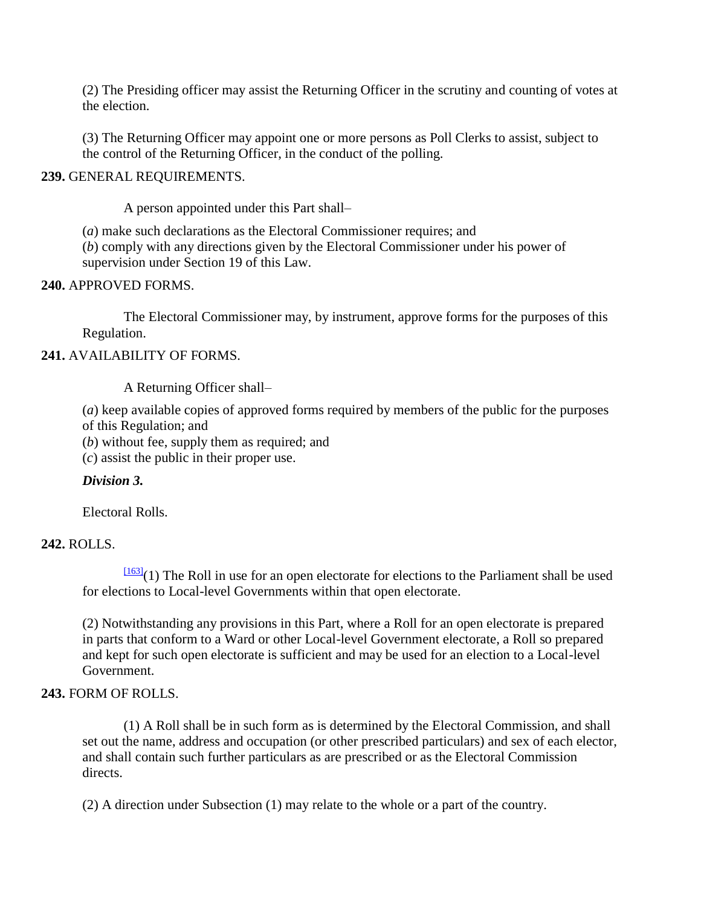(2) The Presiding officer may assist the Returning Officer in the scrutiny and counting of votes at the election.

(3) The Returning Officer may appoint one or more persons as Poll Clerks to assist, subject to the control of the Returning Officer, in the conduct of the polling.

### **239.** GENERAL REQUIREMENTS.

A person appointed under this Part shall–

(*a*) make such declarations as the Electoral Commissioner requires; and

(*b*) comply with any directions given by the Electoral Commissioner under his power of supervision under Section 19 of this Law.

#### **240.** APPROVED FORMS.

The Electoral Commissioner may, by instrument, approve forms for the purposes of this Regulation.

### **241.** AVAILABILITY OF FORMS.

A Returning Officer shall–

(*a*) keep available copies of approved forms required by members of the public for the purposes of this Regulation; and

(*b*) without fee, supply them as required; and

(*c*) assist the public in their proper use.

### *Division 3.*

Electoral Rolls.

### **242.** ROLLS.

 $\frac{[163]}{(1)}$  $\frac{[163]}{(1)}$  $\frac{[163]}{(1)}$  The Roll in use for an open electorate for elections to the Parliament shall be used for elections to Local-level Governments within that open electorate.

(2) Notwithstanding any provisions in this Part, where a Roll for an open electorate is prepared in parts that conform to a Ward or other Local-level Government electorate, a Roll so prepared and kept for such open electorate is sufficient and may be used for an election to a Local-level Government.

### **243.** FORM OF ROLLS.

(1) A Roll shall be in such form as is determined by the Electoral Commission, and shall set out the name, address and occupation (or other prescribed particulars) and sex of each elector, and shall contain such further particulars as are prescribed or as the Electoral Commission directs.

(2) A direction under Subsection (1) may relate to the whole or a part of the country.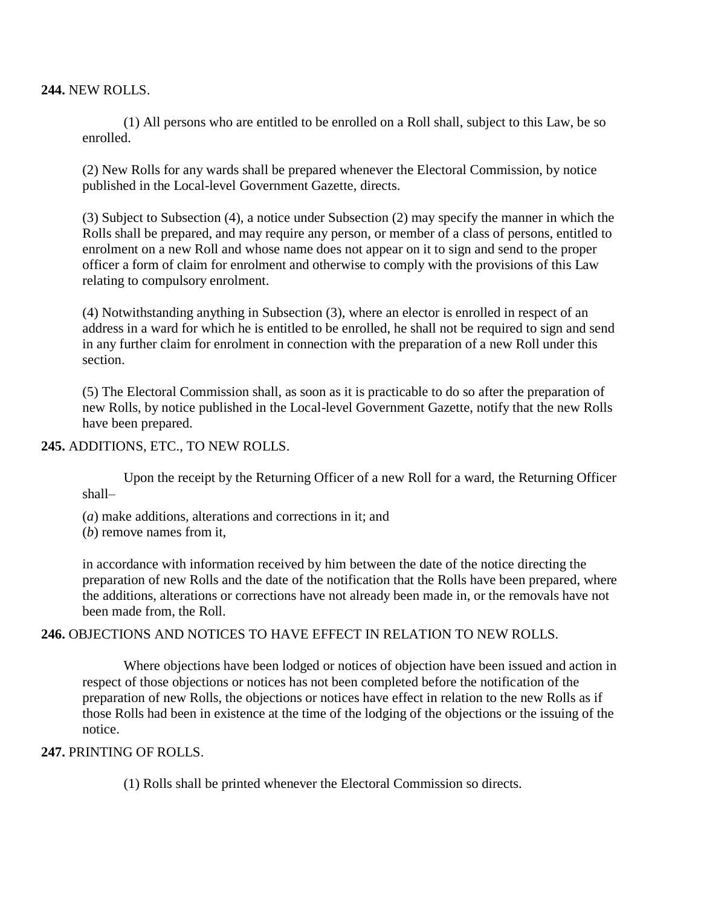**244.** NEW ROLLS.

(1) All persons who are entitled to be enrolled on a Roll shall, subject to this Law, be so enrolled.

(2) New Rolls for any wards shall be prepared whenever the Electoral Commission, by notice published in the Local-level Government Gazette, directs.

(3) Subject to Subsection (4), a notice under Subsection (2) may specify the manner in which the Rolls shall be prepared, and may require any person, or member of a class of persons, entitled to enrolment on a new Roll and whose name does not appear on it to sign and send to the proper officer a form of claim for enrolment and otherwise to comply with the provisions of this Law relating to compulsory enrolment.

(4) Notwithstanding anything in Subsection (3), where an elector is enrolled in respect of an address in a ward for which he is entitled to be enrolled, he shall not be required to sign and send in any further claim for enrolment in connection with the preparation of a new Roll under this section.

(5) The Electoral Commission shall, as soon as it is practicable to do so after the preparation of new Rolls, by notice published in the Local-level Government Gazette, notify that the new Rolls have been prepared.

#### **245.** ADDITIONS, ETC., TO NEW ROLLS.

Upon the receipt by the Returning Officer of a new Roll for a ward, the Returning Officer shall–

- (*a*) make additions, alterations and corrections in it; and
- (*b*) remove names from it,

in accordance with information received by him between the date of the notice directing the preparation of new Rolls and the date of the notification that the Rolls have been prepared, where the additions, alterations or corrections have not already been made in, or the removals have not been made from, the Roll.

### **246.** OBJECTIONS AND NOTICES TO HAVE EFFECT IN RELATION TO NEW ROLLS.

Where objections have been lodged or notices of objection have been issued and action in respect of those objections or notices has not been completed before the notification of the preparation of new Rolls, the objections or notices have effect in relation to the new Rolls as if those Rolls had been in existence at the time of the lodging of the objections or the issuing of the notice.

### **247.** PRINTING OF ROLLS.

(1) Rolls shall be printed whenever the Electoral Commission so directs.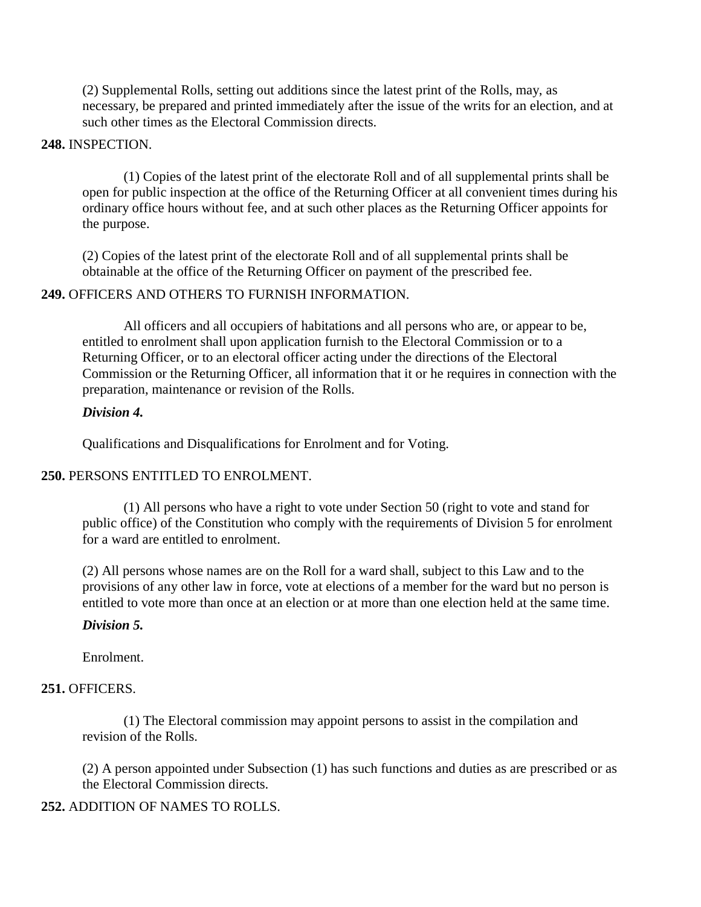(2) Supplemental Rolls, setting out additions since the latest print of the Rolls, may, as necessary, be prepared and printed immediately after the issue of the writs for an election, and at such other times as the Electoral Commission directs.

### **248.** INSPECTION.

(1) Copies of the latest print of the electorate Roll and of all supplemental prints shall be open for public inspection at the office of the Returning Officer at all convenient times during his ordinary office hours without fee, and at such other places as the Returning Officer appoints for the purpose.

(2) Copies of the latest print of the electorate Roll and of all supplemental prints shall be obtainable at the office of the Returning Officer on payment of the prescribed fee.

### **249.** OFFICERS AND OTHERS TO FURNISH INFORMATION.

All officers and all occupiers of habitations and all persons who are, or appear to be, entitled to enrolment shall upon application furnish to the Electoral Commission or to a Returning Officer, or to an electoral officer acting under the directions of the Electoral Commission or the Returning Officer, all information that it or he requires in connection with the preparation, maintenance or revision of the Rolls.

#### *Division 4.*

Qualifications and Disqualifications for Enrolment and for Voting.

### **250.** PERSONS ENTITLED TO ENROLMENT.

(1) All persons who have a right to vote under Section 50 (right to vote and stand for public office) of the Constitution who comply with the requirements of Division 5 for enrolment for a ward are entitled to enrolment.

(2) All persons whose names are on the Roll for a ward shall, subject to this Law and to the provisions of any other law in force, vote at elections of a member for the ward but no person is entitled to vote more than once at an election or at more than one election held at the same time.

#### *Division 5.*

Enrolment.

#### **251.** OFFICERS.

(1) The Electoral commission may appoint persons to assist in the compilation and revision of the Rolls.

(2) A person appointed under Subsection (1) has such functions and duties as are prescribed or as the Electoral Commission directs.

### **252.** ADDITION OF NAMES TO ROLLS.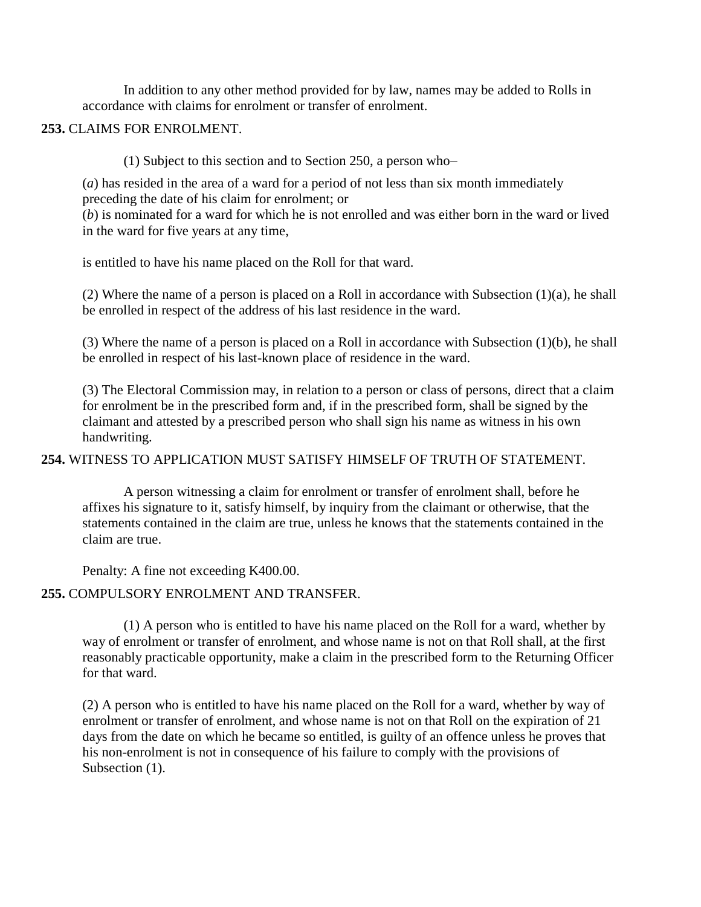In addition to any other method provided for by law, names may be added to Rolls in accordance with claims for enrolment or transfer of enrolment.

### **253.** CLAIMS FOR ENROLMENT.

(1) Subject to this section and to Section 250, a person who–

(*a*) has resided in the area of a ward for a period of not less than six month immediately preceding the date of his claim for enrolment; or

(*b*) is nominated for a ward for which he is not enrolled and was either born in the ward or lived in the ward for five years at any time,

is entitled to have his name placed on the Roll for that ward.

(2) Where the name of a person is placed on a Roll in accordance with Subsection (1)(a), he shall be enrolled in respect of the address of his last residence in the ward.

(3) Where the name of a person is placed on a Roll in accordance with Subsection (1)(b), he shall be enrolled in respect of his last-known place of residence in the ward.

(3) The Electoral Commission may, in relation to a person or class of persons, direct that a claim for enrolment be in the prescribed form and, if in the prescribed form, shall be signed by the claimant and attested by a prescribed person who shall sign his name as witness in his own handwriting.

### **254.** WITNESS TO APPLICATION MUST SATISFY HIMSELF OF TRUTH OF STATEMENT.

A person witnessing a claim for enrolment or transfer of enrolment shall, before he affixes his signature to it, satisfy himself, by inquiry from the claimant or otherwise, that the statements contained in the claim are true, unless he knows that the statements contained in the claim are true.

Penalty: A fine not exceeding K400.00.

# **255.** COMPULSORY ENROLMENT AND TRANSFER.

(1) A person who is entitled to have his name placed on the Roll for a ward, whether by way of enrolment or transfer of enrolment, and whose name is not on that Roll shall, at the first reasonably practicable opportunity, make a claim in the prescribed form to the Returning Officer for that ward.

(2) A person who is entitled to have his name placed on the Roll for a ward, whether by way of enrolment or transfer of enrolment, and whose name is not on that Roll on the expiration of 21 days from the date on which he became so entitled, is guilty of an offence unless he proves that his non-enrolment is not in consequence of his failure to comply with the provisions of Subsection  $(1)$ .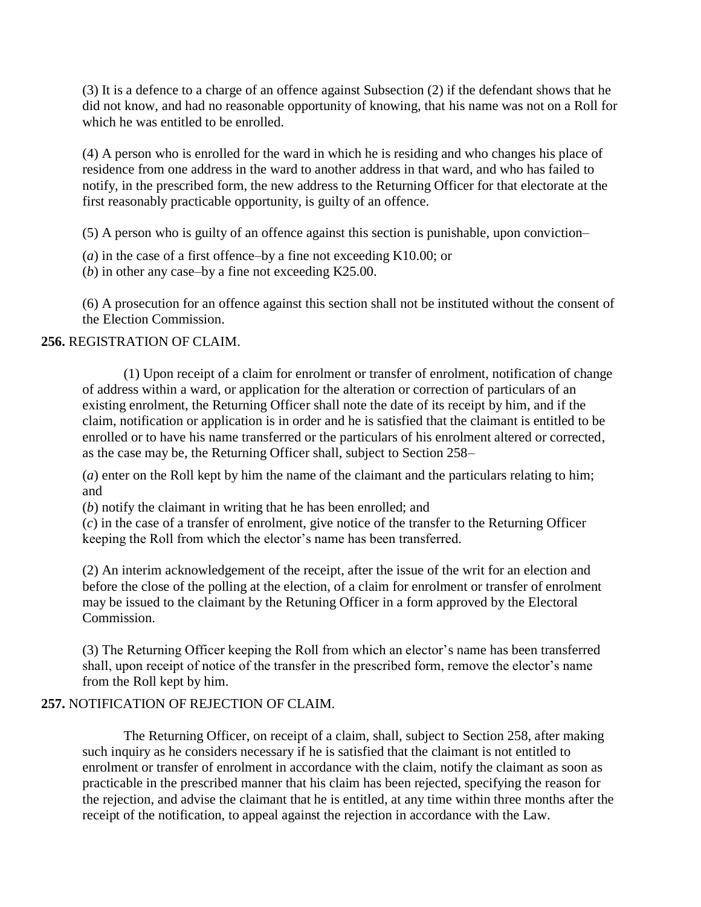(3) It is a defence to a charge of an offence against Subsection (2) if the defendant shows that he did not know, and had no reasonable opportunity of knowing, that his name was not on a Roll for which he was entitled to be enrolled.

(4) A person who is enrolled for the ward in which he is residing and who changes his place of residence from one address in the ward to another address in that ward, and who has failed to notify, in the prescribed form, the new address to the Returning Officer for that electorate at the first reasonably practicable opportunity, is guilty of an offence.

(5) A person who is guilty of an offence against this section is punishable, upon conviction–

- (*a*) in the case of a first offence–by a fine not exceeding K10.00; or
- (*b*) in other any case–by a fine not exceeding K25.00.

(6) A prosecution for an offence against this section shall not be instituted without the consent of the Election Commission.

### **256.** REGISTRATION OF CLAIM.

(1) Upon receipt of a claim for enrolment or transfer of enrolment, notification of change of address within a ward, or application for the alteration or correction of particulars of an existing enrolment, the Returning Officer shall note the date of its receipt by him, and if the claim, notification or application is in order and he is satisfied that the claimant is entitled to be enrolled or to have his name transferred or the particulars of his enrolment altered or corrected, as the case may be, the Returning Officer shall, subject to Section 258–

(*a*) enter on the Roll kept by him the name of the claimant and the particulars relating to him; and

(*b*) notify the claimant in writing that he has been enrolled; and

(*c*) in the case of a transfer of enrolment, give notice of the transfer to the Returning Officer keeping the Roll from which the elector's name has been transferred.

(2) An interim acknowledgement of the receipt, after the issue of the writ for an election and before the close of the polling at the election, of a claim for enrolment or transfer of enrolment may be issued to the claimant by the Retuning Officer in a form approved by the Electoral Commission.

(3) The Returning Officer keeping the Roll from which an elector"s name has been transferred shall, upon receipt of notice of the transfer in the prescribed form, remove the elector's name from the Roll kept by him.

### **257.** NOTIFICATION OF REJECTION OF CLAIM.

The Returning Officer, on receipt of a claim, shall, subject to Section 258, after making such inquiry as he considers necessary if he is satisfied that the claimant is not entitled to enrolment or transfer of enrolment in accordance with the claim, notify the claimant as soon as practicable in the prescribed manner that his claim has been rejected, specifying the reason for the rejection, and advise the claimant that he is entitled, at any time within three months after the receipt of the notification, to appeal against the rejection in accordance with the Law.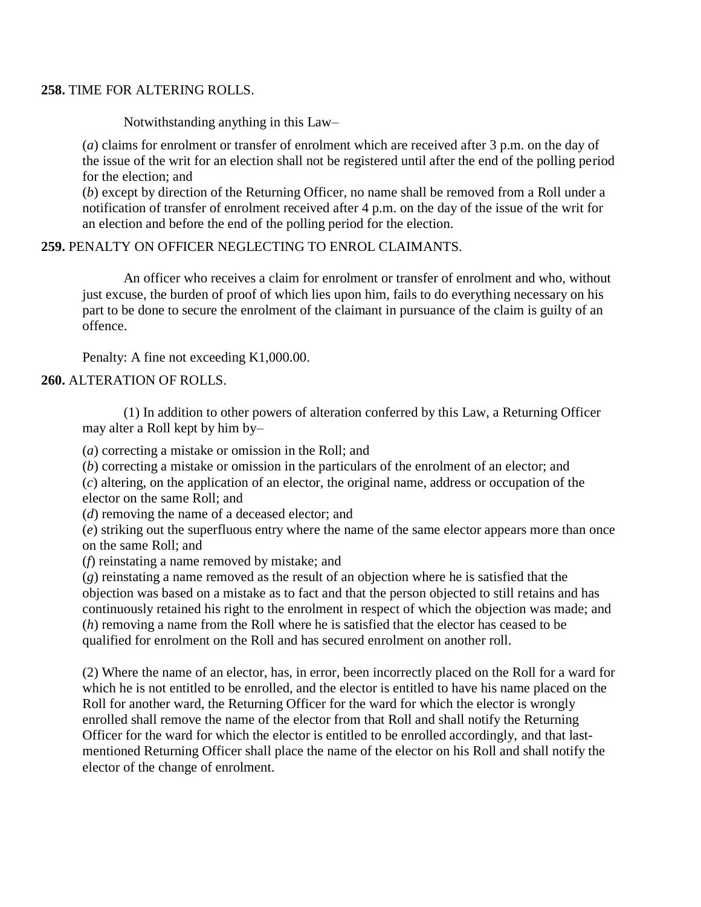### **258.** TIME FOR ALTERING ROLLS.

Notwithstanding anything in this Law–

(*a*) claims for enrolment or transfer of enrolment which are received after 3 p.m. on the day of the issue of the writ for an election shall not be registered until after the end of the polling period for the election; and

(*b*) except by direction of the Returning Officer, no name shall be removed from a Roll under a notification of transfer of enrolment received after 4 p.m. on the day of the issue of the writ for an election and before the end of the polling period for the election.

### **259.** PENALTY ON OFFICER NEGLECTING TO ENROL CLAIMANTS.

An officer who receives a claim for enrolment or transfer of enrolment and who, without just excuse, the burden of proof of which lies upon him, fails to do everything necessary on his part to be done to secure the enrolment of the claimant in pursuance of the claim is guilty of an offence.

Penalty: A fine not exceeding K1,000.00.

### **260.** ALTERATION OF ROLLS.

(1) In addition to other powers of alteration conferred by this Law, a Returning Officer may alter a Roll kept by him by–

(*a*) correcting a mistake or omission in the Roll; and

(*b*) correcting a mistake or omission in the particulars of the enrolment of an elector; and

(*c*) altering, on the application of an elector, the original name, address or occupation of the elector on the same Roll; and

(*d*) removing the name of a deceased elector; and

(*e*) striking out the superfluous entry where the name of the same elector appears more than once on the same Roll; and

(*f*) reinstating a name removed by mistake; and

(*g*) reinstating a name removed as the result of an objection where he is satisfied that the objection was based on a mistake as to fact and that the person objected to still retains and has continuously retained his right to the enrolment in respect of which the objection was made; and (*h*) removing a name from the Roll where he is satisfied that the elector has ceased to be qualified for enrolment on the Roll and has secured enrolment on another roll.

(2) Where the name of an elector, has, in error, been incorrectly placed on the Roll for a ward for which he is not entitled to be enrolled, and the elector is entitled to have his name placed on the Roll for another ward, the Returning Officer for the ward for which the elector is wrongly enrolled shall remove the name of the elector from that Roll and shall notify the Returning Officer for the ward for which the elector is entitled to be enrolled accordingly, and that lastmentioned Returning Officer shall place the name of the elector on his Roll and shall notify the elector of the change of enrolment.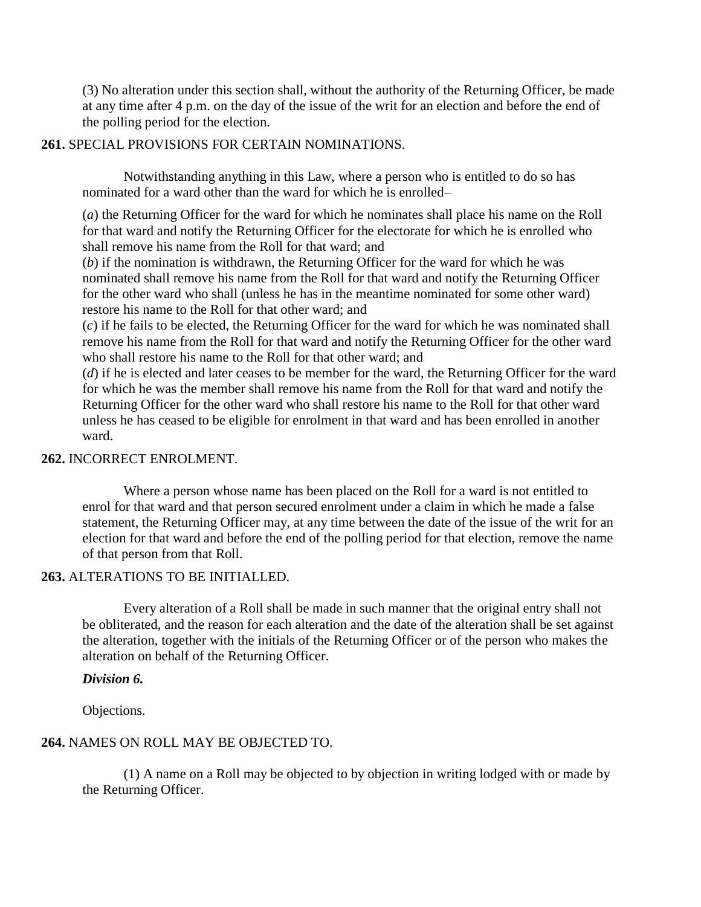(3) No alteration under this section shall, without the authority of the Returning Officer, be made at any time after 4 p.m. on the day of the issue of the writ for an election and before the end of the polling period for the election.

### **261.** SPECIAL PROVISIONS FOR CERTAIN NOMINATIONS.

Notwithstanding anything in this Law, where a person who is entitled to do so has nominated for a ward other than the ward for which he is enrolled–

(*a*) the Returning Officer for the ward for which he nominates shall place his name on the Roll for that ward and notify the Returning Officer for the electorate for which he is enrolled who shall remove his name from the Roll for that ward; and

(*b*) if the nomination is withdrawn, the Returning Officer for the ward for which he was nominated shall remove his name from the Roll for that ward and notify the Returning Officer for the other ward who shall (unless he has in the meantime nominated for some other ward) restore his name to the Roll for that other ward; and

(*c*) if he fails to be elected, the Returning Officer for the ward for which he was nominated shall remove his name from the Roll for that ward and notify the Returning Officer for the other ward who shall restore his name to the Roll for that other ward; and

(*d*) if he is elected and later ceases to be member for the ward, the Returning Officer for the ward for which he was the member shall remove his name from the Roll for that ward and notify the Returning Officer for the other ward who shall restore his name to the Roll for that other ward unless he has ceased to be eligible for enrolment in that ward and has been enrolled in another ward.

### **262.** INCORRECT ENROLMENT.

Where a person whose name has been placed on the Roll for a ward is not entitled to enrol for that ward and that person secured enrolment under a claim in which he made a false statement, the Returning Officer may, at any time between the date of the issue of the writ for an election for that ward and before the end of the polling period for that election, remove the name of that person from that Roll.

### **263.** ALTERATIONS TO BE INITIALLED.

Every alteration of a Roll shall be made in such manner that the original entry shall not be obliterated, and the reason for each alteration and the date of the alteration shall be set against the alteration, together with the initials of the Returning Officer or of the person who makes the alteration on behalf of the Returning Officer.

#### *Division 6.*

Objections.

### **264.** NAMES ON ROLL MAY BE OBJECTED TO.

(1) A name on a Roll may be objected to by objection in writing lodged with or made by the Returning Officer.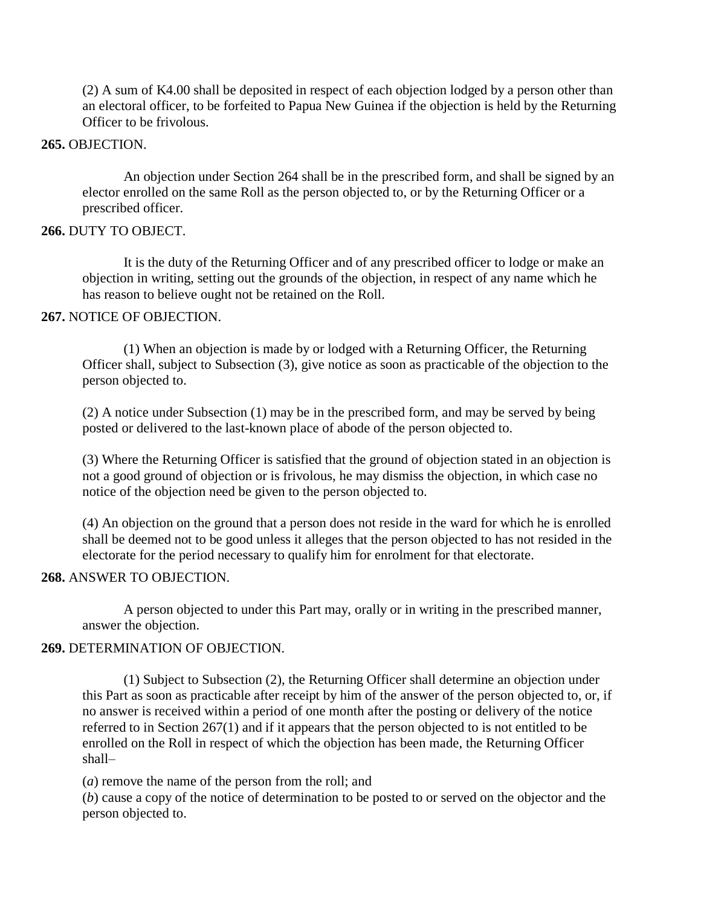(2) A sum of K4.00 shall be deposited in respect of each objection lodged by a person other than an electoral officer, to be forfeited to Papua New Guinea if the objection is held by the Returning Officer to be frivolous.

#### **265.** OBJECTION.

An objection under Section 264 shall be in the prescribed form, and shall be signed by an elector enrolled on the same Roll as the person objected to, or by the Returning Officer or a prescribed officer.

### **266.** DUTY TO OBJECT.

It is the duty of the Returning Officer and of any prescribed officer to lodge or make an objection in writing, setting out the grounds of the objection, in respect of any name which he has reason to believe ought not be retained on the Roll.

#### **267.** NOTICE OF OBJECTION.

(1) When an objection is made by or lodged with a Returning Officer, the Returning Officer shall, subject to Subsection (3), give notice as soon as practicable of the objection to the person objected to.

(2) A notice under Subsection (1) may be in the prescribed form, and may be served by being posted or delivered to the last-known place of abode of the person objected to.

(3) Where the Returning Officer is satisfied that the ground of objection stated in an objection is not a good ground of objection or is frivolous, he may dismiss the objection, in which case no notice of the objection need be given to the person objected to.

(4) An objection on the ground that a person does not reside in the ward for which he is enrolled shall be deemed not to be good unless it alleges that the person objected to has not resided in the electorate for the period necessary to qualify him for enrolment for that electorate.

### **268.** ANSWER TO OBJECTION.

A person objected to under this Part may, orally or in writing in the prescribed manner, answer the objection.

### **269.** DETERMINATION OF OBJECTION.

(1) Subject to Subsection (2), the Returning Officer shall determine an objection under this Part as soon as practicable after receipt by him of the answer of the person objected to, or, if no answer is received within a period of one month after the posting or delivery of the notice referred to in Section 267(1) and if it appears that the person objected to is not entitled to be enrolled on the Roll in respect of which the objection has been made, the Returning Officer shall–

(*a*) remove the name of the person from the roll; and

(*b*) cause a copy of the notice of determination to be posted to or served on the objector and the person objected to.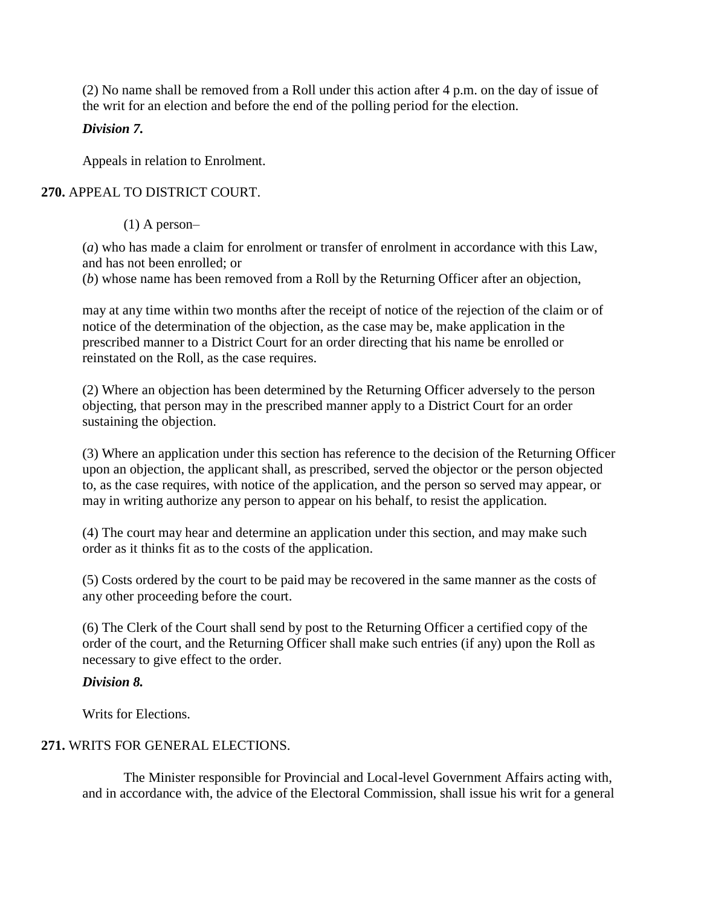(2) No name shall be removed from a Roll under this action after 4 p.m. on the day of issue of the writ for an election and before the end of the polling period for the election.

# *Division 7.*

Appeals in relation to Enrolment.

# **270.** APPEAL TO DISTRICT COURT.

(1) A person–

(*a*) who has made a claim for enrolment or transfer of enrolment in accordance with this Law, and has not been enrolled; or

(*b*) whose name has been removed from a Roll by the Returning Officer after an objection,

may at any time within two months after the receipt of notice of the rejection of the claim or of notice of the determination of the objection, as the case may be, make application in the prescribed manner to a District Court for an order directing that his name be enrolled or reinstated on the Roll, as the case requires.

(2) Where an objection has been determined by the Returning Officer adversely to the person objecting, that person may in the prescribed manner apply to a District Court for an order sustaining the objection.

(3) Where an application under this section has reference to the decision of the Returning Officer upon an objection, the applicant shall, as prescribed, served the objector or the person objected to, as the case requires, with notice of the application, and the person so served may appear, or may in writing authorize any person to appear on his behalf, to resist the application.

(4) The court may hear and determine an application under this section, and may make such order as it thinks fit as to the costs of the application.

(5) Costs ordered by the court to be paid may be recovered in the same manner as the costs of any other proceeding before the court.

(6) The Clerk of the Court shall send by post to the Returning Officer a certified copy of the order of the court, and the Returning Officer shall make such entries (if any) upon the Roll as necessary to give effect to the order.

# *Division 8.*

Writs for Elections.

# **271.** WRITS FOR GENERAL ELECTIONS.

The Minister responsible for Provincial and Local-level Government Affairs acting with, and in accordance with, the advice of the Electoral Commission, shall issue his writ for a general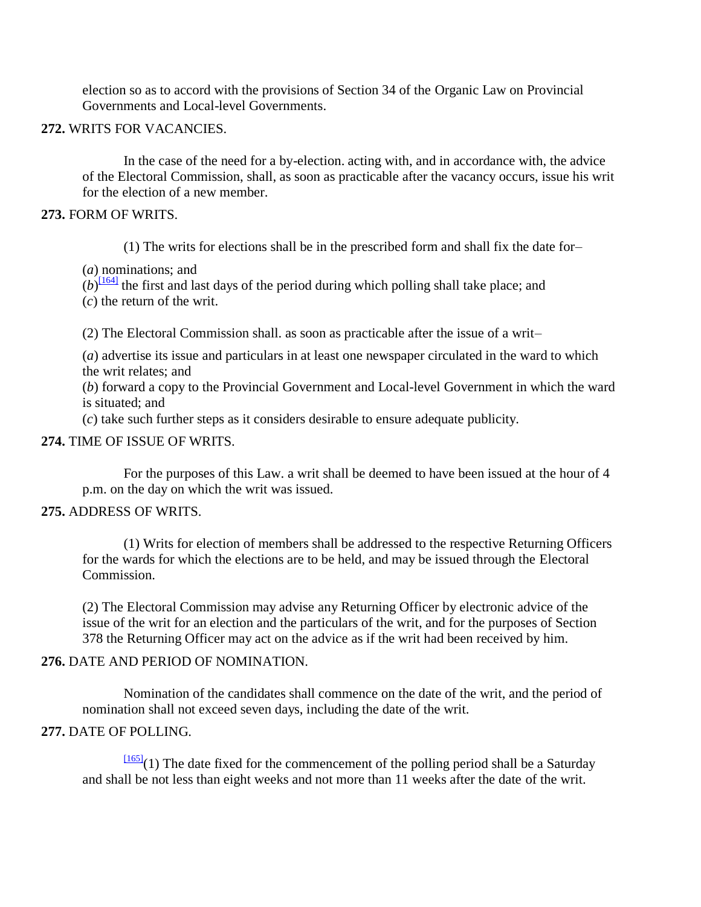election so as to accord with the provisions of Section 34 of the Organic Law on Provincial Governments and Local-level Governments.

### **272.** WRITS FOR VACANCIES.

In the case of the need for a by-election. acting with, and in accordance with, the advice of the Electoral Commission, shall, as soon as practicable after the vacancy occurs, issue his writ for the election of a new member.

### **273.** FORM OF WRITS.

(1) The writs for elections shall be in the prescribed form and shall fix the date for–

(*a*) nominations; and

 $(b)$ <sup>[\[164\]](http://www.paclii.org/pg/legis/consol_act/olonalge519/#fn164)</sup> the first and last days of the period during which polling shall take place; and

(*c*) the return of the writ.

(2) The Electoral Commission shall. as soon as practicable after the issue of a writ–

(*a*) advertise its issue and particulars in at least one newspaper circulated in the ward to which the writ relates; and

(*b*) forward a copy to the Provincial Government and Local-level Government in which the ward is situated; and

(*c*) take such further steps as it considers desirable to ensure adequate publicity.

### **274.** TIME OF ISSUE OF WRITS.

For the purposes of this Law. a writ shall be deemed to have been issued at the hour of 4 p.m. on the day on which the writ was issued.

### **275.** ADDRESS OF WRITS.

(1) Writs for election of members shall be addressed to the respective Returning Officers for the wards for which the elections are to be held, and may be issued through the Electoral Commission.

(2) The Electoral Commission may advise any Returning Officer by electronic advice of the issue of the writ for an election and the particulars of the writ, and for the purposes of Section 378 the Returning Officer may act on the advice as if the writ had been received by him.

### **276.** DATE AND PERIOD OF NOMINATION.

Nomination of the candidates shall commence on the date of the writ, and the period of nomination shall not exceed seven days, including the date of the writ.

### **277.** DATE OF POLLING.

 $\frac{[165]}{[165]}$  $\frac{[165]}{[165]}$  $\frac{[165]}{[165]}$ (1) The date fixed for the commencement of the polling period shall be a Saturday and shall be not less than eight weeks and not more than 11 weeks after the date of the writ.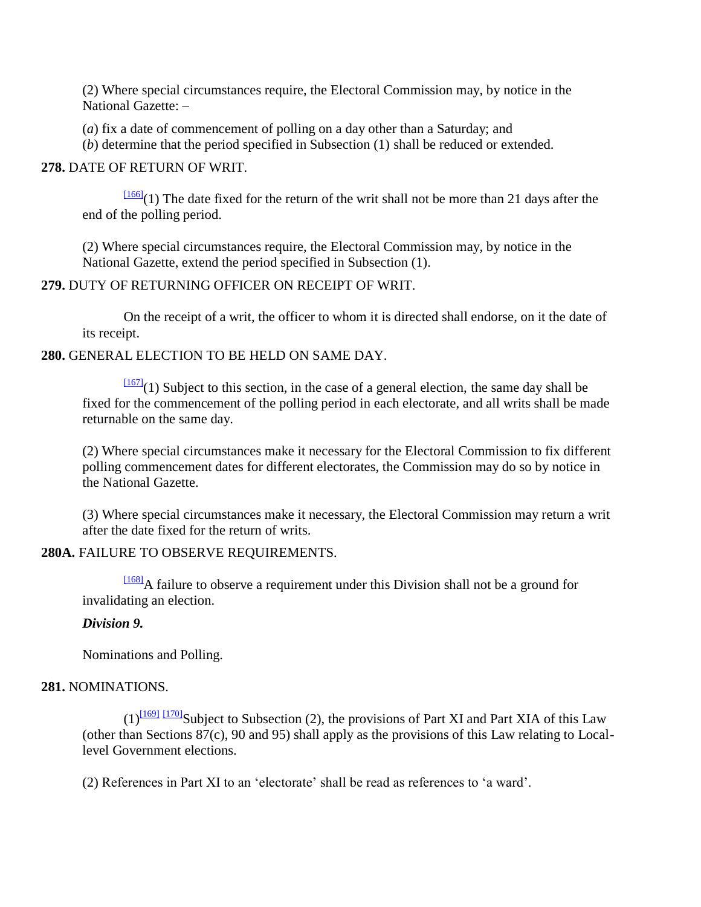(2) Where special circumstances require, the Electoral Commission may, by notice in the National Gazette: –

(*a*) fix a date of commencement of polling on a day other than a Saturday; and

(*b*) determine that the period specified in Subsection (1) shall be reduced or extended.

### **278.** DATE OF RETURN OF WRIT.

 $\frac{[166]}{(1)}$  $\frac{[166]}{(1)}$  $\frac{[166]}{(1)}$  The date fixed for the return of the writ shall not be more than 21 days after the end of the polling period.

(2) Where special circumstances require, the Electoral Commission may, by notice in the National Gazette, extend the period specified in Subsection (1).

### **279.** DUTY OF RETURNING OFFICER ON RECEIPT OF WRIT.

On the receipt of a writ, the officer to whom it is directed shall endorse, on it the date of its receipt.

### **280.** GENERAL ELECTION TO BE HELD ON SAME DAY.

 $\frac{[167]}{[167]}(1)$  $\frac{[167]}{[167]}(1)$  $\frac{[167]}{[167]}(1)$  Subject to this section, in the case of a general election, the same day shall be fixed for the commencement of the polling period in each electorate, and all writs shall be made returnable on the same day.

(2) Where special circumstances make it necessary for the Electoral Commission to fix different polling commencement dates for different electorates, the Commission may do so by notice in the National Gazette.

(3) Where special circumstances make it necessary, the Electoral Commission may return a writ after the date fixed for the return of writs.

### **280A.** FAILURE TO OBSERVE REQUIREMENTS.

[\[168\]](http://www.paclii.org/pg/legis/consol_act/olonalge519/#fn168)A failure to observe a requirement under this Division shall not be a ground for invalidating an election.

# *Division 9.*

Nominations and Polling.

# **281.** NOMINATIONS.

 $(1)^{11691}$  [\[170\]](http://www.paclii.org/pg/legis/consol_act/olonalge519/#fn170) Subject to Subsection (2), the provisions of Part XI and Part XIA of this Law (other than Sections 87(c), 90 and 95) shall apply as the provisions of this Law relating to Locallevel Government elections.

(2) References in Part XI to an "electorate" shall be read as references to "a ward".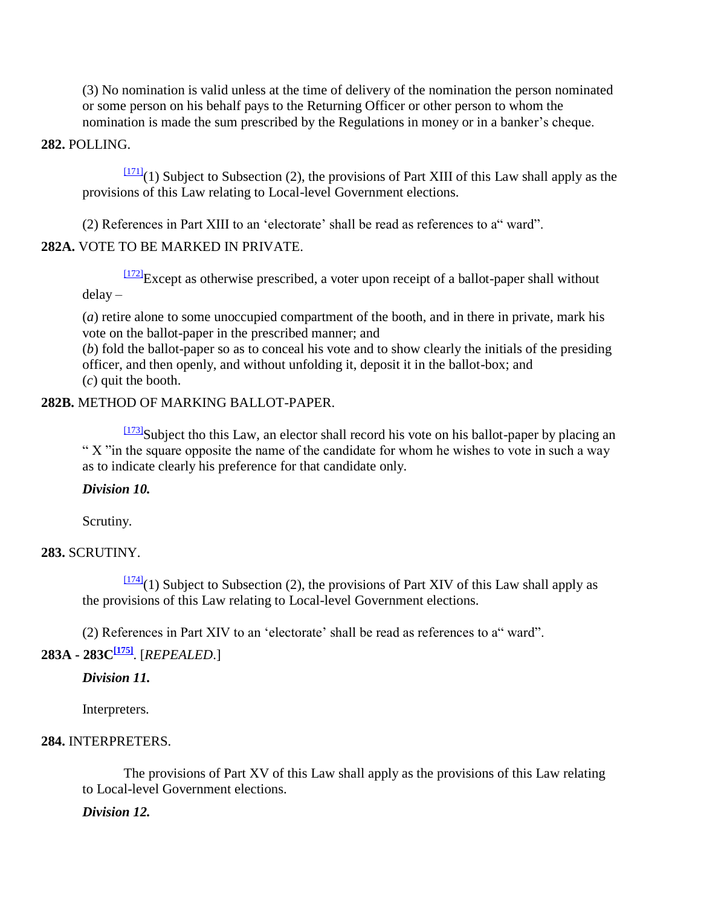(3) No nomination is valid unless at the time of delivery of the nomination the person nominated or some person on his behalf pays to the Returning Officer or other person to whom the nomination is made the sum prescribed by the Regulations in money or in a banker"s cheque.

#### **282.** POLLING.

 $\frac{[171]}{[171]}(1)$  $\frac{[171]}{[171]}(1)$  $\frac{[171]}{[171]}(1)$  Subject to Subsection (2), the provisions of Part XIII of this Law shall apply as the provisions of this Law relating to Local-level Government elections.

(2) References in Part XIII to an 'electorate' shall be read as references to a" ward".

### **282A.** VOTE TO BE MARKED IN PRIVATE.

 $\frac{[172]}{[172]}$  $\frac{[172]}{[172]}$  $\frac{[172]}{[172]}$ Except as otherwise prescribed, a voter upon receipt of a ballot-paper shall without delay –

(*a*) retire alone to some unoccupied compartment of the booth, and in there in private, mark his vote on the ballot-paper in the prescribed manner; and

(*b*) fold the ballot-paper so as to conceal his vote and to show clearly the initials of the presiding officer, and then openly, and without unfolding it, deposit it in the ballot-box; and (*c*) quit the booth.

#### **282B.** METHOD OF MARKING BALLOT-PAPER.

[\[173\]](http://www.paclii.org/pg/legis/consol_act/olonalge519/#fn173)Subject tho this Law, an elector shall record his vote on his ballot-paper by placing an " X "in the square opposite the name of the candidate for whom he wishes to vote in such a way as to indicate clearly his preference for that candidate only.

### *Division 10.*

Scrutiny.

### **283.** SCRUTINY.

 $\frac{[174]}{(1)}$  $\frac{[174]}{(1)}$  $\frac{[174]}{(1)}$  Subject to Subsection (2), the provisions of Part XIV of this Law shall apply as the provisions of this Law relating to Local-level Government elections.

(2) References in Part XIV to an 'electorate' shall be read as references to a" ward".

# **283A - 283C[\[175\]](http://www.paclii.org/pg/legis/consol_act/olonalge519/#fn175)**. [*REPEALED*.]

### *Division 11.*

Interpreters.

### **284.** INTERPRETERS.

The provisions of Part XV of this Law shall apply as the provisions of this Law relating to Local-level Government elections.

### *Division 12.*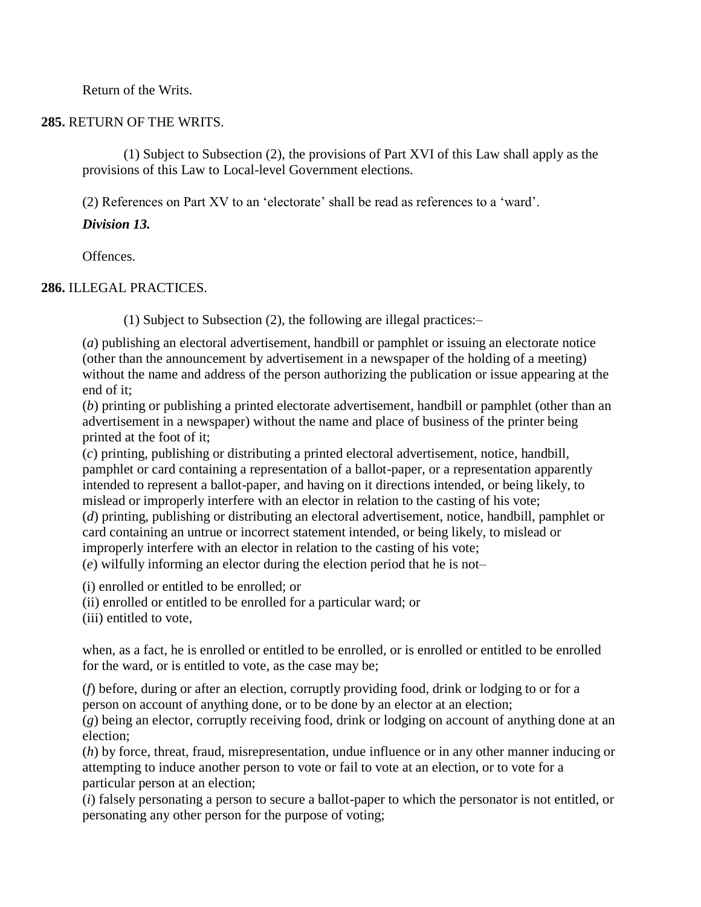Return of the Writs.

### **285.** RETURN OF THE WRITS.

(1) Subject to Subsection (2), the provisions of Part XVI of this Law shall apply as the provisions of this Law to Local-level Government elections.

(2) References on Part XV to an "electorate" shall be read as references to a "ward".

# *Division 13.*

Offences.

# **286.** ILLEGAL PRACTICES.

(1) Subject to Subsection (2), the following are illegal practices:–

(*a*) publishing an electoral advertisement, handbill or pamphlet or issuing an electorate notice (other than the announcement by advertisement in a newspaper of the holding of a meeting) without the name and address of the person authorizing the publication or issue appearing at the end of it;

(*b*) printing or publishing a printed electorate advertisement, handbill or pamphlet (other than an advertisement in a newspaper) without the name and place of business of the printer being printed at the foot of it;

(*c*) printing, publishing or distributing a printed electoral advertisement, notice, handbill, pamphlet or card containing a representation of a ballot-paper, or a representation apparently intended to represent a ballot-paper, and having on it directions intended, or being likely, to mislead or improperly interfere with an elector in relation to the casting of his vote;

(*d*) printing, publishing or distributing an electoral advertisement, notice, handbill, pamphlet or card containing an untrue or incorrect statement intended, or being likely, to mislead or improperly interfere with an elector in relation to the casting of his vote;

(*e*) wilfully informing an elector during the election period that he is not–

(i) enrolled or entitled to be enrolled; or

(ii) enrolled or entitled to be enrolled for a particular ward; or

(iii) entitled to vote,

when, as a fact, he is enrolled or entitled to be enrolled, or is enrolled or entitled to be enrolled for the ward, or is entitled to vote, as the case may be;

(*f*) before, during or after an election, corruptly providing food, drink or lodging to or for a person on account of anything done, or to be done by an elector at an election;

(*g*) being an elector, corruptly receiving food, drink or lodging on account of anything done at an election;

(*h*) by force, threat, fraud, misrepresentation, undue influence or in any other manner inducing or attempting to induce another person to vote or fail to vote at an election, or to vote for a particular person at an election;

(*i*) falsely personating a person to secure a ballot-paper to which the personator is not entitled, or personating any other person for the purpose of voting;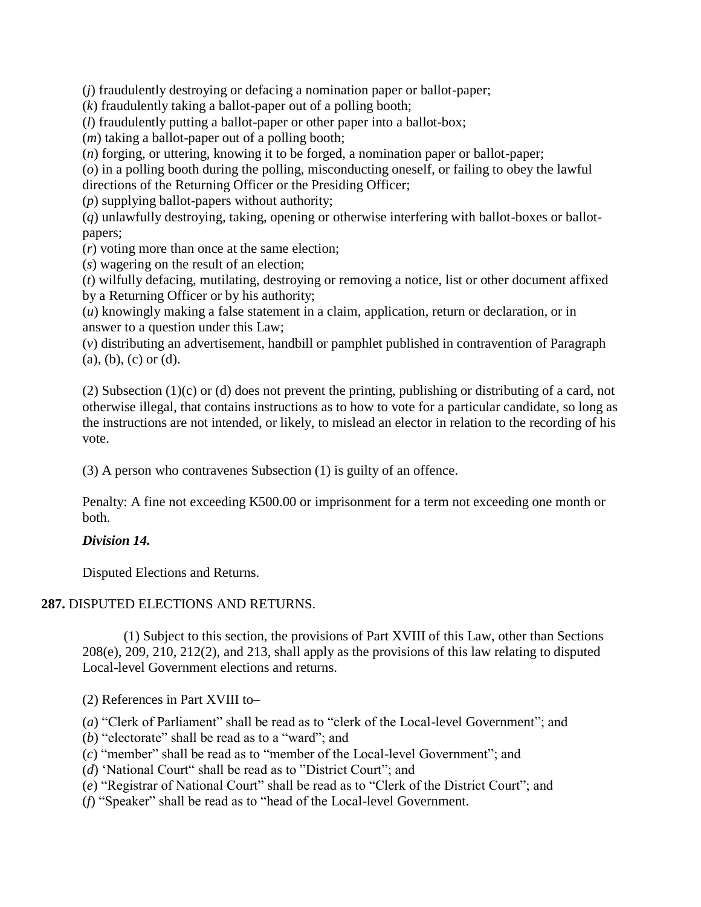(*j*) fraudulently destroying or defacing a nomination paper or ballot-paper;

(*k*) fraudulently taking a ballot-paper out of a polling booth;

(*l*) fraudulently putting a ballot-paper or other paper into a ballot-box;

(*m*) taking a ballot-paper out of a polling booth;

(*n*) forging, or uttering, knowing it to be forged, a nomination paper or ballot-paper;

(*o*) in a polling booth during the polling, misconducting oneself, or failing to obey the lawful

directions of the Returning Officer or the Presiding Officer;

(*p*) supplying ballot-papers without authority;

(*q*) unlawfully destroying, taking, opening or otherwise interfering with ballot-boxes or ballotpapers;

(*r*) voting more than once at the same election;

(*s*) wagering on the result of an election;

(*t*) wilfully defacing, mutilating, destroying or removing a notice, list or other document affixed by a Returning Officer or by his authority;

(*u*) knowingly making a false statement in a claim, application, return or declaration, or in answer to a question under this Law;

(*v*) distributing an advertisement, handbill or pamphlet published in contravention of Paragraph  $(a), (b), (c)$  or  $(d)$ .

(2) Subsection (1)(c) or (d) does not prevent the printing, publishing or distributing of a card, not otherwise illegal, that contains instructions as to how to vote for a particular candidate, so long as the instructions are not intended, or likely, to mislead an elector in relation to the recording of his vote.

(3) A person who contravenes Subsection (1) is guilty of an offence.

Penalty: A fine not exceeding K500.00 or imprisonment for a term not exceeding one month or both.

# *Division 14.*

Disputed Elections and Returns.

# **287.** DISPUTED ELECTIONS AND RETURNS.

(1) Subject to this section, the provisions of Part XVIII of this Law, other than Sections 208(e), 209, 210, 212(2), and 213, shall apply as the provisions of this law relating to disputed Local-level Government elections and returns.

(2) References in Part XVIII to–

(*a*) "Clerk of Parliament" shall be read as to "clerk of the Local-level Government"; and

- (*b*) "electorate" shall be read as to a "ward"; and
- (*c*) "member" shall be read as to "member of the Local-level Government"; and
- (*d*) "National Court" shall be read as to "District Court"; and
- (*e*) "Registrar of National Court" shall be read as to "Clerk of the District Court"; and
- (*f*) "Speaker" shall be read as to "head of the Local-level Government.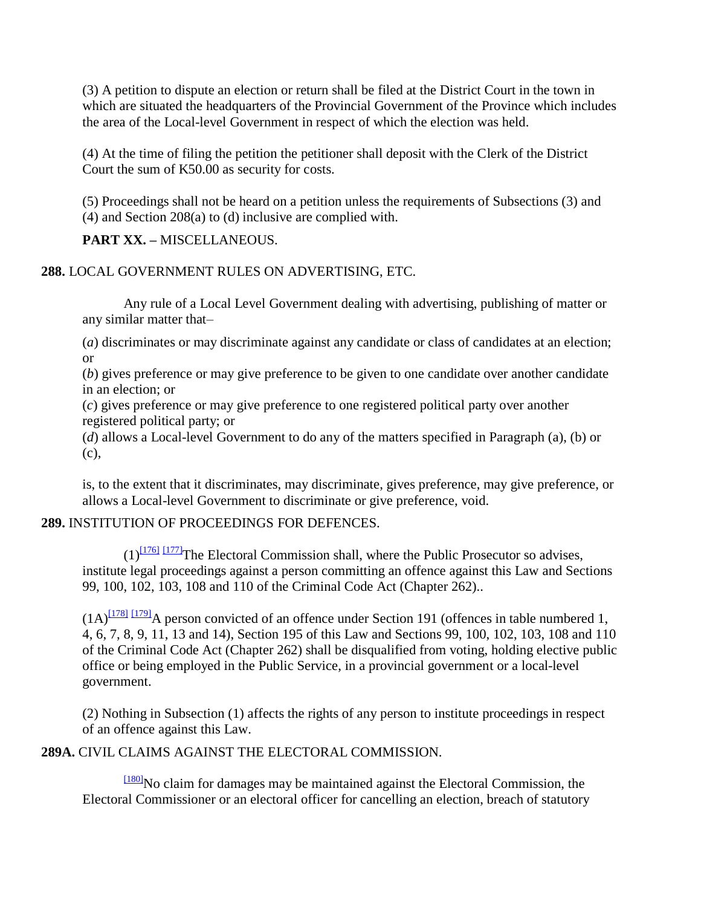(3) A petition to dispute an election or return shall be filed at the District Court in the town in which are situated the headquarters of the Provincial Government of the Province which includes the area of the Local-level Government in respect of which the election was held.

(4) At the time of filing the petition the petitioner shall deposit with the Clerk of the District Court the sum of K50.00 as security for costs.

(5) Proceedings shall not be heard on a petition unless the requirements of Subsections (3) and (4) and Section 208(a) to (d) inclusive are complied with.

**PART XX. –** MISCELLANEOUS.

**288.** LOCAL GOVERNMENT RULES ON ADVERTISING, ETC.

Any rule of a Local Level Government dealing with advertising, publishing of matter or any similar matter that–

(*a*) discriminates or may discriminate against any candidate or class of candidates at an election; or

(*b*) gives preference or may give preference to be given to one candidate over another candidate in an election; or

(*c*) gives preference or may give preference to one registered political party over another registered political party; or

(*d*) allows a Local-level Government to do any of the matters specified in Paragraph (a), (b) or (c),

is, to the extent that it discriminates, may discriminate, gives preference, may give preference, or allows a Local-level Government to discriminate or give preference, void.

# **289.** INSTITUTION OF PROCEEDINGS FOR DEFENCES.

 $(1)^{[176]}$  $(1)^{[176]}$  $(1)^{[176]}$  [\[177\]](http://www.paclii.org/pg/legis/consol_act/olonalge519/#fn177)<sup>The Electoral Commission shall, where the Public Prosecutor so advises,</sup> institute legal proceedings against a person committing an offence against this Law and Sections 99, 100, 102, 103, 108 and 110 of the Criminal Code Act (Chapter 262)..

 $(1A)^{1781}$   $1791$ <sup>A</sup> person convicted of an offence under Section 191 (offences in table numbered 1, 4, 6, 7, 8, 9, 11, 13 and 14), Section 195 of this Law and Sections 99, 100, 102, 103, 108 and 110 of the Criminal Code Act (Chapter 262) shall be disqualified from voting, holding elective public office or being employed in the Public Service, in a provincial government or a local-level government.

(2) Nothing in Subsection (1) affects the rights of any person to institute proceedings in respect of an offence against this Law.

**289A.** CIVIL CLAIMS AGAINST THE ELECTORAL COMMISSION.

[\[180\]](http://www.paclii.org/pg/legis/consol_act/olonalge519/#fn180)No claim for damages may be maintained against the Electoral Commission, the Electoral Commissioner or an electoral officer for cancelling an election, breach of statutory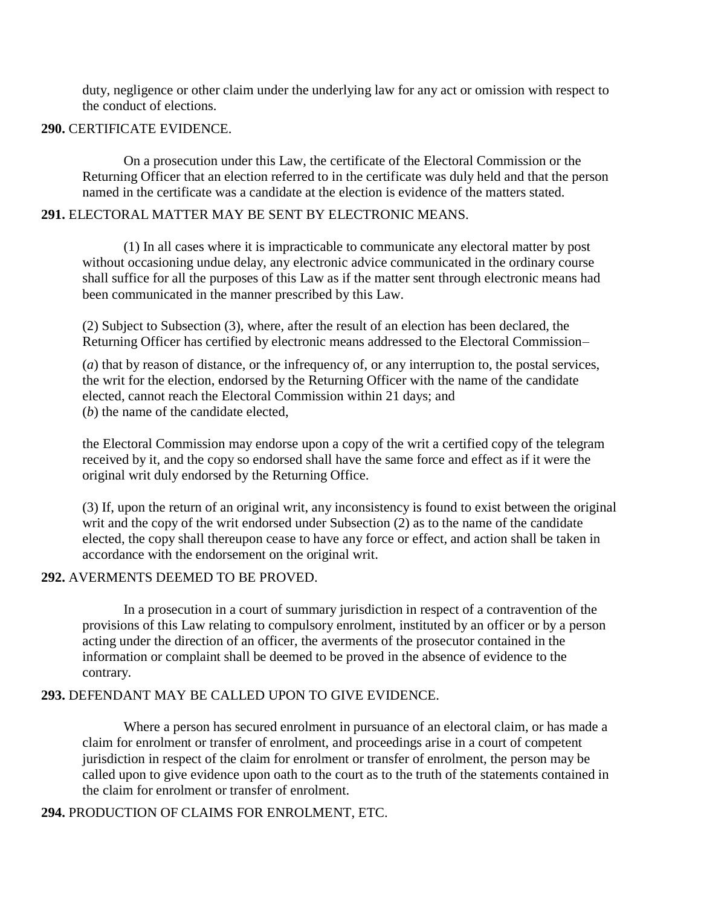duty, negligence or other claim under the underlying law for any act or omission with respect to the conduct of elections.

### **290.** CERTIFICATE EVIDENCE.

On a prosecution under this Law, the certificate of the Electoral Commission or the Returning Officer that an election referred to in the certificate was duly held and that the person named in the certificate was a candidate at the election is evidence of the matters stated.

### **291.** ELECTORAL MATTER MAY BE SENT BY ELECTRONIC MEANS.

(1) In all cases where it is impracticable to communicate any electoral matter by post without occasioning undue delay, any electronic advice communicated in the ordinary course shall suffice for all the purposes of this Law as if the matter sent through electronic means had been communicated in the manner prescribed by this Law.

(2) Subject to Subsection (3), where, after the result of an election has been declared, the Returning Officer has certified by electronic means addressed to the Electoral Commission–

(*a*) that by reason of distance, or the infrequency of, or any interruption to, the postal services, the writ for the election, endorsed by the Returning Officer with the name of the candidate elected, cannot reach the Electoral Commission within 21 days; and (*b*) the name of the candidate elected,

the Electoral Commission may endorse upon a copy of the writ a certified copy of the telegram received by it, and the copy so endorsed shall have the same force and effect as if it were the original writ duly endorsed by the Returning Office.

(3) If, upon the return of an original writ, any inconsistency is found to exist between the original writ and the copy of the writ endorsed under Subsection (2) as to the name of the candidate elected, the copy shall thereupon cease to have any force or effect, and action shall be taken in accordance with the endorsement on the original writ.

### **292.** AVERMENTS DEEMED TO BE PROVED.

In a prosecution in a court of summary jurisdiction in respect of a contravention of the provisions of this Law relating to compulsory enrolment, instituted by an officer or by a person acting under the direction of an officer, the averments of the prosecutor contained in the information or complaint shall be deemed to be proved in the absence of evidence to the contrary.

### **293.** DEFENDANT MAY BE CALLED UPON TO GIVE EVIDENCE.

Where a person has secured enrolment in pursuance of an electoral claim, or has made a claim for enrolment or transfer of enrolment, and proceedings arise in a court of competent jurisdiction in respect of the claim for enrolment or transfer of enrolment, the person may be called upon to give evidence upon oath to the court as to the truth of the statements contained in the claim for enrolment or transfer of enrolment.

**294.** PRODUCTION OF CLAIMS FOR ENROLMENT, ETC.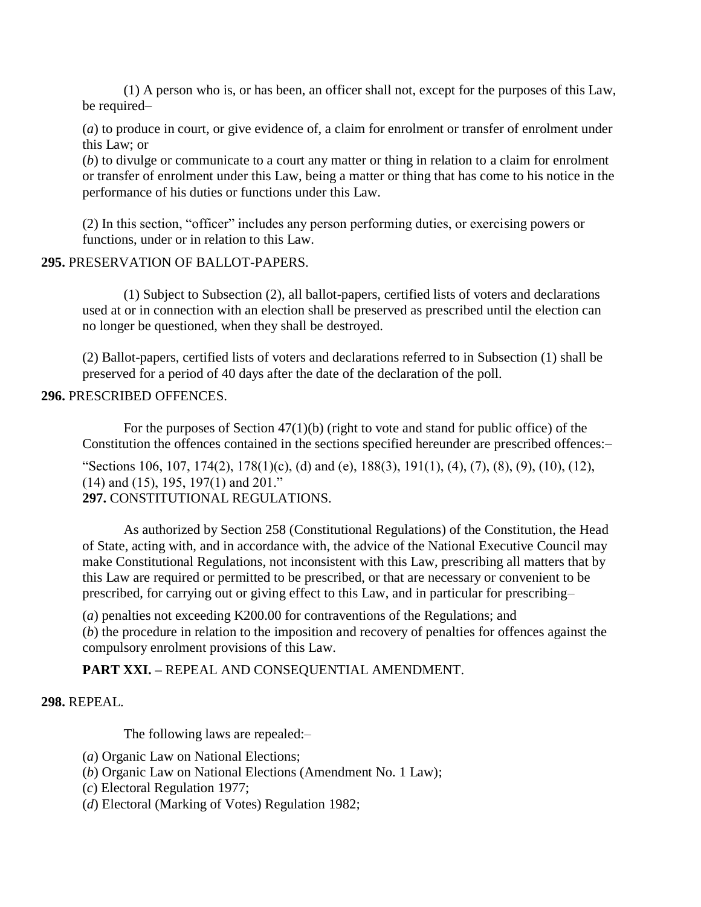(1) A person who is, or has been, an officer shall not, except for the purposes of this Law, be required–

(*a*) to produce in court, or give evidence of, a claim for enrolment or transfer of enrolment under this Law; or

(*b*) to divulge or communicate to a court any matter or thing in relation to a claim for enrolment or transfer of enrolment under this Law, being a matter or thing that has come to his notice in the performance of his duties or functions under this Law.

(2) In this section, "officer" includes any person performing duties, or exercising powers or functions, under or in relation to this Law.

### **295.** PRESERVATION OF BALLOT-PAPERS.

(1) Subject to Subsection (2), all ballot-papers, certified lists of voters and declarations used at or in connection with an election shall be preserved as prescribed until the election can no longer be questioned, when they shall be destroyed.

(2) Ballot-papers, certified lists of voters and declarations referred to in Subsection (1) shall be preserved for a period of 40 days after the date of the declaration of the poll.

### **296.** PRESCRIBED OFFENCES.

For the purposes of Section  $47(1)(b)$  (right to vote and stand for public office) of the Constitution the offences contained in the sections specified hereunder are prescribed offences:–

"Sections 106, 107, 174(2), 178(1)(c), (d) and (e), 188(3), 191(1), (4), (7), (8), (9), (10), (12), (14) and (15), 195, 197(1) and 201." **297.** CONSTITUTIONAL REGULATIONS.

As authorized by Section 258 (Constitutional Regulations) of the Constitution, the Head of State, acting with, and in accordance with, the advice of the National Executive Council may make Constitutional Regulations, not inconsistent with this Law, prescribing all matters that by this Law are required or permitted to be prescribed, or that are necessary or convenient to be prescribed, for carrying out or giving effect to this Law, and in particular for prescribing–

(*a*) penalties not exceeding K200.00 for contraventions of the Regulations; and (*b*) the procedure in relation to the imposition and recovery of penalties for offences against the compulsory enrolment provisions of this Law.

# **PART XXI. –** REPEAL AND CONSEQUENTIAL AMENDMENT.

### **298.** REPEAL.

The following laws are repealed:–

- (*a*) Organic Law on National Elections;
- (*b*) Organic Law on National Elections (Amendment No. 1 Law);
- (*c*) Electoral Regulation 1977;
- (*d*) Electoral (Marking of Votes) Regulation 1982;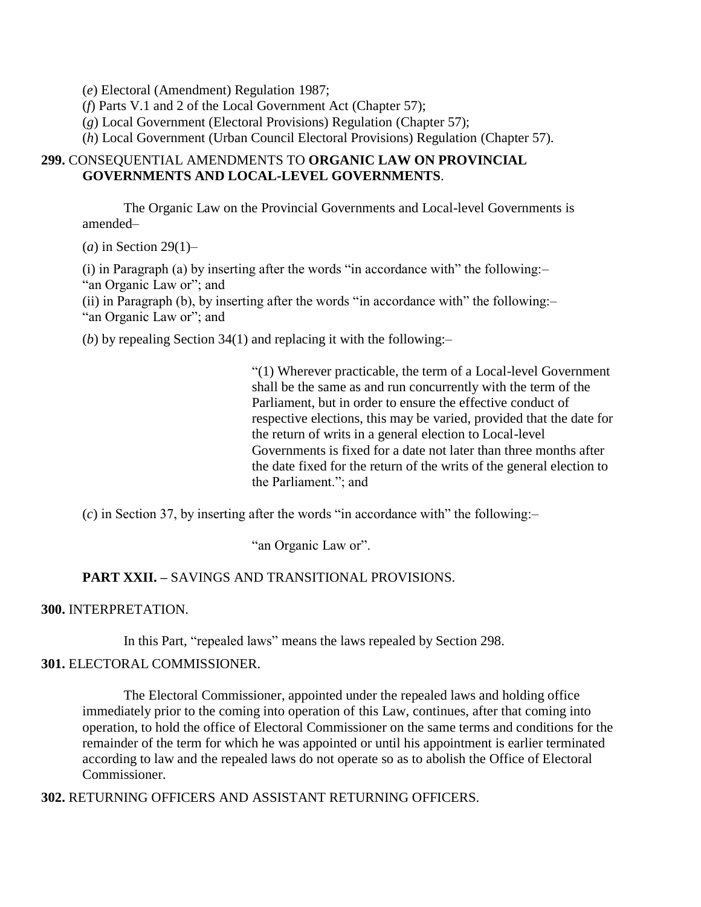(*e*) Electoral (Amendment) Regulation 1987;

(*f*) Parts V.1 and 2 of the Local Government Act (Chapter 57);

(*g*) Local Government (Electoral Provisions) Regulation (Chapter 57);

(*h*) Local Government (Urban Council Electoral Provisions) Regulation (Chapter 57).

### **299.** CONSEQUENTIAL AMENDMENTS TO **ORGANIC LAW ON PROVINCIAL GOVERNMENTS AND LOCAL-LEVEL GOVERNMENTS**.

The Organic Law on the Provincial Governments and Local-level Governments is amended–

(*a*) in Section 29(1)–

(i) in Paragraph (a) by inserting after the words "in accordance with" the following:– "an Organic Law or"; and

(ii) in Paragraph (b), by inserting after the words "in accordance with" the following:– "an Organic Law or"; and

(*b*) by repealing Section 34(1) and replacing it with the following:–

"(1) Wherever practicable, the term of a Local-level Government shall be the same as and run concurrently with the term of the Parliament, but in order to ensure the effective conduct of respective elections, this may be varied, provided that the date for the return of writs in a general election to Local-level Governments is fixed for a date not later than three months after the date fixed for the return of the writs of the general election to the Parliament."; and

(*c*) in Section 37, by inserting after the words "in accordance with" the following:–

"an Organic Law or".

# **PART XXII. –** SAVINGS AND TRANSITIONAL PROVISIONS.

### **300.** INTERPRETATION.

In this Part, "repealed laws" means the laws repealed by Section 298.

### **301.** ELECTORAL COMMISSIONER.

The Electoral Commissioner, appointed under the repealed laws and holding office immediately prior to the coming into operation of this Law, continues, after that coming into operation, to hold the office of Electoral Commissioner on the same terms and conditions for the remainder of the term for which he was appointed or until his appointment is earlier terminated according to law and the repealed laws do not operate so as to abolish the Office of Electoral Commissioner.

**302.** RETURNING OFFICERS AND ASSISTANT RETURNING OFFICERS.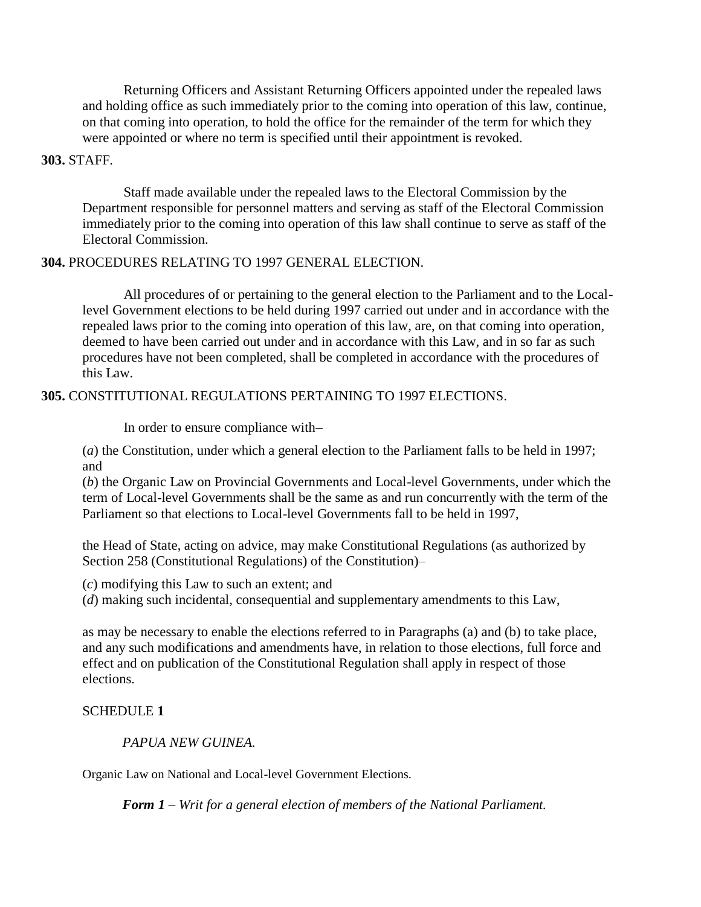Returning Officers and Assistant Returning Officers appointed under the repealed laws and holding office as such immediately prior to the coming into operation of this law, continue, on that coming into operation, to hold the office for the remainder of the term for which they were appointed or where no term is specified until their appointment is revoked.

#### **303.** STAFF.

Staff made available under the repealed laws to the Electoral Commission by the Department responsible for personnel matters and serving as staff of the Electoral Commission immediately prior to the coming into operation of this law shall continue to serve as staff of the Electoral Commission.

### **304.** PROCEDURES RELATING TO 1997 GENERAL ELECTION.

All procedures of or pertaining to the general election to the Parliament and to the Locallevel Government elections to be held during 1997 carried out under and in accordance with the repealed laws prior to the coming into operation of this law, are, on that coming into operation, deemed to have been carried out under and in accordance with this Law, and in so far as such procedures have not been completed, shall be completed in accordance with the procedures of this Law.

### **305.** CONSTITUTIONAL REGULATIONS PERTAINING TO 1997 ELECTIONS.

In order to ensure compliance with–

(*a*) the Constitution, under which a general election to the Parliament falls to be held in 1997; and

(*b*) the Organic Law on Provincial Governments and Local-level Governments, under which the term of Local-level Governments shall be the same as and run concurrently with the term of the Parliament so that elections to Local-level Governments fall to be held in 1997,

the Head of State, acting on advice, may make Constitutional Regulations (as authorized by Section 258 (Constitutional Regulations) of the Constitution)–

(*c*) modifying this Law to such an extent; and

(*d*) making such incidental, consequential and supplementary amendments to this Law,

as may be necessary to enable the elections referred to in Paragraphs (a) and (b) to take place, and any such modifications and amendments have, in relation to those elections, full force and effect and on publication of the Constitutional Regulation shall apply in respect of those elections.

# SCHEDULE **1**

*PAPUA NEW GUINEA.*

Organic Law on National and Local-level Government Elections.

*Form 1 – Writ for a general election of members of the National Parliament.*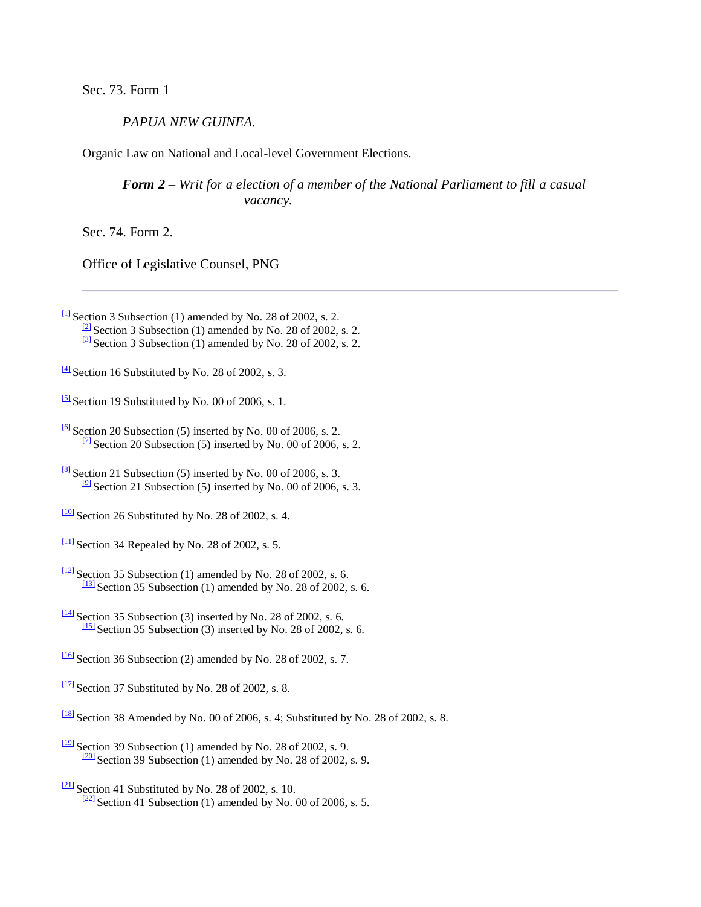Sec. 73. Form 1

*PAPUA NEW GUINEA.*

Organic Law on National and Local-level Government Elections.

*Form 2 – Writ for a election of a member of the National Parliament to fill a casual vacancy.*

Sec. 74. Form 2.

Office of Legislative Counsel, PNG

 $\Box$  Section 3 Subsection (1) amended by No. 28 of 2002, s. 2.  $\frac{2}{2}$  Section 3 Subsection (1) amended by No. 28 of 2002, s. 2.  $\frac{3}{3}$  Section 3 Subsection (1) amended by No. 28 of 2002, s. 2.

 $\frac{[4]}{[4]}$  $\frac{[4]}{[4]}$  $\frac{[4]}{[4]}$  Section 16 Substituted by No. 28 of 2002, s. 3.

 $\frac{5}{2}$  Section 19 Substituted by No. 00 of 2006, s. 1.

- $\frac{100}{2}$  Section 26 Substituted by No. 28 of 2002, s. 4.
- $\frac{111}{2}$  Section 34 Repealed by No. 28 of 2002, s. 5.
- $\frac{12}{2}$  Section 35 Subsection (1) amended by No. 28 of 2002, s. 6.  $\frac{131}{2}$  Section 35 Subsection (1) amended by No. 28 of 2002, s. 6.
- $\frac{1141}{124}$  Section 35 Subsection (3) inserted by No. 28 of 2002, s. 6.  $\frac{[15]}{[15]}$  $\frac{[15]}{[15]}$  $\frac{[15]}{[15]}$  Section 35 Subsection (3) inserted by No. 28 of 2002, s. 6.
- $\frac{1161}{2}$  Section 36 Subsection (2) amended by No. 28 of 2002, s. 7.

 $\frac{117}{2}$  Section 37 Substituted by No. 28 of 2002, s. 8.

- $\frac{181}{8}$  Section 38 Amended by No. 00 of 2006, s. 4; Substituted by No. 28 of 2002, s. 8.
- $\frac{1191}{28}$  Section 39 Subsection (1) amended by No. 28 of 2002, s. 9.  $\frac{[20]}{[20]}$  $\frac{[20]}{[20]}$  $\frac{[20]}{[20]}$  Section 39 Subsection (1) amended by No. 28 of 2002, s. 9.
- $\frac{[21]}{[21]}$  $\frac{[21]}{[21]}$  $\frac{[21]}{[21]}$  Section 41 Substituted by No. 28 of 2002, s. 10.  $\frac{[22]}{[22]}$  $\frac{[22]}{[22]}$  $\frac{[22]}{[22]}$  Section 41 Subsection (1) amended by No. 00 of 2006, s. 5.

 $\frac{6}{10}$  Section 20 Subsection (5) inserted by No. 00 of 2006, s. 2.  $\frac{17}{2}$  Section 20 Subsection (5) inserted by No. 00 of 2006, s. 2.

 $\frac{[8]}{[8]}$  $\frac{[8]}{[8]}$  $\frac{[8]}{[8]}$  Section 21 Subsection (5) inserted by No. 00 of 2006, s. 3.  $\frac{19}{2}$  Section 21 Subsection (5) inserted by No. 00 of 2006, s. 3.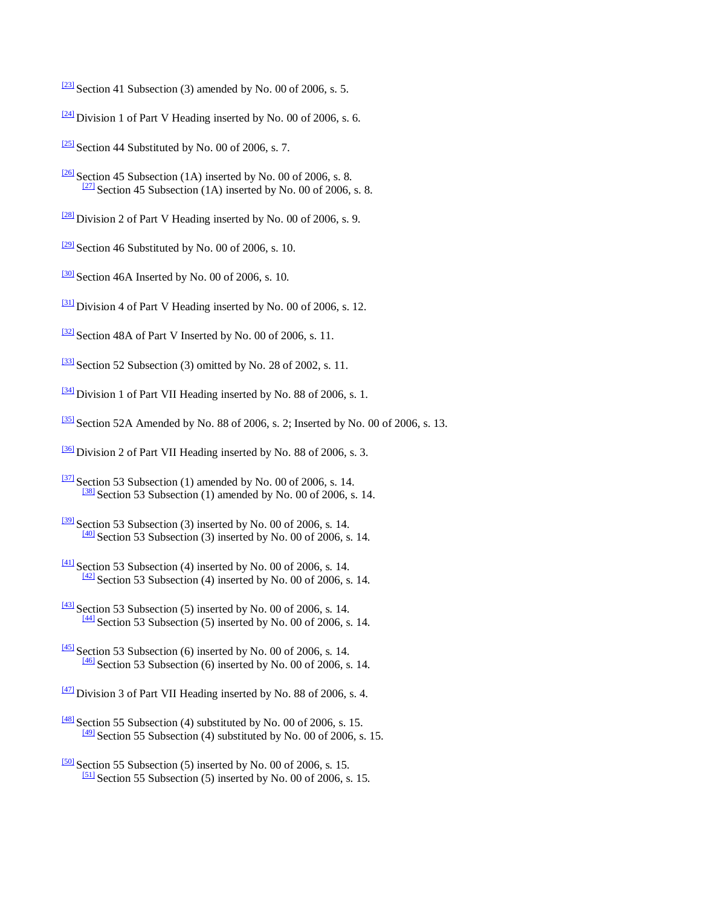- $\frac{[23]}{[23]}$  $\frac{[23]}{[23]}$  $\frac{[23]}{[23]}$  Section 41 Subsection (3) amended by No. 00 of 2006, s. 5.
- $\frac{[24]}{[24]}$  $\frac{[24]}{[24]}$  $\frac{[24]}{[24]}$  Division 1 of Part V Heading inserted by No. 00 of 2006, s. 6.
- $\frac{[25]}{[25]}$  $\frac{[25]}{[25]}$  $\frac{[25]}{[25]}$  Section 44 Substituted by No. 00 of 2006, s. 7.
- $\frac{[26]}{[26]}$  $\frac{[26]}{[26]}$  $\frac{[26]}{[26]}$  Section 45 Subsection (1A) inserted by No. 00 of 2006, s. 8.  $\frac{[27]}{[27]}$  $\frac{[27]}{[27]}$  $\frac{[27]}{[27]}$  Section 45 Subsection (1A) inserted by No. 00 of 2006, s. 8.
- $\frac{[28]}{[28]}$  $\frac{[28]}{[28]}$  $\frac{[28]}{[28]}$  Division 2 of Part V Heading inserted by No. 00 of 2006, s. 9.
- $\frac{[29]}{[29]}$  $\frac{[29]}{[29]}$  $\frac{[29]}{[29]}$  Section 46 Substituted by No. 00 of 2006, s. 10.
- $\frac{30}{30}$  Section 46A Inserted by No. 00 of 2006, s. 10.
- [\[31\]](http://www.paclii.org/pg/legis/consol_act/olonalge519/#fnB31) Division 4 of Part V Heading inserted by No. 00 of 2006, s. 12.
- $\frac{321}{2}$  Section 48A of Part V Inserted by No. 00 of 2006, s. 11.
- $\frac{331}{2}$  Section 52 Subsection (3) omitted by No. 28 of 2002, s. 11.
- [\[34\]](http://www.paclii.org/pg/legis/consol_act/olonalge519/#fnB34) Division 1 of Part VII Heading inserted by No. 88 of 2006, s. 1.
- $\frac{351}{251}$  Section 52A Amended by No. 88 of 2006, s. 2; Inserted by No. 00 of 2006, s. 13.
- [\[36\]](http://www.paclii.org/pg/legis/consol_act/olonalge519/#fnB36) Division 2 of Part VII Heading inserted by No. 88 of 2006, s. 3.
- $\frac{371}{2}$ Section 53 Subsection (1) amended by No. 00 of 2006, s. 14.  $\frac{381}{288}$  Section 53 Subsection (1) amended by No. 00 of 2006, s. 14.
- $\frac{391}{2}$  Section 53 Subsection (3) inserted by No. 00 of 2006, s. 14.  $\frac{[40]}{[40]}$  $\frac{[40]}{[40]}$  $\frac{[40]}{[40]}$  Section 53 Subsection (3) inserted by No. 00 of 2006, s. 14.
- $\frac{[41]}{[41]}$  $\frac{[41]}{[41]}$  $\frac{[41]}{[41]}$  Section 53 Subsection (4) inserted by No. 00 of 2006, s. 14.  $\frac{[42]}{[42]}$  $\frac{[42]}{[42]}$  $\frac{[42]}{[42]}$  Section 53 Subsection (4) inserted by No. 00 of 2006, s. 14.
- $\frac{[43]}{[43]}$  $\frac{[43]}{[43]}$  $\frac{[43]}{[43]}$  Section 53 Subsection (5) inserted by No. 00 of 2006, s. 14.  $\frac{[44]}{[44]}$  $\frac{[44]}{[44]}$  $\frac{[44]}{[44]}$  Section 53 Subsection (5) inserted by No. 00 of 2006, s. 14.
- $\frac{[45]}{[45]}$  $\frac{[45]}{[45]}$  $\frac{[45]}{[45]}$  Section 53 Subsection (6) inserted by No. 00 of 2006, s. 14.  $\frac{[46]}{[46]}$  $\frac{[46]}{[46]}$  $\frac{[46]}{[46]}$  Section 53 Subsection (6) inserted by No. 00 of 2006, s. 14.
- [\[47\]](http://www.paclii.org/pg/legis/consol_act/olonalge519/#fnB47) Division 3 of Part VII Heading inserted by No. 88 of 2006, s. 4.
- $\frac{[48]}{[48]}$  $\frac{[48]}{[48]}$  $\frac{[48]}{[48]}$  Section 55 Subsection (4) substituted by No. 00 of 2006, s. 15.  $\frac{[49]}{[49]}$  $\frac{[49]}{[49]}$  $\frac{[49]}{[49]}$  Section 55 Subsection (4) substituted by No. 00 of 2006, s. 15.
- $\frac{[50]}{[50]}$  $\frac{[50]}{[50]}$  $\frac{[50]}{[50]}$  Section 55 Subsection (5) inserted by No. 00 of 2006, s. 15.  $\frac{[51]}{[51]}$  $\frac{[51]}{[51]}$  $\frac{[51]}{[51]}$  Section 55 Subsection (5) inserted by No. 00 of 2006, s. 15.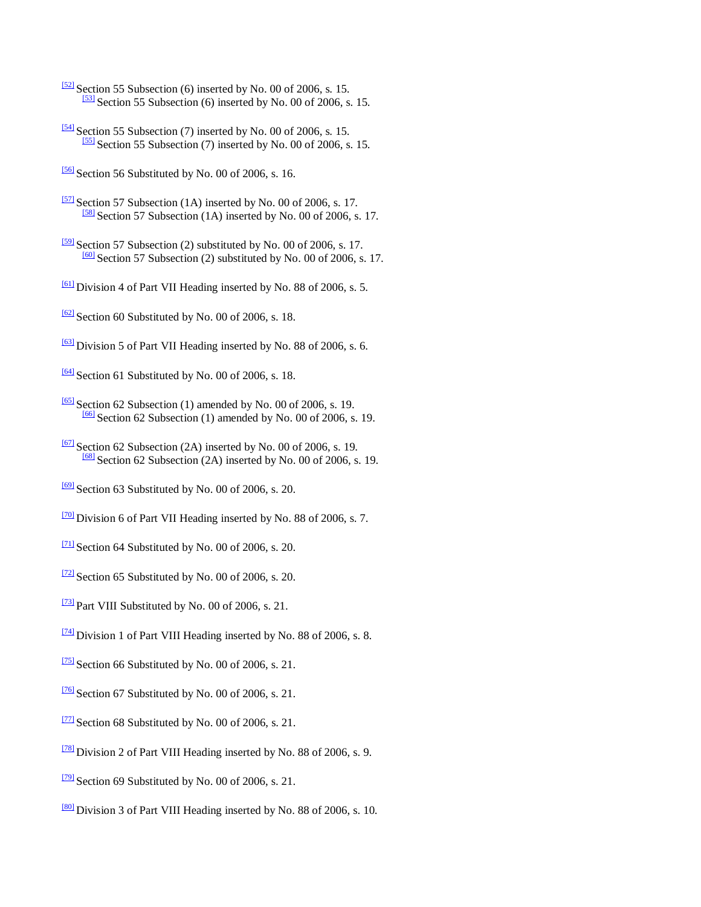- $\frac{521}{2}$ Section 55 Subsection (6) inserted by No. 00 of 2006, s. 15.  $\frac{531}{2}$ Section 55 Subsection (6) inserted by No. 00 of 2006, s. 15.
- $\frac{54}{3}$  Section 55 Subsection (7) inserted by No. 00 of 2006, s. 15.  $\frac{551}{2}$ Section 55 Subsection (7) inserted by No. 00 of 2006, s. 15.
- $\frac{56}{56}$  Section 56 Substituted by No. 00 of 2006, s. 16.
- $\frac{571}{2}$ Section 57 Subsection (1A) inserted by No. 00 of 2006, s. 17. [\[58\]](http://www.paclii.org/pg/legis/consol_act/olonalge519/#fnB58) Section 57 Subsection (1A) inserted by No. 00 of 2006, s. 17.
- $\frac{591}{2}$ Section 57 Subsection (2) substituted by No. 00 of 2006, s. 17.  $\frac{[60]}{[60]}$  $\frac{[60]}{[60]}$  $\frac{[60]}{[60]}$  Section 57 Subsection (2) substituted by No. 00 of 2006, s. 17.
- $\frac{611}{2}$  Division 4 of Part VII Heading inserted by No. 88 of 2006, s. 5.
- $\frac{621}{2}$  Section 60 Substituted by No. 00 of 2006, s. 18.
- [\[63\]](http://www.paclii.org/pg/legis/consol_act/olonalge519/#fnB63) Division 5 of Part VII Heading inserted by No. 88 of 2006, s. 6.
- $\frac{641}{2}$  Section 61 Substituted by No. 00 of 2006, s. 18.
- $\frac{1651}{2}$  Section 62 Subsection (1) amended by No. 00 of 2006, s. 19.  $\frac{[66]}{[66]}$  $\frac{[66]}{[66]}$  $\frac{[66]}{[66]}$  Section 62 Subsection (1) amended by No. 00 of 2006, s. 19.
- $\frac{671}{2}$ Section 62 Subsection (2A) inserted by No. 00 of 2006, s. 19. [\[68\]](http://www.paclii.org/pg/legis/consol_act/olonalge519/#fnB68) Section 62 Subsection (2A) inserted by No. 00 of 2006, s. 19.
- $\frac{69}{9}$  Section 63 Substituted by No. 00 of 2006, s. 20.
- [\[70\]](http://www.paclii.org/pg/legis/consol_act/olonalge519/#fnB70) Division 6 of Part VII Heading inserted by No. 88 of 2006, s. 7.
- $\frac{[71]}{[71]}$  $\frac{[71]}{[71]}$  $\frac{[71]}{[71]}$  Section 64 Substituted by No. 00 of 2006, s. 20.
- $\frac{[72]}{2}$  $\frac{[72]}{2}$  $\frac{[72]}{2}$  Section 65 Substituted by No. 00 of 2006, s. 20.
- $\frac{[73]}{[73]}$  $\frac{[73]}{[73]}$  $\frac{[73]}{[73]}$  Part VIII Substituted by No. 00 of 2006, s. 21.
- [\[74\]](http://www.paclii.org/pg/legis/consol_act/olonalge519/#fnB74) Division 1 of Part VIII Heading inserted by No. 88 of 2006, s. 8.
- $\frac{[75]}{[75]}$  $\frac{[75]}{[75]}$  $\frac{[75]}{[75]}$  Section 66 Substituted by No. 00 of 2006, s. 21.
- $\frac{176}{20}$  Section 67 Substituted by No. 00 of 2006, s. 21.
- $\frac{[77]}{[77]}$  $\frac{[77]}{[77]}$  $\frac{[77]}{[77]}$  Section 68 Substituted by No. 00 of 2006, s. 21.
- [\[78\]](http://www.paclii.org/pg/legis/consol_act/olonalge519/#fnB78) Division 2 of Part VIII Heading inserted by No. 88 of 2006, s. 9.
- $\frac{[79]}{[79]}$  $\frac{[79]}{[79]}$  $\frac{[79]}{[79]}$  Section 69 Substituted by No. 00 of 2006, s. 21.
- [\[80\]](http://www.paclii.org/pg/legis/consol_act/olonalge519/#fnB80) Division 3 of Part VIII Heading inserted by No. 88 of 2006, s. 10.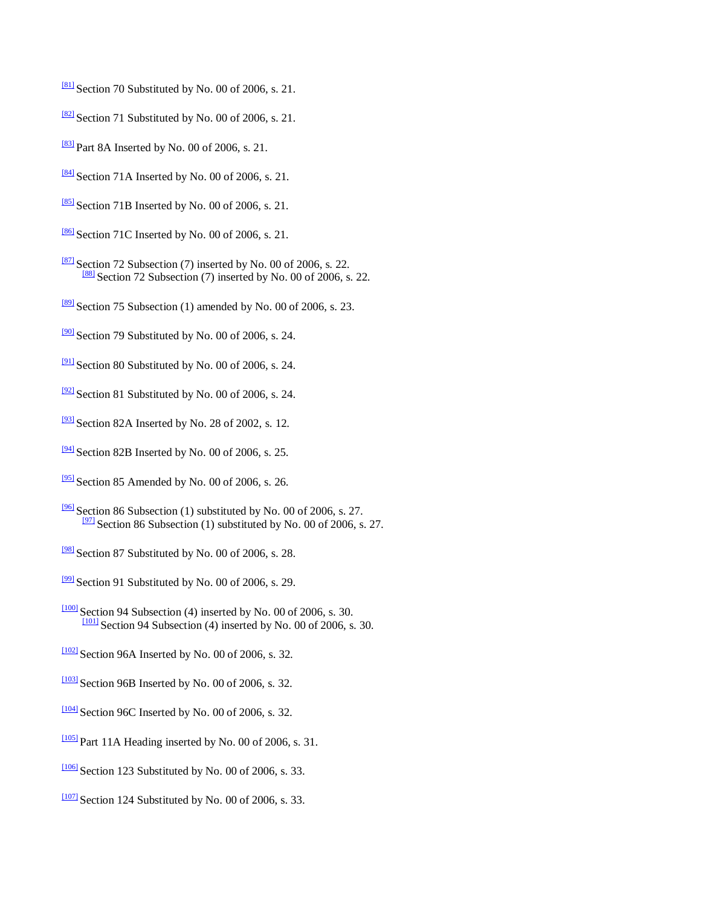- $\frac{[81]}{]}$  $\frac{[81]}{]}$  $\frac{[81]}{]}$  Section 70 Substituted by No. 00 of 2006, s. 21.
- $\frac{[82]}{[82]}$  $\frac{[82]}{[82]}$  $\frac{[82]}{[82]}$  Section 71 Substituted by No. 00 of 2006, s. 21.
- $\frac{[83]}{[83]}$  $\frac{[83]}{[83]}$  $\frac{[83]}{[83]}$  Part 8A Inserted by No. 00 of 2006, s. 21.
- $\frac{1841}{8}$  Section 71A Inserted by No. 00 of 2006, s. 21.
- $\frac{[85]}{[85]}$  $\frac{[85]}{[85]}$  $\frac{[85]}{[85]}$  Section 71B Inserted by No. 00 of 2006, s. 21.
- $\frac{[86]}{[86]}$  $\frac{[86]}{[86]}$  $\frac{[86]}{[86]}$  Section 71C Inserted by No. 00 of 2006, s. 21.
- $\frac{[87]}{[87]}$  $\frac{[87]}{[87]}$  $\frac{[87]}{[87]}$  Section 72 Subsection (7) inserted by No. 00 of 2006, s. 22.  $\frac{[88]}{[88]}$  $\frac{[88]}{[88]}$  $\frac{[88]}{[88]}$  Section 72 Subsection (7) inserted by No. 00 of 2006, s. 22.
- $\frac{[89]}{[89]}$  $\frac{[89]}{[89]}$  $\frac{[89]}{[89]}$  Section 75 Subsection (1) amended by No. 00 of 2006, s. 23.
- $\frac{90}{2}$  Section 79 Substituted by No. 00 of 2006, s. 24.
- $\frac{1911}{28}$  Section 80 Substituted by No. 00 of 2006, s. 24.
- $\frac{921}{2}$  Section 81 Substituted by No. 00 of 2006, s. 24.
- $\frac{1931}{28}$  Section 82A Inserted by No. 28 of 2002, s. 12.
- $\frac{94}{2}$  Section 82B Inserted by No. 00 of 2006, s. 25.
- $\frac{1951}{2}$  Section 85 Amended by No. 00 of 2006, s. 26.
- $\frac{196}{196}$  Section 86 Subsection (1) substituted by No. 00 of 2006, s. 27.  $\frac{97}{2}$  Section 86 Subsection (1) substituted by No. 00 of 2006, s. 27.
- $\frac{981}{8}$ Section 87 Substituted by No. 00 of 2006, s. 28.
- $\frac{999}{2}$  Section 91 Substituted by No. 00 of 2006, s. 29.
- $\frac{[100]}{[100]}$  $\frac{[100]}{[100]}$  $\frac{[100]}{[100]}$  Section 94 Subsection (4) inserted by No. 00 of 2006, s. 30.  $\frac{[101]}{]}$  $\frac{[101]}{]}$  $\frac{[101]}{]}$  Section 94 Subsection (4) inserted by No. 00 of 2006, s. 30.
- $\frac{11021}{2}$  Section 96A Inserted by No. 00 of 2006, s. 32.
- $\frac{[103]}{]}$  $\frac{[103]}{]}$  $\frac{[103]}{]}$  Section 96B Inserted by No. 00 of 2006, s. 32.
- $\frac{1104}{104}$  Section 96C Inserted by No. 00 of 2006, s. 32.
- $\frac{[105]}{[105]}$  $\frac{[105]}{[105]}$  $\frac{[105]}{[105]}$  Part 11A Heading inserted by No. 00 of 2006, s. 31.
- $\frac{[106]}{[106]}$  $\frac{[106]}{[106]}$  $\frac{[106]}{[106]}$  Section 123 Substituted by No. 00 of 2006, s. 33.
- $\frac{1007}{2}$  Section 124 Substituted by No. 00 of 2006, s. 33.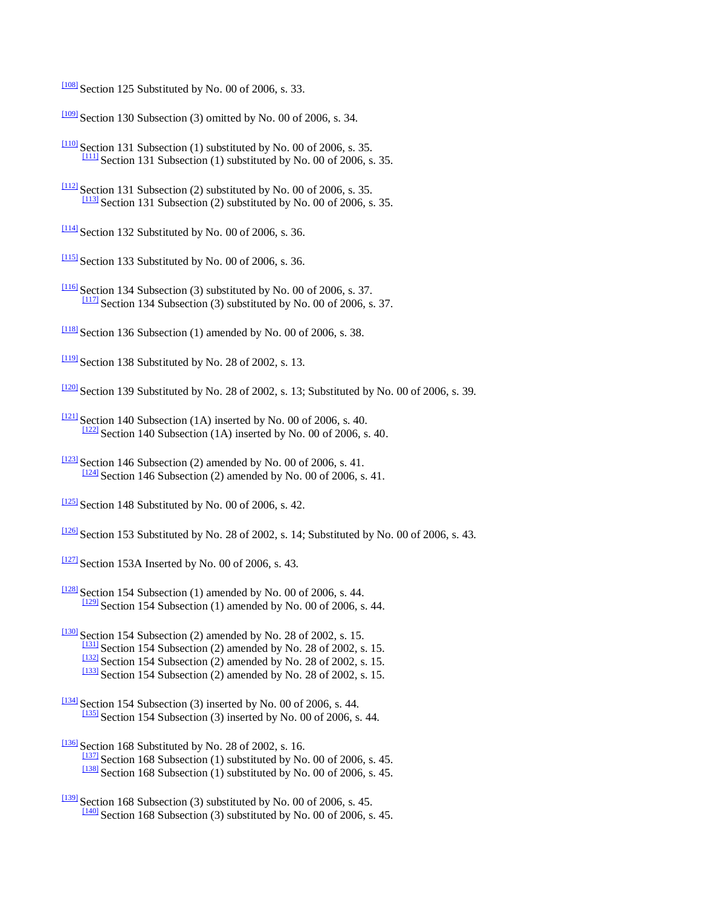$\frac{[108]}{[108]}$  $\frac{[108]}{[108]}$  $\frac{[108]}{[108]}$  Section 125 Substituted by No. 00 of 2006, s. 33.

 $\frac{1099}{1091}$  Section 130 Subsection (3) omitted by No. 00 of 2006, s. 34.

- $\frac{[110]}{[110]}$  $\frac{[110]}{[110]}$  $\frac{[110]}{[110]}$  Section 131 Subsection (1) substituted by No. 00 of 2006, s. 35.  $\frac{[111]}{[111]}$  $\frac{[111]}{[111]}$  $\frac{[111]}{[111]}$  Section 131 Subsection (1) substituted by No. 00 of 2006, s. 35.
- $\frac{[112]}{[112]}$  $\frac{[112]}{[112]}$  $\frac{[112]}{[112]}$  Section 131 Subsection (2) substituted by No. 00 of 2006, s. 35.  $\frac{[113]}{[113]}$  $\frac{[113]}{[113]}$  $\frac{[113]}{[113]}$  Section 131 Subsection (2) substituted by No. 00 of 2006, s. 35.
- $\frac{[114]}{]}$  $\frac{[114]}{]}$  $\frac{[114]}{]}$  Section 132 Substituted by No. 00 of 2006, s. 36.
- $\frac{[115]}{[115]}$  $\frac{[115]}{[115]}$  $\frac{[115]}{[115]}$  Section 133 Substituted by No. 00 of 2006, s. 36.
- $\frac{[116]}{[116]}$  $\frac{[116]}{[116]}$  $\frac{[116]}{[116]}$  Section 134 Subsection (3) substituted by No. 00 of 2006, s. 37.  $\frac{[117]}{[117]}$  $\frac{[117]}{[117]}$  $\frac{[117]}{[117]}$  Section 134 Subsection (3) substituted by No. 00 of 2006, s. 37.
- $\frac{[118]}{[118]}$  $\frac{[118]}{[118]}$  $\frac{[118]}{[118]}$  Section 136 Subsection (1) amended by No. 00 of 2006, s. 38.
- $\frac{[119]}{[119]}$  $\frac{[119]}{[119]}$  $\frac{[119]}{[119]}$  Section 138 Substituted by No. 28 of 2002, s. 13.
- $\frac{1200}{2}$  Section 139 Substituted by No. 28 of 2002, s. 13; Substituted by No. 00 of 2006, s. 39.
- $\frac{1211}{2121}$  Section 140 Subsection (1A) inserted by No. 00 of 2006, s. 40.  $\frac{1222}{2}$  Section 140 Subsection (1A) inserted by No. 00 of 2006, s. 40.
- $\frac{[123]}{]}$  $\frac{[123]}{]}$  $\frac{[123]}{]}$  Section 146 Subsection (2) amended by No. 00 of 2006, s. 41.  $\frac{124}{124}$  Section 146 Subsection (2) amended by No. 00 of 2006, s. 41.
- $\frac{[125]}{]}$  $\frac{[125]}{]}$  $\frac{[125]}{]}$  Section 148 Substituted by No. 00 of 2006, s. 42.
- $\frac{[126]}{[126]}$  $\frac{[126]}{[126]}$  $\frac{[126]}{[126]}$  Section 153 Substituted by No. 28 of 2002, s. 14; Substituted by No. 00 of 2006, s. 43.
- $\frac{[127]}{]}$  $\frac{[127]}{]}$  $\frac{[127]}{]}$  Section 153A Inserted by No. 00 of 2006, s. 43.
- $\frac{[128]}{[128]}$  $\frac{[128]}{[128]}$  $\frac{[128]}{[128]}$  Section 154 Subsection (1) amended by No. 00 of 2006, s. 44.  $\frac{[129]}{[129]}$  $\frac{[129]}{[129]}$  $\frac{[129]}{[129]}$  Section 154 Subsection (1) amended by No. 00 of 2006, s. 44.
- $\frac{[130]}{[130]}$  $\frac{[130]}{[130]}$  $\frac{[130]}{[130]}$  Section 154 Subsection (2) amended by No. 28 of 2002, s. 15.  $\frac{[131]}{[131]}$  $\frac{[131]}{[131]}$  $\frac{[131]}{[131]}$  Section 154 Subsection (2) amended by No. 28 of 2002, s. 15.  $\frac{[132]}{]}$  $\frac{[132]}{]}$  $\frac{[132]}{]}$  Section 154 Subsection (2) amended by No. 28 of 2002, s. 15.  $\frac{[133]}{[133]}$  $\frac{[133]}{[133]}$  $\frac{[133]}{[133]}$  Section 154 Subsection (2) amended by No. 28 of 2002, s. 15.
- $\frac{134}{134}$  Section 154 Subsection (3) inserted by No. 00 of 2006, s. 44.  $\frac{[135]}{[135]}$  $\frac{[135]}{[135]}$  $\frac{[135]}{[135]}$  Section 154 Subsection (3) inserted by No. 00 of 2006, s. 44.
- $\frac{[136]}{[136]}$  $\frac{[136]}{[136]}$  $\frac{[136]}{[136]}$  Section 168 Substituted by No. 28 of 2002, s. 16.  $\frac{1137}{1137}$  Section 168 Subsection (1) substituted by No. 00 of 2006, s. 45.  $\frac{[138]}{[138]}$  $\frac{[138]}{[138]}$  $\frac{[138]}{[138]}$  Section 168 Subsection (1) substituted by No. 00 of 2006, s. 45.
- $\frac{[139]}{[139]}$  $\frac{[139]}{[139]}$  $\frac{[139]}{[139]}$  Section 168 Subsection (3) substituted by No. 00 of 2006, s. 45.  $\frac{1400}{2}$  Section 168 Subsection (3) substituted by No. 00 of 2006, s. 45.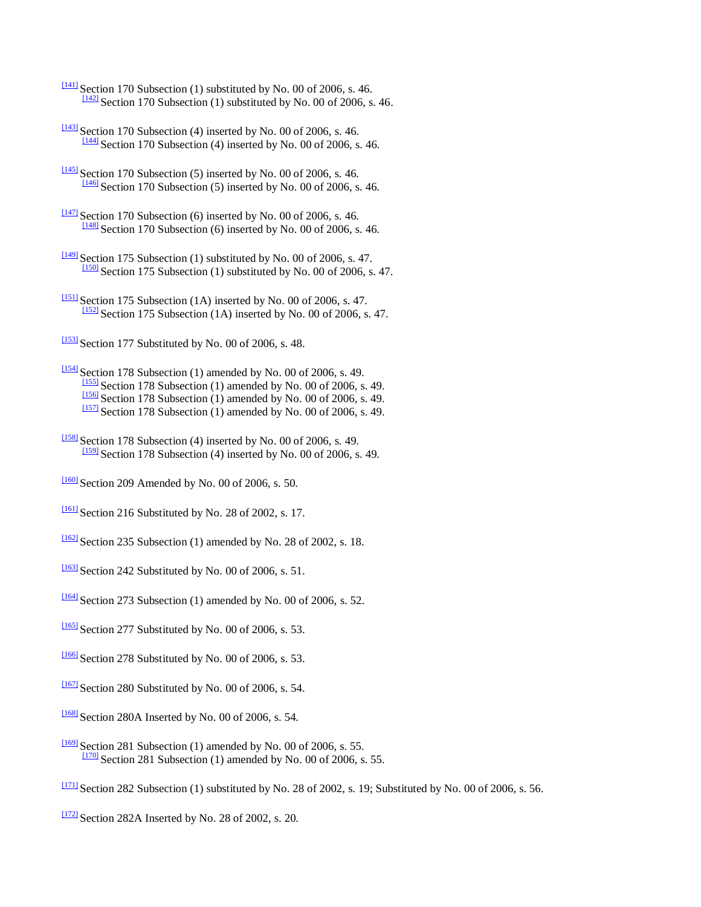- $\frac{[141]}{[141]}$  $\frac{[141]}{[141]}$  $\frac{[141]}{[141]}$  Section 170 Subsection (1) substituted by No. 00 of 2006, s. 46.  $\frac{[142]}{]}$  $\frac{[142]}{]}$  $\frac{[142]}{]}$  Section 170 Subsection (1) substituted by No. 00 of 2006, s. 46.
- $\frac{[143]}{]}$  $\frac{[143]}{]}$  $\frac{[143]}{]}$  Section 170 Subsection (4) inserted by No. 00 of 2006, s. 46.  $\frac{[144]}{]}$  $\frac{[144]}{]}$  $\frac{[144]}{]}$  Section 170 Subsection (4) inserted by No. 00 of 2006, s. 46.
- $\frac{[145]}{[145]}$  $\frac{[145]}{[145]}$  $\frac{[145]}{[145]}$  Section 170 Subsection (5) inserted by No. 00 of 2006, s. 46.  $\frac{[146]}{[146]}$  $\frac{[146]}{[146]}$  $\frac{[146]}{[146]}$  Section 170 Subsection (5) inserted by No. 00 of 2006, s. 46.
- $\frac{[147]}{[147]}$  $\frac{[147]}{[147]}$  $\frac{[147]}{[147]}$  Section 170 Subsection (6) inserted by No. 00 of 2006, s. 46.  $\frac{[148]}{[148]}$  $\frac{[148]}{[148]}$  $\frac{[148]}{[148]}$  Section 170 Subsection (6) inserted by No. 00 of 2006, s. 46.
- $\frac{[149]}{3}$  $\frac{[149]}{3}$  $\frac{[149]}{3}$  Section 175 Subsection (1) substituted by No. 00 of 2006, s. 47.  $\frac{[150]}{[150]}$  $\frac{[150]}{[150]}$  $\frac{[150]}{[150]}$  Section 175 Subsection (1) substituted by No. 00 of 2006, s. 47.
- $\frac{[151]}{]}$  $\frac{[151]}{]}$  $\frac{[151]}{]}$  Section 175 Subsection (1A) inserted by No. 00 of 2006, s. 47.  $\frac{[152]}{[152]}$  $\frac{[152]}{[152]}$  $\frac{[152]}{[152]}$  Section 175 Subsection (1A) inserted by No. 00 of 2006, s. 47.

 $\frac{[153]}{[153]}$  $\frac{[153]}{[153]}$  $\frac{[153]}{[153]}$  Section 177 Substituted by No. 00 of 2006, s. 48.

- $\frac{[154]}{]}$  $\frac{[154]}{]}$  $\frac{[154]}{]}$  Section 178 Subsection (1) amended by No. 00 of 2006, s. 49. [\[155\]](http://www.paclii.org/pg/legis/consol_act/olonalge519/#fnB155) Section 178 Subsection (1) amended by No. 00 of 2006, s. 49.  $\frac{[156]}{[156]}$  $\frac{[156]}{[156]}$  $\frac{[156]}{[156]}$  Section 178 Subsection (1) amended by No. 00 of 2006, s. 49.  $\frac{[157]}{[157]}$  $\frac{[157]}{[157]}$  $\frac{[157]}{[157]}$  Section 178 Subsection (1) amended by No. 00 of 2006, s. 49.
- $\frac{[158]}{[158]}$  $\frac{[158]}{[158]}$  $\frac{[158]}{[158]}$  Section 178 Subsection (4) inserted by No. 00 of 2006, s. 49. [\[159\]](http://www.paclii.org/pg/legis/consol_act/olonalge519/#fnB159) Section 178 Subsection (4) inserted by No. 00 of 2006, s. 49.
- $\frac{1160}{100}$  Section 209 Amended by No. 00 of 2006, s. 50.
- $\frac{[161]}{[161]}$  $\frac{[161]}{[161]}$  $\frac{[161]}{[161]}$  Section 216 Substituted by No. 28 of 2002, s. 17.
- $\frac{1162}{2}$  Section 235 Subsection (1) amended by No. 28 of 2002, s. 18.
- $\frac{[163]}{]}$  $\frac{[163]}{]}$  $\frac{[163]}{]}$  Section 242 Substituted by No. 00 of 2006, s. 51.
- $\frac{1164}{1064}$  Section 273 Subsection (1) amended by No. 00 of 2006, s. 52.
- $\frac{[165]}{[165]}$  $\frac{[165]}{[165]}$  $\frac{[165]}{[165]}$  Section 277 Substituted by No. 00 of 2006, s. 53.
- $\frac{[166]}{[166]}$  $\frac{[166]}{[166]}$  $\frac{[166]}{[166]}$  Section 278 Substituted by No. 00 of 2006, s. 53.
- $\frac{11671}{280}$  Section 280 Substituted by No. 00 of 2006, s. 54.
- $\frac{11681}{2808}$  Section 280A Inserted by No. 00 of 2006, s. 54.
- $\frac{1169}{169}$  Section 281 Subsection (1) amended by No. 00 of 2006, s. 55.  $\frac{1170}{120}$  Section 281 Subsection (1) amended by No. 00 of 2006, s. 55.
- $\frac{11711}{2}$  Section 282 Subsection (1) substituted by No. 28 of 2002, s. 19; Substituted by No. 00 of 2006, s. 56.
- $\frac{[172]}{]}$  $\frac{[172]}{]}$  $\frac{[172]}{]}$  Section 282A Inserted by No. 28 of 2002, s. 20.